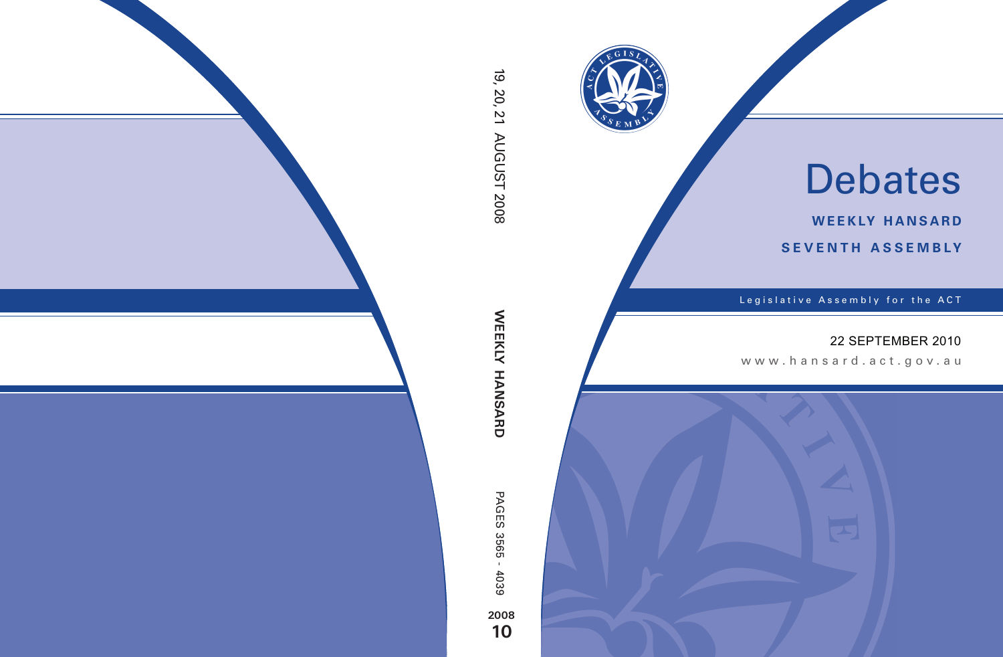

# Debates

**weekly hansard seventh asseMBly**

Legislative Assembly for the ACT

## 22 SEPTEMBER 2010

www.hansard.act.gov .au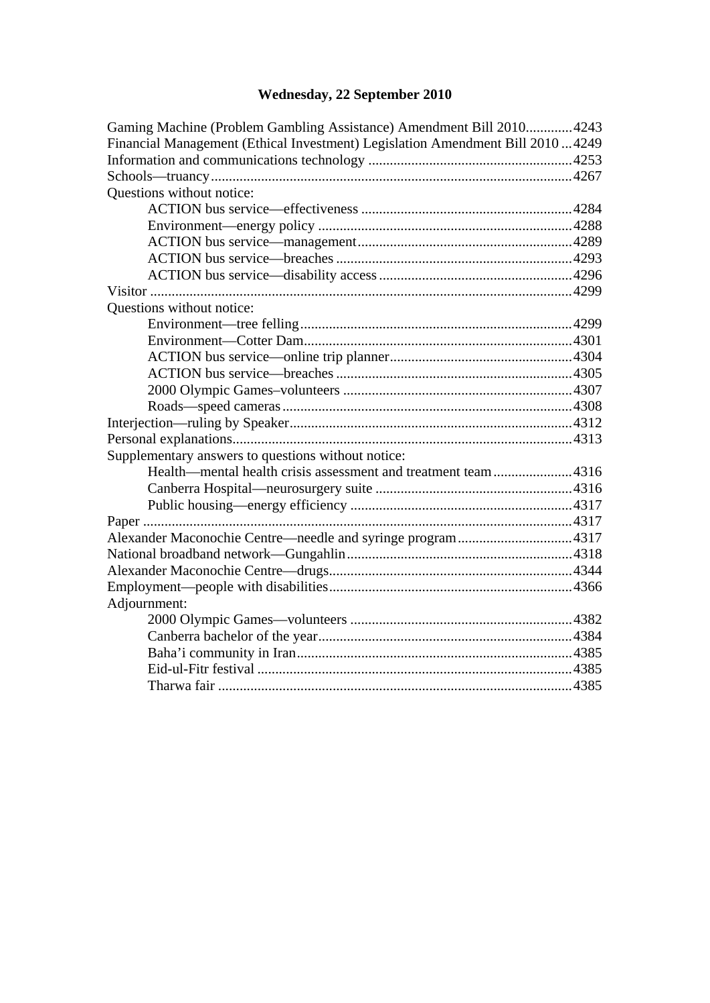# **[Wednesday, 22 September 2010](#page-2-0)**

| Gaming Machine (Problem Gambling Assistance) Amendment Bill 2010 4243           |  |
|---------------------------------------------------------------------------------|--|
| Financial Management (Ethical Investment) Legislation Amendment Bill 2010  4249 |  |
|                                                                                 |  |
|                                                                                 |  |
| Questions without notice:                                                       |  |
|                                                                                 |  |
|                                                                                 |  |
|                                                                                 |  |
|                                                                                 |  |
|                                                                                 |  |
|                                                                                 |  |
| Questions without notice:                                                       |  |
|                                                                                 |  |
|                                                                                 |  |
|                                                                                 |  |
|                                                                                 |  |
|                                                                                 |  |
|                                                                                 |  |
|                                                                                 |  |
|                                                                                 |  |
| Supplementary answers to questions without notice:                              |  |
| Health—mental health crisis assessment and treatment team4316                   |  |
|                                                                                 |  |
|                                                                                 |  |
|                                                                                 |  |
|                                                                                 |  |
|                                                                                 |  |
|                                                                                 |  |
|                                                                                 |  |
| Adjournment:                                                                    |  |
|                                                                                 |  |
|                                                                                 |  |
|                                                                                 |  |
|                                                                                 |  |
|                                                                                 |  |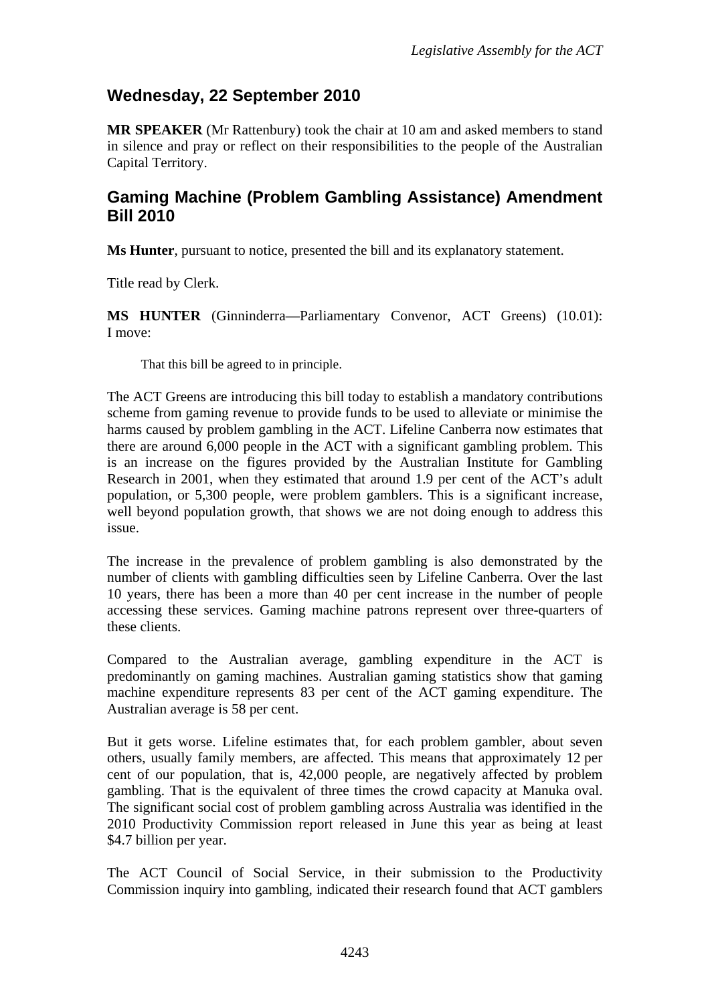## <span id="page-2-0"></span>**Wednesday, 22 September 2010**

**MR SPEAKER** (Mr Rattenbury) took the chair at 10 am and asked members to stand in silence and pray or reflect on their responsibilities to the people of the Australian Capital Territory.

### <span id="page-2-1"></span>**Gaming Machine (Problem Gambling Assistance) Amendment Bill 2010**

**Ms Hunter**, pursuant to notice, presented the bill and its explanatory statement.

Title read by Clerk.

**MS HUNTER** (Ginninderra—Parliamentary Convenor, ACT Greens) (10.01): I move:

That this bill be agreed to in principle.

The ACT Greens are introducing this bill today to establish a mandatory contributions scheme from gaming revenue to provide funds to be used to alleviate or minimise the harms caused by problem gambling in the ACT. Lifeline Canberra now estimates that there are around 6,000 people in the ACT with a significant gambling problem. This is an increase on the figures provided by the Australian Institute for Gambling Research in 2001, when they estimated that around 1.9 per cent of the ACT's adult population, or 5,300 people, were problem gamblers. This is a significant increase, well beyond population growth, that shows we are not doing enough to address this issue.

The increase in the prevalence of problem gambling is also demonstrated by the number of clients with gambling difficulties seen by Lifeline Canberra. Over the last 10 years, there has been a more than 40 per cent increase in the number of people accessing these services. Gaming machine patrons represent over three-quarters of these clients.

Compared to the Australian average, gambling expenditure in the ACT is predominantly on gaming machines. Australian gaming statistics show that gaming machine expenditure represents 83 per cent of the ACT gaming expenditure. The Australian average is 58 per cent.

But it gets worse. Lifeline estimates that, for each problem gambler, about seven others, usually family members, are affected. This means that approximately 12 per cent of our population, that is, 42,000 people, are negatively affected by problem gambling. That is the equivalent of three times the crowd capacity at Manuka oval. The significant social cost of problem gambling across Australia was identified in the 2010 Productivity Commission report released in June this year as being at least \$4.7 billion per year.

The ACT Council of Social Service, in their submission to the Productivity Commission inquiry into gambling, indicated their research found that ACT gamblers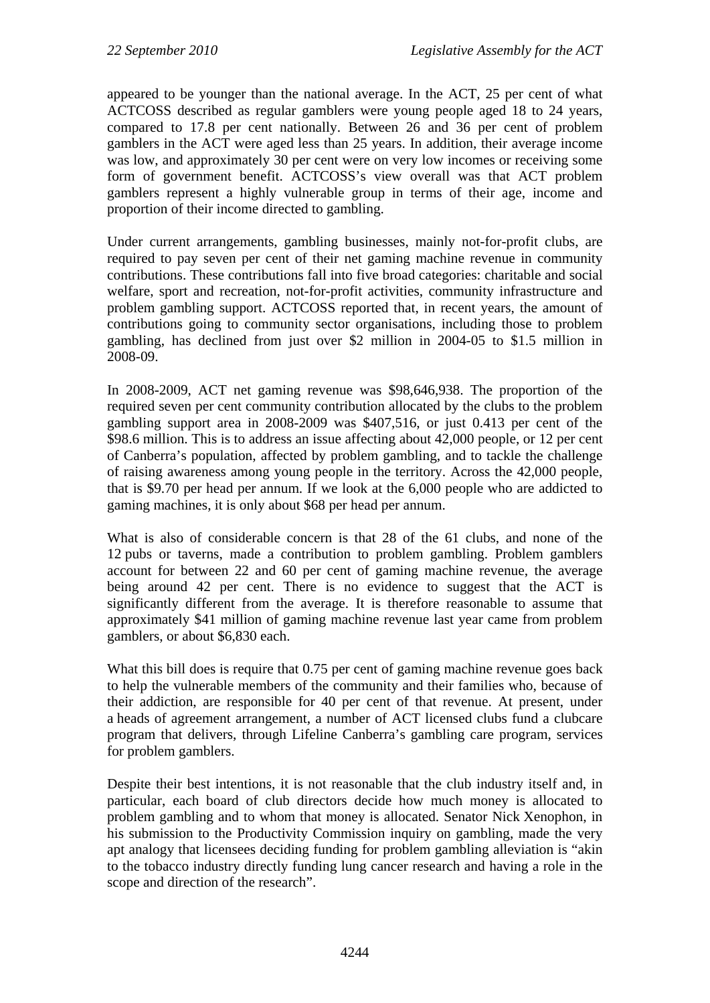appeared to be younger than the national average. In the ACT, 25 per cent of what ACTCOSS described as regular gamblers were young people aged 18 to 24 years, compared to 17.8 per cent nationally. Between 26 and 36 per cent of problem gamblers in the ACT were aged less than 25 years. In addition, their average income was low, and approximately 30 per cent were on very low incomes or receiving some form of government benefit. ACTCOSS's view overall was that ACT problem gamblers represent a highly vulnerable group in terms of their age, income and proportion of their income directed to gambling.

Under current arrangements, gambling businesses, mainly not-for-profit clubs, are required to pay seven per cent of their net gaming machine revenue in community contributions. These contributions fall into five broad categories: charitable and social welfare, sport and recreation, not-for-profit activities, community infrastructure and problem gambling support. ACTCOSS reported that, in recent years, the amount of contributions going to community sector organisations, including those to problem gambling, has declined from just over \$2 million in 2004-05 to \$1.5 million in 2008-09.

In 2008-2009, ACT net gaming revenue was \$98,646,938. The proportion of the required seven per cent community contribution allocated by the clubs to the problem gambling support area in 2008-2009 was \$407,516, or just 0.413 per cent of the \$98.6 million. This is to address an issue affecting about 42,000 people, or 12 per cent of Canberra's population, affected by problem gambling, and to tackle the challenge of raising awareness among young people in the territory. Across the 42,000 people, that is \$9.70 per head per annum. If we look at the 6,000 people who are addicted to gaming machines, it is only about \$68 per head per annum.

What is also of considerable concern is that 28 of the 61 clubs, and none of the 12 pubs or taverns, made a contribution to problem gambling. Problem gamblers account for between 22 and 60 per cent of gaming machine revenue, the average being around 42 per cent. There is no evidence to suggest that the ACT is significantly different from the average. It is therefore reasonable to assume that approximately \$41 million of gaming machine revenue last year came from problem gamblers, or about \$6,830 each.

What this bill does is require that 0.75 per cent of gaming machine revenue goes back to help the vulnerable members of the community and their families who, because of their addiction, are responsible for 40 per cent of that revenue. At present, under a heads of agreement arrangement, a number of ACT licensed clubs fund a clubcare program that delivers, through Lifeline Canberra's gambling care program, services for problem gamblers.

Despite their best intentions, it is not reasonable that the club industry itself and, in particular, each board of club directors decide how much money is allocated to problem gambling and to whom that money is allocated. Senator Nick Xenophon, in his submission to the Productivity Commission inquiry on gambling, made the very apt analogy that licensees deciding funding for problem gambling alleviation is "akin to the tobacco industry directly funding lung cancer research and having a role in the scope and direction of the research".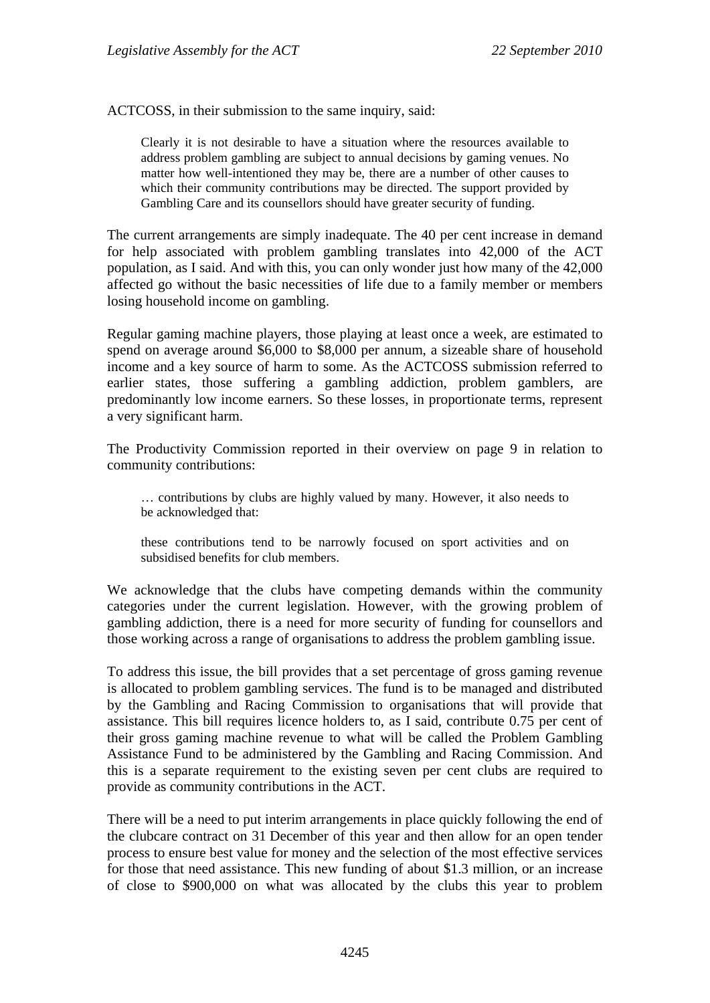ACTCOSS, in their submission to the same inquiry, said:

Clearly it is not desirable to have a situation where the resources available to address problem gambling are subject to annual decisions by gaming venues. No matter how well-intentioned they may be, there are a number of other causes to which their community contributions may be directed. The support provided by Gambling Care and its counsellors should have greater security of funding.

The current arrangements are simply inadequate. The 40 per cent increase in demand for help associated with problem gambling translates into 42,000 of the ACT population, as I said. And with this, you can only wonder just how many of the 42,000 affected go without the basic necessities of life due to a family member or members losing household income on gambling.

Regular gaming machine players, those playing at least once a week, are estimated to spend on average around \$6,000 to \$8,000 per annum, a sizeable share of household income and a key source of harm to some. As the ACTCOSS submission referred to earlier states, those suffering a gambling addiction, problem gamblers, are predominantly low income earners. So these losses, in proportionate terms, represent a very significant harm.

The Productivity Commission reported in their overview on page 9 in relation to community contributions:

… contributions by clubs are highly valued by many. However, it also needs to be acknowledged that:

these contributions tend to be narrowly focused on sport activities and on subsidised benefits for club members.

We acknowledge that the clubs have competing demands within the community categories under the current legislation. However, with the growing problem of gambling addiction, there is a need for more security of funding for counsellors and those working across a range of organisations to address the problem gambling issue.

To address this issue, the bill provides that a set percentage of gross gaming revenue is allocated to problem gambling services. The fund is to be managed and distributed by the Gambling and Racing Commission to organisations that will provide that assistance. This bill requires licence holders to, as I said, contribute 0.75 per cent of their gross gaming machine revenue to what will be called the Problem Gambling Assistance Fund to be administered by the Gambling and Racing Commission. And this is a separate requirement to the existing seven per cent clubs are required to provide as community contributions in the ACT.

There will be a need to put interim arrangements in place quickly following the end of the clubcare contract on 31 December of this year and then allow for an open tender process to ensure best value for money and the selection of the most effective services for those that need assistance. This new funding of about \$1.3 million, or an increase of close to \$900,000 on what was allocated by the clubs this year to problem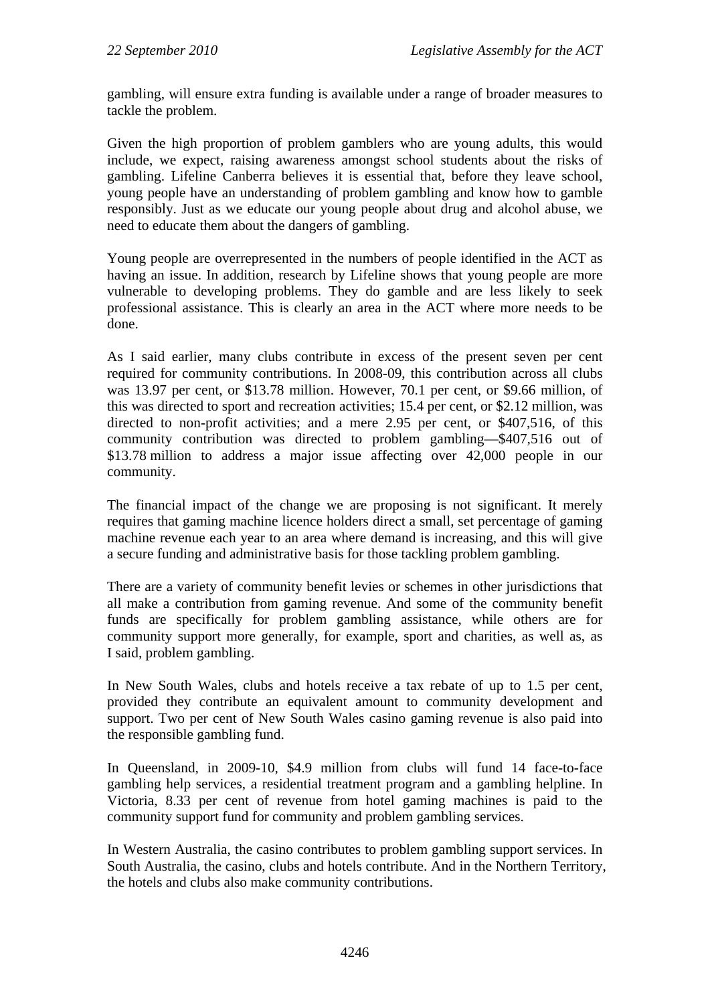gambling, will ensure extra funding is available under a range of broader measures to tackle the problem.

Given the high proportion of problem gamblers who are young adults, this would include, we expect, raising awareness amongst school students about the risks of gambling. Lifeline Canberra believes it is essential that, before they leave school, young people have an understanding of problem gambling and know how to gamble responsibly. Just as we educate our young people about drug and alcohol abuse, we need to educate them about the dangers of gambling.

Young people are overrepresented in the numbers of people identified in the ACT as having an issue. In addition, research by Lifeline shows that young people are more vulnerable to developing problems. They do gamble and are less likely to seek professional assistance. This is clearly an area in the ACT where more needs to be done.

As I said earlier, many clubs contribute in excess of the present seven per cent required for community contributions. In 2008-09, this contribution across all clubs was 13.97 per cent, or \$13.78 million. However, 70.1 per cent, or \$9.66 million, of this was directed to sport and recreation activities; 15.4 per cent, or \$2.12 million, was directed to non-profit activities; and a mere 2.95 per cent, or \$407,516, of this community contribution was directed to problem gambling—\$407,516 out of \$13.78 million to address a major issue affecting over 42,000 people in our community.

The financial impact of the change we are proposing is not significant. It merely requires that gaming machine licence holders direct a small, set percentage of gaming machine revenue each year to an area where demand is increasing, and this will give a secure funding and administrative basis for those tackling problem gambling.

There are a variety of community benefit levies or schemes in other jurisdictions that all make a contribution from gaming revenue. And some of the community benefit funds are specifically for problem gambling assistance, while others are for community support more generally, for example, sport and charities, as well as, as I said, problem gambling.

In New South Wales, clubs and hotels receive a tax rebate of up to 1.5 per cent, provided they contribute an equivalent amount to community development and support. Two per cent of New South Wales casino gaming revenue is also paid into the responsible gambling fund.

In Queensland, in 2009-10, \$4.9 million from clubs will fund 14 face-to-face gambling help services, a residential treatment program and a gambling helpline. In Victoria, 8.33 per cent of revenue from hotel gaming machines is paid to the community support fund for community and problem gambling services.

In Western Australia, the casino contributes to problem gambling support services. In South Australia, the casino, clubs and hotels contribute. And in the Northern Territory, the hotels and clubs also make community contributions.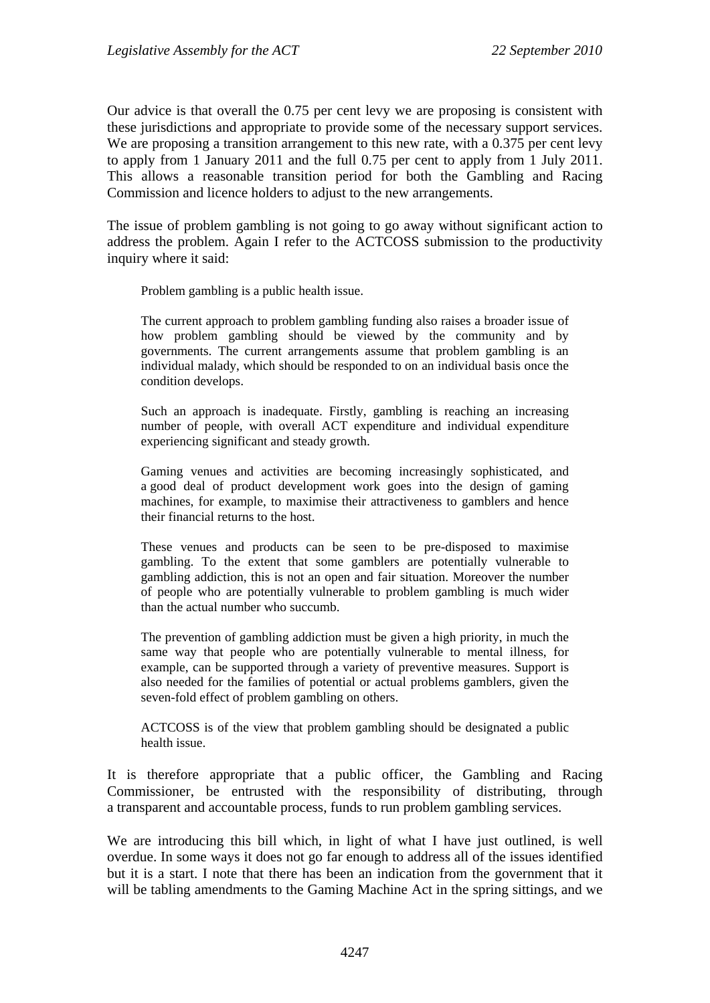Our advice is that overall the 0.75 per cent levy we are proposing is consistent with these jurisdictions and appropriate to provide some of the necessary support services. We are proposing a transition arrangement to this new rate, with a 0.375 per cent levy to apply from 1 January 2011 and the full 0.75 per cent to apply from 1 July 2011. This allows a reasonable transition period for both the Gambling and Racing Commission and licence holders to adjust to the new arrangements.

The issue of problem gambling is not going to go away without significant action to address the problem. Again I refer to the ACTCOSS submission to the productivity inquiry where it said:

Problem gambling is a public health issue.

The current approach to problem gambling funding also raises a broader issue of how problem gambling should be viewed by the community and by governments. The current arrangements assume that problem gambling is an individual malady, which should be responded to on an individual basis once the condition develops.

Such an approach is inadequate. Firstly, gambling is reaching an increasing number of people, with overall ACT expenditure and individual expenditure experiencing significant and steady growth.

Gaming venues and activities are becoming increasingly sophisticated, and a good deal of product development work goes into the design of gaming machines, for example, to maximise their attractiveness to gamblers and hence their financial returns to the host.

These venues and products can be seen to be pre-disposed to maximise gambling. To the extent that some gamblers are potentially vulnerable to gambling addiction, this is not an open and fair situation. Moreover the number of people who are potentially vulnerable to problem gambling is much wider than the actual number who succumb.

The prevention of gambling addiction must be given a high priority, in much the same way that people who are potentially vulnerable to mental illness, for example, can be supported through a variety of preventive measures. Support is also needed for the families of potential or actual problems gamblers, given the seven-fold effect of problem gambling on others.

ACTCOSS is of the view that problem gambling should be designated a public health issue.

It is therefore appropriate that a public officer, the Gambling and Racing Commissioner, be entrusted with the responsibility of distributing, through a transparent and accountable process, funds to run problem gambling services.

We are introducing this bill which, in light of what I have just outlined, is well overdue. In some ways it does not go far enough to address all of the issues identified but it is a start. I note that there has been an indication from the government that it will be tabling amendments to the Gaming Machine Act in the spring sittings, and we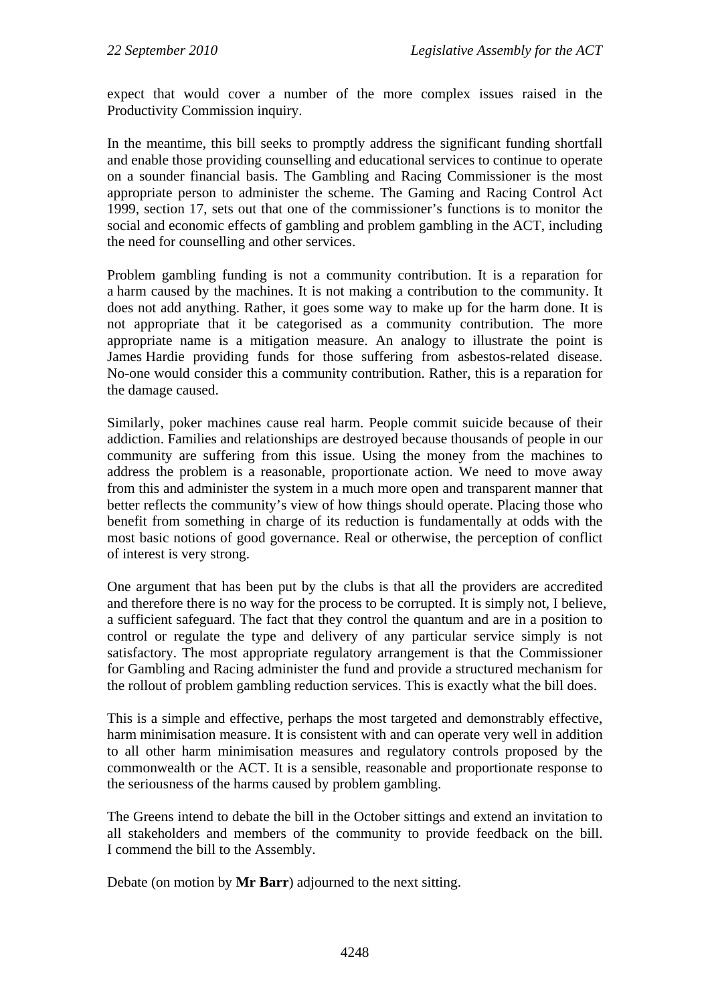expect that would cover a number of the more complex issues raised in the Productivity Commission inquiry.

In the meantime, this bill seeks to promptly address the significant funding shortfall and enable those providing counselling and educational services to continue to operate on a sounder financial basis. The Gambling and Racing Commissioner is the most appropriate person to administer the scheme. The Gaming and Racing Control Act 1999, section 17, sets out that one of the commissioner's functions is to monitor the social and economic effects of gambling and problem gambling in the ACT, including the need for counselling and other services.

Problem gambling funding is not a community contribution. It is a reparation for a harm caused by the machines. It is not making a contribution to the community. It does not add anything. Rather, it goes some way to make up for the harm done. It is not appropriate that it be categorised as a community contribution. The more appropriate name is a mitigation measure. An analogy to illustrate the point is James Hardie providing funds for those suffering from asbestos-related disease. No-one would consider this a community contribution. Rather, this is a reparation for the damage caused.

Similarly, poker machines cause real harm. People commit suicide because of their addiction. Families and relationships are destroyed because thousands of people in our community are suffering from this issue. Using the money from the machines to address the problem is a reasonable, proportionate action. We need to move away from this and administer the system in a much more open and transparent manner that better reflects the community's view of how things should operate. Placing those who benefit from something in charge of its reduction is fundamentally at odds with the most basic notions of good governance. Real or otherwise, the perception of conflict of interest is very strong.

One argument that has been put by the clubs is that all the providers are accredited and therefore there is no way for the process to be corrupted. It is simply not, I believe, a sufficient safeguard. The fact that they control the quantum and are in a position to control or regulate the type and delivery of any particular service simply is not satisfactory. The most appropriate regulatory arrangement is that the Commissioner for Gambling and Racing administer the fund and provide a structured mechanism for the rollout of problem gambling reduction services. This is exactly what the bill does.

This is a simple and effective, perhaps the most targeted and demonstrably effective, harm minimisation measure. It is consistent with and can operate very well in addition to all other harm minimisation measures and regulatory controls proposed by the commonwealth or the ACT. It is a sensible, reasonable and proportionate response to the seriousness of the harms caused by problem gambling.

The Greens intend to debate the bill in the October sittings and extend an invitation to all stakeholders and members of the community to provide feedback on the bill. I commend the bill to the Assembly.

Debate (on motion by **Mr Barr**) adjourned to the next sitting.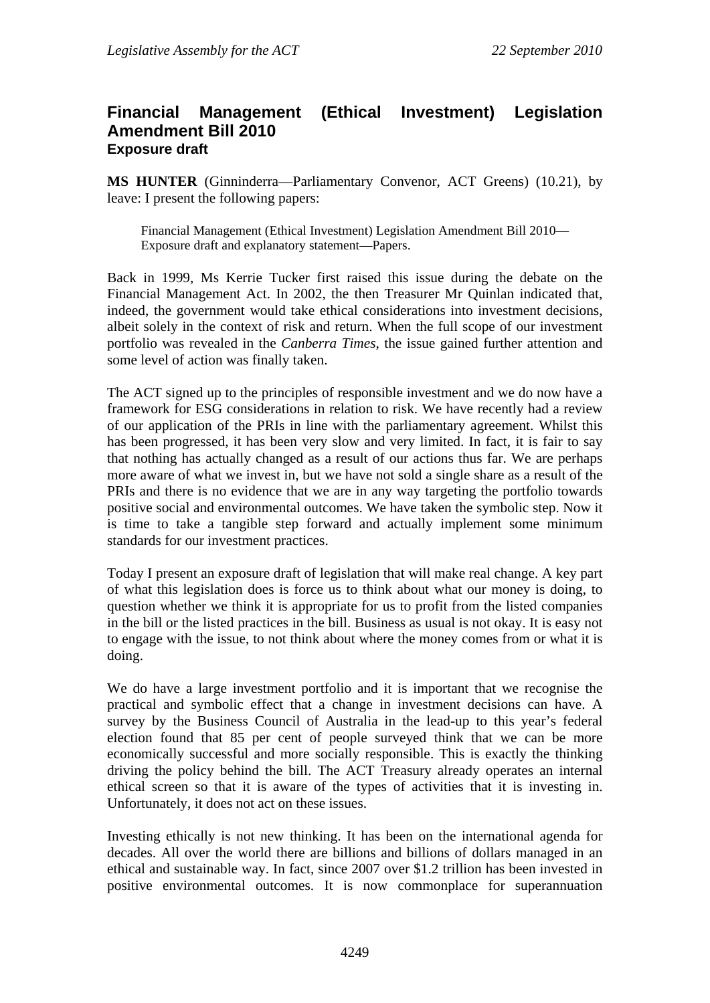#### <span id="page-8-0"></span>**Financial Management (Ethical Investment) Legislation Amendment Bill 2010 Exposure draft**

**MS HUNTER** (Ginninderra—Parliamentary Convenor, ACT Greens) (10.21), by leave: I present the following papers:

Financial Management (Ethical Investment) Legislation Amendment Bill 2010— Exposure draft and explanatory statement—Papers.

Back in 1999, Ms Kerrie Tucker first raised this issue during the debate on the Financial Management Act. In 2002, the then Treasurer Mr Quinlan indicated that, indeed, the government would take ethical considerations into investment decisions, albeit solely in the context of risk and return. When the full scope of our investment portfolio was revealed in the *Canberra Times*, the issue gained further attention and some level of action was finally taken.

The ACT signed up to the principles of responsible investment and we do now have a framework for ESG considerations in relation to risk. We have recently had a review of our application of the PRIs in line with the parliamentary agreement. Whilst this has been progressed, it has been very slow and very limited. In fact, it is fair to say that nothing has actually changed as a result of our actions thus far. We are perhaps more aware of what we invest in, but we have not sold a single share as a result of the PRIs and there is no evidence that we are in any way targeting the portfolio towards positive social and environmental outcomes. We have taken the symbolic step. Now it is time to take a tangible step forward and actually implement some minimum standards for our investment practices.

Today I present an exposure draft of legislation that will make real change. A key part of what this legislation does is force us to think about what our money is doing, to question whether we think it is appropriate for us to profit from the listed companies in the bill or the listed practices in the bill. Business as usual is not okay. It is easy not to engage with the issue, to not think about where the money comes from or what it is doing.

We do have a large investment portfolio and it is important that we recognise the practical and symbolic effect that a change in investment decisions can have. A survey by the Business Council of Australia in the lead-up to this year's federal election found that 85 per cent of people surveyed think that we can be more economically successful and more socially responsible. This is exactly the thinking driving the policy behind the bill. The ACT Treasury already operates an internal ethical screen so that it is aware of the types of activities that it is investing in. Unfortunately, it does not act on these issues.

Investing ethically is not new thinking. It has been on the international agenda for decades. All over the world there are billions and billions of dollars managed in an ethical and sustainable way. In fact, since 2007 over \$1.2 trillion has been invested in positive environmental outcomes. It is now commonplace for superannuation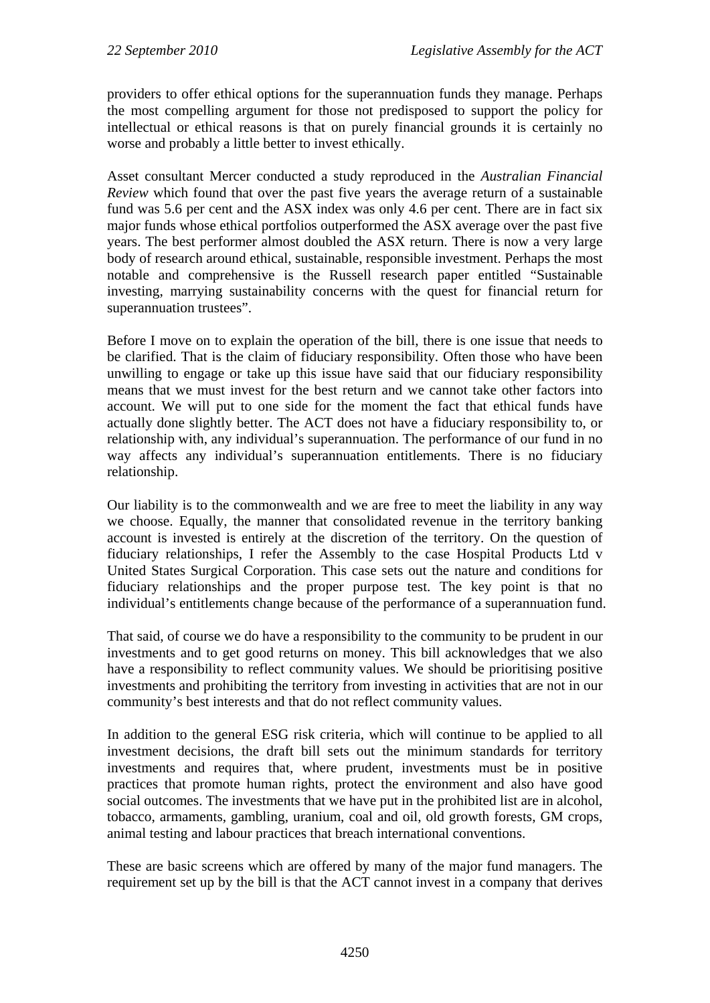providers to offer ethical options for the superannuation funds they manage. Perhaps the most compelling argument for those not predisposed to support the policy for intellectual or ethical reasons is that on purely financial grounds it is certainly no worse and probably a little better to invest ethically.

Asset consultant Mercer conducted a study reproduced in the *Australian Financial Review* which found that over the past five years the average return of a sustainable fund was 5.6 per cent and the ASX index was only 4.6 per cent. There are in fact six major funds whose ethical portfolios outperformed the ASX average over the past five years. The best performer almost doubled the ASX return. There is now a very large body of research around ethical, sustainable, responsible investment. Perhaps the most notable and comprehensive is the Russell research paper entitled "Sustainable investing, marrying sustainability concerns with the quest for financial return for superannuation trustees".

Before I move on to explain the operation of the bill, there is one issue that needs to be clarified. That is the claim of fiduciary responsibility. Often those who have been unwilling to engage or take up this issue have said that our fiduciary responsibility means that we must invest for the best return and we cannot take other factors into account. We will put to one side for the moment the fact that ethical funds have actually done slightly better. The ACT does not have a fiduciary responsibility to, or relationship with, any individual's superannuation. The performance of our fund in no way affects any individual's superannuation entitlements. There is no fiduciary relationship.

Our liability is to the commonwealth and we are free to meet the liability in any way we choose. Equally, the manner that consolidated revenue in the territory banking account is invested is entirely at the discretion of the territory. On the question of fiduciary relationships, I refer the Assembly to the case Hospital Products Ltd v United States Surgical Corporation. This case sets out the nature and conditions for fiduciary relationships and the proper purpose test. The key point is that no individual's entitlements change because of the performance of a superannuation fund.

That said, of course we do have a responsibility to the community to be prudent in our investments and to get good returns on money. This bill acknowledges that we also have a responsibility to reflect community values. We should be prioritising positive investments and prohibiting the territory from investing in activities that are not in our community's best interests and that do not reflect community values.

In addition to the general ESG risk criteria, which will continue to be applied to all investment decisions, the draft bill sets out the minimum standards for territory investments and requires that, where prudent, investments must be in positive practices that promote human rights, protect the environment and also have good social outcomes. The investments that we have put in the prohibited list are in alcohol, tobacco, armaments, gambling, uranium, coal and oil, old growth forests, GM crops, animal testing and labour practices that breach international conventions.

These are basic screens which are offered by many of the major fund managers. The requirement set up by the bill is that the ACT cannot invest in a company that derives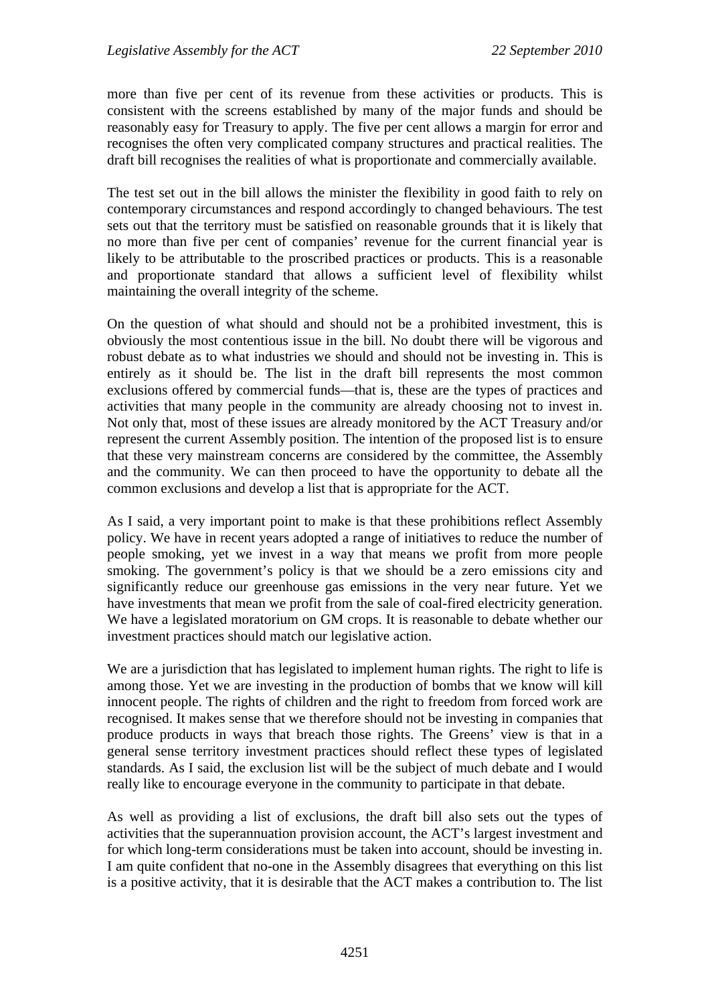more than five per cent of its revenue from these activities or products. This is consistent with the screens established by many of the major funds and should be reasonably easy for Treasury to apply. The five per cent allows a margin for error and recognises the often very complicated company structures and practical realities. The draft bill recognises the realities of what is proportionate and commercially available.

The test set out in the bill allows the minister the flexibility in good faith to rely on contemporary circumstances and respond accordingly to changed behaviours. The test sets out that the territory must be satisfied on reasonable grounds that it is likely that no more than five per cent of companies' revenue for the current financial year is likely to be attributable to the proscribed practices or products. This is a reasonable and proportionate standard that allows a sufficient level of flexibility whilst maintaining the overall integrity of the scheme.

On the question of what should and should not be a prohibited investment, this is obviously the most contentious issue in the bill. No doubt there will be vigorous and robust debate as to what industries we should and should not be investing in. This is entirely as it should be. The list in the draft bill represents the most common exclusions offered by commercial funds—that is, these are the types of practices and activities that many people in the community are already choosing not to invest in. Not only that, most of these issues are already monitored by the ACT Treasury and/or represent the current Assembly position. The intention of the proposed list is to ensure that these very mainstream concerns are considered by the committee, the Assembly and the community. We can then proceed to have the opportunity to debate all the common exclusions and develop a list that is appropriate for the ACT.

As I said, a very important point to make is that these prohibitions reflect Assembly policy. We have in recent years adopted a range of initiatives to reduce the number of people smoking, yet we invest in a way that means we profit from more people smoking. The government's policy is that we should be a zero emissions city and significantly reduce our greenhouse gas emissions in the very near future. Yet we have investments that mean we profit from the sale of coal-fired electricity generation. We have a legislated moratorium on GM crops. It is reasonable to debate whether our investment practices should match our legislative action.

We are a jurisdiction that has legislated to implement human rights. The right to life is among those. Yet we are investing in the production of bombs that we know will kill innocent people. The rights of children and the right to freedom from forced work are recognised. It makes sense that we therefore should not be investing in companies that produce products in ways that breach those rights. The Greens' view is that in a general sense territory investment practices should reflect these types of legislated standards. As I said, the exclusion list will be the subject of much debate and I would really like to encourage everyone in the community to participate in that debate.

As well as providing a list of exclusions, the draft bill also sets out the types of activities that the superannuation provision account, the ACT's largest investment and for which long-term considerations must be taken into account, should be investing in. I am quite confident that no-one in the Assembly disagrees that everything on this list is a positive activity, that it is desirable that the ACT makes a contribution to. The list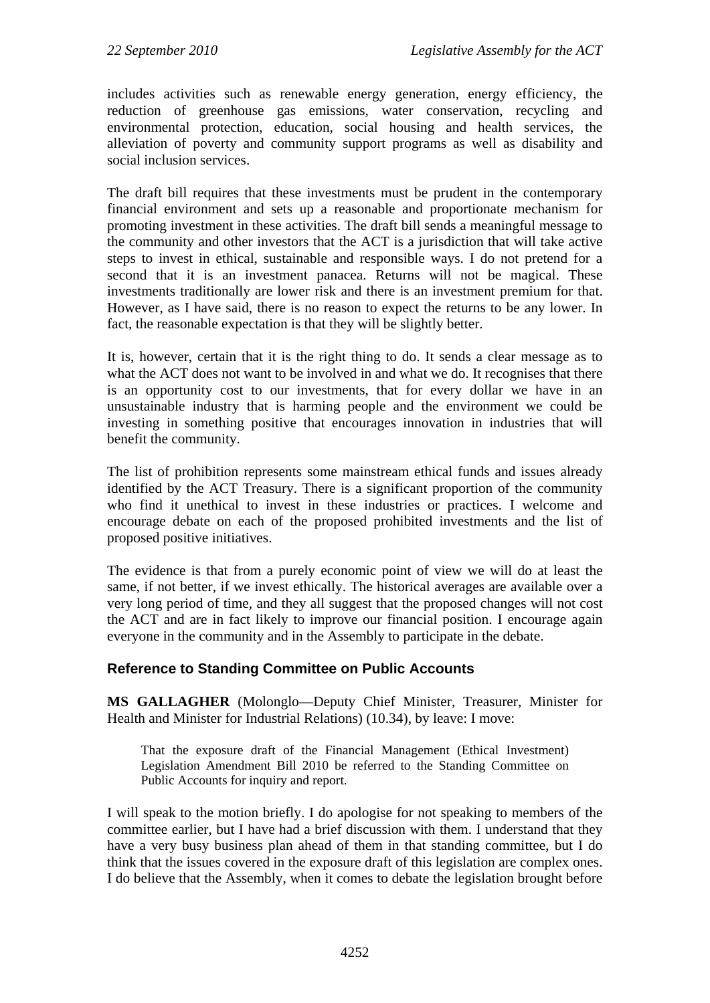includes activities such as renewable energy generation, energy efficiency, the reduction of greenhouse gas emissions, water conservation, recycling and environmental protection, education, social housing and health services, the alleviation of poverty and community support programs as well as disability and social inclusion services.

The draft bill requires that these investments must be prudent in the contemporary financial environment and sets up a reasonable and proportionate mechanism for promoting investment in these activities. The draft bill sends a meaningful message to the community and other investors that the ACT is a jurisdiction that will take active steps to invest in ethical, sustainable and responsible ways. I do not pretend for a second that it is an investment panacea. Returns will not be magical. These investments traditionally are lower risk and there is an investment premium for that. However, as I have said, there is no reason to expect the returns to be any lower. In fact, the reasonable expectation is that they will be slightly better.

It is, however, certain that it is the right thing to do. It sends a clear message as to what the ACT does not want to be involved in and what we do. It recognises that there is an opportunity cost to our investments, that for every dollar we have in an unsustainable industry that is harming people and the environment we could be investing in something positive that encourages innovation in industries that will benefit the community.

The list of prohibition represents some mainstream ethical funds and issues already identified by the ACT Treasury. There is a significant proportion of the community who find it unethical to invest in these industries or practices. I welcome and encourage debate on each of the proposed prohibited investments and the list of proposed positive initiatives.

The evidence is that from a purely economic point of view we will do at least the same, if not better, if we invest ethically. The historical averages are available over a very long period of time, and they all suggest that the proposed changes will not cost the ACT and are in fact likely to improve our financial position. I encourage again everyone in the community and in the Assembly to participate in the debate.

#### **Reference to Standing Committee on Public Accounts**

**MS GALLAGHER** (Molonglo—Deputy Chief Minister, Treasurer, Minister for Health and Minister for Industrial Relations) (10.34), by leave: I move:

That the exposure draft of the Financial Management (Ethical Investment) Legislation Amendment Bill 2010 be referred to the Standing Committee on Public Accounts for inquiry and report.

I will speak to the motion briefly. I do apologise for not speaking to members of the committee earlier, but I have had a brief discussion with them. I understand that they have a very busy business plan ahead of them in that standing committee, but I do think that the issues covered in the exposure draft of this legislation are complex ones. I do believe that the Assembly, when it comes to debate the legislation brought before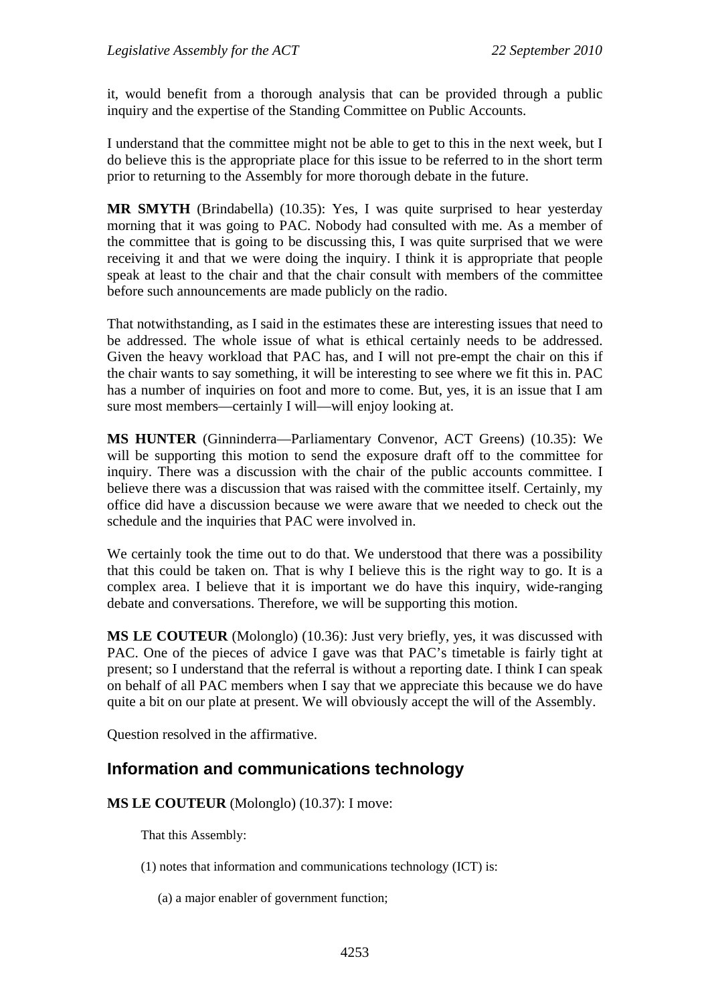it, would benefit from a thorough analysis that can be provided through a public inquiry and the expertise of the Standing Committee on Public Accounts.

I understand that the committee might not be able to get to this in the next week, but I do believe this is the appropriate place for this issue to be referred to in the short term prior to returning to the Assembly for more thorough debate in the future.

**MR SMYTH** (Brindabella) (10.35): Yes, I was quite surprised to hear yesterday morning that it was going to PAC. Nobody had consulted with me. As a member of the committee that is going to be discussing this, I was quite surprised that we were receiving it and that we were doing the inquiry. I think it is appropriate that people speak at least to the chair and that the chair consult with members of the committee before such announcements are made publicly on the radio.

That notwithstanding, as I said in the estimates these are interesting issues that need to be addressed. The whole issue of what is ethical certainly needs to be addressed. Given the heavy workload that PAC has, and I will not pre-empt the chair on this if the chair wants to say something, it will be interesting to see where we fit this in. PAC has a number of inquiries on foot and more to come. But, yes, it is an issue that I am sure most members—certainly I will—will enjoy looking at.

**MS HUNTER** (Ginninderra—Parliamentary Convenor, ACT Greens) (10.35): We will be supporting this motion to send the exposure draft off to the committee for inquiry. There was a discussion with the chair of the public accounts committee. I believe there was a discussion that was raised with the committee itself. Certainly, my office did have a discussion because we were aware that we needed to check out the schedule and the inquiries that PAC were involved in.

We certainly took the time out to do that. We understood that there was a possibility that this could be taken on. That is why I believe this is the right way to go. It is a complex area. I believe that it is important we do have this inquiry, wide-ranging debate and conversations. Therefore, we will be supporting this motion.

**MS LE COUTEUR** (Molonglo) (10.36): Just very briefly, yes, it was discussed with PAC. One of the pieces of advice I gave was that PAC's timetable is fairly tight at present; so I understand that the referral is without a reporting date. I think I can speak on behalf of all PAC members when I say that we appreciate this because we do have quite a bit on our plate at present. We will obviously accept the will of the Assembly.

Question resolved in the affirmative.

### <span id="page-12-0"></span>**Information and communications technology**

**MS LE COUTEUR** (Molonglo) (10.37): I move:

That this Assembly:

- (1) notes that information and communications technology (ICT) is:
	- (a) a major enabler of government function;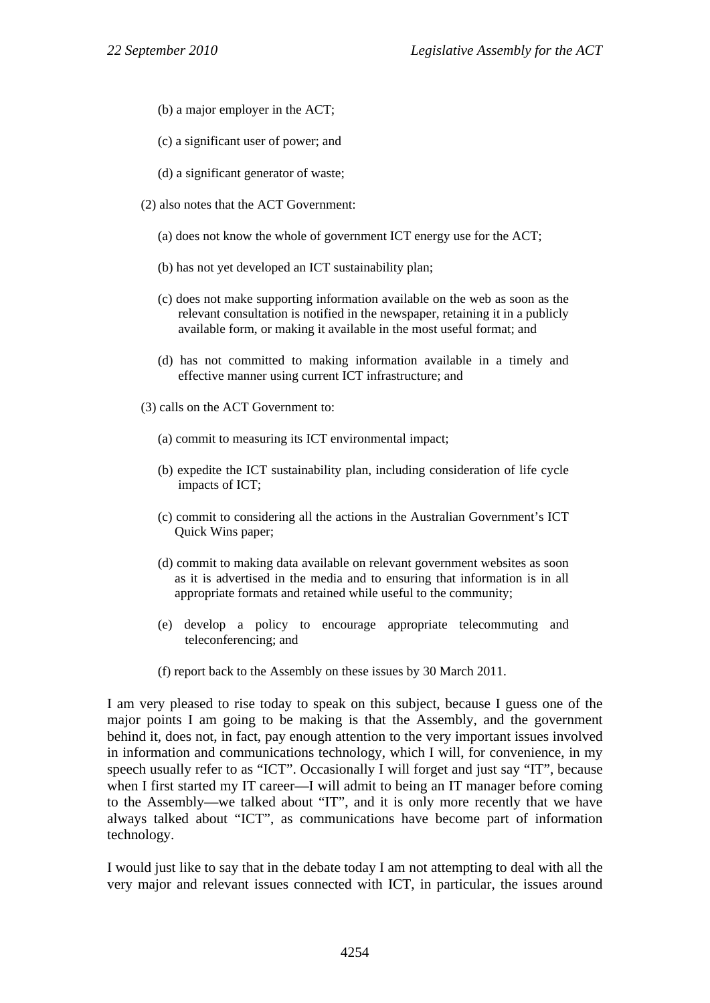- (b) a major employer in the ACT;
- (c) a significant user of power; and
- (d) a significant generator of waste;
- (2) also notes that the ACT Government:
	- (a) does not know the whole of government ICT energy use for the ACT;
	- (b) has not yet developed an ICT sustainability plan;
	- (c) does not make supporting information available on the web as soon as the relevant consultation is notified in the newspaper, retaining it in a publicly available form, or making it available in the most useful format; and
	- (d) has not committed to making information available in a timely and effective manner using current ICT infrastructure; and
- (3) calls on the ACT Government to:
	- (a) commit to measuring its ICT environmental impact;
	- (b) expedite the ICT sustainability plan, including consideration of life cycle impacts of ICT;
	- (c) commit to considering all the actions in the Australian Government's ICT Quick Wins paper;
	- (d) commit to making data available on relevant government websites as soon as it is advertised in the media and to ensuring that information is in all appropriate formats and retained while useful to the community;
	- (e) develop a policy to encourage appropriate telecommuting and teleconferencing; and
	- (f) report back to the Assembly on these issues by 30 March 2011.

I am very pleased to rise today to speak on this subject, because I guess one of the major points I am going to be making is that the Assembly, and the government behind it, does not, in fact, pay enough attention to the very important issues involved in information and communications technology, which I will, for convenience, in my speech usually refer to as "ICT". Occasionally I will forget and just say "IT", because when I first started my IT career—I will admit to being an IT manager before coming to the Assembly—we talked about "IT", and it is only more recently that we have always talked about "ICT", as communications have become part of information technology.

I would just like to say that in the debate today I am not attempting to deal with all the very major and relevant issues connected with ICT, in particular, the issues around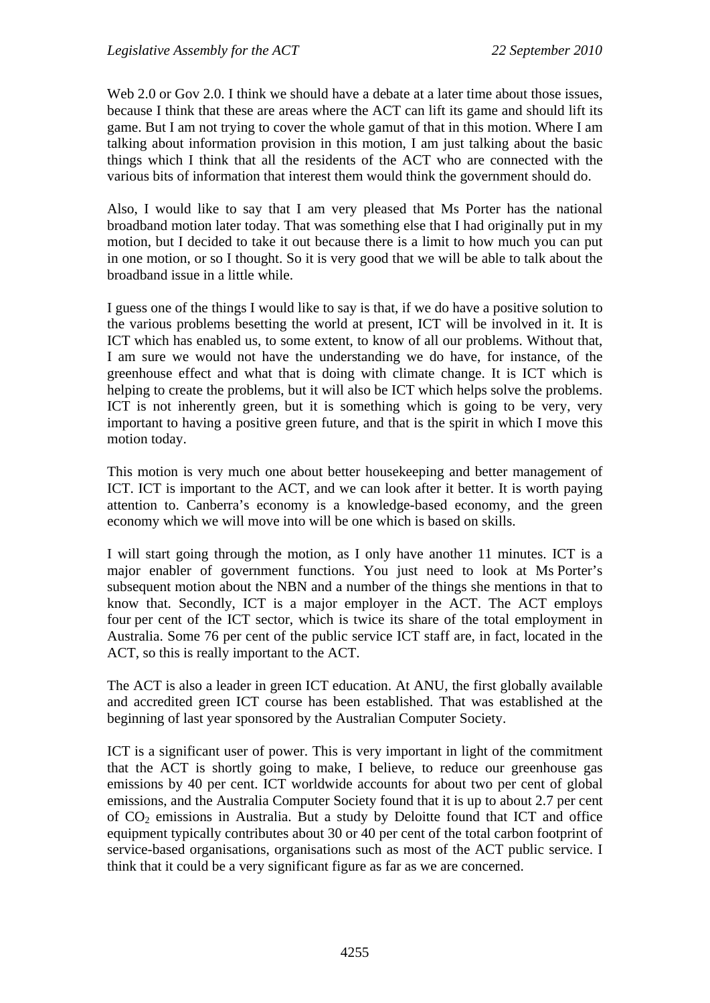Web 2.0 or Gov 2.0. I think we should have a debate at a later time about those issues, because I think that these are areas where the ACT can lift its game and should lift its game. But I am not trying to cover the whole gamut of that in this motion. Where I am talking about information provision in this motion, I am just talking about the basic things which I think that all the residents of the ACT who are connected with the various bits of information that interest them would think the government should do.

Also, I would like to say that I am very pleased that Ms Porter has the national broadband motion later today. That was something else that I had originally put in my motion, but I decided to take it out because there is a limit to how much you can put in one motion, or so I thought. So it is very good that we will be able to talk about the broadband issue in a little while.

I guess one of the things I would like to say is that, if we do have a positive solution to the various problems besetting the world at present, ICT will be involved in it. It is ICT which has enabled us, to some extent, to know of all our problems. Without that, I am sure we would not have the understanding we do have, for instance, of the greenhouse effect and what that is doing with climate change. It is ICT which is helping to create the problems, but it will also be ICT which helps solve the problems. ICT is not inherently green, but it is something which is going to be very, very important to having a positive green future, and that is the spirit in which I move this motion today.

This motion is very much one about better housekeeping and better management of ICT. ICT is important to the ACT, and we can look after it better. It is worth paying attention to. Canberra's economy is a knowledge-based economy, and the green economy which we will move into will be one which is based on skills.

I will start going through the motion, as I only have another 11 minutes. ICT is a major enabler of government functions. You just need to look at Ms Porter's subsequent motion about the NBN and a number of the things she mentions in that to know that. Secondly, ICT is a major employer in the ACT. The ACT employs four per cent of the ICT sector, which is twice its share of the total employment in Australia. Some 76 per cent of the public service ICT staff are, in fact, located in the ACT, so this is really important to the ACT.

The ACT is also a leader in green ICT education. At ANU, the first globally available and accredited green ICT course has been established. That was established at the beginning of last year sponsored by the Australian Computer Society.

ICT is a significant user of power. This is very important in light of the commitment that the ACT is shortly going to make, I believe, to reduce our greenhouse gas emissions by 40 per cent. ICT worldwide accounts for about two per cent of global emissions, and the Australia Computer Society found that it is up to about 2.7 per cent of  $CO<sub>2</sub>$  emissions in Australia. But a study by Deloitte found that ICT and office equipment typically contributes about 30 or 40 per cent of the total carbon footprint of service-based organisations, organisations such as most of the ACT public service. I think that it could be a very significant figure as far as we are concerned.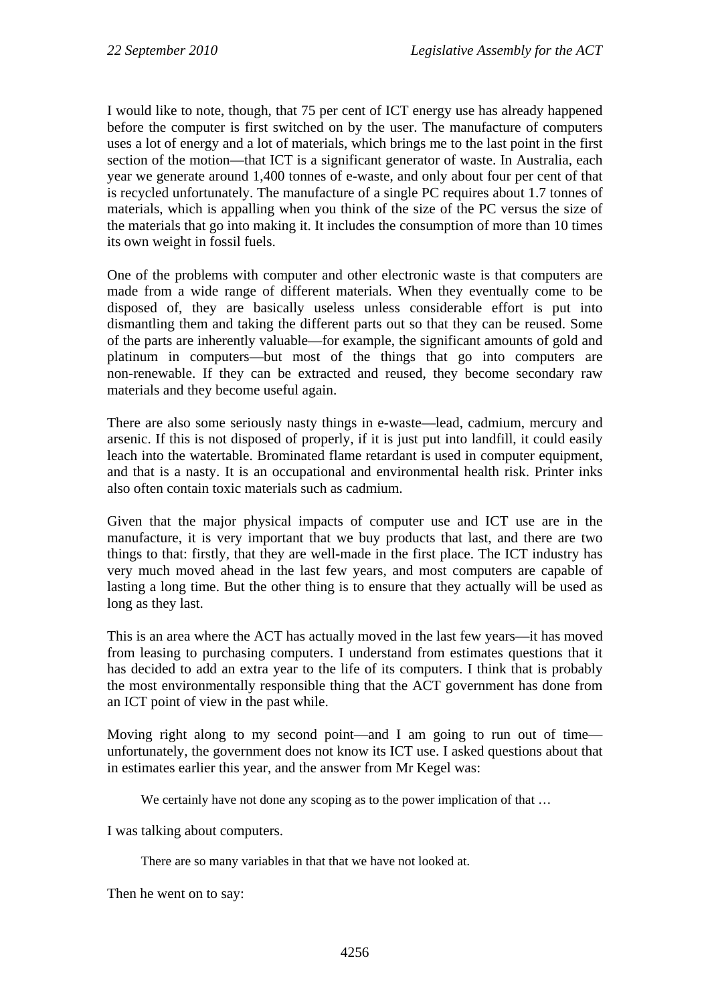I would like to note, though, that 75 per cent of ICT energy use has already happened before the computer is first switched on by the user. The manufacture of computers uses a lot of energy and a lot of materials, which brings me to the last point in the first section of the motion—that ICT is a significant generator of waste. In Australia, each year we generate around 1,400 tonnes of e-waste, and only about four per cent of that is recycled unfortunately. The manufacture of a single PC requires about 1.7 tonnes of materials, which is appalling when you think of the size of the PC versus the size of the materials that go into making it. It includes the consumption of more than 10 times its own weight in fossil fuels.

One of the problems with computer and other electronic waste is that computers are made from a wide range of different materials. When they eventually come to be disposed of, they are basically useless unless considerable effort is put into dismantling them and taking the different parts out so that they can be reused. Some of the parts are inherently valuable—for example, the significant amounts of gold and platinum in computers—but most of the things that go into computers are non-renewable. If they can be extracted and reused, they become secondary raw materials and they become useful again.

There are also some seriously nasty things in e-waste—lead, cadmium, mercury and arsenic. If this is not disposed of properly, if it is just put into landfill, it could easily leach into the watertable. Brominated flame retardant is used in computer equipment, and that is a nasty. It is an occupational and environmental health risk. Printer inks also often contain toxic materials such as cadmium.

Given that the major physical impacts of computer use and ICT use are in the manufacture, it is very important that we buy products that last, and there are two things to that: firstly, that they are well-made in the first place. The ICT industry has very much moved ahead in the last few years, and most computers are capable of lasting a long time. But the other thing is to ensure that they actually will be used as long as they last.

This is an area where the ACT has actually moved in the last few years—it has moved from leasing to purchasing computers. I understand from estimates questions that it has decided to add an extra year to the life of its computers. I think that is probably the most environmentally responsible thing that the ACT government has done from an ICT point of view in the past while.

Moving right along to my second point—and I am going to run out of time unfortunately, the government does not know its ICT use. I asked questions about that in estimates earlier this year, and the answer from Mr Kegel was:

We certainly have not done any scoping as to the power implication of that ...

I was talking about computers.

There are so many variables in that that we have not looked at.

Then he went on to say: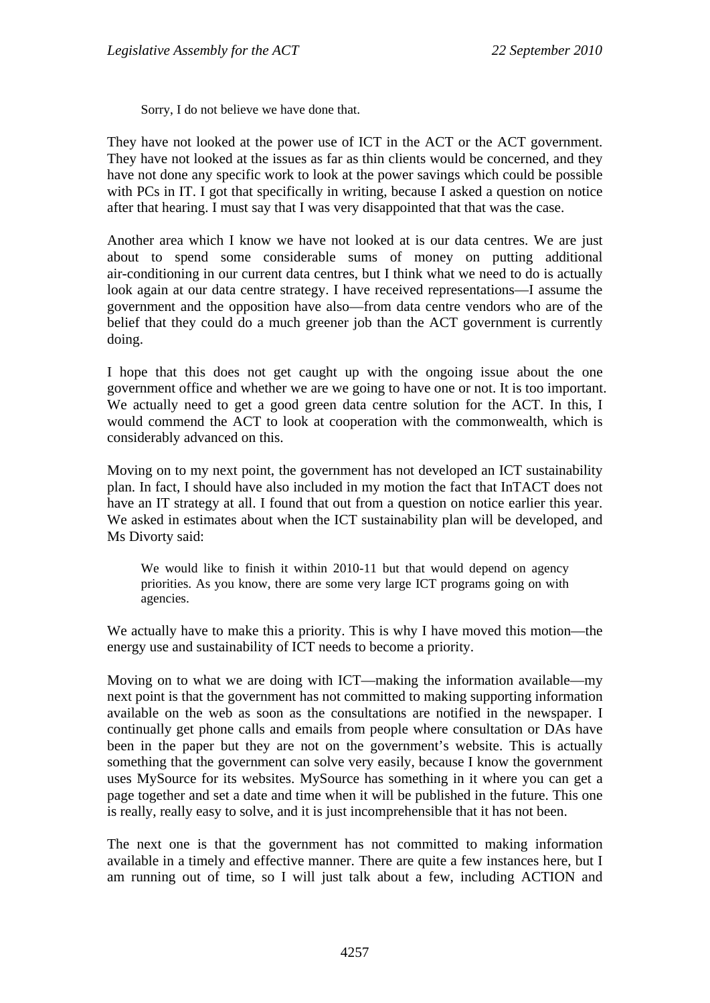Sorry, I do not believe we have done that.

They have not looked at the power use of ICT in the ACT or the ACT government. They have not looked at the issues as far as thin clients would be concerned, and they have not done any specific work to look at the power savings which could be possible with PCs in IT. I got that specifically in writing, because I asked a question on notice after that hearing. I must say that I was very disappointed that that was the case.

Another area which I know we have not looked at is our data centres. We are just about to spend some considerable sums of money on putting additional air-conditioning in our current data centres, but I think what we need to do is actually look again at our data centre strategy. I have received representations—I assume the government and the opposition have also—from data centre vendors who are of the belief that they could do a much greener job than the ACT government is currently doing.

I hope that this does not get caught up with the ongoing issue about the one government office and whether we are we going to have one or not. It is too important. We actually need to get a good green data centre solution for the ACT. In this, I would commend the ACT to look at cooperation with the commonwealth, which is considerably advanced on this.

Moving on to my next point, the government has not developed an ICT sustainability plan. In fact, I should have also included in my motion the fact that InTACT does not have an IT strategy at all. I found that out from a question on notice earlier this year. We asked in estimates about when the ICT sustainability plan will be developed, and Ms Divorty said:

We would like to finish it within 2010-11 but that would depend on agency priorities. As you know, there are some very large ICT programs going on with agencies.

We actually have to make this a priority. This is why I have moved this motion—the energy use and sustainability of ICT needs to become a priority.

Moving on to what we are doing with ICT—making the information available—my next point is that the government has not committed to making supporting information available on the web as soon as the consultations are notified in the newspaper. I continually get phone calls and emails from people where consultation or DAs have been in the paper but they are not on the government's website. This is actually something that the government can solve very easily, because I know the government uses MySource for its websites. MySource has something in it where you can get a page together and set a date and time when it will be published in the future. This one is really, really easy to solve, and it is just incomprehensible that it has not been.

The next one is that the government has not committed to making information available in a timely and effective manner. There are quite a few instances here, but I am running out of time, so I will just talk about a few, including ACTION and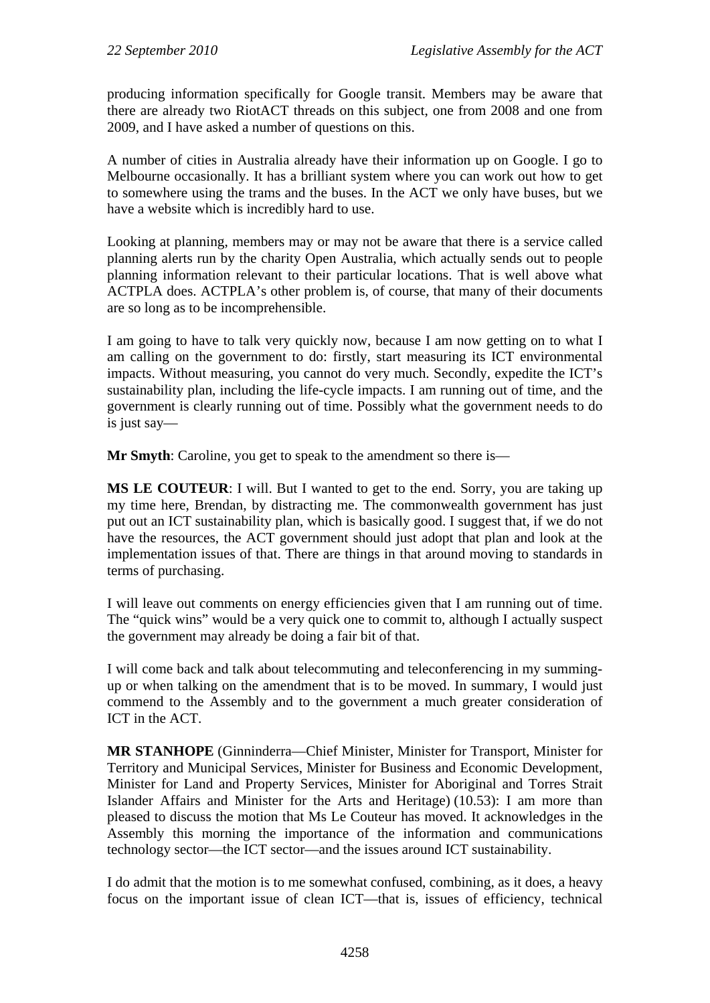producing information specifically for Google transit. Members may be aware that there are already two RiotACT threads on this subject, one from 2008 and one from 2009, and I have asked a number of questions on this.

A number of cities in Australia already have their information up on Google. I go to Melbourne occasionally. It has a brilliant system where you can work out how to get to somewhere using the trams and the buses. In the ACT we only have buses, but we have a website which is incredibly hard to use.

Looking at planning, members may or may not be aware that there is a service called planning alerts run by the charity Open Australia, which actually sends out to people planning information relevant to their particular locations. That is well above what ACTPLA does. ACTPLA's other problem is, of course, that many of their documents are so long as to be incomprehensible.

I am going to have to talk very quickly now, because I am now getting on to what I am calling on the government to do: firstly, start measuring its ICT environmental impacts. Without measuring, you cannot do very much. Secondly, expedite the ICT's sustainability plan, including the life-cycle impacts. I am running out of time, and the government is clearly running out of time. Possibly what the government needs to do is just say—

**Mr Smyth:** Caroline, you get to speak to the amendment so there is—

**MS LE COUTEUR**: I will. But I wanted to get to the end. Sorry, you are taking up my time here, Brendan, by distracting me. The commonwealth government has just put out an ICT sustainability plan, which is basically good. I suggest that, if we do not have the resources, the ACT government should just adopt that plan and look at the implementation issues of that. There are things in that around moving to standards in terms of purchasing.

I will leave out comments on energy efficiencies given that I am running out of time. The "quick wins" would be a very quick one to commit to, although I actually suspect the government may already be doing a fair bit of that.

I will come back and talk about telecommuting and teleconferencing in my summingup or when talking on the amendment that is to be moved. In summary, I would just commend to the Assembly and to the government a much greater consideration of ICT in the ACT.

**MR STANHOPE** (Ginninderra—Chief Minister, Minister for Transport, Minister for Territory and Municipal Services, Minister for Business and Economic Development, Minister for Land and Property Services, Minister for Aboriginal and Torres Strait Islander Affairs and Minister for the Arts and Heritage) (10.53): I am more than pleased to discuss the motion that Ms Le Couteur has moved. It acknowledges in the Assembly this morning the importance of the information and communications technology sector—the ICT sector—and the issues around ICT sustainability.

I do admit that the motion is to me somewhat confused, combining, as it does, a heavy focus on the important issue of clean ICT—that is, issues of efficiency, technical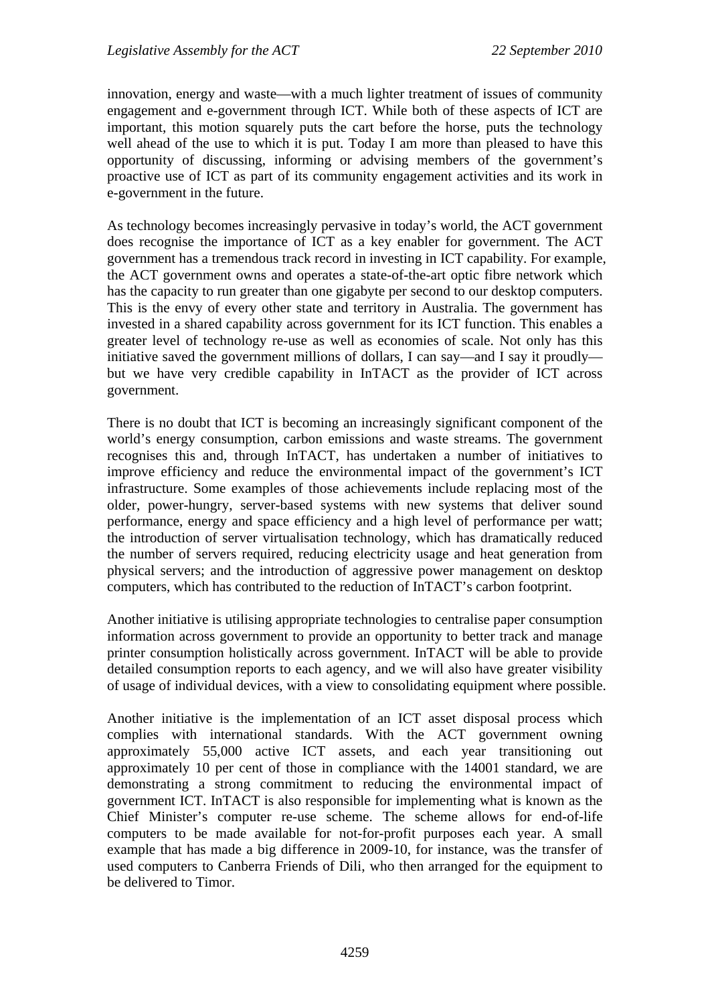innovation, energy and waste—with a much lighter treatment of issues of community engagement and e-government through ICT. While both of these aspects of ICT are important, this motion squarely puts the cart before the horse, puts the technology well ahead of the use to which it is put. Today I am more than pleased to have this opportunity of discussing, informing or advising members of the government's proactive use of ICT as part of its community engagement activities and its work in e-government in the future.

As technology becomes increasingly pervasive in today's world, the ACT government does recognise the importance of ICT as a key enabler for government. The ACT government has a tremendous track record in investing in ICT capability. For example, the ACT government owns and operates a state-of-the-art optic fibre network which has the capacity to run greater than one gigabyte per second to our desktop computers. This is the envy of every other state and territory in Australia. The government has invested in a shared capability across government for its ICT function. This enables a greater level of technology re-use as well as economies of scale. Not only has this initiative saved the government millions of dollars, I can say—and I say it proudly but we have very credible capability in InTACT as the provider of ICT across government.

There is no doubt that ICT is becoming an increasingly significant component of the world's energy consumption, carbon emissions and waste streams. The government recognises this and, through InTACT, has undertaken a number of initiatives to improve efficiency and reduce the environmental impact of the government's ICT infrastructure. Some examples of those achievements include replacing most of the older, power-hungry, server-based systems with new systems that deliver sound performance, energy and space efficiency and a high level of performance per watt; the introduction of server virtualisation technology, which has dramatically reduced the number of servers required, reducing electricity usage and heat generation from physical servers; and the introduction of aggressive power management on desktop computers, which has contributed to the reduction of InTACT's carbon footprint.

Another initiative is utilising appropriate technologies to centralise paper consumption information across government to provide an opportunity to better track and manage printer consumption holistically across government. InTACT will be able to provide detailed consumption reports to each agency, and we will also have greater visibility of usage of individual devices, with a view to consolidating equipment where possible.

Another initiative is the implementation of an ICT asset disposal process which complies with international standards. With the ACT government owning approximately 55,000 active ICT assets, and each year transitioning out approximately 10 per cent of those in compliance with the 14001 standard, we are demonstrating a strong commitment to reducing the environmental impact of government ICT. InTACT is also responsible for implementing what is known as the Chief Minister's computer re-use scheme. The scheme allows for end-of-life computers to be made available for not-for-profit purposes each year. A small example that has made a big difference in 2009-10, for instance, was the transfer of used computers to Canberra Friends of Dili, who then arranged for the equipment to be delivered to Timor.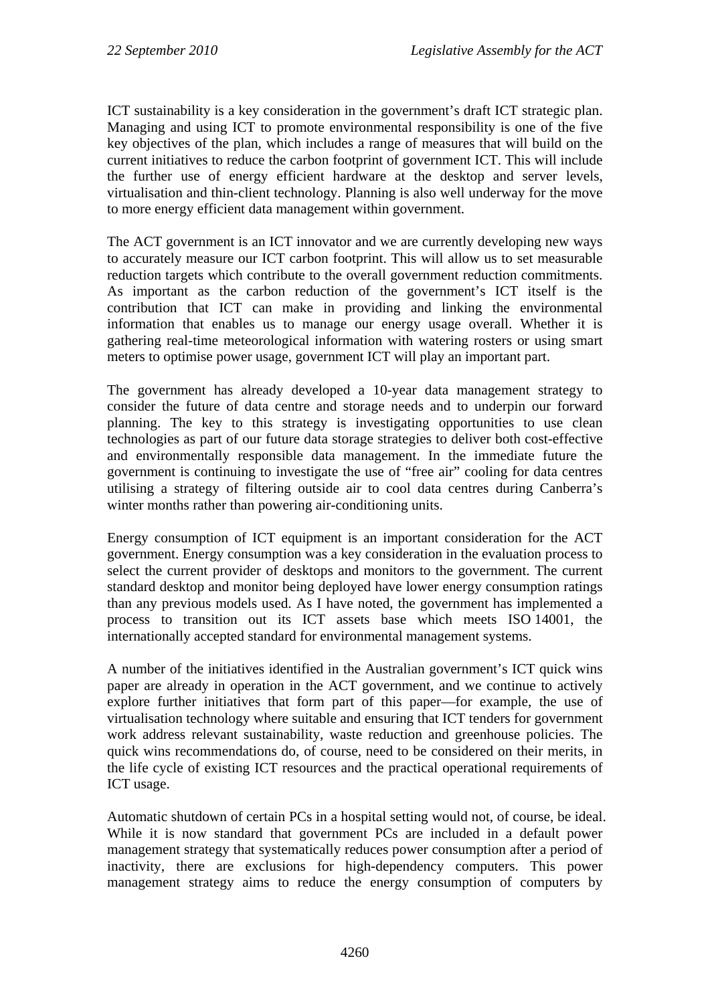ICT sustainability is a key consideration in the government's draft ICT strategic plan. Managing and using ICT to promote environmental responsibility is one of the five key objectives of the plan, which includes a range of measures that will build on the current initiatives to reduce the carbon footprint of government ICT. This will include the further use of energy efficient hardware at the desktop and server levels, virtualisation and thin-client technology. Planning is also well underway for the move to more energy efficient data management within government.

The ACT government is an ICT innovator and we are currently developing new ways to accurately measure our ICT carbon footprint. This will allow us to set measurable reduction targets which contribute to the overall government reduction commitments. As important as the carbon reduction of the government's ICT itself is the contribution that ICT can make in providing and linking the environmental information that enables us to manage our energy usage overall. Whether it is gathering real-time meteorological information with watering rosters or using smart meters to optimise power usage, government ICT will play an important part.

The government has already developed a 10-year data management strategy to consider the future of data centre and storage needs and to underpin our forward planning. The key to this strategy is investigating opportunities to use clean technologies as part of our future data storage strategies to deliver both cost-effective and environmentally responsible data management. In the immediate future the government is continuing to investigate the use of "free air" cooling for data centres utilising a strategy of filtering outside air to cool data centres during Canberra's winter months rather than powering air-conditioning units.

Energy consumption of ICT equipment is an important consideration for the ACT government. Energy consumption was a key consideration in the evaluation process to select the current provider of desktops and monitors to the government. The current standard desktop and monitor being deployed have lower energy consumption ratings than any previous models used. As I have noted, the government has implemented a process to transition out its ICT assets base which meets ISO 14001, the internationally accepted standard for environmental management systems.

A number of the initiatives identified in the Australian government's ICT quick wins paper are already in operation in the ACT government, and we continue to actively explore further initiatives that form part of this paper—for example, the use of virtualisation technology where suitable and ensuring that ICT tenders for government work address relevant sustainability, waste reduction and greenhouse policies. The quick wins recommendations do, of course, need to be considered on their merits, in the life cycle of existing ICT resources and the practical operational requirements of ICT usage.

Automatic shutdown of certain PCs in a hospital setting would not, of course, be ideal. While it is now standard that government PCs are included in a default power management strategy that systematically reduces power consumption after a period of inactivity, there are exclusions for high-dependency computers. This power management strategy aims to reduce the energy consumption of computers by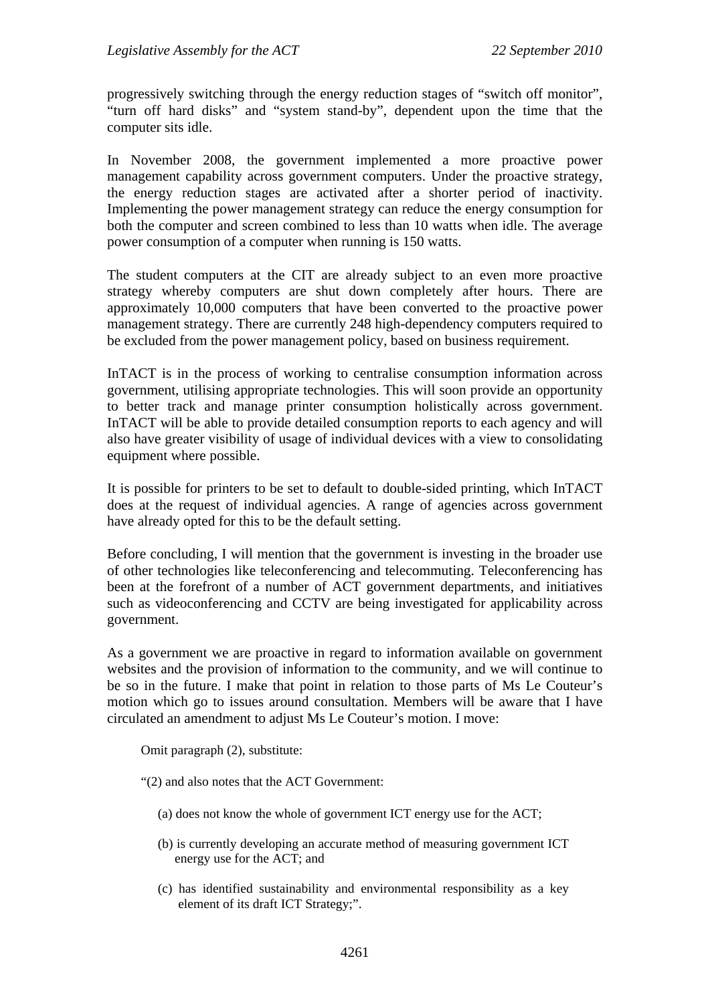progressively switching through the energy reduction stages of "switch off monitor", "turn off hard disks" and "system stand-by", dependent upon the time that the computer sits idle.

In November 2008, the government implemented a more proactive power management capability across government computers. Under the proactive strategy, the energy reduction stages are activated after a shorter period of inactivity. Implementing the power management strategy can reduce the energy consumption for both the computer and screen combined to less than 10 watts when idle. The average power consumption of a computer when running is 150 watts.

The student computers at the CIT are already subject to an even more proactive strategy whereby computers are shut down completely after hours. There are approximately 10,000 computers that have been converted to the proactive power management strategy. There are currently 248 high-dependency computers required to be excluded from the power management policy, based on business requirement.

InTACT is in the process of working to centralise consumption information across government, utilising appropriate technologies. This will soon provide an opportunity to better track and manage printer consumption holistically across government. InTACT will be able to provide detailed consumption reports to each agency and will also have greater visibility of usage of individual devices with a view to consolidating equipment where possible.

It is possible for printers to be set to default to double-sided printing, which InTACT does at the request of individual agencies. A range of agencies across government have already opted for this to be the default setting.

Before concluding, I will mention that the government is investing in the broader use of other technologies like teleconferencing and telecommuting. Teleconferencing has been at the forefront of a number of ACT government departments, and initiatives such as videoconferencing and CCTV are being investigated for applicability across government.

As a government we are proactive in regard to information available on government websites and the provision of information to the community, and we will continue to be so in the future. I make that point in relation to those parts of Ms Le Couteur's motion which go to issues around consultation. Members will be aware that I have circulated an amendment to adjust Ms Le Couteur's motion. I move:

Omit paragraph (2), substitute:

"(2) and also notes that the ACT Government:

- (a) does not know the whole of government ICT energy use for the ACT;
- (b) is currently developing an accurate method of measuring government ICT energy use for the ACT; and
- (c) has identified sustainability and environmental responsibility as a key element of its draft ICT Strategy;".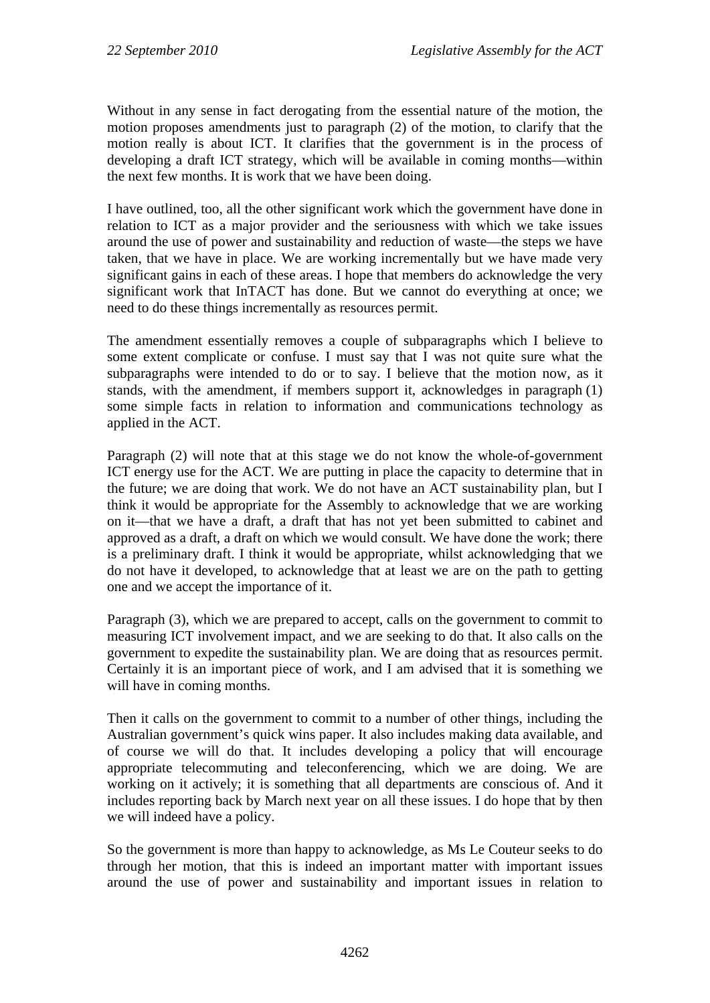Without in any sense in fact derogating from the essential nature of the motion, the motion proposes amendments just to paragraph (2) of the motion, to clarify that the motion really is about ICT. It clarifies that the government is in the process of developing a draft ICT strategy, which will be available in coming months—within the next few months. It is work that we have been doing.

I have outlined, too, all the other significant work which the government have done in relation to ICT as a major provider and the seriousness with which we take issues around the use of power and sustainability and reduction of waste—the steps we have taken, that we have in place. We are working incrementally but we have made very significant gains in each of these areas. I hope that members do acknowledge the very significant work that InTACT has done. But we cannot do everything at once; we need to do these things incrementally as resources permit.

The amendment essentially removes a couple of subparagraphs which I believe to some extent complicate or confuse. I must say that I was not quite sure what the subparagraphs were intended to do or to say. I believe that the motion now, as it stands, with the amendment, if members support it, acknowledges in paragraph (1) some simple facts in relation to information and communications technology as applied in the ACT.

Paragraph (2) will note that at this stage we do not know the whole-of-government ICT energy use for the ACT. We are putting in place the capacity to determine that in the future; we are doing that work. We do not have an ACT sustainability plan, but I think it would be appropriate for the Assembly to acknowledge that we are working on it—that we have a draft, a draft that has not yet been submitted to cabinet and approved as a draft, a draft on which we would consult. We have done the work; there is a preliminary draft. I think it would be appropriate, whilst acknowledging that we do not have it developed, to acknowledge that at least we are on the path to getting one and we accept the importance of it.

Paragraph (3), which we are prepared to accept, calls on the government to commit to measuring ICT involvement impact, and we are seeking to do that. It also calls on the government to expedite the sustainability plan. We are doing that as resources permit. Certainly it is an important piece of work, and I am advised that it is something we will have in coming months.

Then it calls on the government to commit to a number of other things, including the Australian government's quick wins paper. It also includes making data available, and of course we will do that. It includes developing a policy that will encourage appropriate telecommuting and teleconferencing, which we are doing. We are working on it actively; it is something that all departments are conscious of. And it includes reporting back by March next year on all these issues. I do hope that by then we will indeed have a policy.

So the government is more than happy to acknowledge, as Ms Le Couteur seeks to do through her motion, that this is indeed an important matter with important issues around the use of power and sustainability and important issues in relation to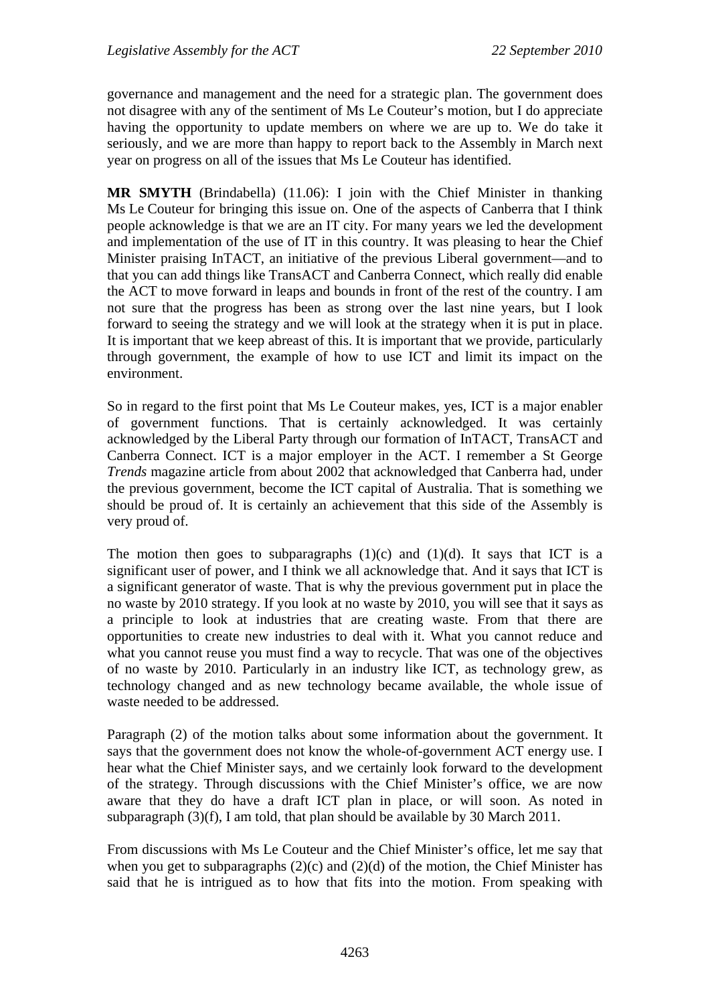governance and management and the need for a strategic plan. The government does not disagree with any of the sentiment of Ms Le Couteur's motion, but I do appreciate having the opportunity to update members on where we are up to. We do take it seriously, and we are more than happy to report back to the Assembly in March next year on progress on all of the issues that Ms Le Couteur has identified.

**MR SMYTH** (Brindabella) (11.06): I join with the Chief Minister in thanking Ms Le Couteur for bringing this issue on. One of the aspects of Canberra that I think people acknowledge is that we are an IT city. For many years we led the development and implementation of the use of IT in this country. It was pleasing to hear the Chief Minister praising InTACT, an initiative of the previous Liberal government—and to that you can add things like TransACT and Canberra Connect, which really did enable the ACT to move forward in leaps and bounds in front of the rest of the country. I am not sure that the progress has been as strong over the last nine years, but I look forward to seeing the strategy and we will look at the strategy when it is put in place. It is important that we keep abreast of this. It is important that we provide, particularly through government, the example of how to use ICT and limit its impact on the environment.

So in regard to the first point that Ms Le Couteur makes, yes, ICT is a major enabler of government functions. That is certainly acknowledged. It was certainly acknowledged by the Liberal Party through our formation of InTACT, TransACT and Canberra Connect. ICT is a major employer in the ACT. I remember a St George *Trends* magazine article from about 2002 that acknowledged that Canberra had, under the previous government, become the ICT capital of Australia. That is something we should be proud of. It is certainly an achievement that this side of the Assembly is very proud of.

The motion then goes to subparagraphs  $(1)(c)$  and  $(1)(d)$ . It says that ICT is a significant user of power, and I think we all acknowledge that. And it says that ICT is a significant generator of waste. That is why the previous government put in place the no waste by 2010 strategy. If you look at no waste by 2010, you will see that it says as a principle to look at industries that are creating waste. From that there are opportunities to create new industries to deal with it. What you cannot reduce and what you cannot reuse you must find a way to recycle. That was one of the objectives of no waste by 2010. Particularly in an industry like ICT, as technology grew, as technology changed and as new technology became available, the whole issue of waste needed to be addressed.

Paragraph (2) of the motion talks about some information about the government. It says that the government does not know the whole-of-government ACT energy use. I hear what the Chief Minister says, and we certainly look forward to the development of the strategy. Through discussions with the Chief Minister's office, we are now aware that they do have a draft ICT plan in place, or will soon. As noted in subparagraph (3)(f), I am told, that plan should be available by 30 March 2011.

From discussions with Ms Le Couteur and the Chief Minister's office, let me say that when you get to subparagraphs  $(2)(c)$  and  $(2)(d)$  of the motion, the Chief Minister has said that he is intrigued as to how that fits into the motion. From speaking with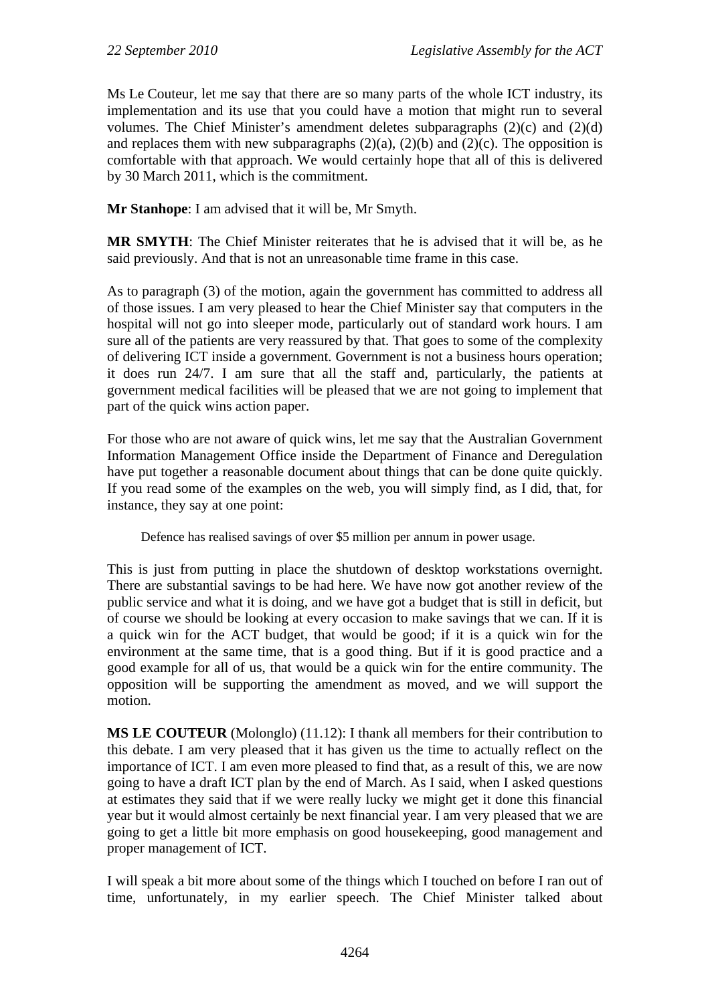Ms Le Couteur, let me say that there are so many parts of the whole ICT industry, its implementation and its use that you could have a motion that might run to several volumes. The Chief Minister's amendment deletes subparagraphs (2)(c) and (2)(d) and replaces them with new subparagraphs  $(2)(a)$ ,  $(2)(b)$  and  $(2)(c)$ . The opposition is comfortable with that approach. We would certainly hope that all of this is delivered by 30 March 2011, which is the commitment.

**Mr Stanhope**: I am advised that it will be, Mr Smyth.

**MR SMYTH**: The Chief Minister reiterates that he is advised that it will be, as he said previously. And that is not an unreasonable time frame in this case.

As to paragraph (3) of the motion, again the government has committed to address all of those issues. I am very pleased to hear the Chief Minister say that computers in the hospital will not go into sleeper mode, particularly out of standard work hours. I am sure all of the patients are very reassured by that. That goes to some of the complexity of delivering ICT inside a government. Government is not a business hours operation; it does run 24/7. I am sure that all the staff and, particularly, the patients at government medical facilities will be pleased that we are not going to implement that part of the quick wins action paper.

For those who are not aware of quick wins, let me say that the Australian Government Information Management Office inside the Department of Finance and Deregulation have put together a reasonable document about things that can be done quite quickly. If you read some of the examples on the web, you will simply find, as I did, that, for instance, they say at one point:

Defence has realised savings of over \$5 million per annum in power usage.

This is just from putting in place the shutdown of desktop workstations overnight. There are substantial savings to be had here. We have now got another review of the public service and what it is doing, and we have got a budget that is still in deficit, but of course we should be looking at every occasion to make savings that we can. If it is a quick win for the ACT budget, that would be good; if it is a quick win for the environment at the same time, that is a good thing. But if it is good practice and a good example for all of us, that would be a quick win for the entire community. The opposition will be supporting the amendment as moved, and we will support the motion.

**MS LE COUTEUR** (Molonglo) (11.12): I thank all members for their contribution to this debate. I am very pleased that it has given us the time to actually reflect on the importance of ICT. I am even more pleased to find that, as a result of this, we are now going to have a draft ICT plan by the end of March. As I said, when I asked questions at estimates they said that if we were really lucky we might get it done this financial year but it would almost certainly be next financial year. I am very pleased that we are going to get a little bit more emphasis on good housekeeping, good management and proper management of ICT.

I will speak a bit more about some of the things which I touched on before I ran out of time, unfortunately, in my earlier speech. The Chief Minister talked about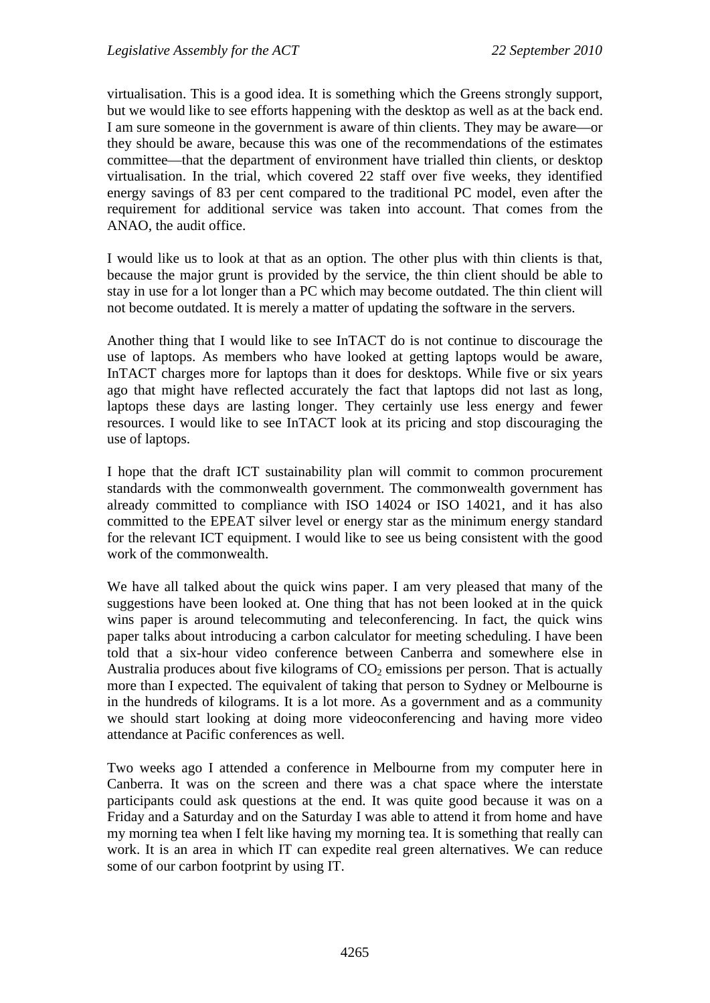virtualisation. This is a good idea. It is something which the Greens strongly support, but we would like to see efforts happening with the desktop as well as at the back end. I am sure someone in the government is aware of thin clients. They may be aware—or they should be aware, because this was one of the recommendations of the estimates committee—that the department of environment have trialled thin clients, or desktop virtualisation. In the trial, which covered 22 staff over five weeks, they identified energy savings of 83 per cent compared to the traditional PC model, even after the requirement for additional service was taken into account. That comes from the ANAO, the audit office.

I would like us to look at that as an option. The other plus with thin clients is that, because the major grunt is provided by the service, the thin client should be able to stay in use for a lot longer than a PC which may become outdated. The thin client will not become outdated. It is merely a matter of updating the software in the servers.

Another thing that I would like to see InTACT do is not continue to discourage the use of laptops. As members who have looked at getting laptops would be aware, InTACT charges more for laptops than it does for desktops. While five or six years ago that might have reflected accurately the fact that laptops did not last as long, laptops these days are lasting longer. They certainly use less energy and fewer resources. I would like to see InTACT look at its pricing and stop discouraging the use of laptops.

I hope that the draft ICT sustainability plan will commit to common procurement standards with the commonwealth government. The commonwealth government has already committed to compliance with ISO 14024 or ISO 14021, and it has also committed to the EPEAT silver level or energy star as the minimum energy standard for the relevant ICT equipment. I would like to see us being consistent with the good work of the commonwealth.

We have all talked about the quick wins paper. I am very pleased that many of the suggestions have been looked at. One thing that has not been looked at in the quick wins paper is around telecommuting and teleconferencing. In fact, the quick wins paper talks about introducing a carbon calculator for meeting scheduling. I have been told that a six-hour video conference between Canberra and somewhere else in Australia produces about five kilograms of  $CO<sub>2</sub>$  emissions per person. That is actually more than I expected. The equivalent of taking that person to Sydney or Melbourne is in the hundreds of kilograms. It is a lot more. As a government and as a community we should start looking at doing more videoconferencing and having more video attendance at Pacific conferences as well.

Two weeks ago I attended a conference in Melbourne from my computer here in Canberra. It was on the screen and there was a chat space where the interstate participants could ask questions at the end. It was quite good because it was on a Friday and a Saturday and on the Saturday I was able to attend it from home and have my morning tea when I felt like having my morning tea. It is something that really can work. It is an area in which IT can expedite real green alternatives. We can reduce some of our carbon footprint by using IT.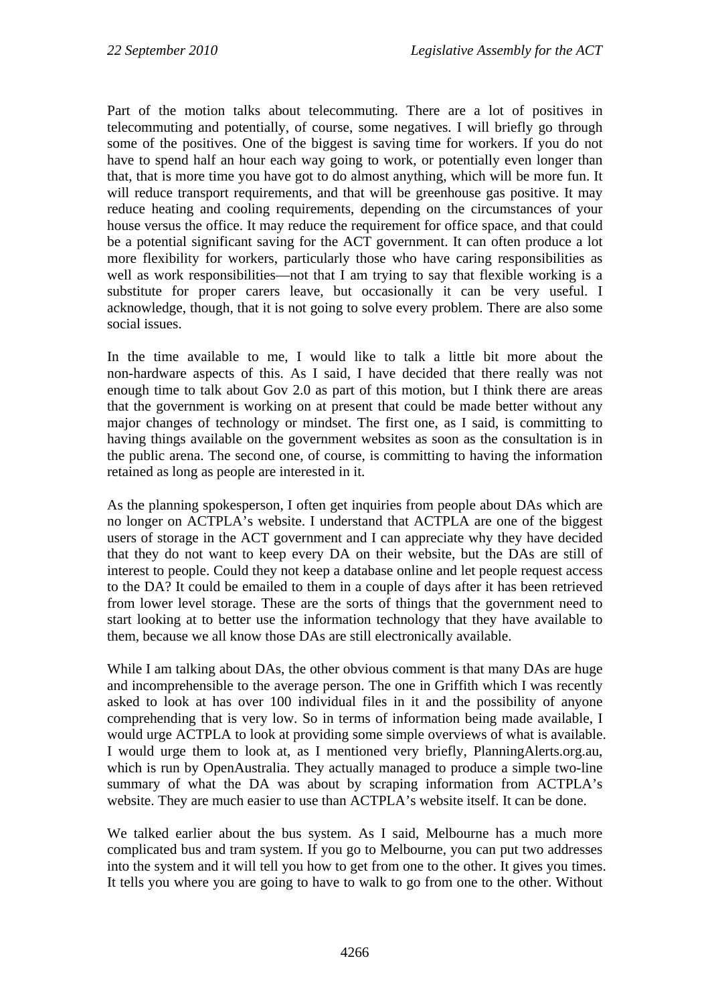Part of the motion talks about telecommuting. There are a lot of positives in telecommuting and potentially, of course, some negatives. I will briefly go through some of the positives. One of the biggest is saving time for workers. If you do not have to spend half an hour each way going to work, or potentially even longer than that, that is more time you have got to do almost anything, which will be more fun. It will reduce transport requirements, and that will be greenhouse gas positive. It may reduce heating and cooling requirements, depending on the circumstances of your house versus the office. It may reduce the requirement for office space, and that could be a potential significant saving for the ACT government. It can often produce a lot more flexibility for workers, particularly those who have caring responsibilities as well as work responsibilities—not that I am trying to say that flexible working is a substitute for proper carers leave, but occasionally it can be very useful. I acknowledge, though, that it is not going to solve every problem. There are also some social issues.

In the time available to me, I would like to talk a little bit more about the non-hardware aspects of this. As I said, I have decided that there really was not enough time to talk about Gov 2.0 as part of this motion, but I think there are areas that the government is working on at present that could be made better without any major changes of technology or mindset. The first one, as I said, is committing to having things available on the government websites as soon as the consultation is in the public arena. The second one, of course, is committing to having the information retained as long as people are interested in it.

As the planning spokesperson, I often get inquiries from people about DAs which are no longer on ACTPLA's website. I understand that ACTPLA are one of the biggest users of storage in the ACT government and I can appreciate why they have decided that they do not want to keep every DA on their website, but the DAs are still of interest to people. Could they not keep a database online and let people request access to the DA? It could be emailed to them in a couple of days after it has been retrieved from lower level storage. These are the sorts of things that the government need to start looking at to better use the information technology that they have available to them, because we all know those DAs are still electronically available.

While I am talking about DAs, the other obvious comment is that many DAs are huge and incomprehensible to the average person. The one in Griffith which I was recently asked to look at has over 100 individual files in it and the possibility of anyone comprehending that is very low. So in terms of information being made available, I would urge ACTPLA to look at providing some simple overviews of what is available. I would urge them to look at, as I mentioned very briefly, PlanningAlerts.org.au, which is run by OpenAustralia. They actually managed to produce a simple two-line summary of what the DA was about by scraping information from ACTPLA's website. They are much easier to use than ACTPLA's website itself. It can be done.

We talked earlier about the bus system. As I said, Melbourne has a much more complicated bus and tram system. If you go to Melbourne, you can put two addresses into the system and it will tell you how to get from one to the other. It gives you times. It tells you where you are going to have to walk to go from one to the other. Without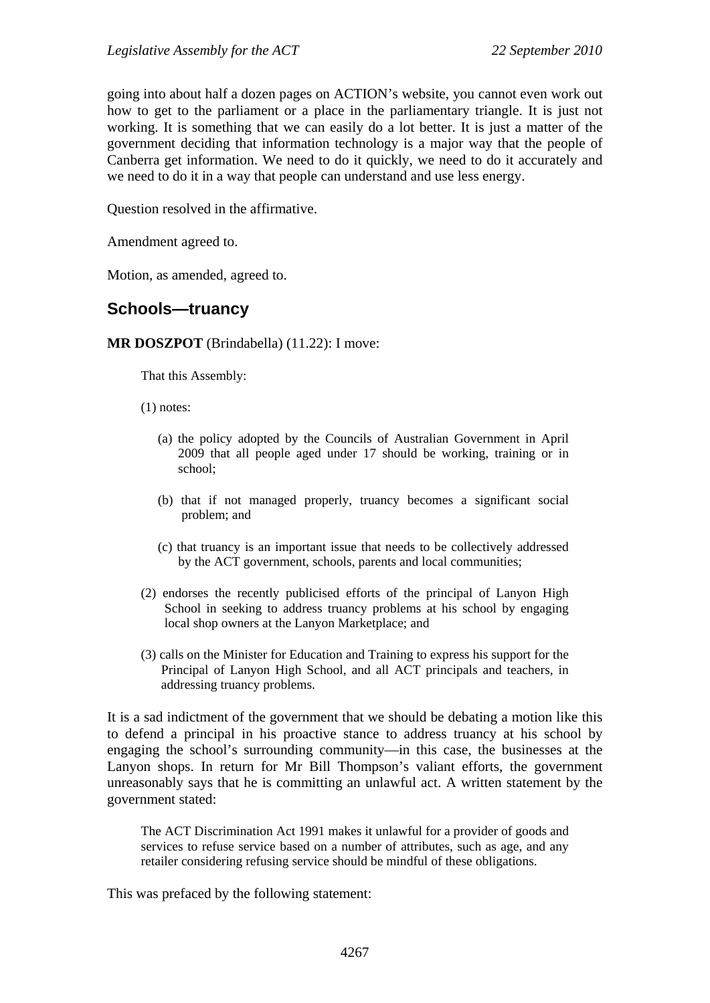going into about half a dozen pages on ACTION's website, you cannot even work out how to get to the parliament or a place in the parliamentary triangle. It is just not working. It is something that we can easily do a lot better. It is just a matter of the government deciding that information technology is a major way that the people of Canberra get information. We need to do it quickly, we need to do it accurately and we need to do it in a way that people can understand and use less energy.

Question resolved in the affirmative.

Amendment agreed to.

Motion, as amended, agreed to.

### <span id="page-26-0"></span>**Schools—truancy**

**MR DOSZPOT** (Brindabella) (11.22): I move:

That this Assembly:

- (1) notes:
	- (a) the policy adopted by the Councils of Australian Government in April 2009 that all people aged under 17 should be working, training or in school;
	- (b) that if not managed properly, truancy becomes a significant social problem; and
	- (c) that truancy is an important issue that needs to be collectively addressed by the ACT government, schools, parents and local communities;
- (2) endorses the recently publicised efforts of the principal of Lanyon High School in seeking to address truancy problems at his school by engaging local shop owners at the Lanyon Marketplace; and
- (3) calls on the Minister for Education and Training to express his support for the Principal of Lanyon High School, and all ACT principals and teachers, in addressing truancy problems.

It is a sad indictment of the government that we should be debating a motion like this to defend a principal in his proactive stance to address truancy at his school by engaging the school's surrounding community—in this case, the businesses at the Lanyon shops. In return for Mr Bill Thompson's valiant efforts, the government unreasonably says that he is committing an unlawful act. A written statement by the government stated:

The ACT Discrimination Act 1991 makes it unlawful for a provider of goods and services to refuse service based on a number of attributes, such as age, and any retailer considering refusing service should be mindful of these obligations.

This was prefaced by the following statement: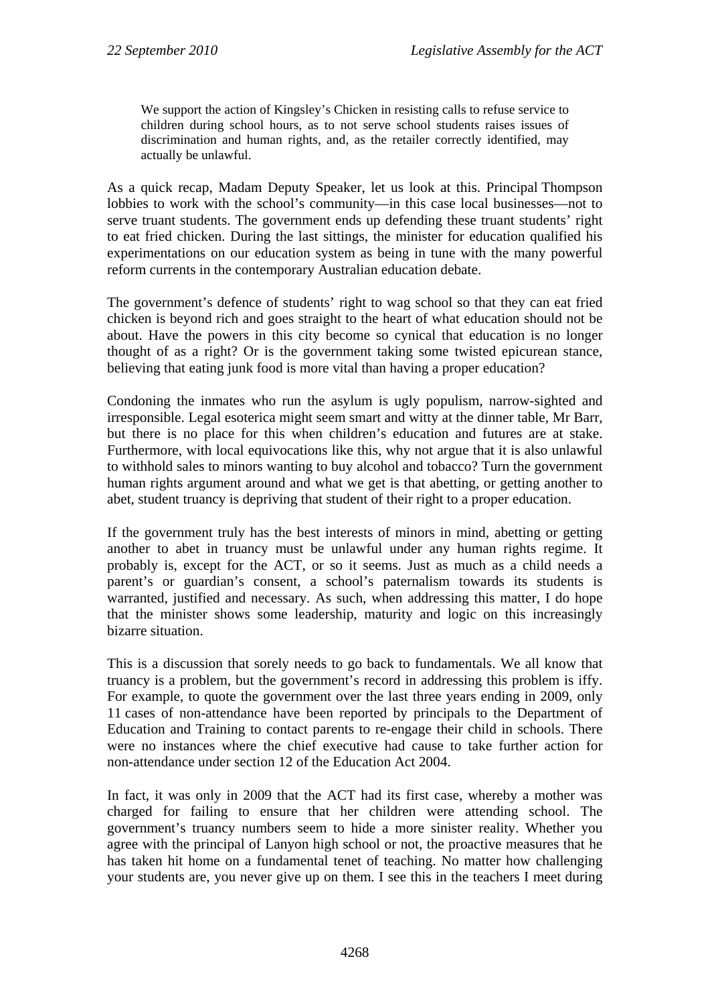We support the action of Kingsley's Chicken in resisting calls to refuse service to children during school hours, as to not serve school students raises issues of discrimination and human rights, and, as the retailer correctly identified, may actually be unlawful.

As a quick recap, Madam Deputy Speaker, let us look at this. Principal Thompson lobbies to work with the school's community—in this case local businesses—not to serve truant students. The government ends up defending these truant students' right to eat fried chicken. During the last sittings, the minister for education qualified his experimentations on our education system as being in tune with the many powerful reform currents in the contemporary Australian education debate.

The government's defence of students' right to wag school so that they can eat fried chicken is beyond rich and goes straight to the heart of what education should not be about. Have the powers in this city become so cynical that education is no longer thought of as a right? Or is the government taking some twisted epicurean stance, believing that eating junk food is more vital than having a proper education?

Condoning the inmates who run the asylum is ugly populism, narrow-sighted and irresponsible. Legal esoterica might seem smart and witty at the dinner table, Mr Barr, but there is no place for this when children's education and futures are at stake. Furthermore, with local equivocations like this, why not argue that it is also unlawful to withhold sales to minors wanting to buy alcohol and tobacco? Turn the government human rights argument around and what we get is that abetting, or getting another to abet, student truancy is depriving that student of their right to a proper education.

If the government truly has the best interests of minors in mind, abetting or getting another to abet in truancy must be unlawful under any human rights regime. It probably is, except for the ACT, or so it seems. Just as much as a child needs a parent's or guardian's consent, a school's paternalism towards its students is warranted, justified and necessary. As such, when addressing this matter, I do hope that the minister shows some leadership, maturity and logic on this increasingly bizarre situation.

This is a discussion that sorely needs to go back to fundamentals. We all know that truancy is a problem, but the government's record in addressing this problem is iffy. For example, to quote the government over the last three years ending in 2009, only 11 cases of non-attendance have been reported by principals to the Department of Education and Training to contact parents to re-engage their child in schools. There were no instances where the chief executive had cause to take further action for non-attendance under section 12 of the Education Act 2004.

In fact, it was only in 2009 that the ACT had its first case, whereby a mother was charged for failing to ensure that her children were attending school. The government's truancy numbers seem to hide a more sinister reality. Whether you agree with the principal of Lanyon high school or not, the proactive measures that he has taken hit home on a fundamental tenet of teaching. No matter how challenging your students are, you never give up on them. I see this in the teachers I meet during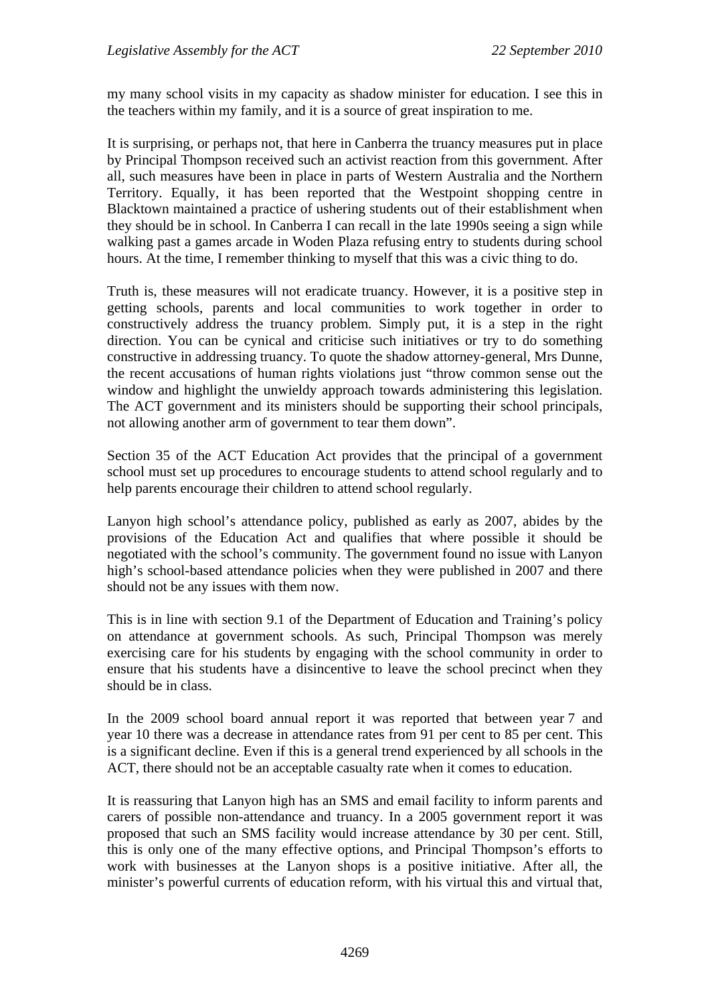my many school visits in my capacity as shadow minister for education. I see this in the teachers within my family, and it is a source of great inspiration to me.

It is surprising, or perhaps not, that here in Canberra the truancy measures put in place by Principal Thompson received such an activist reaction from this government. After all, such measures have been in place in parts of Western Australia and the Northern Territory. Equally, it has been reported that the Westpoint shopping centre in Blacktown maintained a practice of ushering students out of their establishment when they should be in school. In Canberra I can recall in the late 1990s seeing a sign while walking past a games arcade in Woden Plaza refusing entry to students during school hours. At the time, I remember thinking to myself that this was a civic thing to do.

Truth is, these measures will not eradicate truancy. However, it is a positive step in getting schools, parents and local communities to work together in order to constructively address the truancy problem. Simply put, it is a step in the right direction. You can be cynical and criticise such initiatives or try to do something constructive in addressing truancy. To quote the shadow attorney-general, Mrs Dunne, the recent accusations of human rights violations just "throw common sense out the window and highlight the unwieldy approach towards administering this legislation. The ACT government and its ministers should be supporting their school principals, not allowing another arm of government to tear them down".

Section 35 of the ACT Education Act provides that the principal of a government school must set up procedures to encourage students to attend school regularly and to help parents encourage their children to attend school regularly.

Lanyon high school's attendance policy, published as early as 2007, abides by the provisions of the Education Act and qualifies that where possible it should be negotiated with the school's community. The government found no issue with Lanyon high's school-based attendance policies when they were published in 2007 and there should not be any issues with them now.

This is in line with section 9.1 of the Department of Education and Training's policy on attendance at government schools. As such, Principal Thompson was merely exercising care for his students by engaging with the school community in order to ensure that his students have a disincentive to leave the school precinct when they should be in class.

In the 2009 school board annual report it was reported that between year 7 and year 10 there was a decrease in attendance rates from 91 per cent to 85 per cent. This is a significant decline. Even if this is a general trend experienced by all schools in the ACT, there should not be an acceptable casualty rate when it comes to education.

It is reassuring that Lanyon high has an SMS and email facility to inform parents and carers of possible non-attendance and truancy. In a 2005 government report it was proposed that such an SMS facility would increase attendance by 30 per cent. Still, this is only one of the many effective options, and Principal Thompson's efforts to work with businesses at the Lanyon shops is a positive initiative. After all, the minister's powerful currents of education reform, with his virtual this and virtual that,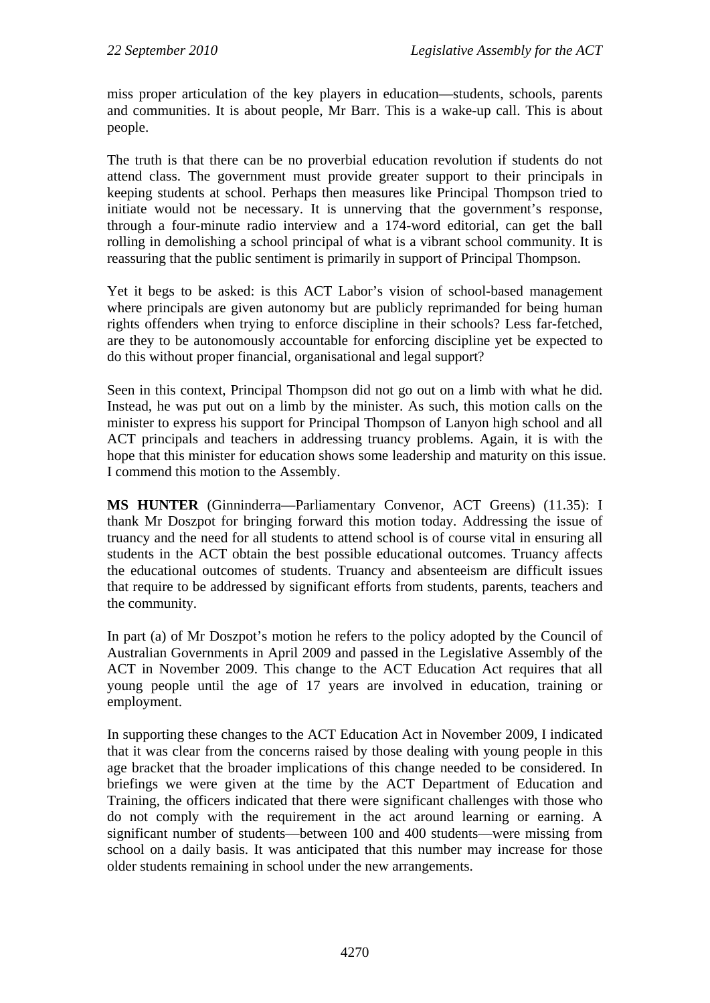miss proper articulation of the key players in education—students, schools, parents and communities. It is about people, Mr Barr. This is a wake-up call. This is about people.

The truth is that there can be no proverbial education revolution if students do not attend class. The government must provide greater support to their principals in keeping students at school. Perhaps then measures like Principal Thompson tried to initiate would not be necessary. It is unnerving that the government's response, through a four-minute radio interview and a 174-word editorial, can get the ball rolling in demolishing a school principal of what is a vibrant school community. It is reassuring that the public sentiment is primarily in support of Principal Thompson.

Yet it begs to be asked: is this ACT Labor's vision of school-based management where principals are given autonomy but are publicly reprimanded for being human rights offenders when trying to enforce discipline in their schools? Less far-fetched, are they to be autonomously accountable for enforcing discipline yet be expected to do this without proper financial, organisational and legal support?

Seen in this context, Principal Thompson did not go out on a limb with what he did. Instead, he was put out on a limb by the minister. As such, this motion calls on the minister to express his support for Principal Thompson of Lanyon high school and all ACT principals and teachers in addressing truancy problems. Again, it is with the hope that this minister for education shows some leadership and maturity on this issue. I commend this motion to the Assembly.

**MS HUNTER** (Ginninderra—Parliamentary Convenor, ACT Greens) (11.35): I thank Mr Doszpot for bringing forward this motion today. Addressing the issue of truancy and the need for all students to attend school is of course vital in ensuring all students in the ACT obtain the best possible educational outcomes. Truancy affects the educational outcomes of students. Truancy and absenteeism are difficult issues that require to be addressed by significant efforts from students, parents, teachers and the community.

In part (a) of Mr Doszpot's motion he refers to the policy adopted by the Council of Australian Governments in April 2009 and passed in the Legislative Assembly of the ACT in November 2009. This change to the ACT Education Act requires that all young people until the age of 17 years are involved in education, training or employment.

In supporting these changes to the ACT Education Act in November 2009, I indicated that it was clear from the concerns raised by those dealing with young people in this age bracket that the broader implications of this change needed to be considered. In briefings we were given at the time by the ACT Department of Education and Training, the officers indicated that there were significant challenges with those who do not comply with the requirement in the act around learning or earning. A significant number of students—between 100 and 400 students—were missing from school on a daily basis. It was anticipated that this number may increase for those older students remaining in school under the new arrangements.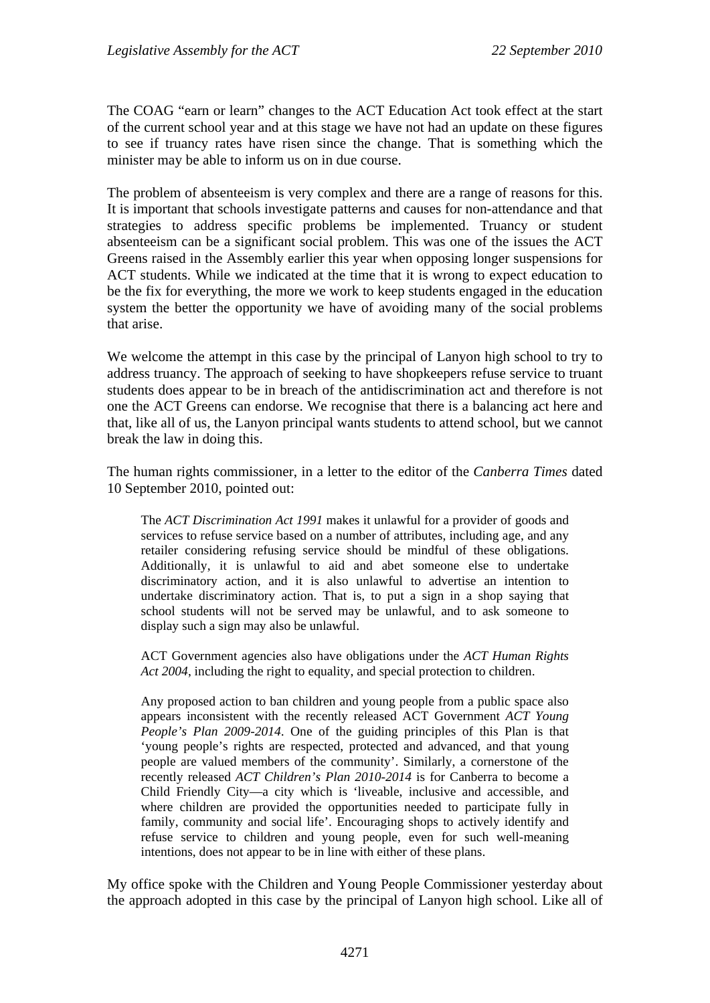The COAG "earn or learn" changes to the ACT Education Act took effect at the start of the current school year and at this stage we have not had an update on these figures to see if truancy rates have risen since the change. That is something which the minister may be able to inform us on in due course.

The problem of absenteeism is very complex and there are a range of reasons for this. It is important that schools investigate patterns and causes for non-attendance and that strategies to address specific problems be implemented. Truancy or student absenteeism can be a significant social problem. This was one of the issues the ACT Greens raised in the Assembly earlier this year when opposing longer suspensions for ACT students. While we indicated at the time that it is wrong to expect education to be the fix for everything, the more we work to keep students engaged in the education system the better the opportunity we have of avoiding many of the social problems that arise.

We welcome the attempt in this case by the principal of Lanyon high school to try to address truancy. The approach of seeking to have shopkeepers refuse service to truant students does appear to be in breach of the antidiscrimination act and therefore is not one the ACT Greens can endorse. We recognise that there is a balancing act here and that, like all of us, the Lanyon principal wants students to attend school, but we cannot break the law in doing this.

The human rights commissioner, in a letter to the editor of the *Canberra Times* dated 10 September 2010, pointed out:

The *ACT Discrimination Act 1991* makes it unlawful for a provider of goods and services to refuse service based on a number of attributes, including age, and any retailer considering refusing service should be mindful of these obligations. Additionally, it is unlawful to aid and abet someone else to undertake discriminatory action, and it is also unlawful to advertise an intention to undertake discriminatory action. That is, to put a sign in a shop saying that school students will not be served may be unlawful, and to ask someone to display such a sign may also be unlawful.

ACT Government agencies also have obligations under the *ACT Human Rights Act 2004*, including the right to equality, and special protection to children.

Any proposed action to ban children and young people from a public space also appears inconsistent with the recently released ACT Government *ACT Young People's Plan 2009-2014*. One of the guiding principles of this Plan is that 'young people's rights are respected, protected and advanced, and that young people are valued members of the community'. Similarly, a cornerstone of the recently released *ACT Children's Plan 2010-2014* is for Canberra to become a Child Friendly City—a city which is 'liveable, inclusive and accessible, and where children are provided the opportunities needed to participate fully in family, community and social life'. Encouraging shops to actively identify and refuse service to children and young people, even for such well-meaning intentions, does not appear to be in line with either of these plans.

My office spoke with the Children and Young People Commissioner yesterday about the approach adopted in this case by the principal of Lanyon high school. Like all of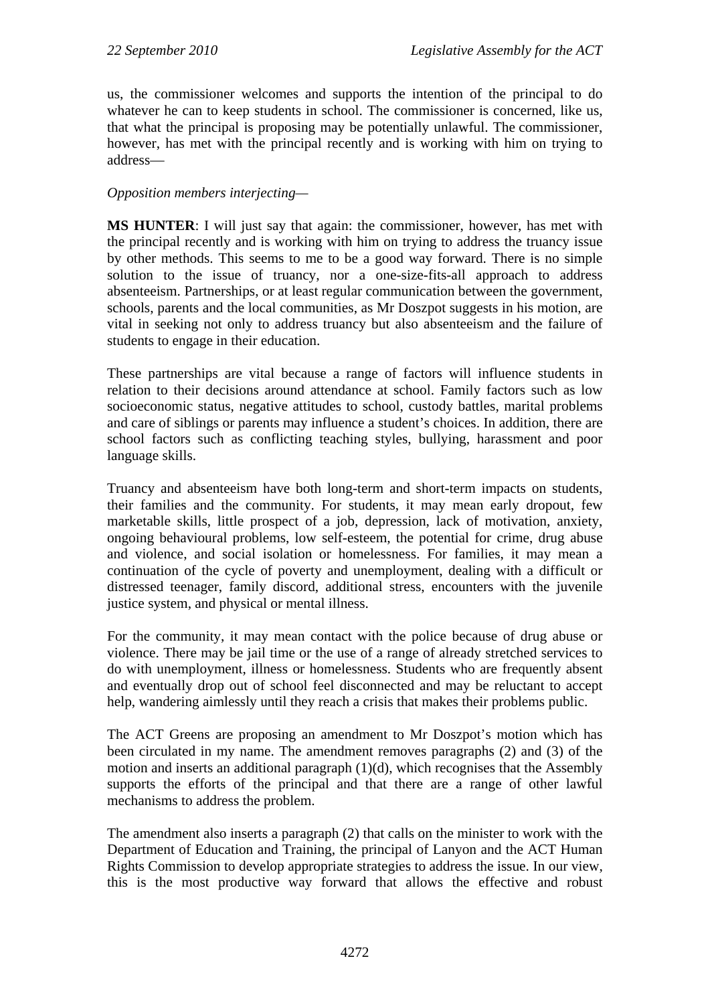us, the commissioner welcomes and supports the intention of the principal to do whatever he can to keep students in school. The commissioner is concerned, like us, that what the principal is proposing may be potentially unlawful. The commissioner, however, has met with the principal recently and is working with him on trying to address—

#### *Opposition members interjecting—*

**MS HUNTER**: I will just say that again: the commissioner, however, has met with the principal recently and is working with him on trying to address the truancy issue by other methods. This seems to me to be a good way forward. There is no simple solution to the issue of truancy, nor a one-size-fits-all approach to address absenteeism. Partnerships, or at least regular communication between the government, schools, parents and the local communities, as Mr Doszpot suggests in his motion, are vital in seeking not only to address truancy but also absenteeism and the failure of students to engage in their education.

These partnerships are vital because a range of factors will influence students in relation to their decisions around attendance at school. Family factors such as low socioeconomic status, negative attitudes to school, custody battles, marital problems and care of siblings or parents may influence a student's choices. In addition, there are school factors such as conflicting teaching styles, bullying, harassment and poor language skills.

Truancy and absenteeism have both long-term and short-term impacts on students, their families and the community. For students, it may mean early dropout, few marketable skills, little prospect of a job, depression, lack of motivation, anxiety, ongoing behavioural problems, low self-esteem, the potential for crime, drug abuse and violence, and social isolation or homelessness. For families, it may mean a continuation of the cycle of poverty and unemployment, dealing with a difficult or distressed teenager, family discord, additional stress, encounters with the juvenile justice system, and physical or mental illness.

For the community, it may mean contact with the police because of drug abuse or violence. There may be jail time or the use of a range of already stretched services to do with unemployment, illness or homelessness. Students who are frequently absent and eventually drop out of school feel disconnected and may be reluctant to accept help, wandering aimlessly until they reach a crisis that makes their problems public.

The ACT Greens are proposing an amendment to Mr Doszpot's motion which has been circulated in my name. The amendment removes paragraphs (2) and (3) of the motion and inserts an additional paragraph (1)(d), which recognises that the Assembly supports the efforts of the principal and that there are a range of other lawful mechanisms to address the problem.

The amendment also inserts a paragraph (2) that calls on the minister to work with the Department of Education and Training, the principal of Lanyon and the ACT Human Rights Commission to develop appropriate strategies to address the issue. In our view, this is the most productive way forward that allows the effective and robust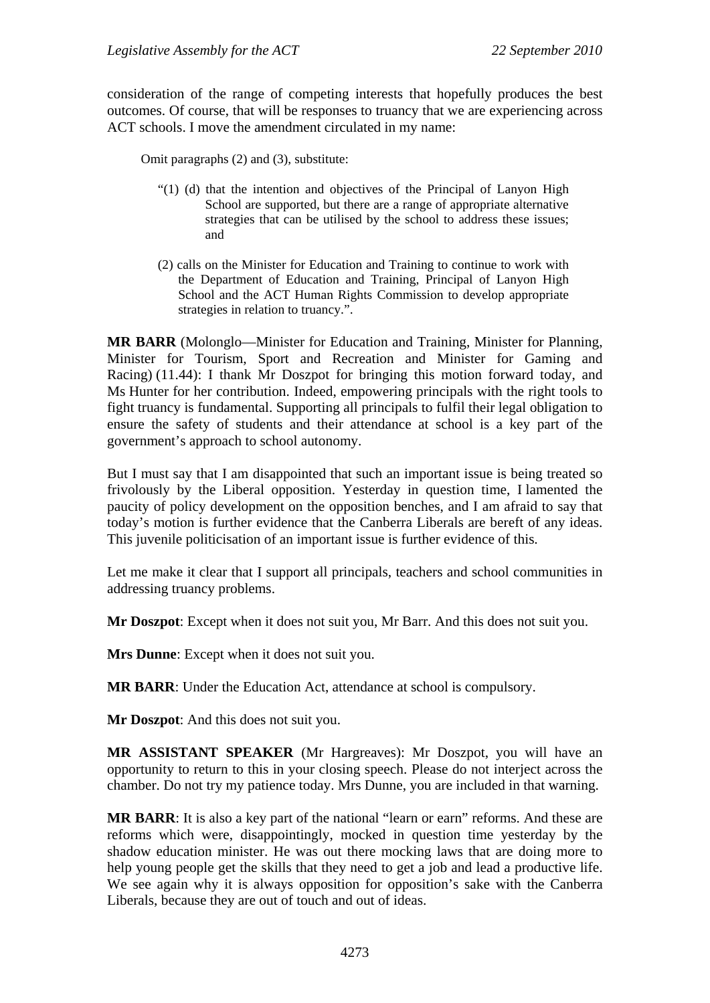consideration of the range of competing interests that hopefully produces the best outcomes. Of course, that will be responses to truancy that we are experiencing across ACT schools. I move the amendment circulated in my name:

Omit paragraphs (2) and (3), substitute:

- "(1) (d) that the intention and objectives of the Principal of Lanyon High School are supported, but there are a range of appropriate alternative strategies that can be utilised by the school to address these issues; and
- (2) calls on the Minister for Education and Training to continue to work with the Department of Education and Training, Principal of Lanyon High School and the ACT Human Rights Commission to develop appropriate strategies in relation to truancy.".

**MR BARR** (Molonglo—Minister for Education and Training, Minister for Planning, Minister for Tourism, Sport and Recreation and Minister for Gaming and Racing) (11.44): I thank Mr Doszpot for bringing this motion forward today, and Ms Hunter for her contribution. Indeed, empowering principals with the right tools to fight truancy is fundamental. Supporting all principals to fulfil their legal obligation to ensure the safety of students and their attendance at school is a key part of the government's approach to school autonomy.

But I must say that I am disappointed that such an important issue is being treated so frivolously by the Liberal opposition. Yesterday in question time, I lamented the paucity of policy development on the opposition benches, and I am afraid to say that today's motion is further evidence that the Canberra Liberals are bereft of any ideas. This juvenile politicisation of an important issue is further evidence of this.

Let me make it clear that I support all principals, teachers and school communities in addressing truancy problems.

**Mr Doszpot**: Except when it does not suit you, Mr Barr. And this does not suit you.

**Mrs Dunne**: Except when it does not suit you.

**MR BARR**: Under the Education Act, attendance at school is compulsory.

**Mr Doszpot**: And this does not suit you.

**MR ASSISTANT SPEAKER** (Mr Hargreaves): Mr Doszpot, you will have an opportunity to return to this in your closing speech. Please do not interject across the chamber. Do not try my patience today. Mrs Dunne, you are included in that warning.

**MR BARR**: It is also a key part of the national "learn or earn" reforms. And these are reforms which were, disappointingly, mocked in question time yesterday by the shadow education minister. He was out there mocking laws that are doing more to help young people get the skills that they need to get a job and lead a productive life. We see again why it is always opposition for opposition's sake with the Canberra Liberals, because they are out of touch and out of ideas.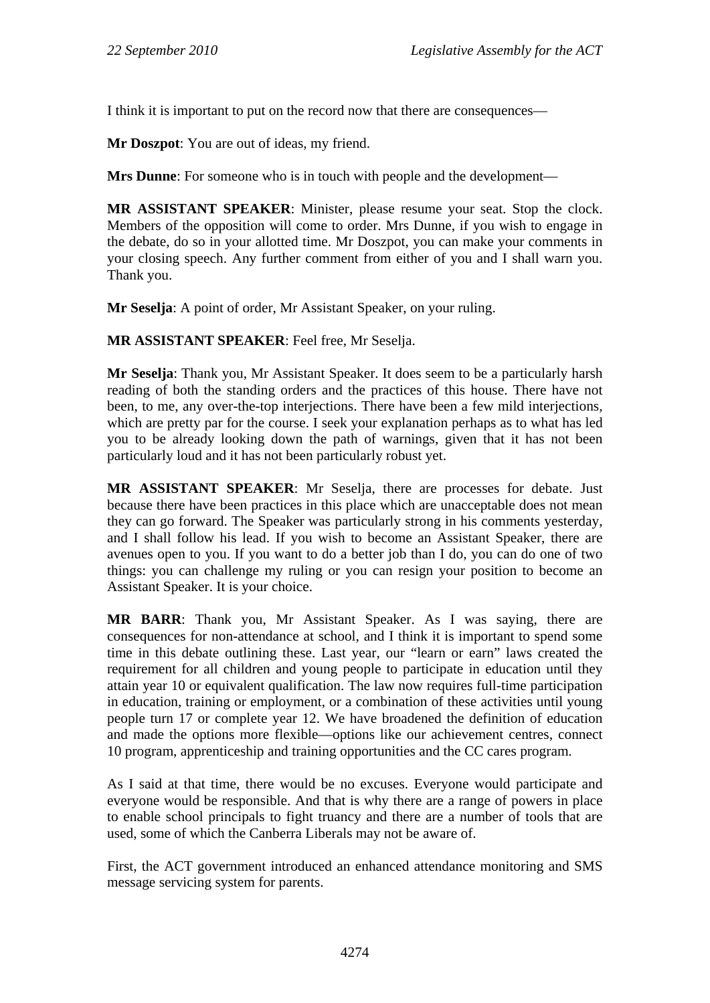I think it is important to put on the record now that there are consequences—

**Mr Doszpot**: You are out of ideas, my friend.

**Mrs Dunne**: For someone who is in touch with people and the development—

**MR ASSISTANT SPEAKER**: Minister, please resume your seat. Stop the clock. Members of the opposition will come to order. Mrs Dunne, if you wish to engage in the debate, do so in your allotted time. Mr Doszpot, you can make your comments in your closing speech. Any further comment from either of you and I shall warn you. Thank you.

**Mr Seselja**: A point of order, Mr Assistant Speaker, on your ruling.

**MR ASSISTANT SPEAKER**: Feel free, Mr Seselja.

**Mr Seselja**: Thank you, Mr Assistant Speaker. It does seem to be a particularly harsh reading of both the standing orders and the practices of this house. There have not been, to me, any over-the-top interjections. There have been a few mild interjections, which are pretty par for the course. I seek your explanation perhaps as to what has led you to be already looking down the path of warnings, given that it has not been particularly loud and it has not been particularly robust yet.

**MR ASSISTANT SPEAKER**: Mr Seselja, there are processes for debate. Just because there have been practices in this place which are unacceptable does not mean they can go forward. The Speaker was particularly strong in his comments yesterday, and I shall follow his lead. If you wish to become an Assistant Speaker, there are avenues open to you. If you want to do a better job than I do, you can do one of two things: you can challenge my ruling or you can resign your position to become an Assistant Speaker. It is your choice.

**MR BARR**: Thank you, Mr Assistant Speaker. As I was saying, there are consequences for non-attendance at school, and I think it is important to spend some time in this debate outlining these. Last year, our "learn or earn" laws created the requirement for all children and young people to participate in education until they attain year 10 or equivalent qualification. The law now requires full-time participation in education, training or employment, or a combination of these activities until young people turn 17 or complete year 12. We have broadened the definition of education and made the options more flexible—options like our achievement centres, connect 10 program, apprenticeship and training opportunities and the CC cares program.

As I said at that time, there would be no excuses. Everyone would participate and everyone would be responsible. And that is why there are a range of powers in place to enable school principals to fight truancy and there are a number of tools that are used, some of which the Canberra Liberals may not be aware of.

First, the ACT government introduced an enhanced attendance monitoring and SMS message servicing system for parents.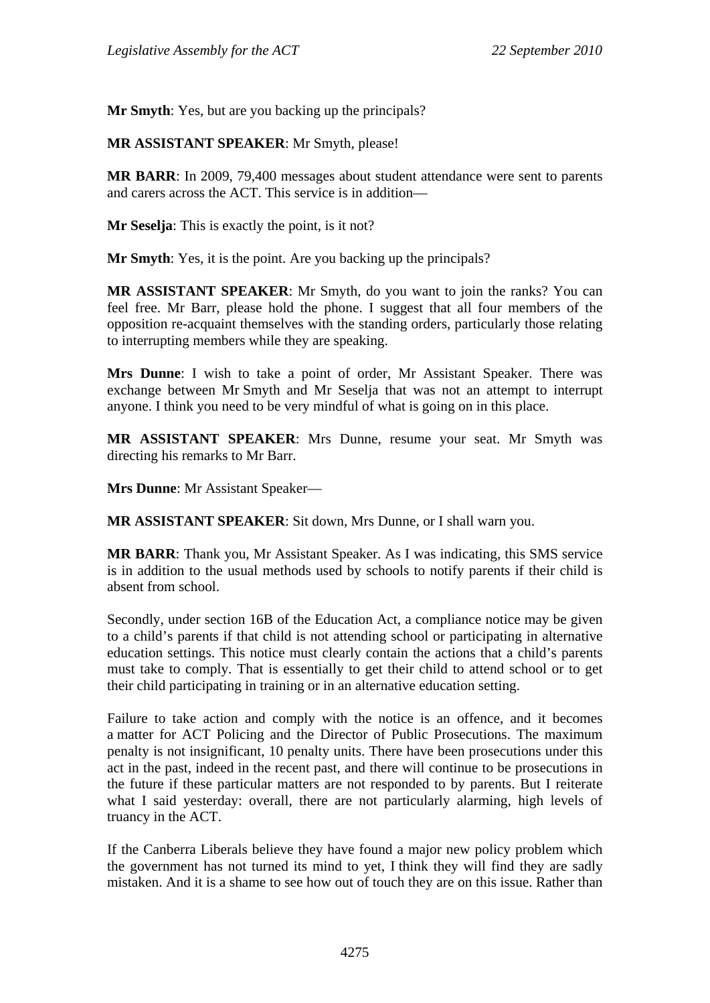**Mr Smyth**: Yes, but are you backing up the principals?

**MR ASSISTANT SPEAKER**: Mr Smyth, please!

**MR BARR**: In 2009, 79,400 messages about student attendance were sent to parents and carers across the ACT. This service is in addition––

**Mr Seselja**: This is exactly the point, is it not?

**Mr Smyth**: Yes, it is the point. Are you backing up the principals?

**MR ASSISTANT SPEAKER**: Mr Smyth, do you want to join the ranks? You can feel free. Mr Barr, please hold the phone. I suggest that all four members of the opposition re-acquaint themselves with the standing orders, particularly those relating to interrupting members while they are speaking.

**Mrs Dunne**: I wish to take a point of order, Mr Assistant Speaker. There was exchange between Mr Smyth and Mr Seselja that was not an attempt to interrupt anyone. I think you need to be very mindful of what is going on in this place.

**MR ASSISTANT SPEAKER**: Mrs Dunne, resume your seat. Mr Smyth was directing his remarks to Mr Barr.

**Mrs Dunne**: Mr Assistant Speaker—

**MR ASSISTANT SPEAKER**: Sit down, Mrs Dunne, or I shall warn you.

**MR BARR**: Thank you, Mr Assistant Speaker. As I was indicating, this SMS service is in addition to the usual methods used by schools to notify parents if their child is absent from school.

Secondly, under section 16B of the Education Act, a compliance notice may be given to a child's parents if that child is not attending school or participating in alternative education settings. This notice must clearly contain the actions that a child's parents must take to comply. That is essentially to get their child to attend school or to get their child participating in training or in an alternative education setting.

Failure to take action and comply with the notice is an offence, and it becomes a matter for ACT Policing and the Director of Public Prosecutions. The maximum penalty is not insignificant, 10 penalty units. There have been prosecutions under this act in the past, indeed in the recent past, and there will continue to be prosecutions in the future if these particular matters are not responded to by parents. But I reiterate what I said yesterday: overall, there are not particularly alarming, high levels of truancy in the ACT.

If the Canberra Liberals believe they have found a major new policy problem which the government has not turned its mind to yet, I think they will find they are sadly mistaken. And it is a shame to see how out of touch they are on this issue. Rather than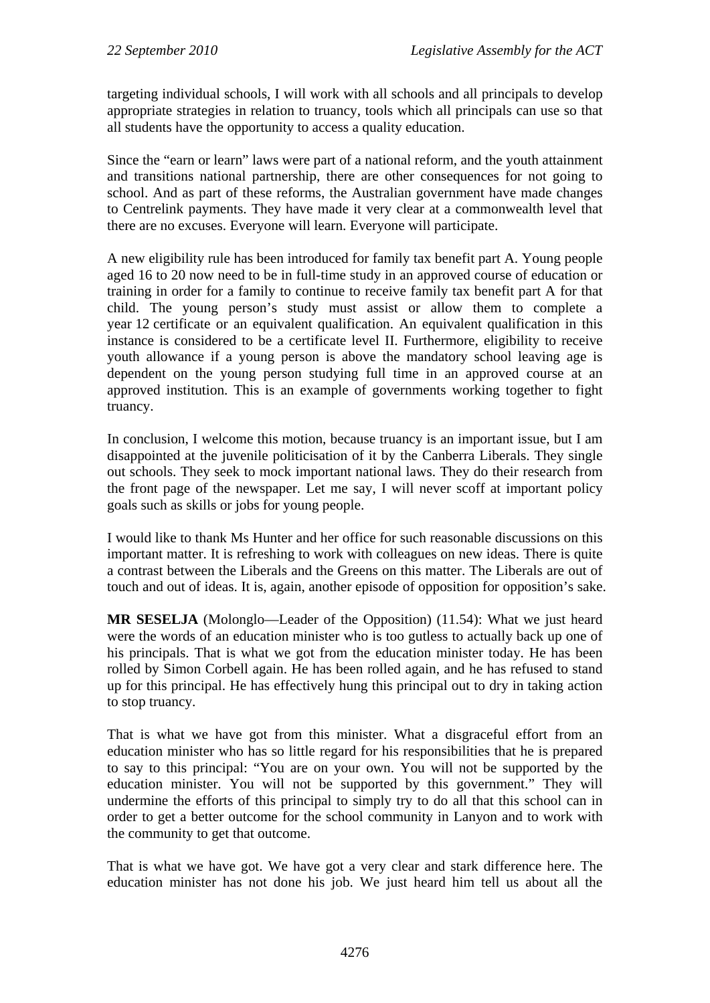targeting individual schools, I will work with all schools and all principals to develop appropriate strategies in relation to truancy, tools which all principals can use so that all students have the opportunity to access a quality education.

Since the "earn or learn" laws were part of a national reform, and the youth attainment and transitions national partnership, there are other consequences for not going to school. And as part of these reforms, the Australian government have made changes to Centrelink payments. They have made it very clear at a commonwealth level that there are no excuses. Everyone will learn. Everyone will participate.

A new eligibility rule has been introduced for family tax benefit part A. Young people aged 16 to 20 now need to be in full-time study in an approved course of education or training in order for a family to continue to receive family tax benefit part A for that child. The young person's study must assist or allow them to complete a year 12 certificate or an equivalent qualification. An equivalent qualification in this instance is considered to be a certificate level II. Furthermore, eligibility to receive youth allowance if a young person is above the mandatory school leaving age is dependent on the young person studying full time in an approved course at an approved institution. This is an example of governments working together to fight truancy.

In conclusion, I welcome this motion, because truancy is an important issue, but I am disappointed at the juvenile politicisation of it by the Canberra Liberals. They single out schools. They seek to mock important national laws. They do their research from the front page of the newspaper. Let me say, I will never scoff at important policy goals such as skills or jobs for young people.

I would like to thank Ms Hunter and her office for such reasonable discussions on this important matter. It is refreshing to work with colleagues on new ideas. There is quite a contrast between the Liberals and the Greens on this matter. The Liberals are out of touch and out of ideas. It is, again, another episode of opposition for opposition's sake.

**MR SESELJA** (Molonglo—Leader of the Opposition) (11.54): What we just heard were the words of an education minister who is too gutless to actually back up one of his principals. That is what we got from the education minister today. He has been rolled by Simon Corbell again. He has been rolled again, and he has refused to stand up for this principal. He has effectively hung this principal out to dry in taking action to stop truancy.

That is what we have got from this minister. What a disgraceful effort from an education minister who has so little regard for his responsibilities that he is prepared to say to this principal: "You are on your own. You will not be supported by the education minister. You will not be supported by this government." They will undermine the efforts of this principal to simply try to do all that this school can in order to get a better outcome for the school community in Lanyon and to work with the community to get that outcome.

That is what we have got. We have got a very clear and stark difference here. The education minister has not done his job. We just heard him tell us about all the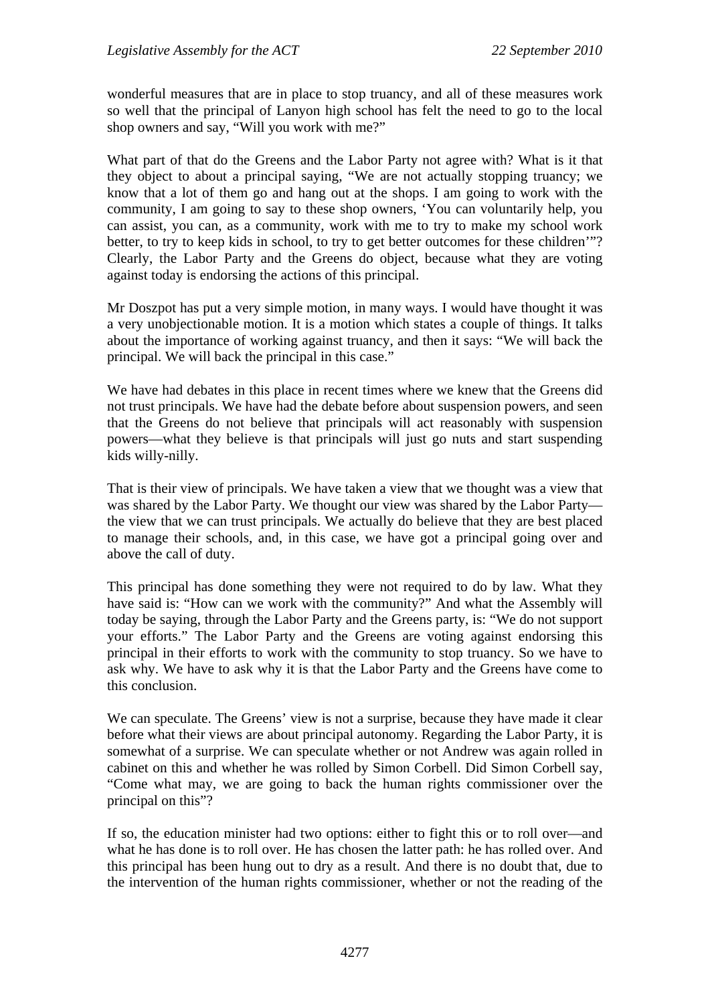wonderful measures that are in place to stop truancy, and all of these measures work so well that the principal of Lanyon high school has felt the need to go to the local shop owners and say, "Will you work with me?"

What part of that do the Greens and the Labor Party not agree with? What is it that they object to about a principal saying, "We are not actually stopping truancy; we know that a lot of them go and hang out at the shops. I am going to work with the community, I am going to say to these shop owners, 'You can voluntarily help, you can assist, you can, as a community, work with me to try to make my school work better, to try to keep kids in school, to try to get better outcomes for these children'"? Clearly, the Labor Party and the Greens do object, because what they are voting against today is endorsing the actions of this principal.

Mr Doszpot has put a very simple motion, in many ways. I would have thought it was a very unobjectionable motion. It is a motion which states a couple of things. It talks about the importance of working against truancy, and then it says: "We will back the principal. We will back the principal in this case."

We have had debates in this place in recent times where we knew that the Greens did not trust principals. We have had the debate before about suspension powers, and seen that the Greens do not believe that principals will act reasonably with suspension powers—what they believe is that principals will just go nuts and start suspending kids willy-nilly.

That is their view of principals. We have taken a view that we thought was a view that was shared by the Labor Party. We thought our view was shared by the Labor Party the view that we can trust principals. We actually do believe that they are best placed to manage their schools, and, in this case, we have got a principal going over and above the call of duty.

This principal has done something they were not required to do by law. What they have said is: "How can we work with the community?" And what the Assembly will today be saying, through the Labor Party and the Greens party, is: "We do not support your efforts." The Labor Party and the Greens are voting against endorsing this principal in their efforts to work with the community to stop truancy. So we have to ask why. We have to ask why it is that the Labor Party and the Greens have come to this conclusion.

We can speculate. The Greens' view is not a surprise, because they have made it clear before what their views are about principal autonomy. Regarding the Labor Party, it is somewhat of a surprise. We can speculate whether or not Andrew was again rolled in cabinet on this and whether he was rolled by Simon Corbell. Did Simon Corbell say, "Come what may, we are going to back the human rights commissioner over the principal on this"?

If so, the education minister had two options: either to fight this or to roll over—and what he has done is to roll over. He has chosen the latter path: he has rolled over. And this principal has been hung out to dry as a result. And there is no doubt that, due to the intervention of the human rights commissioner, whether or not the reading of the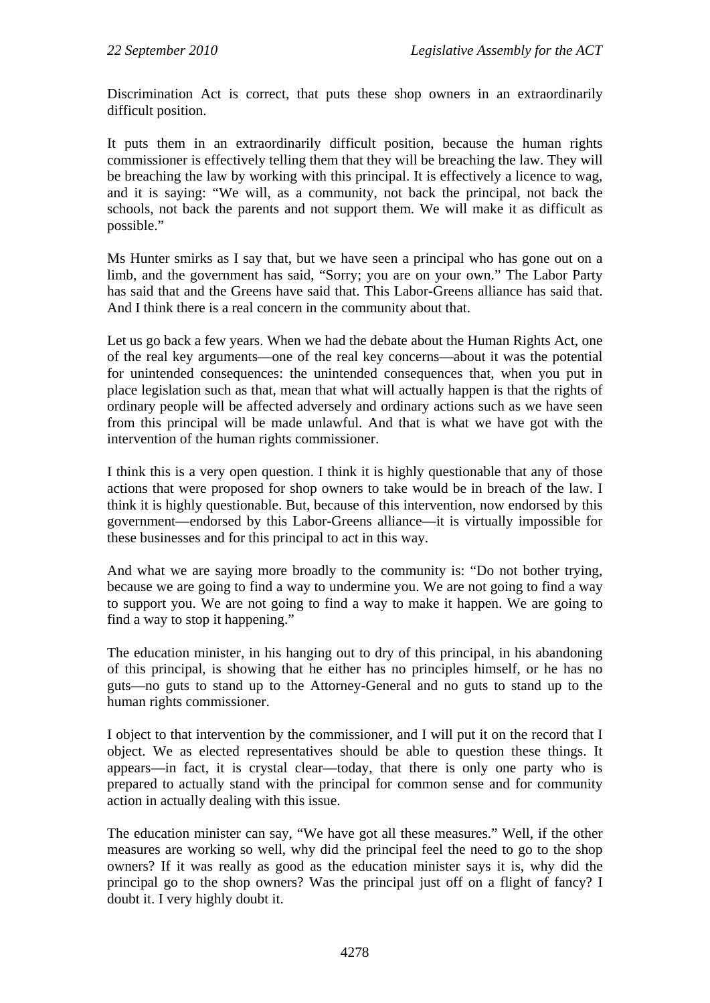Discrimination Act is correct, that puts these shop owners in an extraordinarily difficult position.

It puts them in an extraordinarily difficult position, because the human rights commissioner is effectively telling them that they will be breaching the law. They will be breaching the law by working with this principal. It is effectively a licence to wag, and it is saying: "We will, as a community, not back the principal, not back the schools, not back the parents and not support them. We will make it as difficult as possible."

Ms Hunter smirks as I say that, but we have seen a principal who has gone out on a limb, and the government has said, "Sorry; you are on your own." The Labor Party has said that and the Greens have said that. This Labor-Greens alliance has said that. And I think there is a real concern in the community about that.

Let us go back a few years. When we had the debate about the Human Rights Act, one of the real key arguments—one of the real key concerns—about it was the potential for unintended consequences: the unintended consequences that, when you put in place legislation such as that, mean that what will actually happen is that the rights of ordinary people will be affected adversely and ordinary actions such as we have seen from this principal will be made unlawful. And that is what we have got with the intervention of the human rights commissioner.

I think this is a very open question. I think it is highly questionable that any of those actions that were proposed for shop owners to take would be in breach of the law. I think it is highly questionable. But, because of this intervention, now endorsed by this government—endorsed by this Labor-Greens alliance—it is virtually impossible for these businesses and for this principal to act in this way.

And what we are saying more broadly to the community is: "Do not bother trying, because we are going to find a way to undermine you. We are not going to find a way to support you. We are not going to find a way to make it happen. We are going to find a way to stop it happening."

The education minister, in his hanging out to dry of this principal, in his abandoning of this principal, is showing that he either has no principles himself, or he has no guts—no guts to stand up to the Attorney-General and no guts to stand up to the human rights commissioner.

I object to that intervention by the commissioner, and I will put it on the record that I object. We as elected representatives should be able to question these things. It appears—in fact, it is crystal clear—today, that there is only one party who is prepared to actually stand with the principal for common sense and for community action in actually dealing with this issue.

The education minister can say, "We have got all these measures." Well, if the other measures are working so well, why did the principal feel the need to go to the shop owners? If it was really as good as the education minister says it is, why did the principal go to the shop owners? Was the principal just off on a flight of fancy? I doubt it. I very highly doubt it.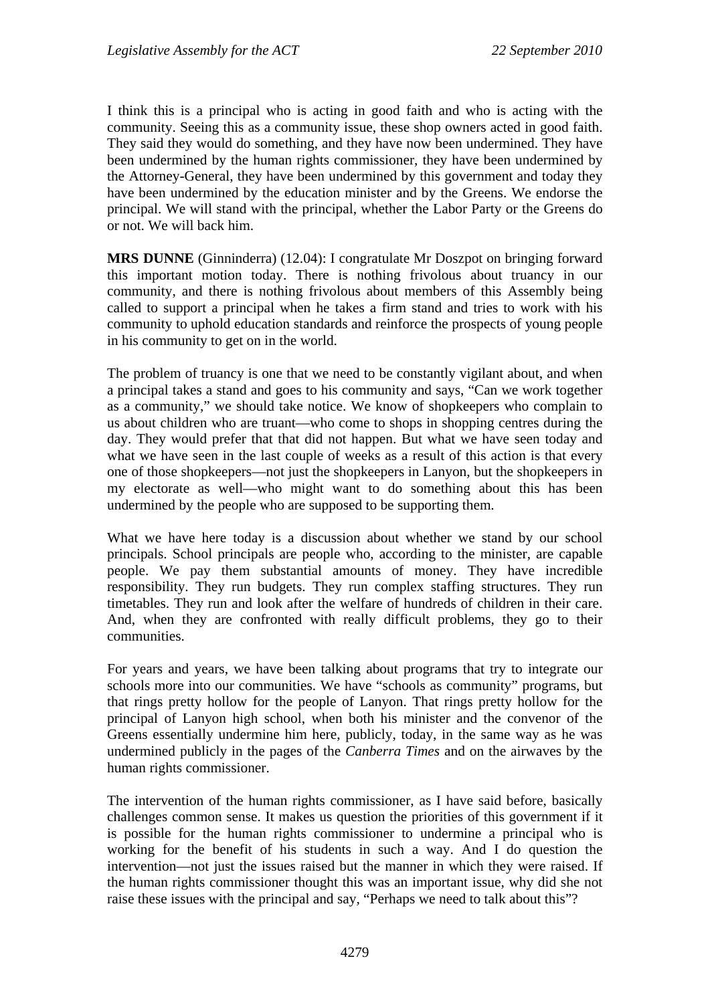I think this is a principal who is acting in good faith and who is acting with the community. Seeing this as a community issue, these shop owners acted in good faith. They said they would do something, and they have now been undermined. They have been undermined by the human rights commissioner, they have been undermined by the Attorney-General, they have been undermined by this government and today they have been undermined by the education minister and by the Greens. We endorse the principal. We will stand with the principal, whether the Labor Party or the Greens do or not. We will back him.

**MRS DUNNE** (Ginninderra) (12.04): I congratulate Mr Doszpot on bringing forward this important motion today. There is nothing frivolous about truancy in our community, and there is nothing frivolous about members of this Assembly being called to support a principal when he takes a firm stand and tries to work with his community to uphold education standards and reinforce the prospects of young people in his community to get on in the world.

The problem of truancy is one that we need to be constantly vigilant about, and when a principal takes a stand and goes to his community and says, "Can we work together as a community," we should take notice. We know of shopkeepers who complain to us about children who are truant—who come to shops in shopping centres during the day. They would prefer that that did not happen. But what we have seen today and what we have seen in the last couple of weeks as a result of this action is that every one of those shopkeepers—not just the shopkeepers in Lanyon, but the shopkeepers in my electorate as well—who might want to do something about this has been undermined by the people who are supposed to be supporting them.

What we have here today is a discussion about whether we stand by our school principals. School principals are people who, according to the minister, are capable people. We pay them substantial amounts of money. They have incredible responsibility. They run budgets. They run complex staffing structures. They run timetables. They run and look after the welfare of hundreds of children in their care. And, when they are confronted with really difficult problems, they go to their communities.

For years and years, we have been talking about programs that try to integrate our schools more into our communities. We have "schools as community" programs, but that rings pretty hollow for the people of Lanyon. That rings pretty hollow for the principal of Lanyon high school, when both his minister and the convenor of the Greens essentially undermine him here, publicly, today, in the same way as he was undermined publicly in the pages of the *Canberra Times* and on the airwaves by the human rights commissioner.

The intervention of the human rights commissioner, as I have said before, basically challenges common sense. It makes us question the priorities of this government if it is possible for the human rights commissioner to undermine a principal who is working for the benefit of his students in such a way. And I do question the intervention—not just the issues raised but the manner in which they were raised. If the human rights commissioner thought this was an important issue, why did she not raise these issues with the principal and say, "Perhaps we need to talk about this"?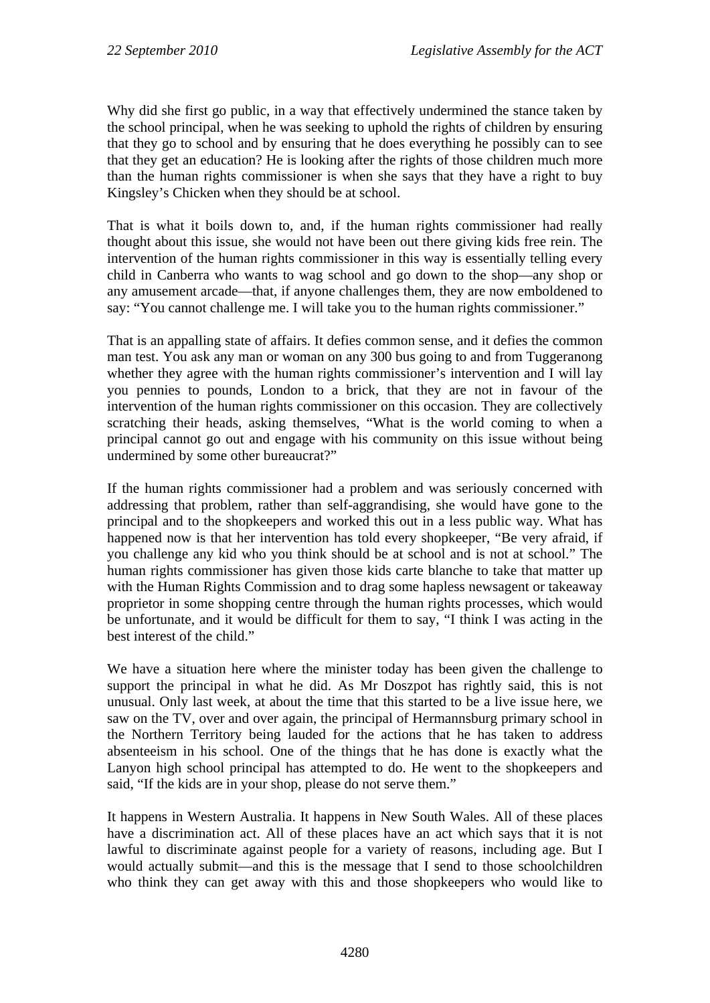Why did she first go public, in a way that effectively undermined the stance taken by the school principal, when he was seeking to uphold the rights of children by ensuring that they go to school and by ensuring that he does everything he possibly can to see that they get an education? He is looking after the rights of those children much more than the human rights commissioner is when she says that they have a right to buy Kingsley's Chicken when they should be at school.

That is what it boils down to, and, if the human rights commissioner had really thought about this issue, she would not have been out there giving kids free rein. The intervention of the human rights commissioner in this way is essentially telling every child in Canberra who wants to wag school and go down to the shop—any shop or any amusement arcade—that, if anyone challenges them, they are now emboldened to say: "You cannot challenge me. I will take you to the human rights commissioner."

That is an appalling state of affairs. It defies common sense, and it defies the common man test. You ask any man or woman on any 300 bus going to and from Tuggeranong whether they agree with the human rights commissioner's intervention and I will lay you pennies to pounds, London to a brick, that they are not in favour of the intervention of the human rights commissioner on this occasion. They are collectively scratching their heads, asking themselves, "What is the world coming to when a principal cannot go out and engage with his community on this issue without being undermined by some other bureaucrat?"

If the human rights commissioner had a problem and was seriously concerned with addressing that problem, rather than self-aggrandising, she would have gone to the principal and to the shopkeepers and worked this out in a less public way. What has happened now is that her intervention has told every shopkeeper, "Be very afraid, if you challenge any kid who you think should be at school and is not at school." The human rights commissioner has given those kids carte blanche to take that matter up with the Human Rights Commission and to drag some hapless newsagent or takeaway proprietor in some shopping centre through the human rights processes, which would be unfortunate, and it would be difficult for them to say, "I think I was acting in the best interest of the child."

We have a situation here where the minister today has been given the challenge to support the principal in what he did. As Mr Doszpot has rightly said, this is not unusual. Only last week, at about the time that this started to be a live issue here, we saw on the TV, over and over again, the principal of Hermannsburg primary school in the Northern Territory being lauded for the actions that he has taken to address absenteeism in his school. One of the things that he has done is exactly what the Lanyon high school principal has attempted to do. He went to the shopkeepers and said, "If the kids are in your shop, please do not serve them."

It happens in Western Australia. It happens in New South Wales. All of these places have a discrimination act. All of these places have an act which says that it is not lawful to discriminate against people for a variety of reasons, including age. But I would actually submit—and this is the message that I send to those schoolchildren who think they can get away with this and those shopkeepers who would like to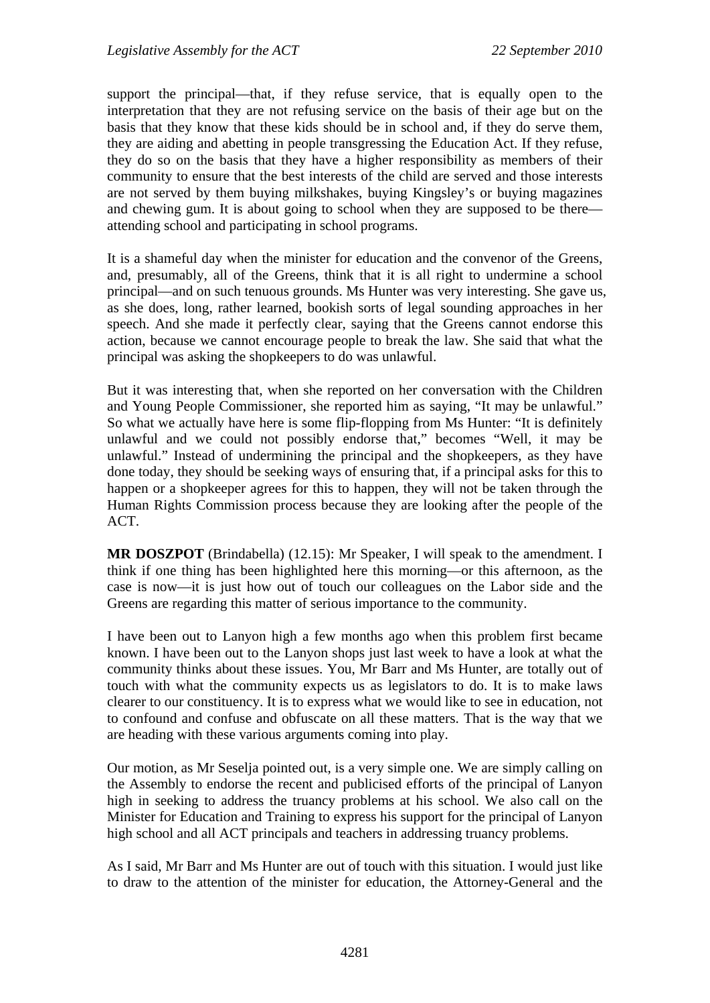support the principal—that, if they refuse service, that is equally open to the interpretation that they are not refusing service on the basis of their age but on the basis that they know that these kids should be in school and, if they do serve them, they are aiding and abetting in people transgressing the Education Act. If they refuse, they do so on the basis that they have a higher responsibility as members of their community to ensure that the best interests of the child are served and those interests are not served by them buying milkshakes, buying Kingsley's or buying magazines and chewing gum. It is about going to school when they are supposed to be there attending school and participating in school programs.

It is a shameful day when the minister for education and the convenor of the Greens, and, presumably, all of the Greens, think that it is all right to undermine a school principal—and on such tenuous grounds. Ms Hunter was very interesting. She gave us, as she does, long, rather learned, bookish sorts of legal sounding approaches in her speech. And she made it perfectly clear, saying that the Greens cannot endorse this action, because we cannot encourage people to break the law. She said that what the principal was asking the shopkeepers to do was unlawful.

But it was interesting that, when she reported on her conversation with the Children and Young People Commissioner, she reported him as saying, "It may be unlawful." So what we actually have here is some flip-flopping from Ms Hunter: "It is definitely unlawful and we could not possibly endorse that," becomes "Well, it may be unlawful." Instead of undermining the principal and the shopkeepers, as they have done today, they should be seeking ways of ensuring that, if a principal asks for this to happen or a shopkeeper agrees for this to happen, they will not be taken through the Human Rights Commission process because they are looking after the people of the ACT.

**MR DOSZPOT** (Brindabella) (12.15): Mr Speaker, I will speak to the amendment. I think if one thing has been highlighted here this morning—or this afternoon, as the case is now—it is just how out of touch our colleagues on the Labor side and the Greens are regarding this matter of serious importance to the community.

I have been out to Lanyon high a few months ago when this problem first became known. I have been out to the Lanyon shops just last week to have a look at what the community thinks about these issues. You, Mr Barr and Ms Hunter, are totally out of touch with what the community expects us as legislators to do. It is to make laws clearer to our constituency. It is to express what we would like to see in education, not to confound and confuse and obfuscate on all these matters. That is the way that we are heading with these various arguments coming into play.

Our motion, as Mr Seselja pointed out, is a very simple one. We are simply calling on the Assembly to endorse the recent and publicised efforts of the principal of Lanyon high in seeking to address the truancy problems at his school. We also call on the Minister for Education and Training to express his support for the principal of Lanyon high school and all ACT principals and teachers in addressing truancy problems.

As I said, Mr Barr and Ms Hunter are out of touch with this situation. I would just like to draw to the attention of the minister for education, the Attorney-General and the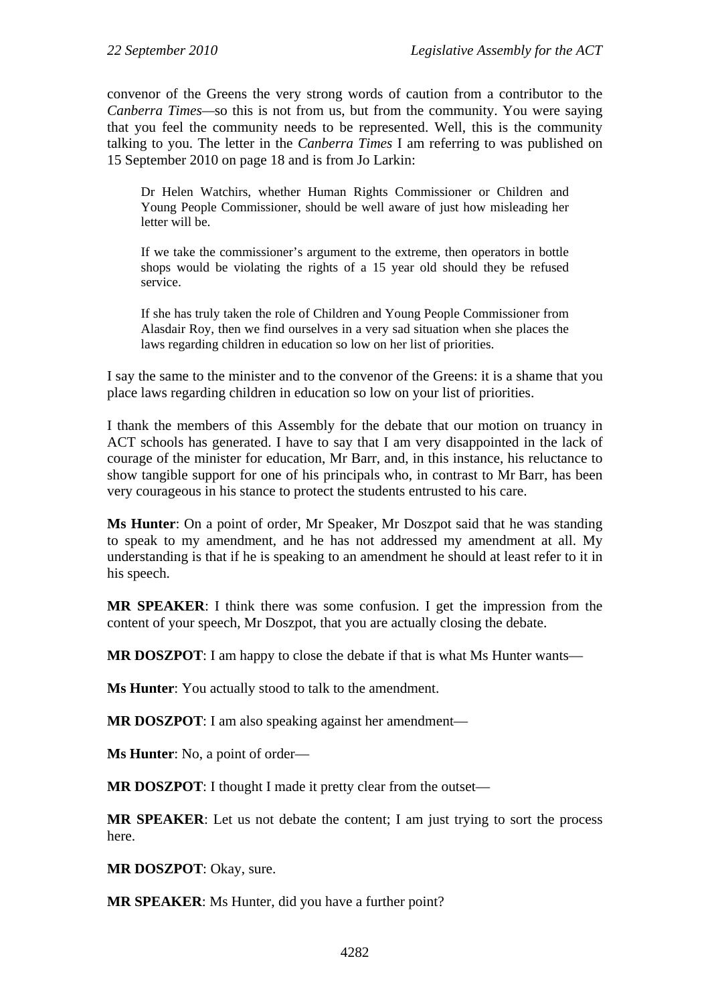convenor of the Greens the very strong words of caution from a contributor to the *Canberra Times—*so this is not from us, but from the community. You were saying that you feel the community needs to be represented. Well, this is the community talking to you. The letter in the *Canberra Times* I am referring to was published on 15 September 2010 on page 18 and is from Jo Larkin:

Dr Helen Watchirs, whether Human Rights Commissioner or Children and Young People Commissioner, should be well aware of just how misleading her letter will be.

If we take the commissioner's argument to the extreme, then operators in bottle shops would be violating the rights of a 15 year old should they be refused service.

If she has truly taken the role of Children and Young People Commissioner from Alasdair Roy, then we find ourselves in a very sad situation when she places the laws regarding children in education so low on her list of priorities.

I say the same to the minister and to the convenor of the Greens: it is a shame that you place laws regarding children in education so low on your list of priorities.

I thank the members of this Assembly for the debate that our motion on truancy in ACT schools has generated. I have to say that I am very disappointed in the lack of courage of the minister for education, Mr Barr, and, in this instance, his reluctance to show tangible support for one of his principals who, in contrast to Mr Barr, has been very courageous in his stance to protect the students entrusted to his care.

**Ms Hunter**: On a point of order, Mr Speaker, Mr Doszpot said that he was standing to speak to my amendment, and he has not addressed my amendment at all. My understanding is that if he is speaking to an amendment he should at least refer to it in his speech.

**MR SPEAKER**: I think there was some confusion. I get the impression from the content of your speech, Mr Doszpot, that you are actually closing the debate.

**MR DOSZPOT**: I am happy to close the debate if that is what Ms Hunter wants—

**Ms Hunter**: You actually stood to talk to the amendment.

**MR DOSZPOT**: I am also speaking against her amendment—

**Ms Hunter**: No, a point of order—

**MR DOSZPOT**: I thought I made it pretty clear from the outset—

**MR SPEAKER**: Let us not debate the content; I am just trying to sort the process here.

**MR DOSZPOT**: Okay, sure.

**MR SPEAKER**: Ms Hunter, did you have a further point?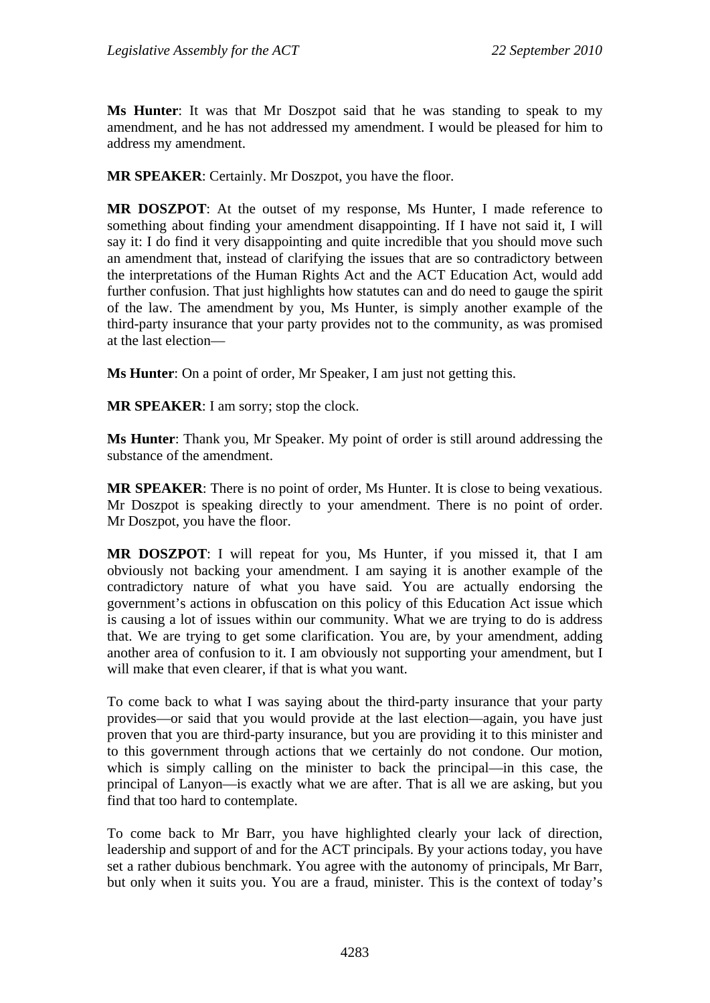**Ms Hunter**: It was that Mr Doszpot said that he was standing to speak to my amendment, and he has not addressed my amendment. I would be pleased for him to address my amendment.

**MR SPEAKER**: Certainly. Mr Doszpot, you have the floor.

**MR DOSZPOT**: At the outset of my response, Ms Hunter, I made reference to something about finding your amendment disappointing. If I have not said it, I will say it: I do find it very disappointing and quite incredible that you should move such an amendment that, instead of clarifying the issues that are so contradictory between the interpretations of the Human Rights Act and the ACT Education Act, would add further confusion. That just highlights how statutes can and do need to gauge the spirit of the law. The amendment by you, Ms Hunter, is simply another example of the third-party insurance that your party provides not to the community, as was promised at the last election—

**Ms Hunter**: On a point of order, Mr Speaker, I am just not getting this.

**MR SPEAKER**: I am sorry; stop the clock.

**Ms Hunter**: Thank you, Mr Speaker. My point of order is still around addressing the substance of the amendment.

**MR SPEAKER**: There is no point of order, Ms Hunter. It is close to being vexatious. Mr Doszpot is speaking directly to your amendment. There is no point of order. Mr Doszpot, you have the floor.

**MR DOSZPOT**: I will repeat for you, Ms Hunter, if you missed it, that I am obviously not backing your amendment. I am saying it is another example of the contradictory nature of what you have said. You are actually endorsing the government's actions in obfuscation on this policy of this Education Act issue which is causing a lot of issues within our community. What we are trying to do is address that. We are trying to get some clarification. You are, by your amendment, adding another area of confusion to it. I am obviously not supporting your amendment, but I will make that even clearer, if that is what you want.

To come back to what I was saying about the third-party insurance that your party provides—or said that you would provide at the last election—again, you have just proven that you are third-party insurance, but you are providing it to this minister and to this government through actions that we certainly do not condone. Our motion, which is simply calling on the minister to back the principal—in this case, the principal of Lanyon—is exactly what we are after. That is all we are asking, but you find that too hard to contemplate.

To come back to Mr Barr, you have highlighted clearly your lack of direction, leadership and support of and for the ACT principals. By your actions today, you have set a rather dubious benchmark. You agree with the autonomy of principals, Mr Barr, but only when it suits you. You are a fraud, minister. This is the context of today's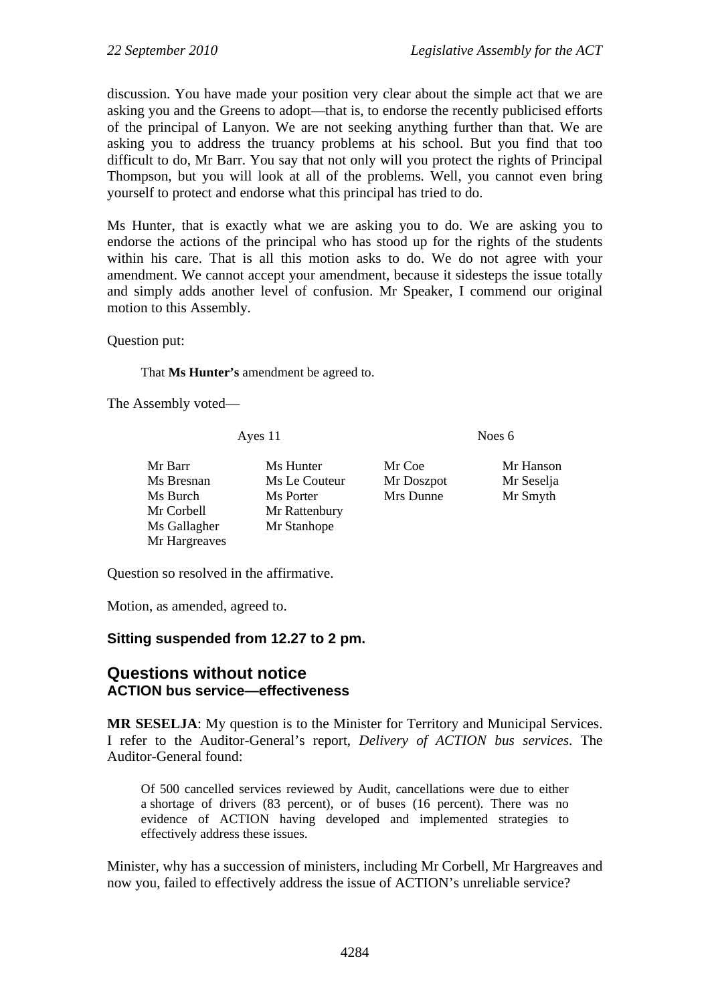discussion. You have made your position very clear about the simple act that we are asking you and the Greens to adopt—that is, to endorse the recently publicised efforts of the principal of Lanyon. We are not seeking anything further than that. We are asking you to address the truancy problems at his school. But you find that too difficult to do, Mr Barr. You say that not only will you protect the rights of Principal Thompson, but you will look at all of the problems. Well, you cannot even bring yourself to protect and endorse what this principal has tried to do.

Ms Hunter, that is exactly what we are asking you to do. We are asking you to endorse the actions of the principal who has stood up for the rights of the students within his care. That is all this motion asks to do. We do not agree with your amendment. We cannot accept your amendment, because it sidesteps the issue totally and simply adds another level of confusion. Mr Speaker, I commend our original motion to this Assembly.

Question put:

That **Ms Hunter's** amendment be agreed to.

The Assembly voted—

Ayes 11 Noes 6

Mr Barr Ms Hunter Mr Coe Mr Hanson Ms Bresnan Ms Le Couteur Mr Doszpot Mr Seselja Ms Burch Ms Porter Mrs Dunne Mr Smyth Mr Corbell Mr Rattenbury Ms Gallagher Mr Stanhope Mr Hargreaves

Question so resolved in the affirmative.

Motion, as amended, agreed to.

### **Sitting suspended from 12.27 to 2 pm.**

# **Questions without notice ACTION bus service—effectiveness**

**MR SESELJA**: My question is to the Minister for Territory and Municipal Services. I refer to the Auditor-General's report, *Delivery of ACTION bus services*. The Auditor-General found:

Of 500 cancelled services reviewed by Audit, cancellations were due to either a shortage of drivers (83 percent), or of buses (16 percent). There was no evidence of ACTION having developed and implemented strategies to effectively address these issues.

Minister, why has a succession of ministers, including Mr Corbell, Mr Hargreaves and now you, failed to effectively address the issue of ACTION's unreliable service?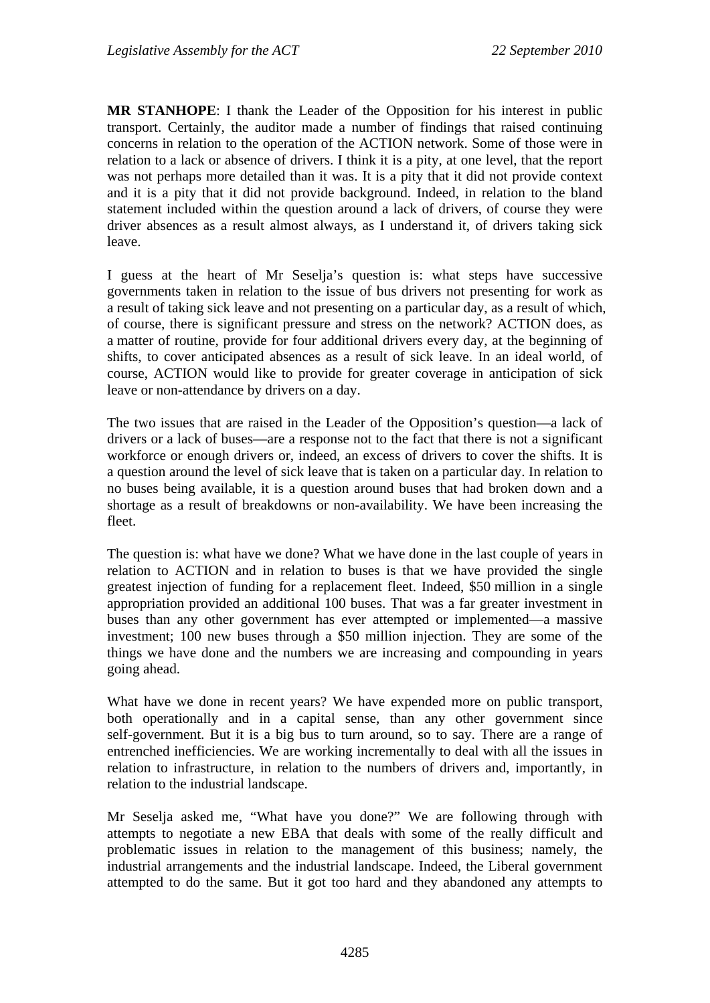**MR STANHOPE**: I thank the Leader of the Opposition for his interest in public transport. Certainly, the auditor made a number of findings that raised continuing concerns in relation to the operation of the ACTION network. Some of those were in relation to a lack or absence of drivers. I think it is a pity, at one level, that the report was not perhaps more detailed than it was. It is a pity that it did not provide context and it is a pity that it did not provide background. Indeed, in relation to the bland statement included within the question around a lack of drivers, of course they were driver absences as a result almost always, as I understand it, of drivers taking sick leave.

I guess at the heart of Mr Seselja's question is: what steps have successive governments taken in relation to the issue of bus drivers not presenting for work as a result of taking sick leave and not presenting on a particular day, as a result of which, of course, there is significant pressure and stress on the network? ACTION does, as a matter of routine, provide for four additional drivers every day, at the beginning of shifts, to cover anticipated absences as a result of sick leave. In an ideal world, of course, ACTION would like to provide for greater coverage in anticipation of sick leave or non-attendance by drivers on a day.

The two issues that are raised in the Leader of the Opposition's question—a lack of drivers or a lack of buses—are a response not to the fact that there is not a significant workforce or enough drivers or, indeed, an excess of drivers to cover the shifts. It is a question around the level of sick leave that is taken on a particular day. In relation to no buses being available, it is a question around buses that had broken down and a shortage as a result of breakdowns or non-availability. We have been increasing the fleet.

The question is: what have we done? What we have done in the last couple of years in relation to ACTION and in relation to buses is that we have provided the single greatest injection of funding for a replacement fleet. Indeed, \$50 million in a single appropriation provided an additional 100 buses. That was a far greater investment in buses than any other government has ever attempted or implemented—a massive investment; 100 new buses through a \$50 million injection. They are some of the things we have done and the numbers we are increasing and compounding in years going ahead.

What have we done in recent years? We have expended more on public transport, both operationally and in a capital sense, than any other government since self-government. But it is a big bus to turn around, so to say. There are a range of entrenched inefficiencies. We are working incrementally to deal with all the issues in relation to infrastructure, in relation to the numbers of drivers and, importantly, in relation to the industrial landscape.

Mr Seselja asked me, "What have you done?" We are following through with attempts to negotiate a new EBA that deals with some of the really difficult and problematic issues in relation to the management of this business; namely, the industrial arrangements and the industrial landscape. Indeed, the Liberal government attempted to do the same. But it got too hard and they abandoned any attempts to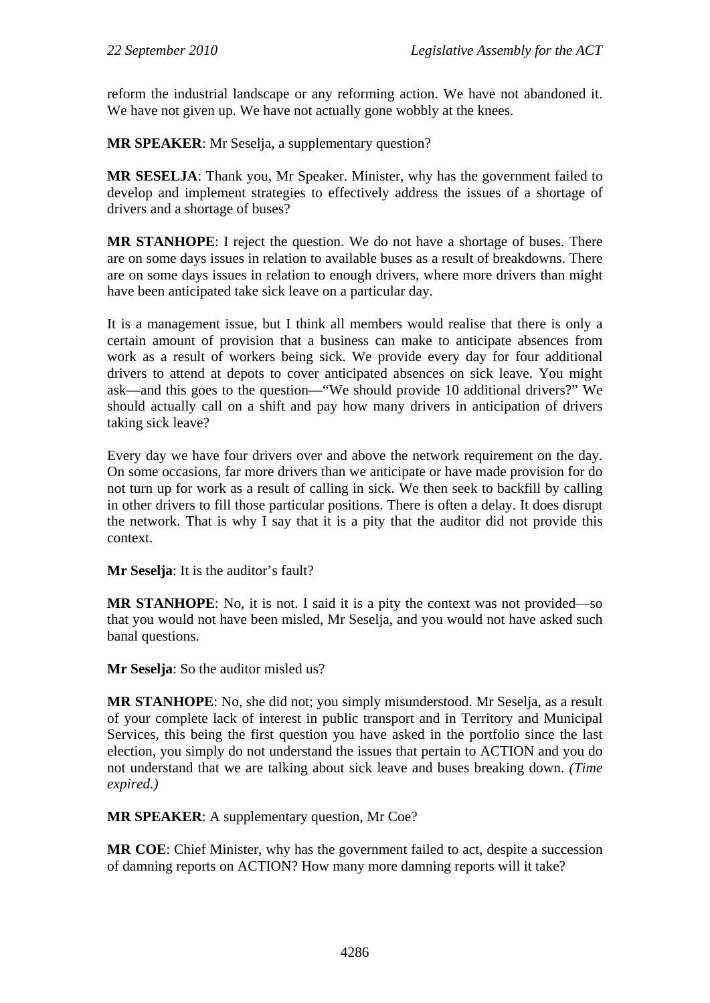reform the industrial landscape or any reforming action. We have not abandoned it. We have not given up. We have not actually gone wobbly at the knees.

**MR SPEAKER**: Mr Seselja, a supplementary question?

**MR SESELJA**: Thank you, Mr Speaker. Minister, why has the government failed to develop and implement strategies to effectively address the issues of a shortage of drivers and a shortage of buses?

**MR STANHOPE**: I reject the question. We do not have a shortage of buses. There are on some days issues in relation to available buses as a result of breakdowns. There are on some days issues in relation to enough drivers, where more drivers than might have been anticipated take sick leave on a particular day.

It is a management issue, but I think all members would realise that there is only a certain amount of provision that a business can make to anticipate absences from work as a result of workers being sick. We provide every day for four additional drivers to attend at depots to cover anticipated absences on sick leave. You might ask—and this goes to the question—"We should provide 10 additional drivers?" We should actually call on a shift and pay how many drivers in anticipation of drivers taking sick leave?

Every day we have four drivers over and above the network requirement on the day. On some occasions, far more drivers than we anticipate or have made provision for do not turn up for work as a result of calling in sick. We then seek to backfill by calling in other drivers to fill those particular positions. There is often a delay. It does disrupt the network. That is why I say that it is a pity that the auditor did not provide this context.

**Mr Seselja**: It is the auditor's fault?

**MR STANHOPE**: No, it is not. I said it is a pity the context was not provided—so that you would not have been misled, Mr Seselja, and you would not have asked such banal questions.

**Mr Seselja**: So the auditor misled us?

**MR STANHOPE**: No, she did not; you simply misunderstood. Mr Seselja, as a result of your complete lack of interest in public transport and in Territory and Municipal Services, this being the first question you have asked in the portfolio since the last election, you simply do not understand the issues that pertain to ACTION and you do not understand that we are talking about sick leave and buses breaking down. *(Time expired.)*

**MR SPEAKER**: A supplementary question, Mr Coe?

**MR COE**: Chief Minister, why has the government failed to act, despite a succession of damning reports on ACTION? How many more damning reports will it take?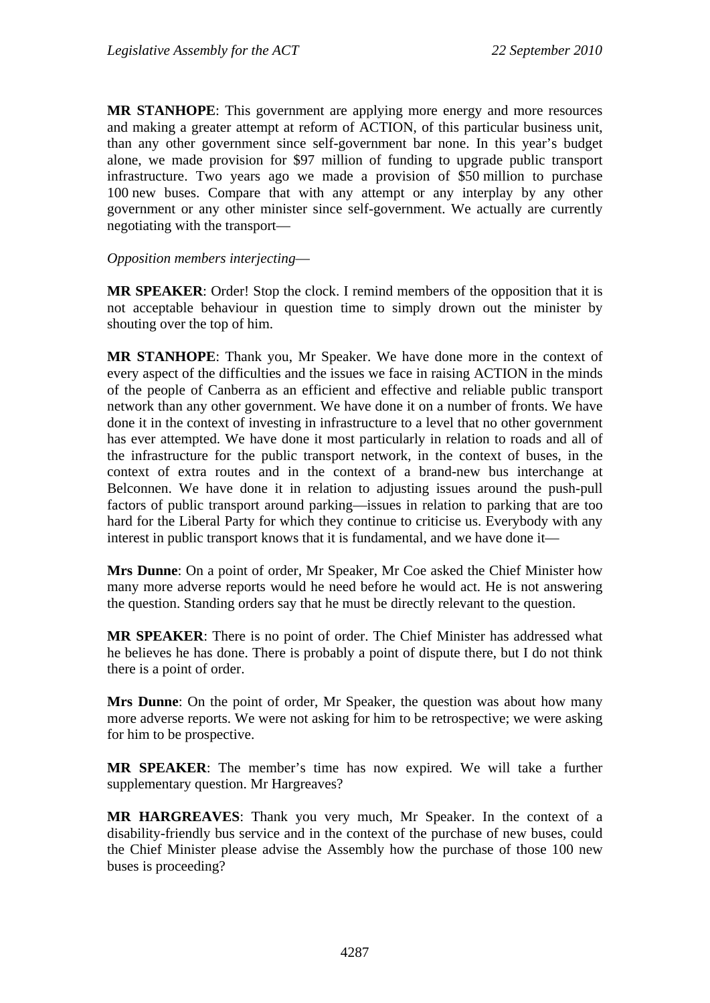**MR STANHOPE**: This government are applying more energy and more resources and making a greater attempt at reform of ACTION, of this particular business unit, than any other government since self-government bar none. In this year's budget alone, we made provision for \$97 million of funding to upgrade public transport infrastructure. Two years ago we made a provision of \$50 million to purchase 100 new buses. Compare that with any attempt or any interplay by any other government or any other minister since self-government. We actually are currently negotiating with the transport—

### *Opposition members interjecting*—

**MR SPEAKER**: Order! Stop the clock. I remind members of the opposition that it is not acceptable behaviour in question time to simply drown out the minister by shouting over the top of him.

**MR STANHOPE**: Thank you, Mr Speaker. We have done more in the context of every aspect of the difficulties and the issues we face in raising ACTION in the minds of the people of Canberra as an efficient and effective and reliable public transport network than any other government. We have done it on a number of fronts. We have done it in the context of investing in infrastructure to a level that no other government has ever attempted. We have done it most particularly in relation to roads and all of the infrastructure for the public transport network, in the context of buses, in the context of extra routes and in the context of a brand-new bus interchange at Belconnen. We have done it in relation to adjusting issues around the push-pull factors of public transport around parking—issues in relation to parking that are too hard for the Liberal Party for which they continue to criticise us. Everybody with any interest in public transport knows that it is fundamental, and we have done it—

**Mrs Dunne**: On a point of order, Mr Speaker, Mr Coe asked the Chief Minister how many more adverse reports would he need before he would act. He is not answering the question. Standing orders say that he must be directly relevant to the question.

**MR SPEAKER**: There is no point of order. The Chief Minister has addressed what he believes he has done. There is probably a point of dispute there, but I do not think there is a point of order.

**Mrs Dunne**: On the point of order, Mr Speaker, the question was about how many more adverse reports. We were not asking for him to be retrospective; we were asking for him to be prospective.

**MR SPEAKER**: The member's time has now expired. We will take a further supplementary question. Mr Hargreaves?

**MR HARGREAVES**: Thank you very much, Mr Speaker. In the context of a disability-friendly bus service and in the context of the purchase of new buses, could the Chief Minister please advise the Assembly how the purchase of those 100 new buses is proceeding?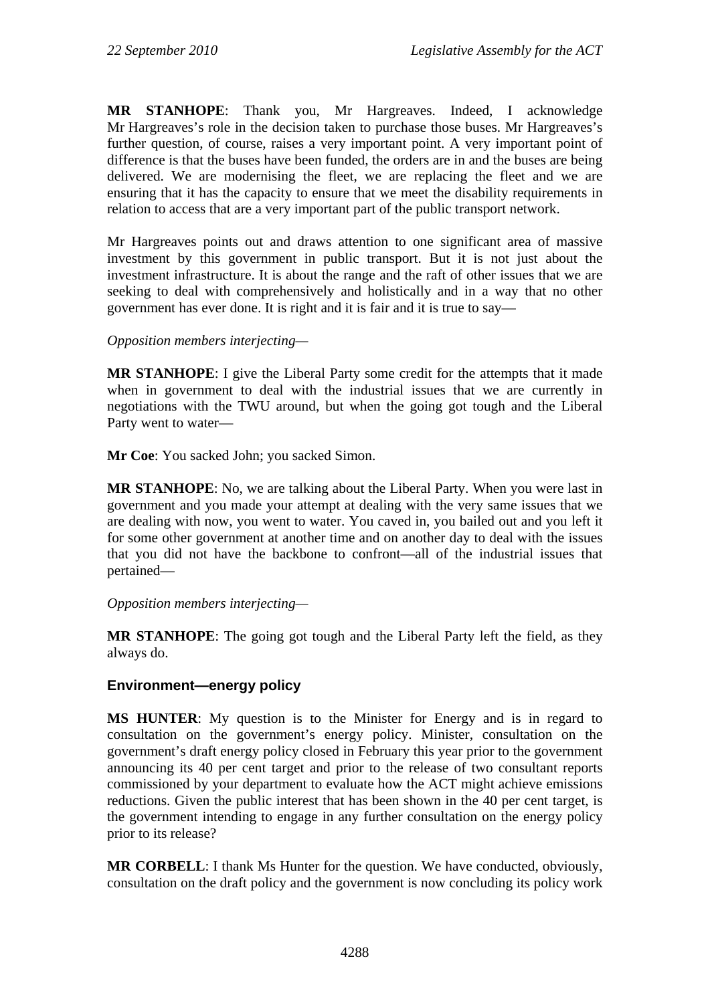**MR STANHOPE**: Thank you, Mr Hargreaves. Indeed, I acknowledge Mr Hargreaves's role in the decision taken to purchase those buses. Mr Hargreaves's further question, of course, raises a very important point. A very important point of difference is that the buses have been funded, the orders are in and the buses are being delivered. We are modernising the fleet, we are replacing the fleet and we are ensuring that it has the capacity to ensure that we meet the disability requirements in relation to access that are a very important part of the public transport network.

Mr Hargreaves points out and draws attention to one significant area of massive investment by this government in public transport. But it is not just about the investment infrastructure. It is about the range and the raft of other issues that we are seeking to deal with comprehensively and holistically and in a way that no other government has ever done. It is right and it is fair and it is true to say—

### *Opposition members interjecting—*

**MR STANHOPE**: I give the Liberal Party some credit for the attempts that it made when in government to deal with the industrial issues that we are currently in negotiations with the TWU around, but when the going got tough and the Liberal Party went to water—

**Mr Coe**: You sacked John; you sacked Simon.

**MR STANHOPE**: No, we are talking about the Liberal Party. When you were last in government and you made your attempt at dealing with the very same issues that we are dealing with now, you went to water. You caved in, you bailed out and you left it for some other government at another time and on another day to deal with the issues that you did not have the backbone to confront—all of the industrial issues that pertained—

### *Opposition members interjecting—*

**MR STANHOPE**: The going got tough and the Liberal Party left the field, as they always do.

### **Environment—energy policy**

**MS HUNTER**: My question is to the Minister for Energy and is in regard to consultation on the government's energy policy. Minister, consultation on the government's draft energy policy closed in February this year prior to the government announcing its 40 per cent target and prior to the release of two consultant reports commissioned by your department to evaluate how the ACT might achieve emissions reductions. Given the public interest that has been shown in the 40 per cent target, is the government intending to engage in any further consultation on the energy policy prior to its release?

**MR CORBELL**: I thank Ms Hunter for the question. We have conducted, obviously, consultation on the draft policy and the government is now concluding its policy work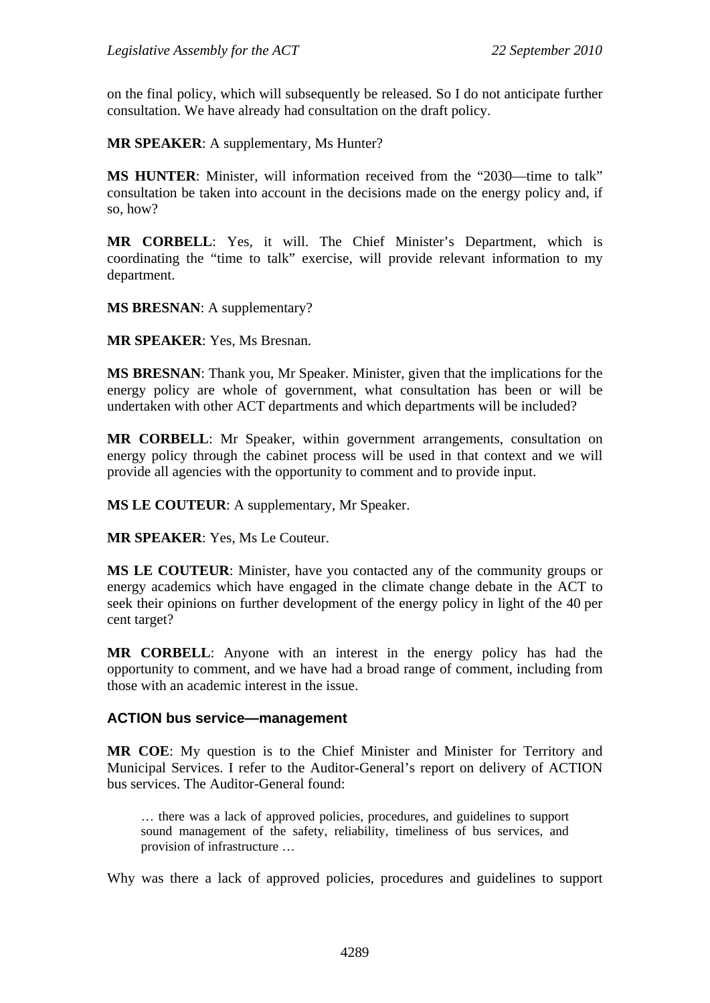on the final policy, which will subsequently be released. So I do not anticipate further consultation. We have already had consultation on the draft policy.

**MR SPEAKER**: A supplementary, Ms Hunter?

**MS HUNTER:** Minister, will information received from the "2030—time to talk" consultation be taken into account in the decisions made on the energy policy and, if so, how?

**MR CORBELL**: Yes, it will. The Chief Minister's Department, which is coordinating the "time to talk" exercise, will provide relevant information to my department.

**MS BRESNAN**: A supplementary?

**MR SPEAKER**: Yes, Ms Bresnan.

**MS BRESNAN**: Thank you, Mr Speaker. Minister, given that the implications for the energy policy are whole of government, what consultation has been or will be undertaken with other ACT departments and which departments will be included?

**MR CORBELL**: Mr Speaker, within government arrangements, consultation on energy policy through the cabinet process will be used in that context and we will provide all agencies with the opportunity to comment and to provide input.

**MS LE COUTEUR**: A supplementary, Mr Speaker.

**MR SPEAKER**: Yes, Ms Le Couteur.

**MS LE COUTEUR**: Minister, have you contacted any of the community groups or energy academics which have engaged in the climate change debate in the ACT to seek their opinions on further development of the energy policy in light of the 40 per cent target?

**MR CORBELL**: Anyone with an interest in the energy policy has had the opportunity to comment, and we have had a broad range of comment, including from those with an academic interest in the issue.

#### **ACTION bus service—management**

**MR COE**: My question is to the Chief Minister and Minister for Territory and Municipal Services. I refer to the Auditor-General's report on delivery of ACTION bus services. The Auditor-General found:

… there was a lack of approved policies, procedures, and guidelines to support sound management of the safety, reliability, timeliness of bus services, and provision of infrastructure …

Why was there a lack of approved policies, procedures and guidelines to support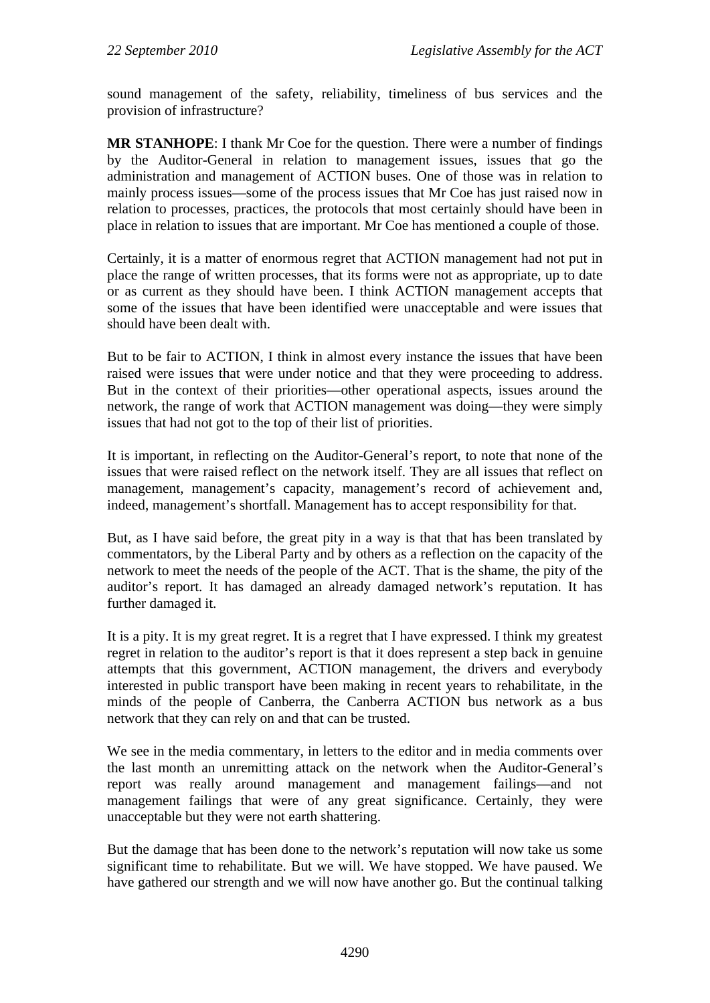sound management of the safety, reliability, timeliness of bus services and the provision of infrastructure?

**MR STANHOPE**: I thank Mr Coe for the question. There were a number of findings by the Auditor-General in relation to management issues, issues that go the administration and management of ACTION buses. One of those was in relation to mainly process issues—some of the process issues that Mr Coe has just raised now in relation to processes, practices, the protocols that most certainly should have been in place in relation to issues that are important. Mr Coe has mentioned a couple of those.

Certainly, it is a matter of enormous regret that ACTION management had not put in place the range of written processes, that its forms were not as appropriate, up to date or as current as they should have been. I think ACTION management accepts that some of the issues that have been identified were unacceptable and were issues that should have been dealt with.

But to be fair to ACTION, I think in almost every instance the issues that have been raised were issues that were under notice and that they were proceeding to address. But in the context of their priorities—other operational aspects, issues around the network, the range of work that ACTION management was doing—they were simply issues that had not got to the top of their list of priorities.

It is important, in reflecting on the Auditor-General's report, to note that none of the issues that were raised reflect on the network itself. They are all issues that reflect on management, management's capacity, management's record of achievement and, indeed, management's shortfall. Management has to accept responsibility for that.

But, as I have said before, the great pity in a way is that that has been translated by commentators, by the Liberal Party and by others as a reflection on the capacity of the network to meet the needs of the people of the ACT. That is the shame, the pity of the auditor's report. It has damaged an already damaged network's reputation. It has further damaged it.

It is a pity. It is my great regret. It is a regret that I have expressed. I think my greatest regret in relation to the auditor's report is that it does represent a step back in genuine attempts that this government, ACTION management, the drivers and everybody interested in public transport have been making in recent years to rehabilitate, in the minds of the people of Canberra, the Canberra ACTION bus network as a bus network that they can rely on and that can be trusted.

We see in the media commentary, in letters to the editor and in media comments over the last month an unremitting attack on the network when the Auditor-General's report was really around management and management failings—and not management failings that were of any great significance. Certainly, they were unacceptable but they were not earth shattering.

But the damage that has been done to the network's reputation will now take us some significant time to rehabilitate. But we will. We have stopped. We have paused. We have gathered our strength and we will now have another go. But the continual talking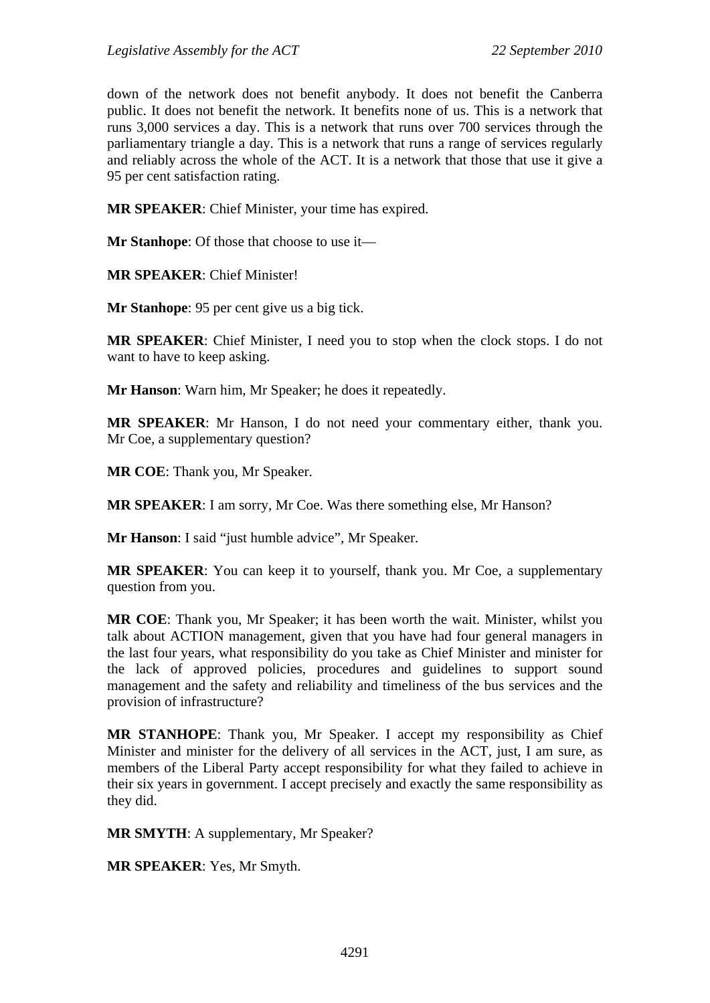down of the network does not benefit anybody. It does not benefit the Canberra public. It does not benefit the network. It benefits none of us. This is a network that runs 3,000 services a day. This is a network that runs over 700 services through the parliamentary triangle a day. This is a network that runs a range of services regularly and reliably across the whole of the ACT. It is a network that those that use it give a 95 per cent satisfaction rating.

**MR SPEAKER**: Chief Minister, your time has expired.

**Mr Stanhope:** Of those that choose to use it—

**MR SPEAKER**: Chief Minister!

**Mr Stanhope**: 95 per cent give us a big tick.

**MR SPEAKER**: Chief Minister, I need you to stop when the clock stops. I do not want to have to keep asking.

**Mr Hanson**: Warn him, Mr Speaker; he does it repeatedly.

**MR SPEAKER**: Mr Hanson, I do not need your commentary either, thank you. Mr Coe, a supplementary question?

**MR COE**: Thank you, Mr Speaker.

**MR SPEAKER**: I am sorry, Mr Coe. Was there something else, Mr Hanson?

**Mr Hanson**: I said "just humble advice", Mr Speaker.

**MR SPEAKER**: You can keep it to yourself, thank you. Mr Coe, a supplementary question from you.

**MR COE**: Thank you, Mr Speaker; it has been worth the wait. Minister, whilst you talk about ACTION management, given that you have had four general managers in the last four years, what responsibility do you take as Chief Minister and minister for the lack of approved policies, procedures and guidelines to support sound management and the safety and reliability and timeliness of the bus services and the provision of infrastructure?

**MR STANHOPE**: Thank you, Mr Speaker. I accept my responsibility as Chief Minister and minister for the delivery of all services in the ACT, just, I am sure, as members of the Liberal Party accept responsibility for what they failed to achieve in their six years in government. I accept precisely and exactly the same responsibility as they did.

**MR SMYTH**: A supplementary, Mr Speaker?

**MR SPEAKER**: Yes, Mr Smyth.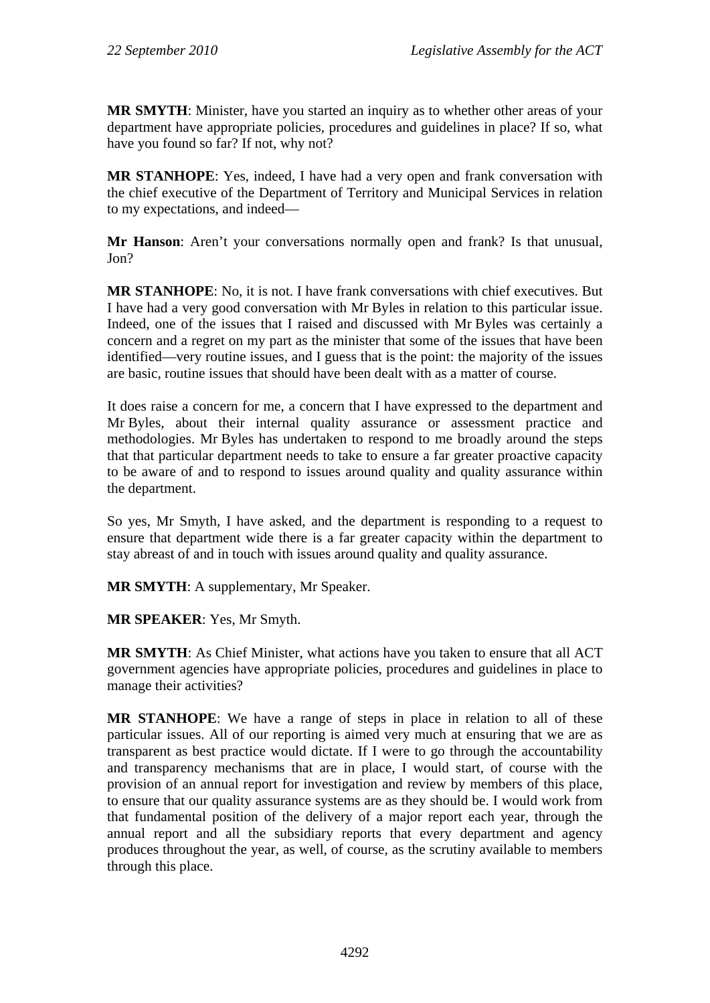**MR SMYTH**: Minister, have you started an inquiry as to whether other areas of your department have appropriate policies, procedures and guidelines in place? If so, what have you found so far? If not, why not?

**MR STANHOPE**: Yes, indeed, I have had a very open and frank conversation with the chief executive of the Department of Territory and Municipal Services in relation to my expectations, and indeed—

**Mr Hanson**: Aren't your conversations normally open and frank? Is that unusual, Jon?

**MR STANHOPE**: No, it is not. I have frank conversations with chief executives. But I have had a very good conversation with Mr Byles in relation to this particular issue. Indeed, one of the issues that I raised and discussed with Mr Byles was certainly a concern and a regret on my part as the minister that some of the issues that have been identified—very routine issues, and I guess that is the point: the majority of the issues are basic, routine issues that should have been dealt with as a matter of course.

It does raise a concern for me, a concern that I have expressed to the department and Mr Byles, about their internal quality assurance or assessment practice and methodologies. Mr Byles has undertaken to respond to me broadly around the steps that that particular department needs to take to ensure a far greater proactive capacity to be aware of and to respond to issues around quality and quality assurance within the department.

So yes, Mr Smyth, I have asked, and the department is responding to a request to ensure that department wide there is a far greater capacity within the department to stay abreast of and in touch with issues around quality and quality assurance.

**MR SMYTH**: A supplementary, Mr Speaker.

**MR SPEAKER**: Yes, Mr Smyth.

**MR SMYTH**: As Chief Minister, what actions have you taken to ensure that all ACT government agencies have appropriate policies, procedures and guidelines in place to manage their activities?

**MR STANHOPE**: We have a range of steps in place in relation to all of these particular issues. All of our reporting is aimed very much at ensuring that we are as transparent as best practice would dictate. If I were to go through the accountability and transparency mechanisms that are in place, I would start, of course with the provision of an annual report for investigation and review by members of this place, to ensure that our quality assurance systems are as they should be. I would work from that fundamental position of the delivery of a major report each year, through the annual report and all the subsidiary reports that every department and agency produces throughout the year, as well, of course, as the scrutiny available to members through this place.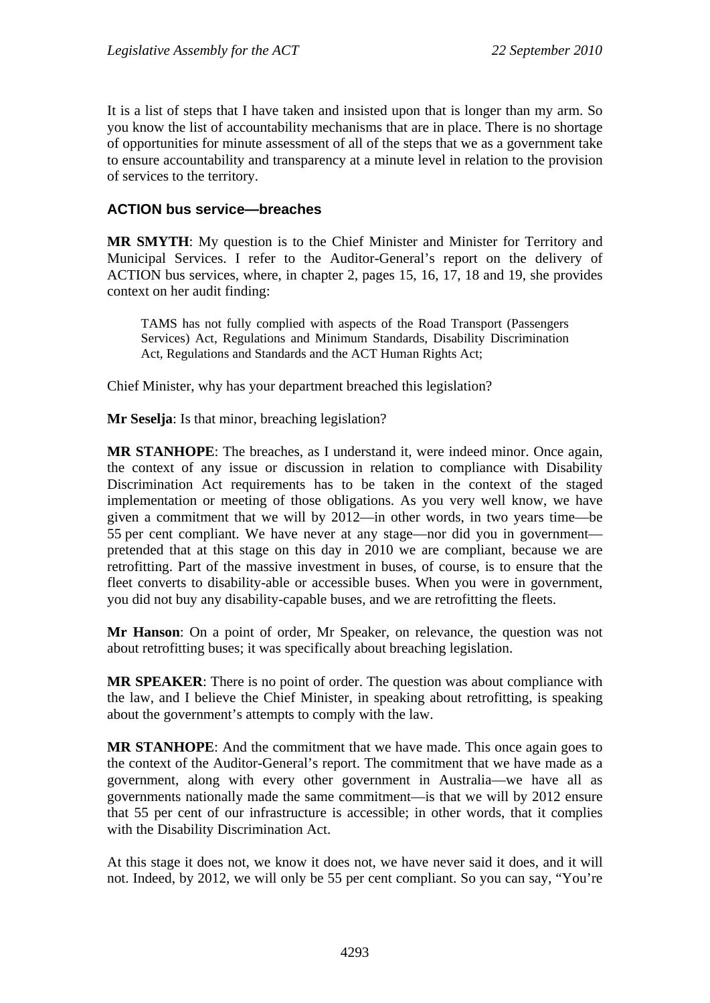It is a list of steps that I have taken and insisted upon that is longer than my arm. So you know the list of accountability mechanisms that are in place. There is no shortage of opportunities for minute assessment of all of the steps that we as a government take to ensure accountability and transparency at a minute level in relation to the provision of services to the territory.

## **ACTION bus service—breaches**

**MR SMYTH**: My question is to the Chief Minister and Minister for Territory and Municipal Services. I refer to the Auditor-General's report on the delivery of ACTION bus services, where, in chapter 2, pages 15, 16, 17, 18 and 19, she provides context on her audit finding:

TAMS has not fully complied with aspects of the Road Transport (Passengers Services) Act, Regulations and Minimum Standards, Disability Discrimination Act, Regulations and Standards and the ACT Human Rights Act;

Chief Minister, why has your department breached this legislation?

**Mr Seselja**: Is that minor, breaching legislation?

**MR STANHOPE**: The breaches, as I understand it, were indeed minor. Once again, the context of any issue or discussion in relation to compliance with Disability Discrimination Act requirements has to be taken in the context of the staged implementation or meeting of those obligations. As you very well know, we have given a commitment that we will by 2012—in other words, in two years time—be 55 per cent compliant. We have never at any stage—nor did you in government pretended that at this stage on this day in 2010 we are compliant, because we are retrofitting. Part of the massive investment in buses, of course, is to ensure that the fleet converts to disability-able or accessible buses. When you were in government, you did not buy any disability-capable buses, and we are retrofitting the fleets.

**Mr Hanson**: On a point of order, Mr Speaker, on relevance, the question was not about retrofitting buses; it was specifically about breaching legislation.

**MR SPEAKER**: There is no point of order. The question was about compliance with the law, and I believe the Chief Minister, in speaking about retrofitting, is speaking about the government's attempts to comply with the law.

**MR STANHOPE**: And the commitment that we have made. This once again goes to the context of the Auditor-General's report. The commitment that we have made as a government, along with every other government in Australia—we have all as governments nationally made the same commitment—is that we will by 2012 ensure that 55 per cent of our infrastructure is accessible; in other words, that it complies with the Disability Discrimination Act.

At this stage it does not, we know it does not, we have never said it does, and it will not. Indeed, by 2012, we will only be 55 per cent compliant. So you can say, "You're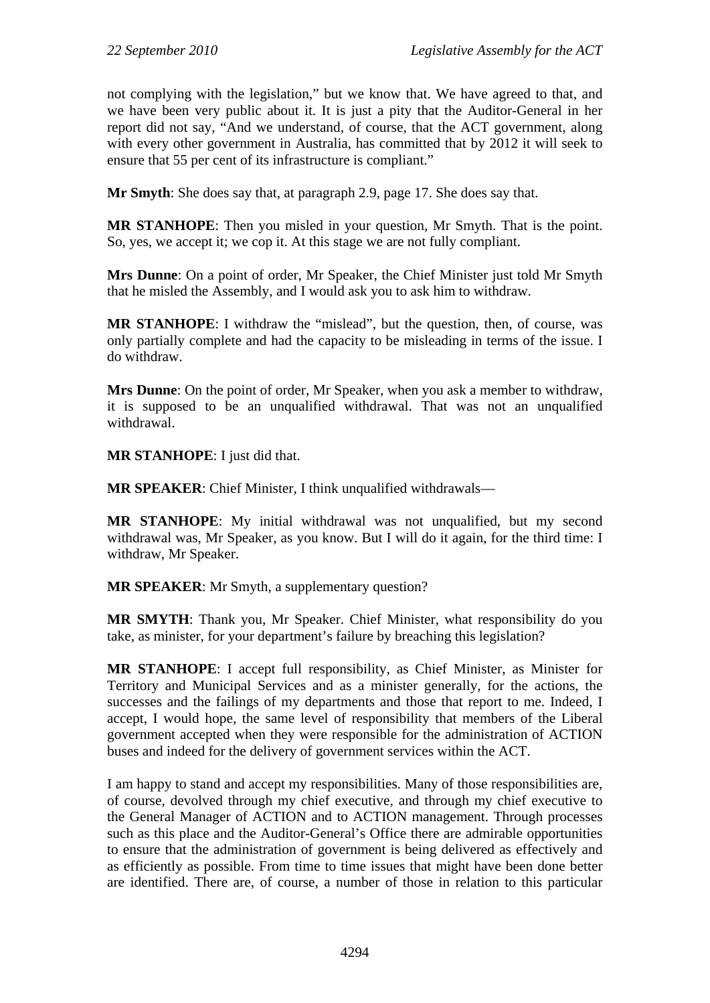not complying with the legislation," but we know that. We have agreed to that, and we have been very public about it. It is just a pity that the Auditor-General in her report did not say, "And we understand, of course, that the ACT government, along with every other government in Australia, has committed that by 2012 it will seek to ensure that 55 per cent of its infrastructure is compliant."

**Mr Smyth**: She does say that, at paragraph 2.9, page 17. She does say that.

**MR STANHOPE**: Then you misled in your question, Mr Smyth. That is the point. So, yes, we accept it; we cop it. At this stage we are not fully compliant.

**Mrs Dunne**: On a point of order, Mr Speaker, the Chief Minister just told Mr Smyth that he misled the Assembly, and I would ask you to ask him to withdraw.

**MR STANHOPE**: I withdraw the "mislead", but the question, then, of course, was only partially complete and had the capacity to be misleading in terms of the issue. I do withdraw.

**Mrs Dunne**: On the point of order, Mr Speaker, when you ask a member to withdraw, it is supposed to be an unqualified withdrawal. That was not an unqualified withdrawal.

**MR STANHOPE**: I just did that.

**MR SPEAKER**: Chief Minister, I think unqualified withdrawals—

**MR STANHOPE**: My initial withdrawal was not unqualified, but my second withdrawal was, Mr Speaker, as you know. But I will do it again, for the third time: I withdraw, Mr Speaker.

**MR SPEAKER**: Mr Smyth, a supplementary question?

**MR SMYTH**: Thank you, Mr Speaker. Chief Minister, what responsibility do you take, as minister, for your department's failure by breaching this legislation?

**MR STANHOPE**: I accept full responsibility, as Chief Minister, as Minister for Territory and Municipal Services and as a minister generally, for the actions, the successes and the failings of my departments and those that report to me. Indeed, I accept, I would hope, the same level of responsibility that members of the Liberal government accepted when they were responsible for the administration of ACTION buses and indeed for the delivery of government services within the ACT.

I am happy to stand and accept my responsibilities. Many of those responsibilities are, of course, devolved through my chief executive, and through my chief executive to the General Manager of ACTION and to ACTION management. Through processes such as this place and the Auditor-General's Office there are admirable opportunities to ensure that the administration of government is being delivered as effectively and as efficiently as possible. From time to time issues that might have been done better are identified. There are, of course, a number of those in relation to this particular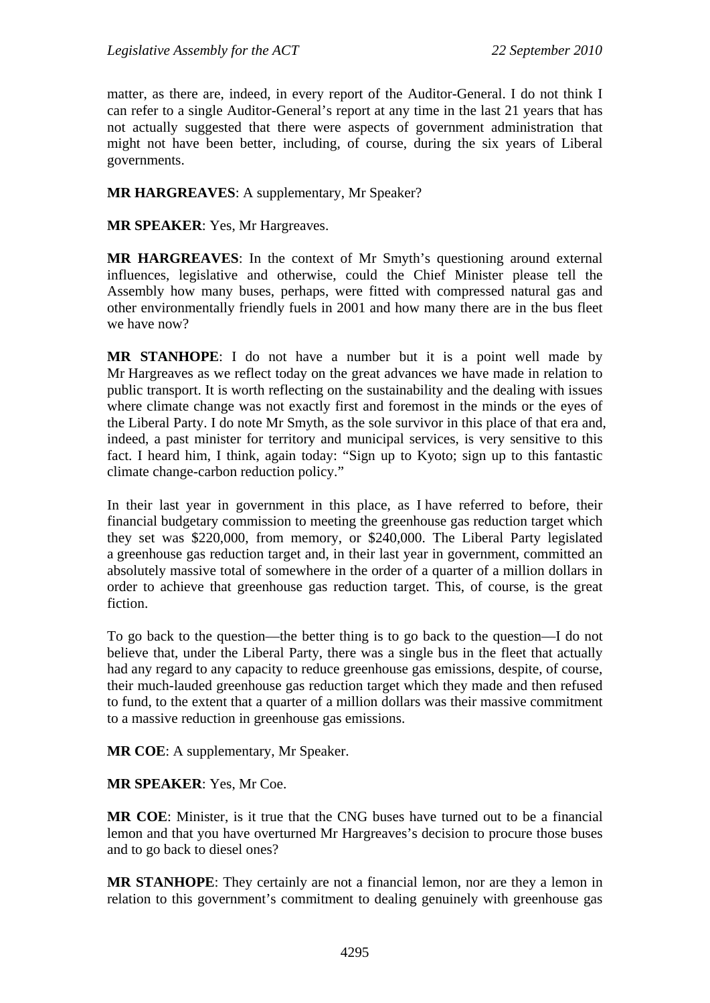matter, as there are, indeed, in every report of the Auditor-General. I do not think I can refer to a single Auditor-General's report at any time in the last 21 years that has not actually suggested that there were aspects of government administration that might not have been better, including, of course, during the six years of Liberal governments.

### **MR HARGREAVES**: A supplementary, Mr Speaker?

**MR SPEAKER**: Yes, Mr Hargreaves.

**MR HARGREAVES**: In the context of Mr Smyth's questioning around external influences, legislative and otherwise, could the Chief Minister please tell the Assembly how many buses, perhaps, were fitted with compressed natural gas and other environmentally friendly fuels in 2001 and how many there are in the bus fleet we have now?

**MR STANHOPE**: I do not have a number but it is a point well made by Mr Hargreaves as we reflect today on the great advances we have made in relation to public transport. It is worth reflecting on the sustainability and the dealing with issues where climate change was not exactly first and foremost in the minds or the eyes of the Liberal Party. I do note Mr Smyth, as the sole survivor in this place of that era and, indeed, a past minister for territory and municipal services, is very sensitive to this fact. I heard him, I think, again today: "Sign up to Kyoto; sign up to this fantastic climate change-carbon reduction policy."

In their last year in government in this place, as I have referred to before, their financial budgetary commission to meeting the greenhouse gas reduction target which they set was \$220,000, from memory, or \$240,000. The Liberal Party legislated a greenhouse gas reduction target and, in their last year in government, committed an absolutely massive total of somewhere in the order of a quarter of a million dollars in order to achieve that greenhouse gas reduction target. This, of course, is the great fiction.

To go back to the question—the better thing is to go back to the question—I do not believe that, under the Liberal Party, there was a single bus in the fleet that actually had any regard to any capacity to reduce greenhouse gas emissions, despite, of course, their much-lauded greenhouse gas reduction target which they made and then refused to fund, to the extent that a quarter of a million dollars was their massive commitment to a massive reduction in greenhouse gas emissions.

**MR COE**: A supplementary, Mr Speaker.

**MR SPEAKER**: Yes, Mr Coe.

**MR COE**: Minister, is it true that the CNG buses have turned out to be a financial lemon and that you have overturned Mr Hargreaves's decision to procure those buses and to go back to diesel ones?

**MR STANHOPE**: They certainly are not a financial lemon, nor are they a lemon in relation to this government's commitment to dealing genuinely with greenhouse gas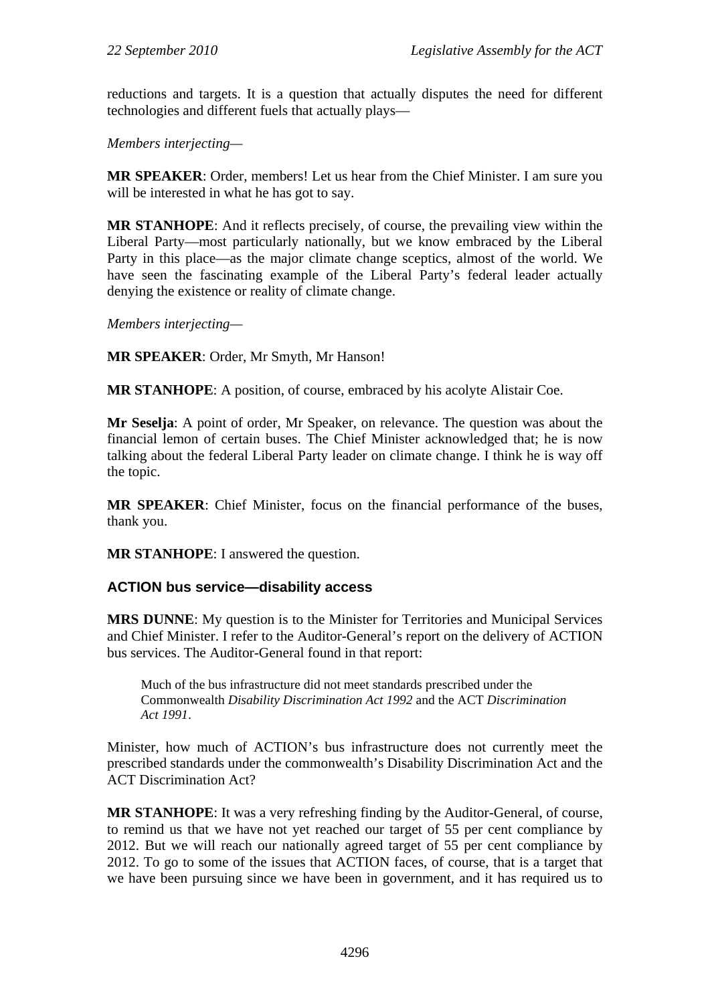reductions and targets. It is a question that actually disputes the need for different technologies and different fuels that actually plays—

*Members interjecting—*

**MR SPEAKER**: Order, members! Let us hear from the Chief Minister. I am sure you will be interested in what he has got to say.

**MR STANHOPE**: And it reflects precisely, of course, the prevailing view within the Liberal Party—most particularly nationally, but we know embraced by the Liberal Party in this place—as the major climate change sceptics, almost of the world. We have seen the fascinating example of the Liberal Party's federal leader actually denying the existence or reality of climate change.

*Members interjecting—* 

**MR SPEAKER**: Order, Mr Smyth, Mr Hanson!

**MR STANHOPE**: A position, of course, embraced by his acolyte Alistair Coe.

**Mr Seselja**: A point of order, Mr Speaker, on relevance. The question was about the financial lemon of certain buses. The Chief Minister acknowledged that; he is now talking about the federal Liberal Party leader on climate change. I think he is way off the topic.

**MR SPEAKER**: Chief Minister, focus on the financial performance of the buses, thank you.

**MR STANHOPE**: I answered the question.

### **ACTION bus service—disability access**

**MRS DUNNE**: My question is to the Minister for Territories and Municipal Services and Chief Minister. I refer to the Auditor-General's report on the delivery of ACTION bus services. The Auditor-General found in that report:

Much of the bus infrastructure did not meet standards prescribed under the Commonwealth *Disability Discrimination Act 1992* and the ACT *Discrimination Act 1991*.

Minister, how much of ACTION's bus infrastructure does not currently meet the prescribed standards under the commonwealth's Disability Discrimination Act and the ACT Discrimination Act?

**MR STANHOPE**: It was a very refreshing finding by the Auditor-General, of course, to remind us that we have not yet reached our target of 55 per cent compliance by 2012. But we will reach our nationally agreed target of 55 per cent compliance by 2012. To go to some of the issues that ACTION faces, of course, that is a target that we have been pursuing since we have been in government, and it has required us to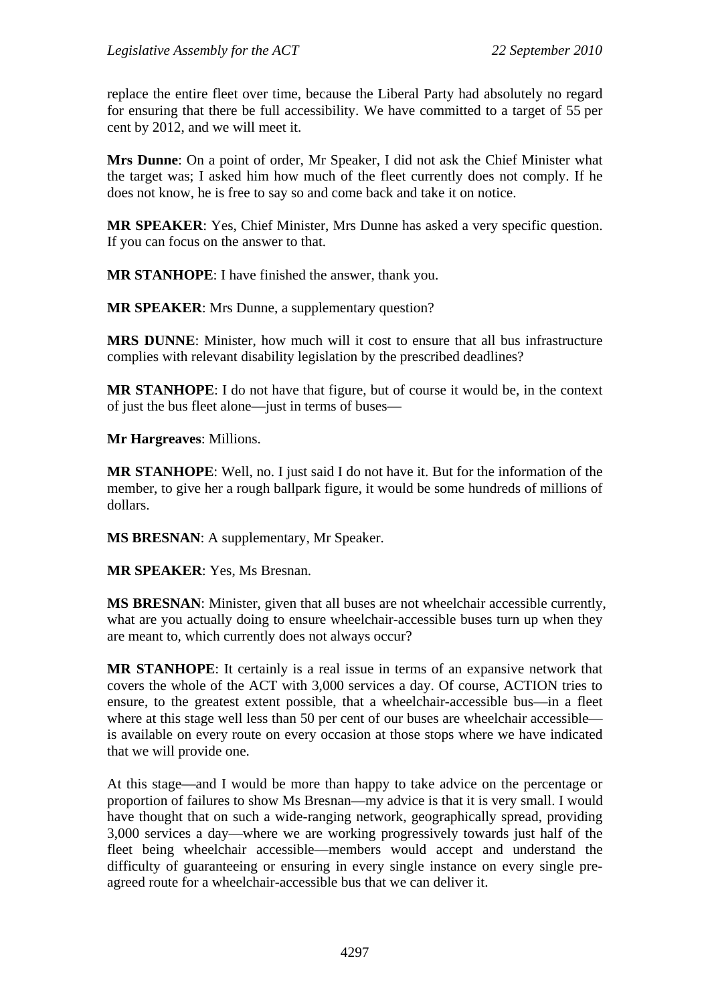replace the entire fleet over time, because the Liberal Party had absolutely no regard for ensuring that there be full accessibility. We have committed to a target of 55 per cent by 2012, and we will meet it.

**Mrs Dunne**: On a point of order, Mr Speaker, I did not ask the Chief Minister what the target was; I asked him how much of the fleet currently does not comply. If he does not know, he is free to say so and come back and take it on notice.

**MR SPEAKER**: Yes, Chief Minister, Mrs Dunne has asked a very specific question. If you can focus on the answer to that.

**MR STANHOPE**: I have finished the answer, thank you.

**MR SPEAKER:** Mrs Dunne, a supplementary question?

**MRS DUNNE**: Minister, how much will it cost to ensure that all bus infrastructure complies with relevant disability legislation by the prescribed deadlines?

**MR STANHOPE**: I do not have that figure, but of course it would be, in the context of just the bus fleet alone—just in terms of buses—

**Mr Hargreaves**: Millions.

**MR STANHOPE**: Well, no. I just said I do not have it. But for the information of the member, to give her a rough ballpark figure, it would be some hundreds of millions of dollars.

**MS BRESNAN**: A supplementary, Mr Speaker.

**MR SPEAKER**: Yes, Ms Bresnan.

**MS BRESNAN**: Minister, given that all buses are not wheelchair accessible currently, what are you actually doing to ensure wheelchair-accessible buses turn up when they are meant to, which currently does not always occur?

**MR STANHOPE**: It certainly is a real issue in terms of an expansive network that covers the whole of the ACT with 3,000 services a day. Of course, ACTION tries to ensure, to the greatest extent possible, that a wheelchair-accessible bus—in a fleet where at this stage well less than 50 per cent of our buses are wheelchair accessible is available on every route on every occasion at those stops where we have indicated that we will provide one.

At this stage—and I would be more than happy to take advice on the percentage or proportion of failures to show Ms Bresnan—my advice is that it is very small. I would have thought that on such a wide-ranging network, geographically spread, providing 3,000 services a day—where we are working progressively towards just half of the fleet being wheelchair accessible—members would accept and understand the difficulty of guaranteeing or ensuring in every single instance on every single preagreed route for a wheelchair-accessible bus that we can deliver it.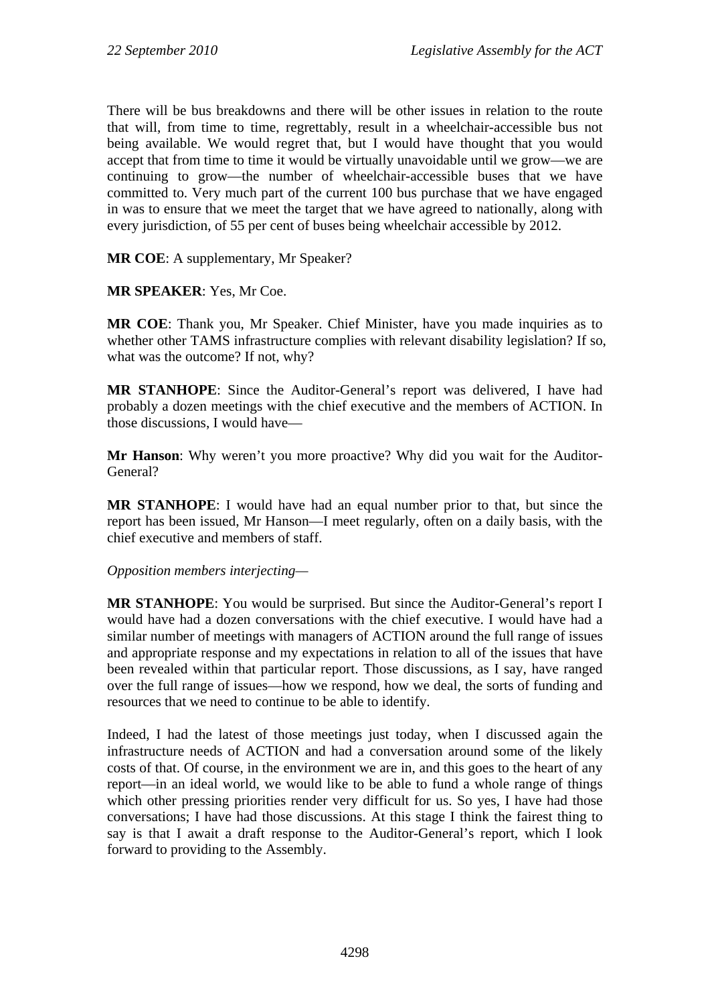There will be bus breakdowns and there will be other issues in relation to the route that will, from time to time, regrettably, result in a wheelchair-accessible bus not being available. We would regret that, but I would have thought that you would accept that from time to time it would be virtually unavoidable until we grow—we are continuing to grow—the number of wheelchair-accessible buses that we have committed to. Very much part of the current 100 bus purchase that we have engaged in was to ensure that we meet the target that we have agreed to nationally, along with every jurisdiction, of 55 per cent of buses being wheelchair accessible by 2012.

**MR COE**: A supplementary, Mr Speaker?

**MR SPEAKER**: Yes, Mr Coe.

**MR COE**: Thank you, Mr Speaker. Chief Minister, have you made inquiries as to whether other TAMS infrastructure complies with relevant disability legislation? If so, what was the outcome? If not, why?

**MR STANHOPE**: Since the Auditor-General's report was delivered, I have had probably a dozen meetings with the chief executive and the members of ACTION. In those discussions, I would have—

**Mr Hanson**: Why weren't you more proactive? Why did you wait for the Auditor-General?

**MR STANHOPE**: I would have had an equal number prior to that, but since the report has been issued, Mr Hanson—I meet regularly, often on a daily basis, with the chief executive and members of staff.

*Opposition members interjecting—*

**MR STANHOPE**: You would be surprised. But since the Auditor-General's report I would have had a dozen conversations with the chief executive. I would have had a similar number of meetings with managers of ACTION around the full range of issues and appropriate response and my expectations in relation to all of the issues that have been revealed within that particular report. Those discussions, as I say, have ranged over the full range of issues—how we respond, how we deal, the sorts of funding and resources that we need to continue to be able to identify.

Indeed, I had the latest of those meetings just today, when I discussed again the infrastructure needs of ACTION and had a conversation around some of the likely costs of that. Of course, in the environment we are in, and this goes to the heart of any report—in an ideal world, we would like to be able to fund a whole range of things which other pressing priorities render very difficult for us. So yes, I have had those conversations; I have had those discussions. At this stage I think the fairest thing to say is that I await a draft response to the Auditor-General's report, which I look forward to providing to the Assembly.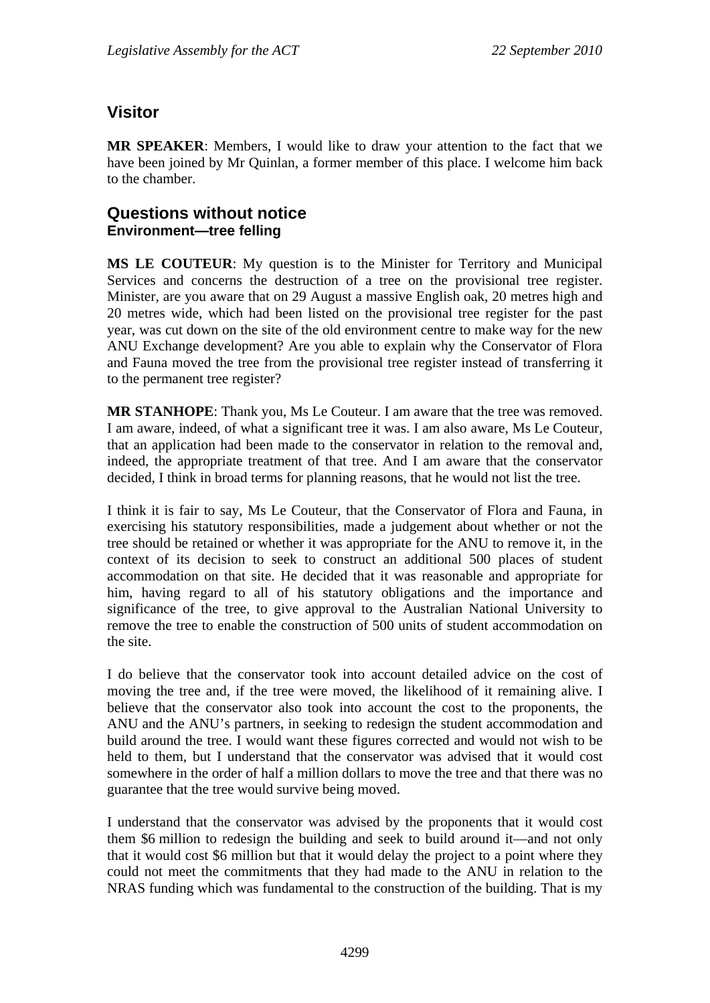# **Visitor**

**MR SPEAKER**: Members, I would like to draw your attention to the fact that we have been joined by Mr Quinlan, a former member of this place. I welcome him back to the chamber.

# **Questions without notice Environment—tree felling**

**MS LE COUTEUR**: My question is to the Minister for Territory and Municipal Services and concerns the destruction of a tree on the provisional tree register. Minister, are you aware that on 29 August a massive English oak, 20 metres high and 20 metres wide, which had been listed on the provisional tree register for the past year, was cut down on the site of the old environment centre to make way for the new ANU Exchange development? Are you able to explain why the Conservator of Flora and Fauna moved the tree from the provisional tree register instead of transferring it to the permanent tree register?

**MR STANHOPE**: Thank you, Ms Le Couteur. I am aware that the tree was removed. I am aware, indeed, of what a significant tree it was. I am also aware, Ms Le Couteur, that an application had been made to the conservator in relation to the removal and, indeed, the appropriate treatment of that tree. And I am aware that the conservator decided, I think in broad terms for planning reasons, that he would not list the tree.

I think it is fair to say, Ms Le Couteur, that the Conservator of Flora and Fauna, in exercising his statutory responsibilities, made a judgement about whether or not the tree should be retained or whether it was appropriate for the ANU to remove it, in the context of its decision to seek to construct an additional 500 places of student accommodation on that site. He decided that it was reasonable and appropriate for him, having regard to all of his statutory obligations and the importance and significance of the tree, to give approval to the Australian National University to remove the tree to enable the construction of 500 units of student accommodation on the site.

I do believe that the conservator took into account detailed advice on the cost of moving the tree and, if the tree were moved, the likelihood of it remaining alive. I believe that the conservator also took into account the cost to the proponents, the ANU and the ANU's partners, in seeking to redesign the student accommodation and build around the tree. I would want these figures corrected and would not wish to be held to them, but I understand that the conservator was advised that it would cost somewhere in the order of half a million dollars to move the tree and that there was no guarantee that the tree would survive being moved.

I understand that the conservator was advised by the proponents that it would cost them \$6 million to redesign the building and seek to build around it—and not only that it would cost \$6 million but that it would delay the project to a point where they could not meet the commitments that they had made to the ANU in relation to the NRAS funding which was fundamental to the construction of the building. That is my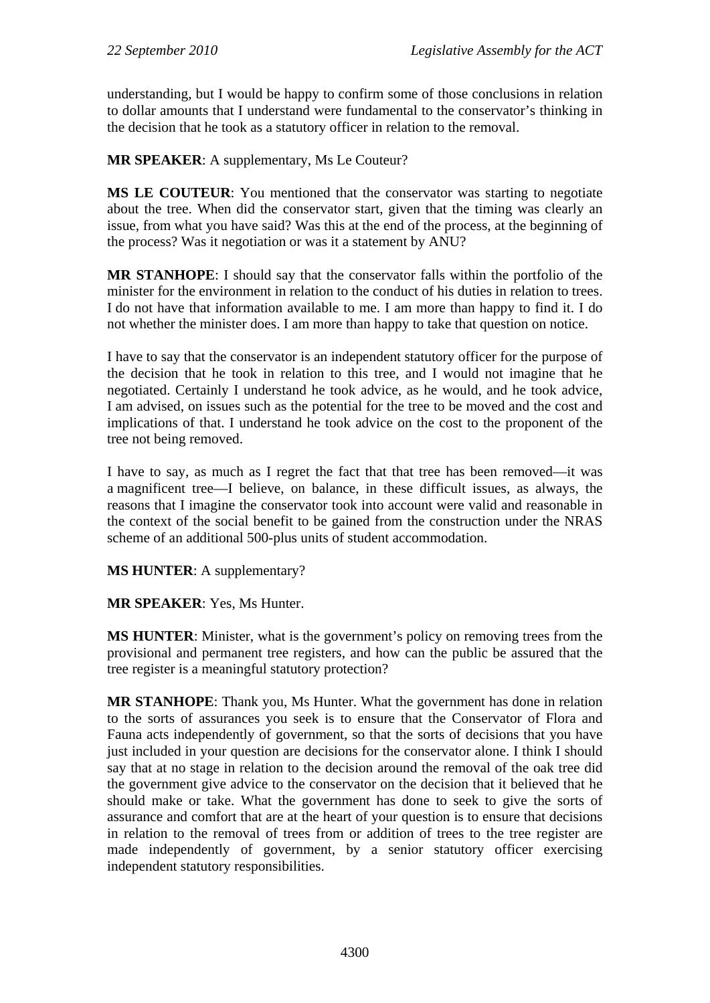understanding, but I would be happy to confirm some of those conclusions in relation to dollar amounts that I understand were fundamental to the conservator's thinking in the decision that he took as a statutory officer in relation to the removal.

# **MR SPEAKER**: A supplementary, Ms Le Couteur?

**MS LE COUTEUR**: You mentioned that the conservator was starting to negotiate about the tree. When did the conservator start, given that the timing was clearly an issue, from what you have said? Was this at the end of the process, at the beginning of the process? Was it negotiation or was it a statement by ANU?

**MR STANHOPE**: I should say that the conservator falls within the portfolio of the minister for the environment in relation to the conduct of his duties in relation to trees. I do not have that information available to me. I am more than happy to find it. I do not whether the minister does. I am more than happy to take that question on notice.

I have to say that the conservator is an independent statutory officer for the purpose of the decision that he took in relation to this tree, and I would not imagine that he negotiated. Certainly I understand he took advice, as he would, and he took advice, I am advised, on issues such as the potential for the tree to be moved and the cost and implications of that. I understand he took advice on the cost to the proponent of the tree not being removed.

I have to say, as much as I regret the fact that that tree has been removed—it was a magnificent tree—I believe, on balance, in these difficult issues, as always, the reasons that I imagine the conservator took into account were valid and reasonable in the context of the social benefit to be gained from the construction under the NRAS scheme of an additional 500-plus units of student accommodation.

**MS HUNTER**: A supplementary?

### **MR SPEAKER**: Yes, Ms Hunter.

**MS HUNTER**: Minister, what is the government's policy on removing trees from the provisional and permanent tree registers, and how can the public be assured that the tree register is a meaningful statutory protection?

**MR STANHOPE**: Thank you, Ms Hunter. What the government has done in relation to the sorts of assurances you seek is to ensure that the Conservator of Flora and Fauna acts independently of government, so that the sorts of decisions that you have just included in your question are decisions for the conservator alone. I think I should say that at no stage in relation to the decision around the removal of the oak tree did the government give advice to the conservator on the decision that it believed that he should make or take. What the government has done to seek to give the sorts of assurance and comfort that are at the heart of your question is to ensure that decisions in relation to the removal of trees from or addition of trees to the tree register are made independently of government, by a senior statutory officer exercising independent statutory responsibilities.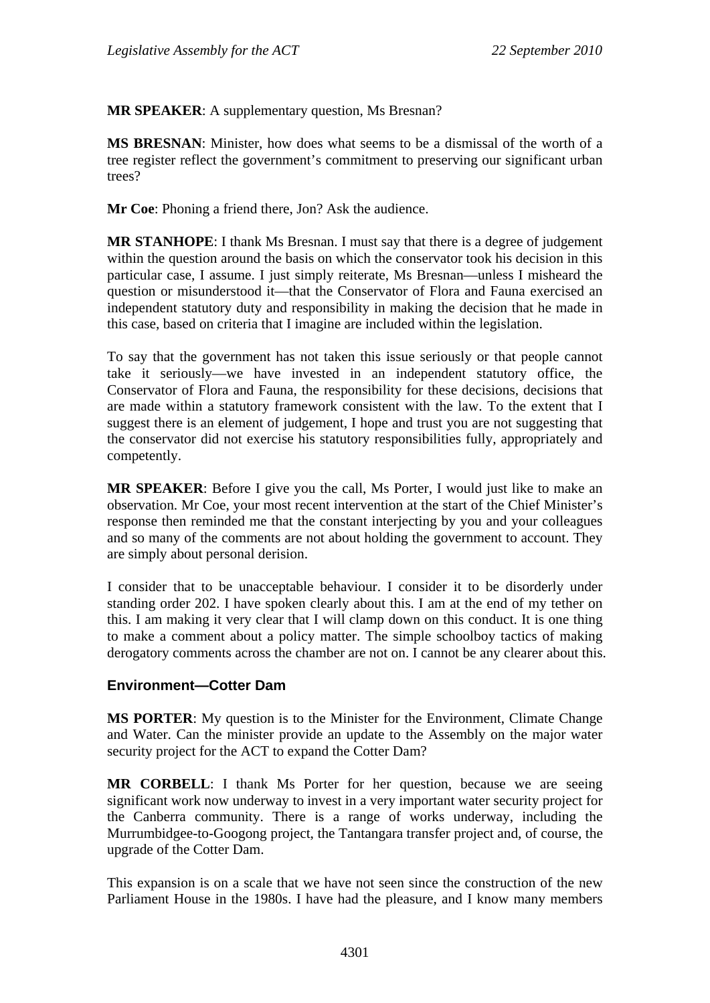**MR SPEAKER**: A supplementary question, Ms Bresnan?

**MS BRESNAN**: Minister, how does what seems to be a dismissal of the worth of a tree register reflect the government's commitment to preserving our significant urban trees?

**Mr Coe**: Phoning a friend there, Jon? Ask the audience.

**MR STANHOPE**: I thank Ms Bresnan. I must say that there is a degree of judgement within the question around the basis on which the conservator took his decision in this particular case, I assume. I just simply reiterate, Ms Bresnan—unless I misheard the question or misunderstood it—that the Conservator of Flora and Fauna exercised an independent statutory duty and responsibility in making the decision that he made in this case, based on criteria that I imagine are included within the legislation.

To say that the government has not taken this issue seriously or that people cannot take it seriously—we have invested in an independent statutory office, the Conservator of Flora and Fauna, the responsibility for these decisions, decisions that are made within a statutory framework consistent with the law. To the extent that I suggest there is an element of judgement, I hope and trust you are not suggesting that the conservator did not exercise his statutory responsibilities fully, appropriately and competently.

**MR SPEAKER**: Before I give you the call, Ms Porter, I would just like to make an observation. Mr Coe, your most recent intervention at the start of the Chief Minister's response then reminded me that the constant interjecting by you and your colleagues and so many of the comments are not about holding the government to account. They are simply about personal derision.

I consider that to be unacceptable behaviour. I consider it to be disorderly under standing order 202. I have spoken clearly about this. I am at the end of my tether on this. I am making it very clear that I will clamp down on this conduct. It is one thing to make a comment about a policy matter. The simple schoolboy tactics of making derogatory comments across the chamber are not on. I cannot be any clearer about this.

### **Environment—Cotter Dam**

**MS PORTER**: My question is to the Minister for the Environment, Climate Change and Water. Can the minister provide an update to the Assembly on the major water security project for the ACT to expand the Cotter Dam?

**MR CORBELL**: I thank Ms Porter for her question, because we are seeing significant work now underway to invest in a very important water security project for the Canberra community. There is a range of works underway, including the Murrumbidgee-to-Googong project, the Tantangara transfer project and, of course, the upgrade of the Cotter Dam.

This expansion is on a scale that we have not seen since the construction of the new Parliament House in the 1980s. I have had the pleasure, and I know many members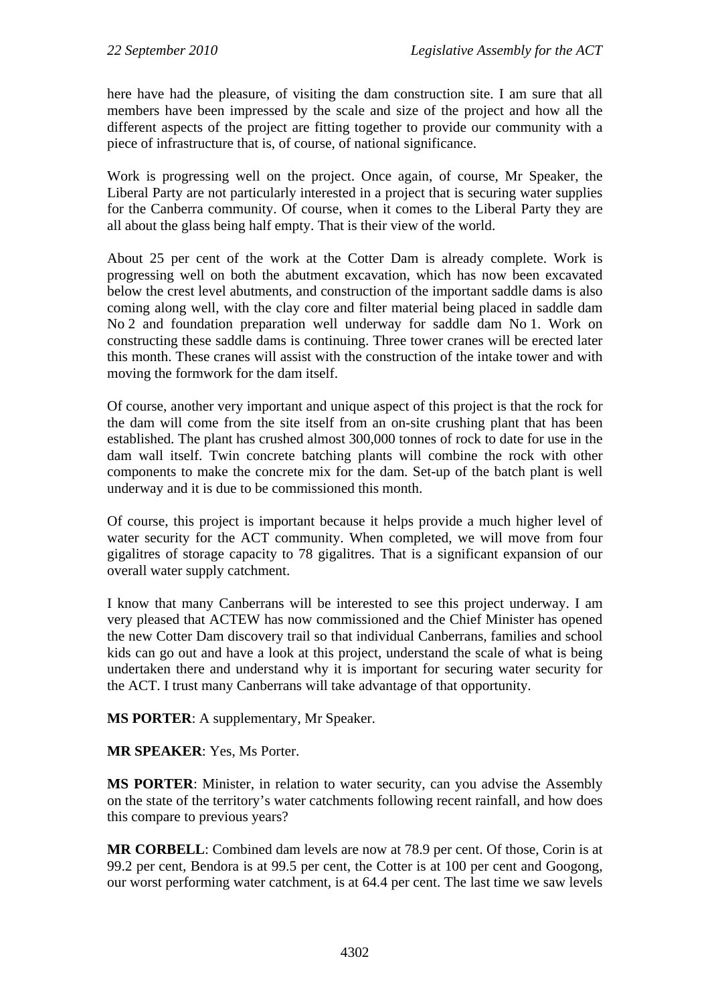here have had the pleasure, of visiting the dam construction site. I am sure that all members have been impressed by the scale and size of the project and how all the different aspects of the project are fitting together to provide our community with a piece of infrastructure that is, of course, of national significance.

Work is progressing well on the project. Once again, of course, Mr Speaker, the Liberal Party are not particularly interested in a project that is securing water supplies for the Canberra community. Of course, when it comes to the Liberal Party they are all about the glass being half empty. That is their view of the world.

About 25 per cent of the work at the Cotter Dam is already complete. Work is progressing well on both the abutment excavation, which has now been excavated below the crest level abutments, and construction of the important saddle dams is also coming along well, with the clay core and filter material being placed in saddle dam No 2 and foundation preparation well underway for saddle dam No 1. Work on constructing these saddle dams is continuing. Three tower cranes will be erected later this month. These cranes will assist with the construction of the intake tower and with moving the formwork for the dam itself.

Of course, another very important and unique aspect of this project is that the rock for the dam will come from the site itself from an on-site crushing plant that has been established. The plant has crushed almost 300,000 tonnes of rock to date for use in the dam wall itself. Twin concrete batching plants will combine the rock with other components to make the concrete mix for the dam. Set-up of the batch plant is well underway and it is due to be commissioned this month.

Of course, this project is important because it helps provide a much higher level of water security for the ACT community. When completed, we will move from four gigalitres of storage capacity to 78 gigalitres. That is a significant expansion of our overall water supply catchment.

I know that many Canberrans will be interested to see this project underway. I am very pleased that ACTEW has now commissioned and the Chief Minister has opened the new Cotter Dam discovery trail so that individual Canberrans, families and school kids can go out and have a look at this project, understand the scale of what is being undertaken there and understand why it is important for securing water security for the ACT. I trust many Canberrans will take advantage of that opportunity.

**MS PORTER**: A supplementary, Mr Speaker.

**MR SPEAKER**: Yes, Ms Porter.

**MS PORTER**: Minister, in relation to water security, can you advise the Assembly on the state of the territory's water catchments following recent rainfall, and how does this compare to previous years?

**MR CORBELL**: Combined dam levels are now at 78.9 per cent. Of those, Corin is at 99.2 per cent, Bendora is at 99.5 per cent, the Cotter is at 100 per cent and Googong, our worst performing water catchment, is at 64.4 per cent. The last time we saw levels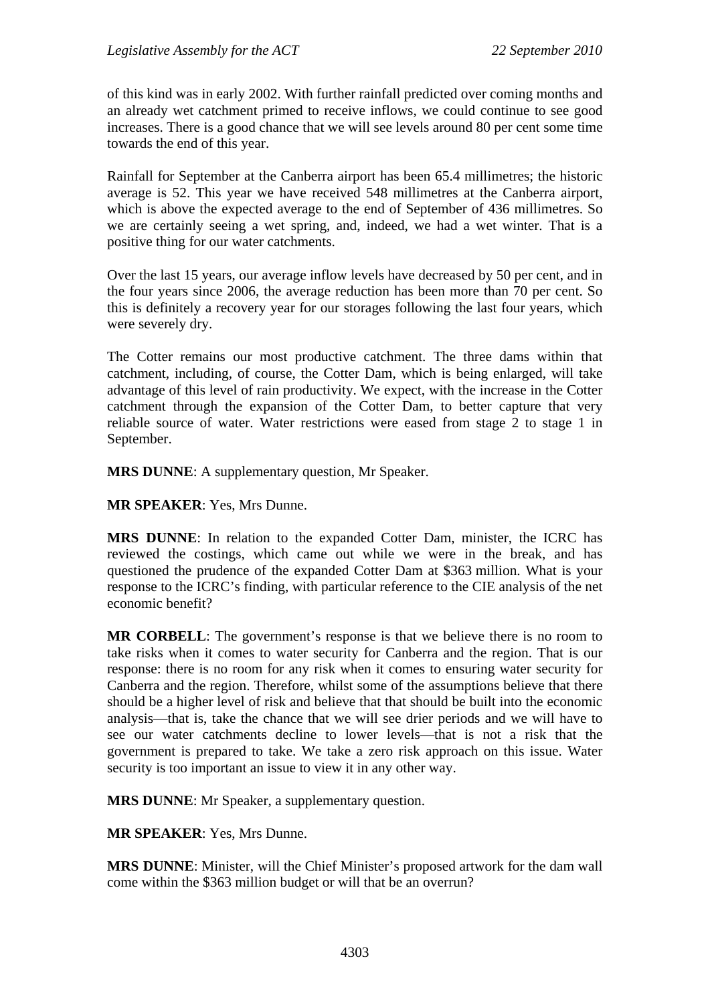of this kind was in early 2002. With further rainfall predicted over coming months and an already wet catchment primed to receive inflows, we could continue to see good increases. There is a good chance that we will see levels around 80 per cent some time towards the end of this year.

Rainfall for September at the Canberra airport has been 65.4 millimetres; the historic average is 52. This year we have received 548 millimetres at the Canberra airport, which is above the expected average to the end of September of 436 millimetres. So we are certainly seeing a wet spring, and, indeed, we had a wet winter. That is a positive thing for our water catchments.

Over the last 15 years, our average inflow levels have decreased by 50 per cent, and in the four years since 2006, the average reduction has been more than 70 per cent. So this is definitely a recovery year for our storages following the last four years, which were severely dry.

The Cotter remains our most productive catchment. The three dams within that catchment, including, of course, the Cotter Dam, which is being enlarged, will take advantage of this level of rain productivity. We expect, with the increase in the Cotter catchment through the expansion of the Cotter Dam, to better capture that very reliable source of water. Water restrictions were eased from stage 2 to stage 1 in September.

**MRS DUNNE**: A supplementary question, Mr Speaker.

**MR SPEAKER**: Yes, Mrs Dunne.

**MRS DUNNE**: In relation to the expanded Cotter Dam, minister, the ICRC has reviewed the costings, which came out while we were in the break, and has questioned the prudence of the expanded Cotter Dam at \$363 million. What is your response to the ICRC's finding, with particular reference to the CIE analysis of the net economic benefit?

**MR CORBELL:** The government's response is that we believe there is no room to take risks when it comes to water security for Canberra and the region. That is our response: there is no room for any risk when it comes to ensuring water security for Canberra and the region. Therefore, whilst some of the assumptions believe that there should be a higher level of risk and believe that that should be built into the economic analysis—that is, take the chance that we will see drier periods and we will have to see our water catchments decline to lower levels—that is not a risk that the government is prepared to take. We take a zero risk approach on this issue. Water security is too important an issue to view it in any other way.

**MRS DUNNE**: Mr Speaker, a supplementary question.

**MR SPEAKER**: Yes, Mrs Dunne.

**MRS DUNNE**: Minister, will the Chief Minister's proposed artwork for the dam wall come within the \$363 million budget or will that be an overrun?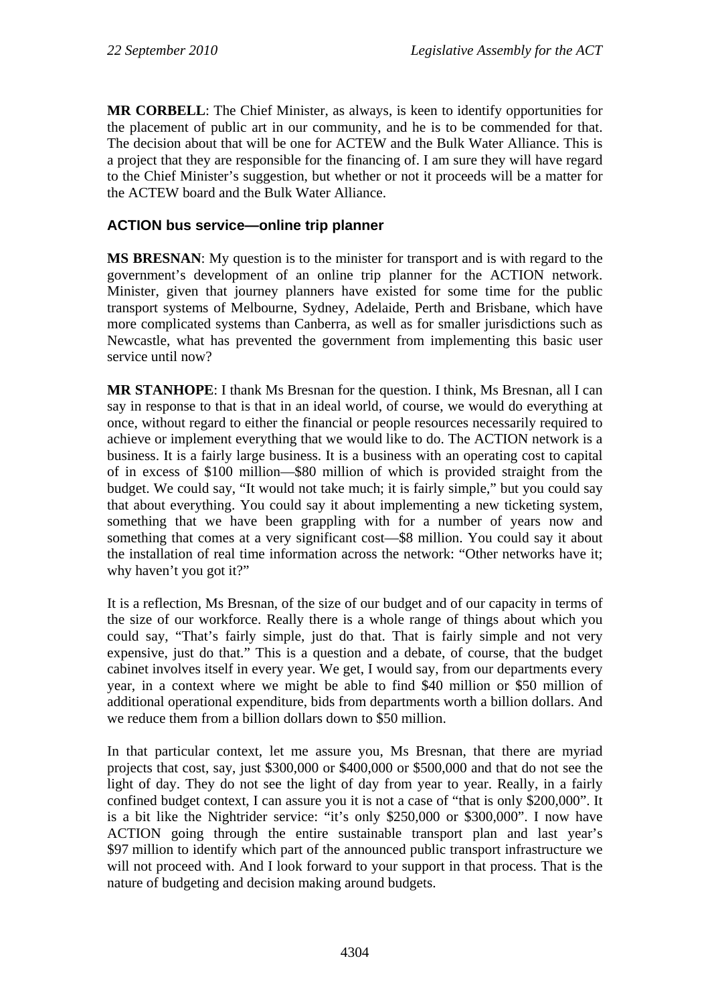**MR CORBELL**: The Chief Minister, as always, is keen to identify opportunities for the placement of public art in our community, and he is to be commended for that. The decision about that will be one for ACTEW and the Bulk Water Alliance. This is a project that they are responsible for the financing of. I am sure they will have regard to the Chief Minister's suggestion, but whether or not it proceeds will be a matter for the ACTEW board and the Bulk Water Alliance.

# **ACTION bus service—online trip planner**

**MS BRESNAN**: My question is to the minister for transport and is with regard to the government's development of an online trip planner for the ACTION network. Minister, given that journey planners have existed for some time for the public transport systems of Melbourne, Sydney, Adelaide, Perth and Brisbane, which have more complicated systems than Canberra, as well as for smaller jurisdictions such as Newcastle, what has prevented the government from implementing this basic user service until now?

**MR STANHOPE**: I thank Ms Bresnan for the question. I think, Ms Bresnan, all I can say in response to that is that in an ideal world, of course, we would do everything at once, without regard to either the financial or people resources necessarily required to achieve or implement everything that we would like to do. The ACTION network is a business. It is a fairly large business. It is a business with an operating cost to capital of in excess of \$100 million—\$80 million of which is provided straight from the budget. We could say, "It would not take much; it is fairly simple," but you could say that about everything. You could say it about implementing a new ticketing system, something that we have been grappling with for a number of years now and something that comes at a very significant cost—\$8 million. You could say it about the installation of real time information across the network: "Other networks have it; why haven't you got it?"

It is a reflection, Ms Bresnan, of the size of our budget and of our capacity in terms of the size of our workforce. Really there is a whole range of things about which you could say, "That's fairly simple, just do that. That is fairly simple and not very expensive, just do that." This is a question and a debate, of course, that the budget cabinet involves itself in every year. We get, I would say, from our departments every year, in a context where we might be able to find \$40 million or \$50 million of additional operational expenditure, bids from departments worth a billion dollars. And we reduce them from a billion dollars down to \$50 million.

In that particular context, let me assure you, Ms Bresnan, that there are myriad projects that cost, say, just \$300,000 or \$400,000 or \$500,000 and that do not see the light of day. They do not see the light of day from year to year. Really, in a fairly confined budget context, I can assure you it is not a case of "that is only \$200,000". It is a bit like the Nightrider service: "it's only \$250,000 or \$300,000". I now have ACTION going through the entire sustainable transport plan and last year's \$97 million to identify which part of the announced public transport infrastructure we will not proceed with. And I look forward to your support in that process. That is the nature of budgeting and decision making around budgets.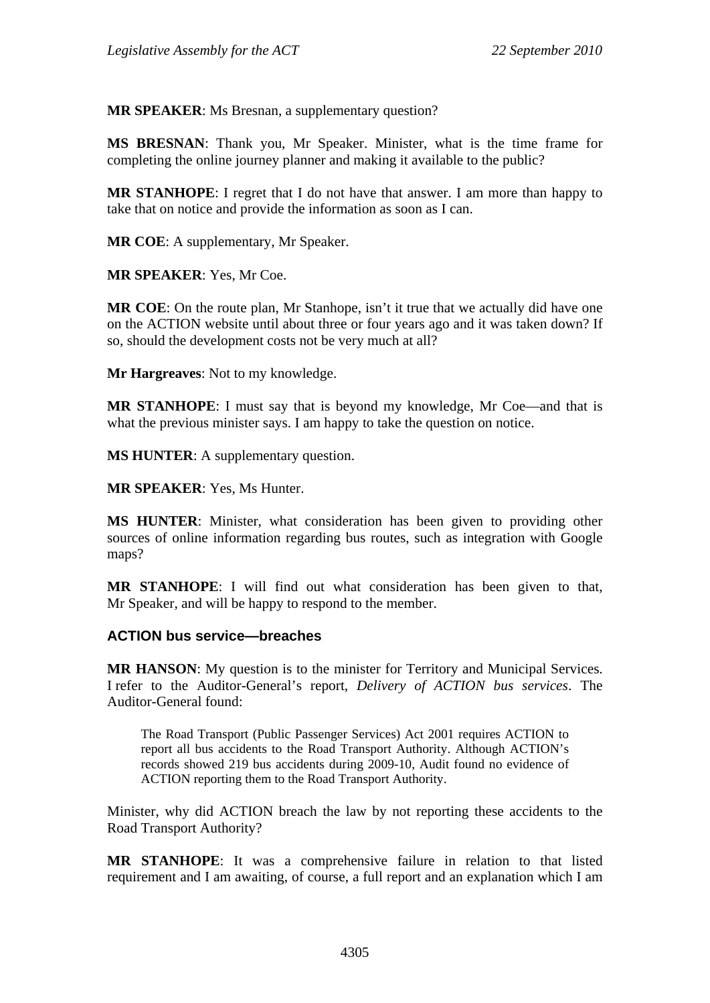**MR SPEAKER**: Ms Bresnan, a supplementary question?

**MS BRESNAN**: Thank you, Mr Speaker. Minister, what is the time frame for completing the online journey planner and making it available to the public?

**MR STANHOPE**: I regret that I do not have that answer. I am more than happy to take that on notice and provide the information as soon as I can.

**MR COE**: A supplementary, Mr Speaker.

**MR SPEAKER**: Yes, Mr Coe.

**MR COE**: On the route plan, Mr Stanhope, isn't it true that we actually did have one on the ACTION website until about three or four years ago and it was taken down? If so, should the development costs not be very much at all?

**Mr Hargreaves**: Not to my knowledge.

**MR STANHOPE**: I must say that is beyond my knowledge, Mr Coe—and that is what the previous minister says. I am happy to take the question on notice.

**MS HUNTER**: A supplementary question.

**MR SPEAKER**: Yes, Ms Hunter.

**MS HUNTER**: Minister, what consideration has been given to providing other sources of online information regarding bus routes, such as integration with Google maps?

**MR STANHOPE**: I will find out what consideration has been given to that, Mr Speaker, and will be happy to respond to the member.

#### **ACTION bus service—breaches**

**MR HANSON**: My question is to the minister for Territory and Municipal Services. I refer to the Auditor-General's report, *Delivery of ACTION bus services*. The Auditor-General found:

The Road Transport (Public Passenger Services) Act 2001 requires ACTION to report all bus accidents to the Road Transport Authority. Although ACTION's records showed 219 bus accidents during 2009-10, Audit found no evidence of ACTION reporting them to the Road Transport Authority.

Minister, why did ACTION breach the law by not reporting these accidents to the Road Transport Authority?

**MR STANHOPE**: It was a comprehensive failure in relation to that listed requirement and I am awaiting, of course, a full report and an explanation which I am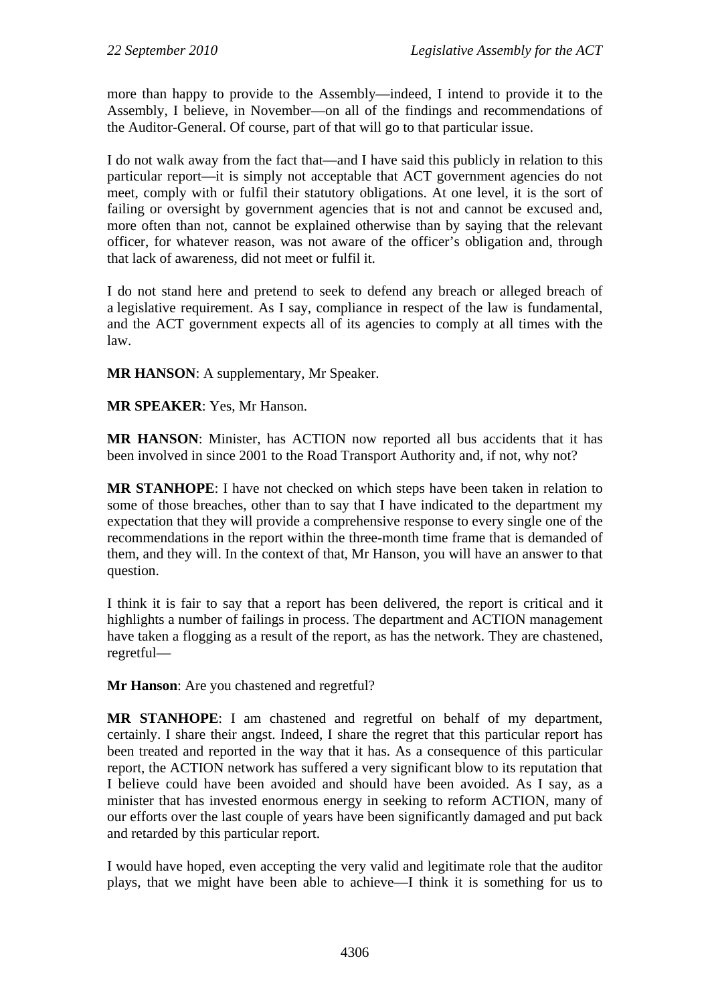more than happy to provide to the Assembly—indeed, I intend to provide it to the Assembly, I believe, in November—on all of the findings and recommendations of the Auditor-General. Of course, part of that will go to that particular issue.

I do not walk away from the fact that—and I have said this publicly in relation to this particular report—it is simply not acceptable that ACT government agencies do not meet, comply with or fulfil their statutory obligations. At one level, it is the sort of failing or oversight by government agencies that is not and cannot be excused and, more often than not, cannot be explained otherwise than by saying that the relevant officer, for whatever reason, was not aware of the officer's obligation and, through that lack of awareness, did not meet or fulfil it.

I do not stand here and pretend to seek to defend any breach or alleged breach of a legislative requirement. As I say, compliance in respect of the law is fundamental, and the ACT government expects all of its agencies to comply at all times with the law.

**MR HANSON: A supplementary, Mr Speaker.** 

**MR SPEAKER**: Yes, Mr Hanson.

**MR HANSON**: Minister, has ACTION now reported all bus accidents that it has been involved in since 2001 to the Road Transport Authority and, if not, why not?

**MR STANHOPE**: I have not checked on which steps have been taken in relation to some of those breaches, other than to say that I have indicated to the department my expectation that they will provide a comprehensive response to every single one of the recommendations in the report within the three-month time frame that is demanded of them, and they will. In the context of that, Mr Hanson, you will have an answer to that question.

I think it is fair to say that a report has been delivered, the report is critical and it highlights a number of failings in process. The department and ACTION management have taken a flogging as a result of the report, as has the network. They are chastened, regretful—

**Mr Hanson**: Are you chastened and regretful?

**MR STANHOPE**: I am chastened and regretful on behalf of my department, certainly. I share their angst. Indeed, I share the regret that this particular report has been treated and reported in the way that it has. As a consequence of this particular report, the ACTION network has suffered a very significant blow to its reputation that I believe could have been avoided and should have been avoided. As I say, as a minister that has invested enormous energy in seeking to reform ACTION, many of our efforts over the last couple of years have been significantly damaged and put back and retarded by this particular report.

I would have hoped, even accepting the very valid and legitimate role that the auditor plays, that we might have been able to achieve—I think it is something for us to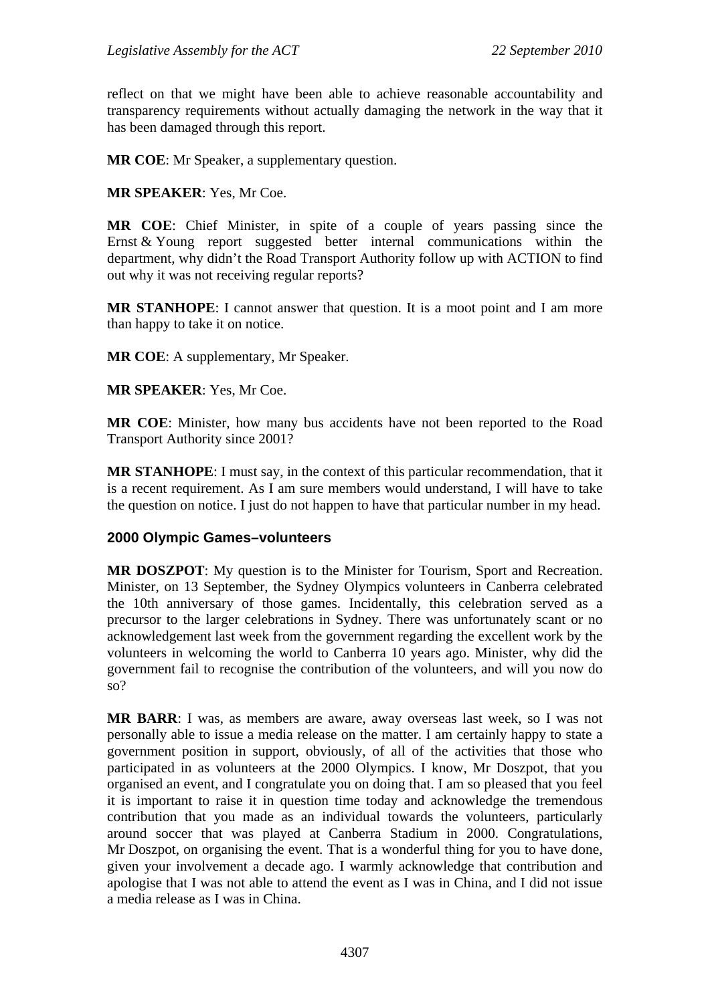reflect on that we might have been able to achieve reasonable accountability and transparency requirements without actually damaging the network in the way that it has been damaged through this report.

**MR COE**: Mr Speaker, a supplementary question.

**MR SPEAKER**: Yes, Mr Coe.

**MR COE**: Chief Minister, in spite of a couple of years passing since the Ernst & Young report suggested better internal communications within the department, why didn't the Road Transport Authority follow up with ACTION to find out why it was not receiving regular reports?

**MR STANHOPE**: I cannot answer that question. It is a moot point and I am more than happy to take it on notice.

**MR COE**: A supplementary, Mr Speaker.

**MR SPEAKER**: Yes, Mr Coe.

**MR COE**: Minister, how many bus accidents have not been reported to the Road Transport Authority since 2001?

**MR STANHOPE**: I must say, in the context of this particular recommendation, that it is a recent requirement. As I am sure members would understand, I will have to take the question on notice. I just do not happen to have that particular number in my head.

### **2000 Olympic Games–volunteers**

**MR DOSZPOT**: My question is to the Minister for Tourism, Sport and Recreation. Minister, on 13 September, the Sydney Olympics volunteers in Canberra celebrated the 10th anniversary of those games. Incidentally, this celebration served as a precursor to the larger celebrations in Sydney. There was unfortunately scant or no acknowledgement last week from the government regarding the excellent work by the volunteers in welcoming the world to Canberra 10 years ago. Minister, why did the government fail to recognise the contribution of the volunteers, and will you now do so?

**MR BARR**: I was, as members are aware, away overseas last week, so I was not personally able to issue a media release on the matter. I am certainly happy to state a government position in support, obviously, of all of the activities that those who participated in as volunteers at the 2000 Olympics. I know, Mr Doszpot, that you organised an event, and I congratulate you on doing that. I am so pleased that you feel it is important to raise it in question time today and acknowledge the tremendous contribution that you made as an individual towards the volunteers, particularly around soccer that was played at Canberra Stadium in 2000. Congratulations, Mr Doszpot, on organising the event. That is a wonderful thing for you to have done, given your involvement a decade ago. I warmly acknowledge that contribution and apologise that I was not able to attend the event as I was in China, and I did not issue a media release as I was in China.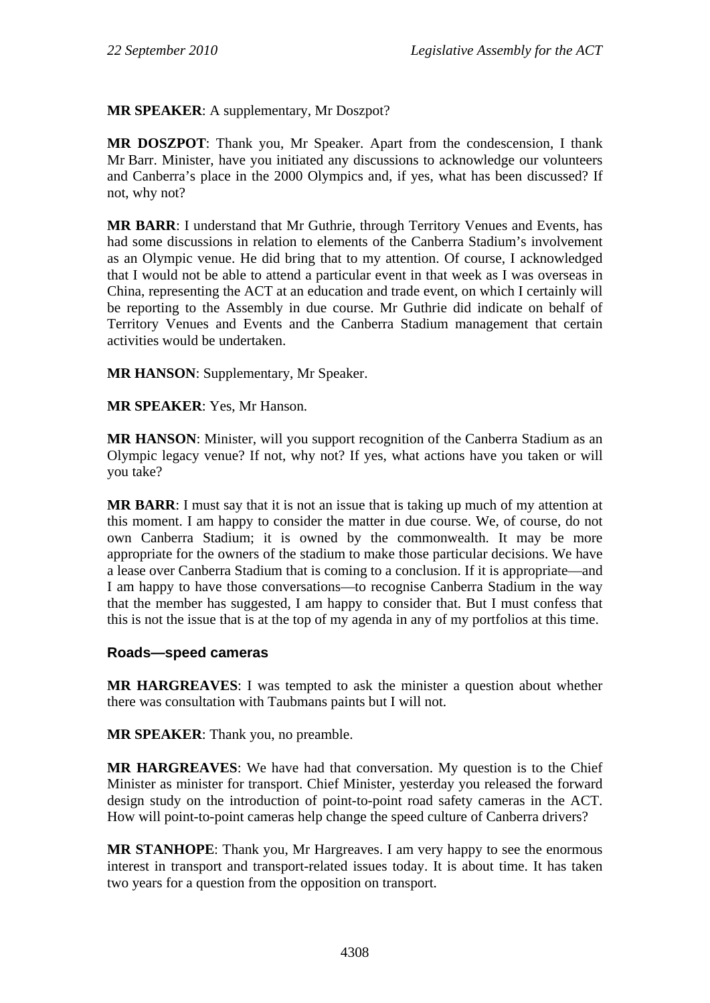**MR SPEAKER**: A supplementary, Mr Doszpot?

**MR DOSZPOT**: Thank you, Mr Speaker. Apart from the condescension, I thank Mr Barr. Minister, have you initiated any discussions to acknowledge our volunteers and Canberra's place in the 2000 Olympics and, if yes, what has been discussed? If not, why not?

**MR BARR**: I understand that Mr Guthrie, through Territory Venues and Events, has had some discussions in relation to elements of the Canberra Stadium's involvement as an Olympic venue. He did bring that to my attention. Of course, I acknowledged that I would not be able to attend a particular event in that week as I was overseas in China, representing the ACT at an education and trade event, on which I certainly will be reporting to the Assembly in due course. Mr Guthrie did indicate on behalf of Territory Venues and Events and the Canberra Stadium management that certain activities would be undertaken.

**MR HANSON**: Supplementary, Mr Speaker.

**MR SPEAKER**: Yes, Mr Hanson.

**MR HANSON:** Minister, will you support recognition of the Canberra Stadium as an Olympic legacy venue? If not, why not? If yes, what actions have you taken or will you take?

**MR BARR**: I must say that it is not an issue that is taking up much of my attention at this moment. I am happy to consider the matter in due course. We, of course, do not own Canberra Stadium; it is owned by the commonwealth. It may be more appropriate for the owners of the stadium to make those particular decisions. We have a lease over Canberra Stadium that is coming to a conclusion. If it is appropriate—and I am happy to have those conversations—to recognise Canberra Stadium in the way that the member has suggested, I am happy to consider that. But I must confess that this is not the issue that is at the top of my agenda in any of my portfolios at this time.

#### **Roads—speed cameras**

**MR HARGREAVES**: I was tempted to ask the minister a question about whether there was consultation with Taubmans paints but I will not.

**MR SPEAKER**: Thank you, no preamble.

**MR HARGREAVES**: We have had that conversation. My question is to the Chief Minister as minister for transport. Chief Minister, yesterday you released the forward design study on the introduction of point-to-point road safety cameras in the ACT. How will point-to-point cameras help change the speed culture of Canberra drivers?

**MR STANHOPE**: Thank you, Mr Hargreaves. I am very happy to see the enormous interest in transport and transport-related issues today. It is about time. It has taken two years for a question from the opposition on transport.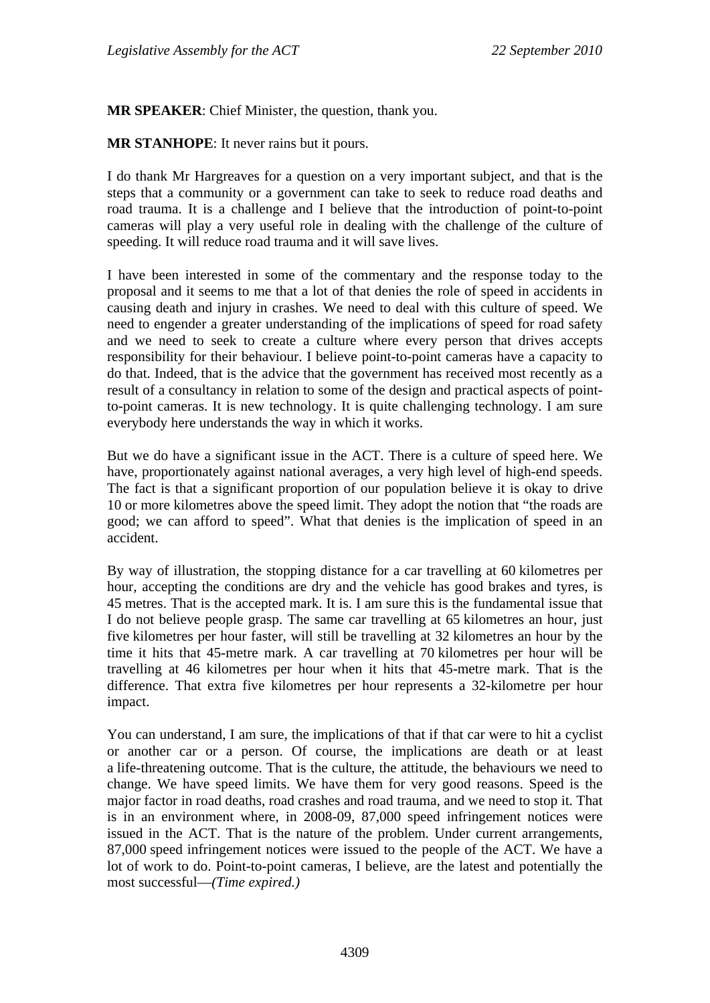**MR SPEAKER**: Chief Minister, the question, thank you.

**MR STANHOPE**: It never rains but it pours.

I do thank Mr Hargreaves for a question on a very important subject, and that is the steps that a community or a government can take to seek to reduce road deaths and road trauma. It is a challenge and I believe that the introduction of point-to-point cameras will play a very useful role in dealing with the challenge of the culture of speeding. It will reduce road trauma and it will save lives.

I have been interested in some of the commentary and the response today to the proposal and it seems to me that a lot of that denies the role of speed in accidents in causing death and injury in crashes. We need to deal with this culture of speed. We need to engender a greater understanding of the implications of speed for road safety and we need to seek to create a culture where every person that drives accepts responsibility for their behaviour. I believe point-to-point cameras have a capacity to do that. Indeed, that is the advice that the government has received most recently as a result of a consultancy in relation to some of the design and practical aspects of pointto-point cameras. It is new technology. It is quite challenging technology. I am sure everybody here understands the way in which it works.

But we do have a significant issue in the ACT. There is a culture of speed here. We have, proportionately against national averages, a very high level of high-end speeds. The fact is that a significant proportion of our population believe it is okay to drive 10 or more kilometres above the speed limit. They adopt the notion that "the roads are good; we can afford to speed". What that denies is the implication of speed in an accident.

By way of illustration, the stopping distance for a car travelling at 60 kilometres per hour, accepting the conditions are dry and the vehicle has good brakes and tyres, is 45 metres. That is the accepted mark. It is. I am sure this is the fundamental issue that I do not believe people grasp. The same car travelling at 65 kilometres an hour, just five kilometres per hour faster, will still be travelling at 32 kilometres an hour by the time it hits that 45-metre mark. A car travelling at 70 kilometres per hour will be travelling at 46 kilometres per hour when it hits that 45-metre mark. That is the difference. That extra five kilometres per hour represents a 32-kilometre per hour impact.

You can understand, I am sure, the implications of that if that car were to hit a cyclist or another car or a person. Of course, the implications are death or at least a life-threatening outcome. That is the culture, the attitude, the behaviours we need to change. We have speed limits. We have them for very good reasons. Speed is the major factor in road deaths, road crashes and road trauma, and we need to stop it. That is in an environment where, in 2008-09, 87,000 speed infringement notices were issued in the ACT. That is the nature of the problem. Under current arrangements, 87,000 speed infringement notices were issued to the people of the ACT. We have a lot of work to do. Point-to-point cameras, I believe, are the latest and potentially the most successful—*(Time expired.)*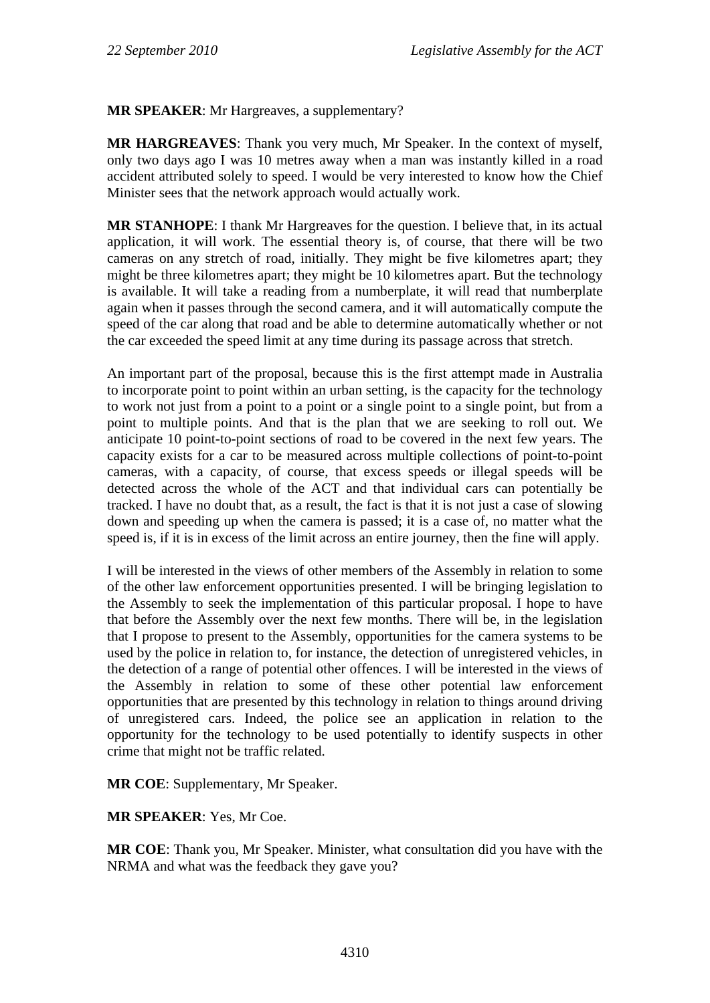### **MR SPEAKER**: Mr Hargreaves, a supplementary?

**MR HARGREAVES**: Thank you very much, Mr Speaker. In the context of myself, only two days ago I was 10 metres away when a man was instantly killed in a road accident attributed solely to speed. I would be very interested to know how the Chief Minister sees that the network approach would actually work.

**MR STANHOPE**: I thank Mr Hargreaves for the question. I believe that, in its actual application, it will work. The essential theory is, of course, that there will be two cameras on any stretch of road, initially. They might be five kilometres apart; they might be three kilometres apart; they might be 10 kilometres apart. But the technology is available. It will take a reading from a numberplate, it will read that numberplate again when it passes through the second camera, and it will automatically compute the speed of the car along that road and be able to determine automatically whether or not the car exceeded the speed limit at any time during its passage across that stretch.

An important part of the proposal, because this is the first attempt made in Australia to incorporate point to point within an urban setting, is the capacity for the technology to work not just from a point to a point or a single point to a single point, but from a point to multiple points. And that is the plan that we are seeking to roll out. We anticipate 10 point-to-point sections of road to be covered in the next few years. The capacity exists for a car to be measured across multiple collections of point-to-point cameras, with a capacity, of course, that excess speeds or illegal speeds will be detected across the whole of the ACT and that individual cars can potentially be tracked. I have no doubt that, as a result, the fact is that it is not just a case of slowing down and speeding up when the camera is passed; it is a case of, no matter what the speed is, if it is in excess of the limit across an entire journey, then the fine will apply.

I will be interested in the views of other members of the Assembly in relation to some of the other law enforcement opportunities presented. I will be bringing legislation to the Assembly to seek the implementation of this particular proposal. I hope to have that before the Assembly over the next few months. There will be, in the legislation that I propose to present to the Assembly, opportunities for the camera systems to be used by the police in relation to, for instance, the detection of unregistered vehicles, in the detection of a range of potential other offences. I will be interested in the views of the Assembly in relation to some of these other potential law enforcement opportunities that are presented by this technology in relation to things around driving of unregistered cars. Indeed, the police see an application in relation to the opportunity for the technology to be used potentially to identify suspects in other crime that might not be traffic related.

**MR COE**: Supplementary, Mr Speaker.

**MR SPEAKER**: Yes, Mr Coe.

**MR COE**: Thank you, Mr Speaker. Minister, what consultation did you have with the NRMA and what was the feedback they gave you?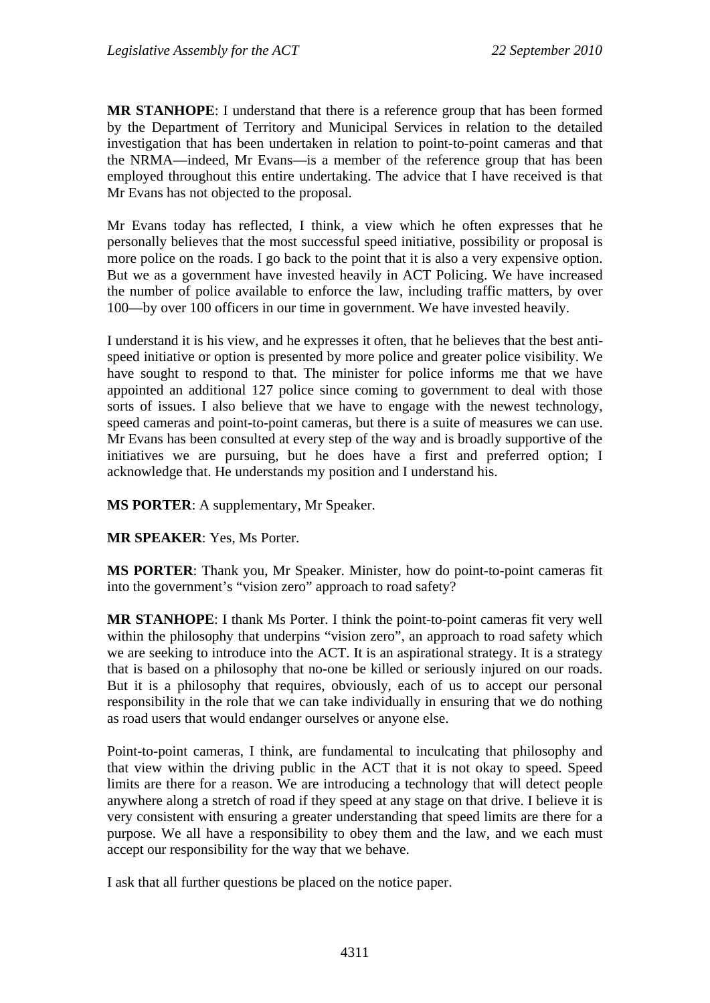**MR STANHOPE**: I understand that there is a reference group that has been formed by the Department of Territory and Municipal Services in relation to the detailed investigation that has been undertaken in relation to point-to-point cameras and that the NRMA—indeed, Mr Evans—is a member of the reference group that has been employed throughout this entire undertaking. The advice that I have received is that Mr Evans has not objected to the proposal.

Mr Evans today has reflected, I think, a view which he often expresses that he personally believes that the most successful speed initiative, possibility or proposal is more police on the roads. I go back to the point that it is also a very expensive option. But we as a government have invested heavily in ACT Policing. We have increased the number of police available to enforce the law, including traffic matters, by over 100—by over 100 officers in our time in government. We have invested heavily.

I understand it is his view, and he expresses it often, that he believes that the best antispeed initiative or option is presented by more police and greater police visibility. We have sought to respond to that. The minister for police informs me that we have appointed an additional 127 police since coming to government to deal with those sorts of issues. I also believe that we have to engage with the newest technology, speed cameras and point-to-point cameras, but there is a suite of measures we can use. Mr Evans has been consulted at every step of the way and is broadly supportive of the initiatives we are pursuing, but he does have a first and preferred option; I acknowledge that. He understands my position and I understand his.

**MS PORTER**: A supplementary, Mr Speaker.

**MR SPEAKER**: Yes, Ms Porter.

**MS PORTER**: Thank you, Mr Speaker. Minister, how do point-to-point cameras fit into the government's "vision zero" approach to road safety?

**MR STANHOPE**: I thank Ms Porter. I think the point-to-point cameras fit very well within the philosophy that underpins "vision zero", an approach to road safety which we are seeking to introduce into the ACT. It is an aspirational strategy. It is a strategy that is based on a philosophy that no-one be killed or seriously injured on our roads. But it is a philosophy that requires, obviously, each of us to accept our personal responsibility in the role that we can take individually in ensuring that we do nothing as road users that would endanger ourselves or anyone else.

Point-to-point cameras, I think, are fundamental to inculcating that philosophy and that view within the driving public in the ACT that it is not okay to speed. Speed limits are there for a reason. We are introducing a technology that will detect people anywhere along a stretch of road if they speed at any stage on that drive. I believe it is very consistent with ensuring a greater understanding that speed limits are there for a purpose. We all have a responsibility to obey them and the law, and we each must accept our responsibility for the way that we behave.

I ask that all further questions be placed on the notice paper.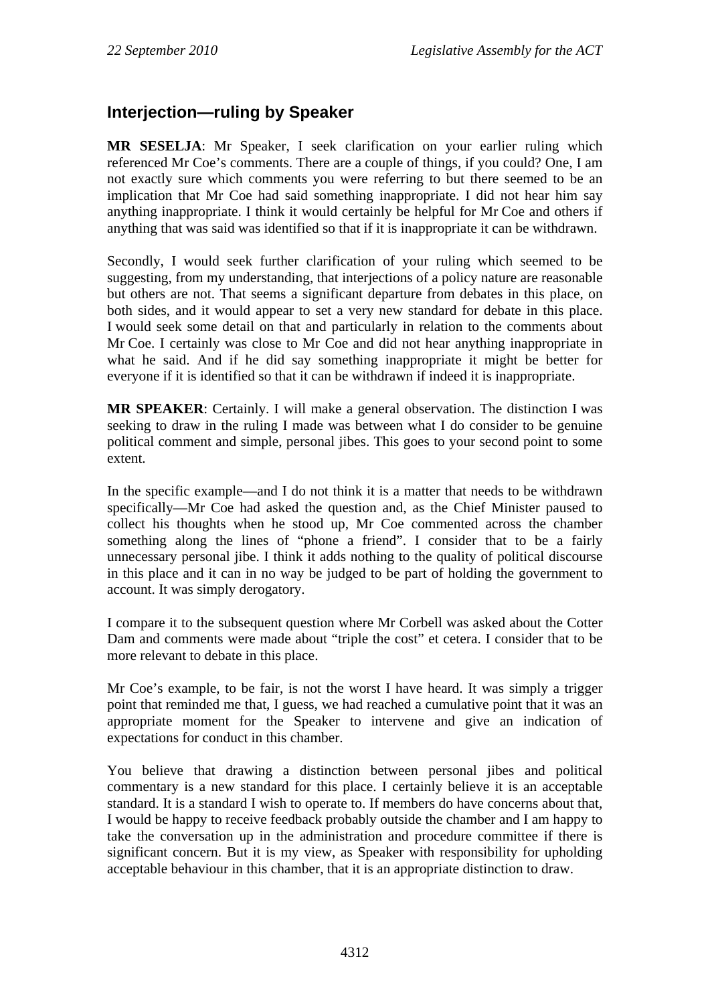# **Interjection—ruling by Speaker**

**MR SESELJA**: Mr Speaker, I seek clarification on your earlier ruling which referenced Mr Coe's comments. There are a couple of things, if you could? One, I am not exactly sure which comments you were referring to but there seemed to be an implication that Mr Coe had said something inappropriate. I did not hear him say anything inappropriate. I think it would certainly be helpful for Mr Coe and others if anything that was said was identified so that if it is inappropriate it can be withdrawn.

Secondly, I would seek further clarification of your ruling which seemed to be suggesting, from my understanding, that interjections of a policy nature are reasonable but others are not. That seems a significant departure from debates in this place, on both sides, and it would appear to set a very new standard for debate in this place. I would seek some detail on that and particularly in relation to the comments about Mr Coe. I certainly was close to Mr Coe and did not hear anything inappropriate in what he said. And if he did say something inappropriate it might be better for everyone if it is identified so that it can be withdrawn if indeed it is inappropriate.

**MR SPEAKER**: Certainly. I will make a general observation. The distinction I was seeking to draw in the ruling I made was between what I do consider to be genuine political comment and simple, personal jibes. This goes to your second point to some extent.

In the specific example—and I do not think it is a matter that needs to be withdrawn specifically—Mr Coe had asked the question and, as the Chief Minister paused to collect his thoughts when he stood up, Mr Coe commented across the chamber something along the lines of "phone a friend". I consider that to be a fairly unnecessary personal jibe. I think it adds nothing to the quality of political discourse in this place and it can in no way be judged to be part of holding the government to account. It was simply derogatory.

I compare it to the subsequent question where Mr Corbell was asked about the Cotter Dam and comments were made about "triple the cost" et cetera. I consider that to be more relevant to debate in this place.

Mr Coe's example, to be fair, is not the worst I have heard. It was simply a trigger point that reminded me that, I guess, we had reached a cumulative point that it was an appropriate moment for the Speaker to intervene and give an indication of expectations for conduct in this chamber.

You believe that drawing a distinction between personal jibes and political commentary is a new standard for this place. I certainly believe it is an acceptable standard. It is a standard I wish to operate to. If members do have concerns about that, I would be happy to receive feedback probably outside the chamber and I am happy to take the conversation up in the administration and procedure committee if there is significant concern. But it is my view, as Speaker with responsibility for upholding acceptable behaviour in this chamber, that it is an appropriate distinction to draw.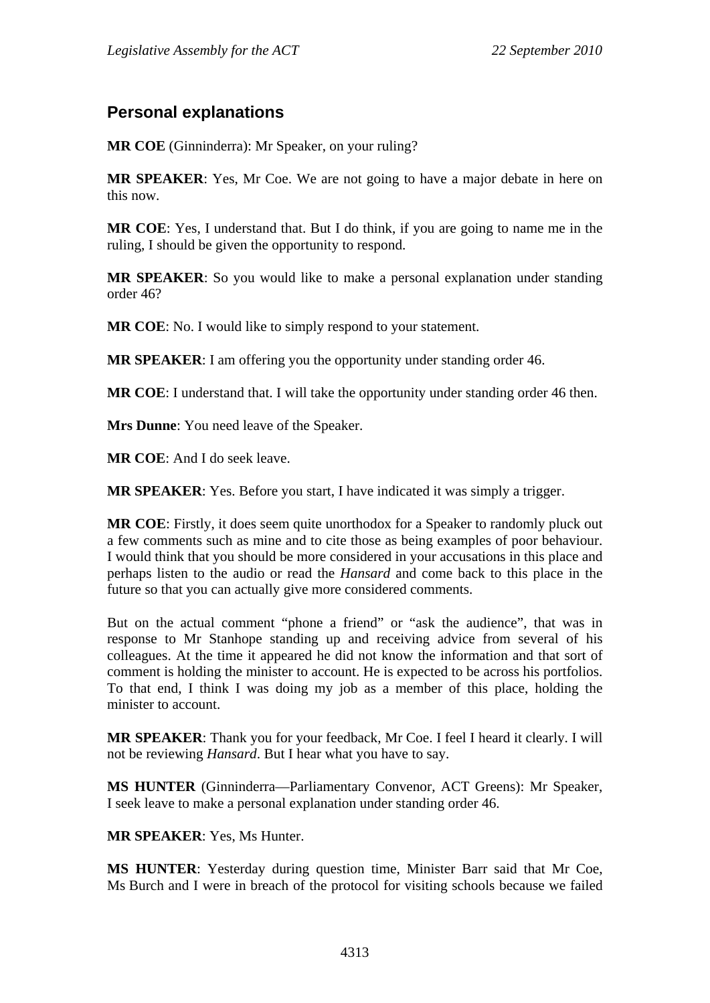# **Personal explanations**

**MR COE** (Ginninderra): Mr Speaker, on your ruling?

**MR SPEAKER**: Yes, Mr Coe. We are not going to have a major debate in here on this now.

**MR COE**: Yes, I understand that. But I do think, if you are going to name me in the ruling, I should be given the opportunity to respond.

**MR SPEAKER**: So you would like to make a personal explanation under standing order 46?

**MR COE**: No. I would like to simply respond to your statement.

**MR SPEAKER**: I am offering you the opportunity under standing order 46.

**MR COE**: I understand that. I will take the opportunity under standing order 46 then.

**Mrs Dunne**: You need leave of the Speaker.

**MR COE**: And I do seek leave.

**MR SPEAKER**: Yes. Before you start, I have indicated it was simply a trigger.

**MR COE**: Firstly, it does seem quite unorthodox for a Speaker to randomly pluck out a few comments such as mine and to cite those as being examples of poor behaviour. I would think that you should be more considered in your accusations in this place and perhaps listen to the audio or read the *Hansard* and come back to this place in the future so that you can actually give more considered comments.

But on the actual comment "phone a friend" or "ask the audience", that was in response to Mr Stanhope standing up and receiving advice from several of his colleagues. At the time it appeared he did not know the information and that sort of comment is holding the minister to account. He is expected to be across his portfolios. To that end, I think I was doing my job as a member of this place, holding the minister to account.

**MR SPEAKER**: Thank you for your feedback, Mr Coe. I feel I heard it clearly. I will not be reviewing *Hansard*. But I hear what you have to say.

**MS HUNTER** (Ginninderra—Parliamentary Convenor, ACT Greens): Mr Speaker, I seek leave to make a personal explanation under standing order 46.

**MR SPEAKER**: Yes, Ms Hunter.

**MS HUNTER**: Yesterday during question time, Minister Barr said that Mr Coe, Ms Burch and I were in breach of the protocol for visiting schools because we failed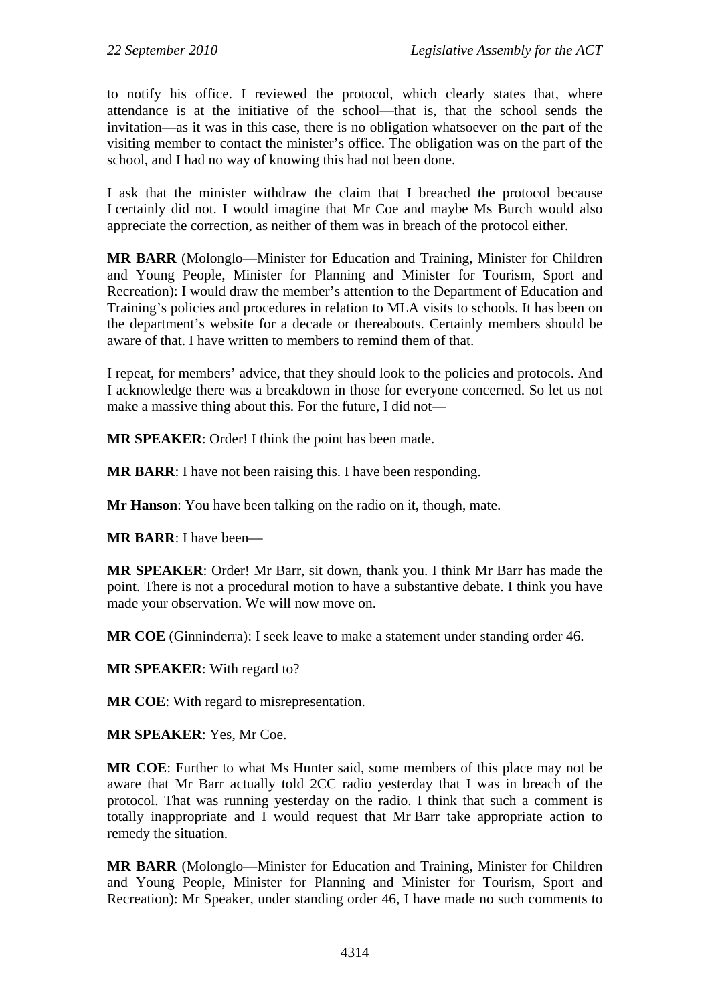to notify his office. I reviewed the protocol, which clearly states that, where attendance is at the initiative of the school—that is, that the school sends the invitation—as it was in this case, there is no obligation whatsoever on the part of the visiting member to contact the minister's office. The obligation was on the part of the school, and I had no way of knowing this had not been done.

I ask that the minister withdraw the claim that I breached the protocol because I certainly did not. I would imagine that Mr Coe and maybe Ms Burch would also appreciate the correction, as neither of them was in breach of the protocol either.

**MR BARR** (Molonglo—Minister for Education and Training, Minister for Children and Young People, Minister for Planning and Minister for Tourism, Sport and Recreation): I would draw the member's attention to the Department of Education and Training's policies and procedures in relation to MLA visits to schools. It has been on the department's website for a decade or thereabouts. Certainly members should be aware of that. I have written to members to remind them of that.

I repeat, for members' advice, that they should look to the policies and protocols. And I acknowledge there was a breakdown in those for everyone concerned. So let us not make a massive thing about this. For the future, I did not—

**MR SPEAKER**: Order! I think the point has been made.

**MR BARR**: I have not been raising this. I have been responding.

**Mr Hanson**: You have been talking on the radio on it, though, mate.

**MR BARR**: I have been—

**MR SPEAKER**: Order! Mr Barr, sit down, thank you. I think Mr Barr has made the point. There is not a procedural motion to have a substantive debate. I think you have made your observation. We will now move on.

**MR COE** (Ginninderra): I seek leave to make a statement under standing order 46.

**MR SPEAKER**: With regard to?

**MR COE**: With regard to misrepresentation.

**MR SPEAKER**: Yes, Mr Coe.

**MR COE**: Further to what Ms Hunter said, some members of this place may not be aware that Mr Barr actually told 2CC radio yesterday that I was in breach of the protocol. That was running yesterday on the radio. I think that such a comment is totally inappropriate and I would request that Mr Barr take appropriate action to remedy the situation.

**MR BARR** (Molonglo—Minister for Education and Training, Minister for Children and Young People, Minister for Planning and Minister for Tourism, Sport and Recreation): Mr Speaker, under standing order 46, I have made no such comments to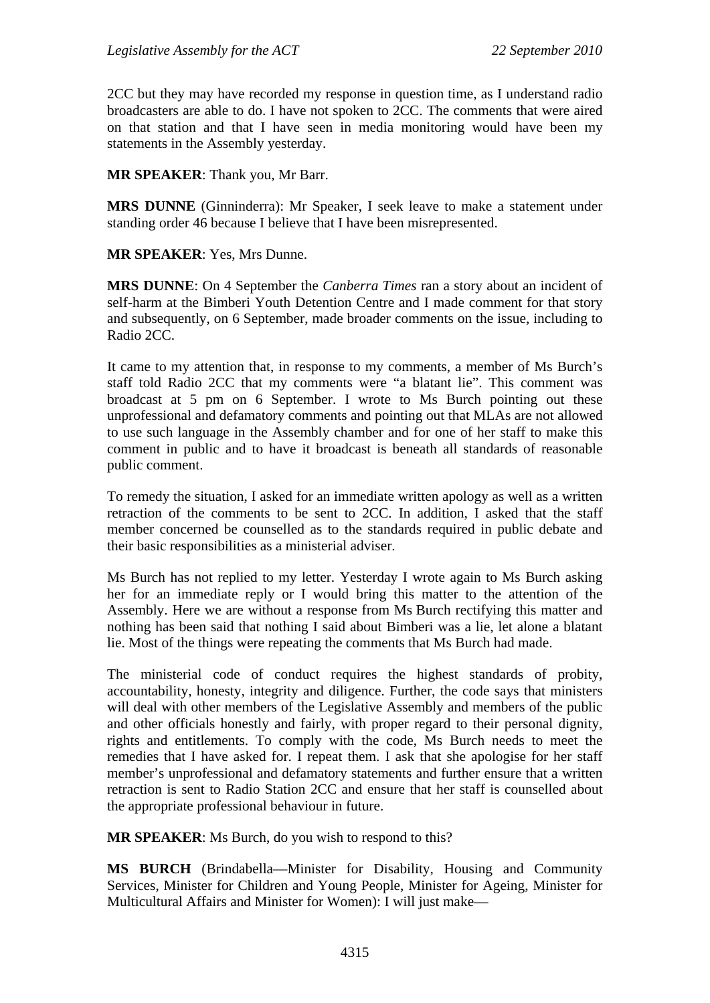2CC but they may have recorded my response in question time, as I understand radio broadcasters are able to do. I have not spoken to 2CC. The comments that were aired on that station and that I have seen in media monitoring would have been my statements in the Assembly yesterday.

**MR SPEAKER**: Thank you, Mr Barr.

**MRS DUNNE** (Ginninderra): Mr Speaker, I seek leave to make a statement under standing order 46 because I believe that I have been misrepresented.

#### **MR SPEAKER**: Yes, Mrs Dunne.

**MRS DUNNE**: On 4 September the *Canberra Times* ran a story about an incident of self-harm at the Bimberi Youth Detention Centre and I made comment for that story and subsequently, on 6 September, made broader comments on the issue, including to Radio 2CC.

It came to my attention that, in response to my comments, a member of Ms Burch's staff told Radio 2CC that my comments were "a blatant lie". This comment was broadcast at 5 pm on 6 September. I wrote to Ms Burch pointing out these unprofessional and defamatory comments and pointing out that MLAs are not allowed to use such language in the Assembly chamber and for one of her staff to make this comment in public and to have it broadcast is beneath all standards of reasonable public comment.

To remedy the situation, I asked for an immediate written apology as well as a written retraction of the comments to be sent to 2CC. In addition, I asked that the staff member concerned be counselled as to the standards required in public debate and their basic responsibilities as a ministerial adviser.

Ms Burch has not replied to my letter. Yesterday I wrote again to Ms Burch asking her for an immediate reply or I would bring this matter to the attention of the Assembly. Here we are without a response from Ms Burch rectifying this matter and nothing has been said that nothing I said about Bimberi was a lie, let alone a blatant lie. Most of the things were repeating the comments that Ms Burch had made.

The ministerial code of conduct requires the highest standards of probity, accountability, honesty, integrity and diligence. Further, the code says that ministers will deal with other members of the Legislative Assembly and members of the public and other officials honestly and fairly, with proper regard to their personal dignity, rights and entitlements. To comply with the code, Ms Burch needs to meet the remedies that I have asked for. I repeat them. I ask that she apologise for her staff member's unprofessional and defamatory statements and further ensure that a written retraction is sent to Radio Station 2CC and ensure that her staff is counselled about the appropriate professional behaviour in future.

**MR SPEAKER**: Ms Burch, do you wish to respond to this?

**MS BURCH** (Brindabella—Minister for Disability, Housing and Community Services, Minister for Children and Young People, Minister for Ageing, Minister for Multicultural Affairs and Minister for Women): I will just make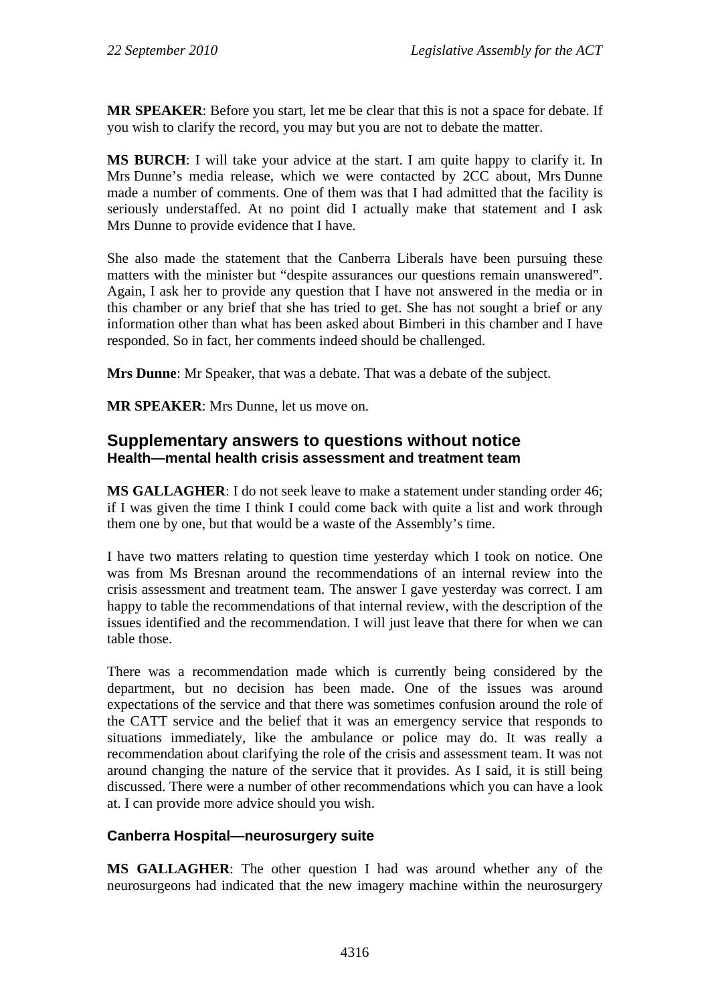**MR SPEAKER**: Before you start, let me be clear that this is not a space for debate. If you wish to clarify the record, you may but you are not to debate the matter.

**MS BURCH**: I will take your advice at the start. I am quite happy to clarify it. In Mrs Dunne's media release, which we were contacted by 2CC about, Mrs Dunne made a number of comments. One of them was that I had admitted that the facility is seriously understaffed. At no point did I actually make that statement and I ask Mrs Dunne to provide evidence that I have.

She also made the statement that the Canberra Liberals have been pursuing these matters with the minister but "despite assurances our questions remain unanswered". Again, I ask her to provide any question that I have not answered in the media or in this chamber or any brief that she has tried to get. She has not sought a brief or any information other than what has been asked about Bimberi in this chamber and I have responded. So in fact, her comments indeed should be challenged.

**Mrs Dunne**: Mr Speaker, that was a debate. That was a debate of the subject.

**MR SPEAKER**: Mrs Dunne, let us move on.

## **Supplementary answers to questions without notice Health—mental health crisis assessment and treatment team**

**MS GALLAGHER**: I do not seek leave to make a statement under standing order 46; if I was given the time I think I could come back with quite a list and work through them one by one, but that would be a waste of the Assembly's time.

I have two matters relating to question time yesterday which I took on notice. One was from Ms Bresnan around the recommendations of an internal review into the crisis assessment and treatment team. The answer I gave yesterday was correct. I am happy to table the recommendations of that internal review, with the description of the issues identified and the recommendation. I will just leave that there for when we can table those.

There was a recommendation made which is currently being considered by the department, but no decision has been made. One of the issues was around expectations of the service and that there was sometimes confusion around the role of the CATT service and the belief that it was an emergency service that responds to situations immediately, like the ambulance or police may do. It was really a recommendation about clarifying the role of the crisis and assessment team. It was not around changing the nature of the service that it provides. As I said, it is still being discussed. There were a number of other recommendations which you can have a look at. I can provide more advice should you wish.

### **Canberra Hospital—neurosurgery suite**

**MS GALLAGHER**: The other question I had was around whether any of the neurosurgeons had indicated that the new imagery machine within the neurosurgery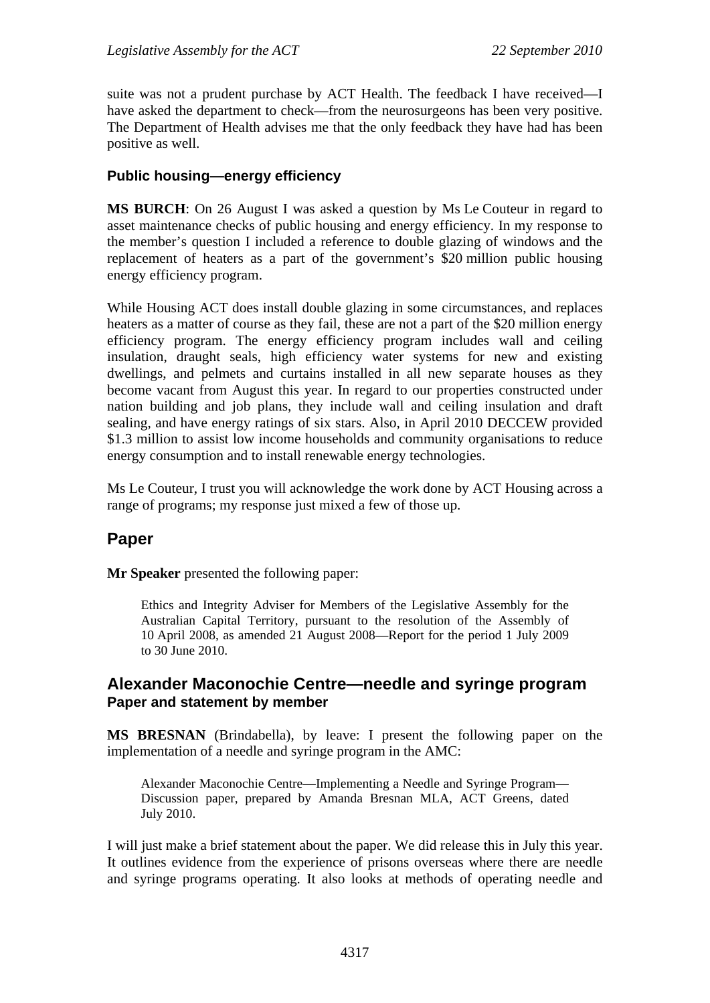suite was not a prudent purchase by ACT Health. The feedback I have received—I have asked the department to check—from the neurosurgeons has been very positive. The Department of Health advises me that the only feedback they have had has been positive as well.

## **Public housing—energy efficiency**

**MS BURCH**: On 26 August I was asked a question by Ms Le Couteur in regard to asset maintenance checks of public housing and energy efficiency. In my response to the member's question I included a reference to double glazing of windows and the replacement of heaters as a part of the government's \$20 million public housing energy efficiency program.

While Housing ACT does install double glazing in some circumstances, and replaces heaters as a matter of course as they fail, these are not a part of the \$20 million energy efficiency program. The energy efficiency program includes wall and ceiling insulation, draught seals, high efficiency water systems for new and existing dwellings, and pelmets and curtains installed in all new separate houses as they become vacant from August this year. In regard to our properties constructed under nation building and job plans, they include wall and ceiling insulation and draft sealing, and have energy ratings of six stars. Also, in April 2010 DECCEW provided \$1.3 million to assist low income households and community organisations to reduce energy consumption and to install renewable energy technologies.

Ms Le Couteur, I trust you will acknowledge the work done by ACT Housing across a range of programs; my response just mixed a few of those up.

## **Paper**

**Mr Speaker** presented the following paper:

Ethics and Integrity Adviser for Members of the Legislative Assembly for the Australian Capital Territory, pursuant to the resolution of the Assembly of 10 April 2008, as amended 21 August 2008—Report for the period 1 July 2009 to 30 June 2010.

### **Alexander Maconochie Centre—needle and syringe program Paper and statement by member**

**MS BRESNAN** (Brindabella), by leave: I present the following paper on the implementation of a needle and syringe program in the AMC:

Alexander Maconochie Centre—Implementing a Needle and Syringe Program— Discussion paper, prepared by Amanda Bresnan MLA, ACT Greens, dated July 2010.

I will just make a brief statement about the paper. We did release this in July this year. It outlines evidence from the experience of prisons overseas where there are needle and syringe programs operating. It also looks at methods of operating needle and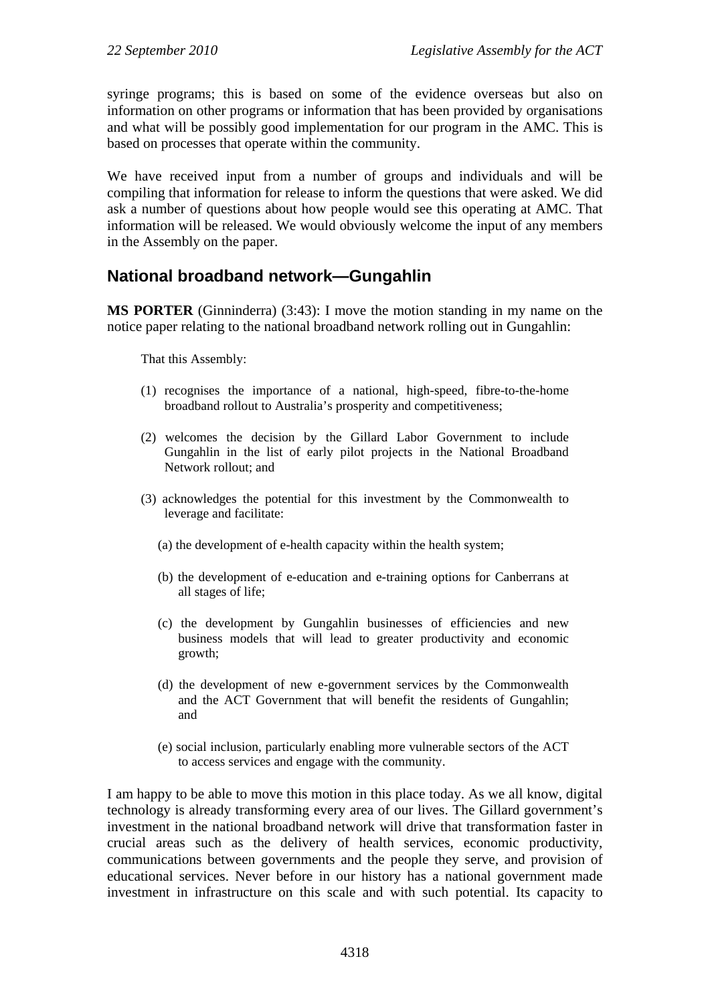syringe programs; this is based on some of the evidence overseas but also on information on other programs or information that has been provided by organisations and what will be possibly good implementation for our program in the AMC. This is based on processes that operate within the community.

We have received input from a number of groups and individuals and will be compiling that information for release to inform the questions that were asked. We did ask a number of questions about how people would see this operating at AMC. That information will be released. We would obviously welcome the input of any members in the Assembly on the paper.

# **National broadband network—Gungahlin**

**MS PORTER** (Ginninderra) (3:43): I move the motion standing in my name on the notice paper relating to the national broadband network rolling out in Gungahlin:

That this Assembly:

- (1) recognises the importance of a national, high-speed, fibre-to-the-home broadband rollout to Australia's prosperity and competitiveness;
- (2) welcomes the decision by the Gillard Labor Government to include Gungahlin in the list of early pilot projects in the National Broadband Network rollout; and
- (3) acknowledges the potential for this investment by the Commonwealth to leverage and facilitate:
	- (a) the development of e-health capacity within the health system;
	- (b) the development of e-education and e-training options for Canberrans at all stages of life;
	- (c) the development by Gungahlin businesses of efficiencies and new business models that will lead to greater productivity and economic growth;
	- (d) the development of new e-government services by the Commonwealth and the ACT Government that will benefit the residents of Gungahlin; and
	- (e) social inclusion, particularly enabling more vulnerable sectors of the ACT to access services and engage with the community.

I am happy to be able to move this motion in this place today. As we all know, digital technology is already transforming every area of our lives. The Gillard government's investment in the national broadband network will drive that transformation faster in crucial areas such as the delivery of health services, economic productivity, communications between governments and the people they serve, and provision of educational services. Never before in our history has a national government made investment in infrastructure on this scale and with such potential. Its capacity to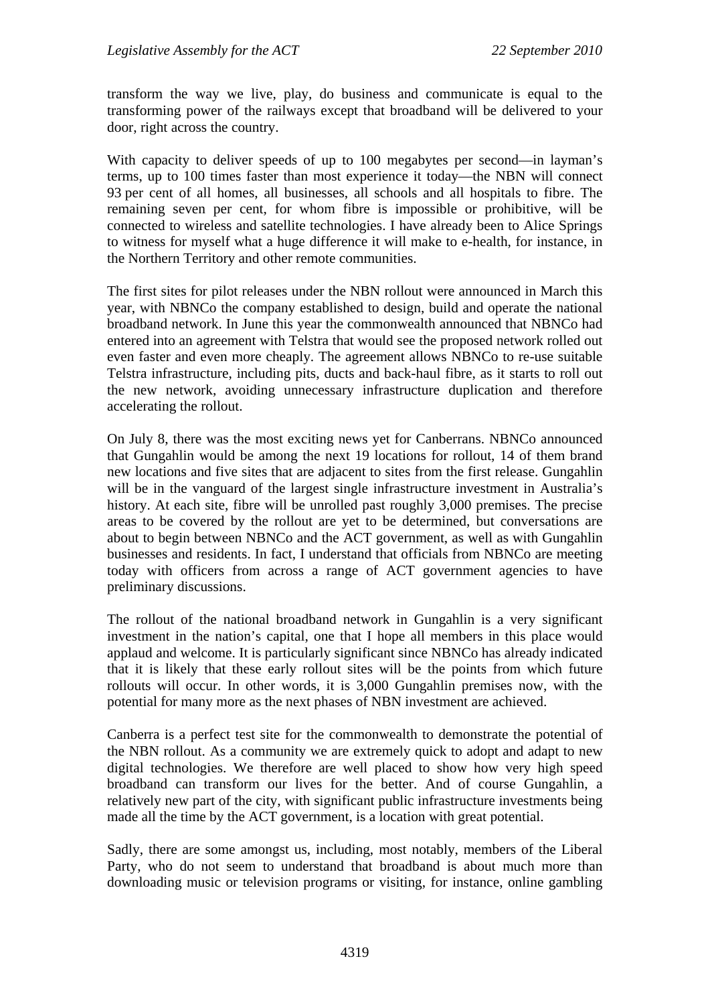transform the way we live, play, do business and communicate is equal to the transforming power of the railways except that broadband will be delivered to your door, right across the country.

With capacity to deliver speeds of up to 100 megabytes per second—in layman's terms, up to 100 times faster than most experience it today—the NBN will connect 93 per cent of all homes, all businesses, all schools and all hospitals to fibre. The remaining seven per cent, for whom fibre is impossible or prohibitive, will be connected to wireless and satellite technologies. I have already been to Alice Springs to witness for myself what a huge difference it will make to e-health, for instance, in the Northern Territory and other remote communities.

The first sites for pilot releases under the NBN rollout were announced in March this year, with NBNCo the company established to design, build and operate the national broadband network. In June this year the commonwealth announced that NBNCo had entered into an agreement with Telstra that would see the proposed network rolled out even faster and even more cheaply. The agreement allows NBNCo to re-use suitable Telstra infrastructure, including pits, ducts and back-haul fibre, as it starts to roll out the new network, avoiding unnecessary infrastructure duplication and therefore accelerating the rollout.

On July 8, there was the most exciting news yet for Canberrans. NBNCo announced that Gungahlin would be among the next 19 locations for rollout, 14 of them brand new locations and five sites that are adjacent to sites from the first release. Gungahlin will be in the vanguard of the largest single infrastructure investment in Australia's history. At each site, fibre will be unrolled past roughly 3,000 premises. The precise areas to be covered by the rollout are yet to be determined, but conversations are about to begin between NBNCo and the ACT government, as well as with Gungahlin businesses and residents. In fact, I understand that officials from NBNCo are meeting today with officers from across a range of ACT government agencies to have preliminary discussions.

The rollout of the national broadband network in Gungahlin is a very significant investment in the nation's capital, one that I hope all members in this place would applaud and welcome. It is particularly significant since NBNCo has already indicated that it is likely that these early rollout sites will be the points from which future rollouts will occur. In other words, it is 3,000 Gungahlin premises now, with the potential for many more as the next phases of NBN investment are achieved.

Canberra is a perfect test site for the commonwealth to demonstrate the potential of the NBN rollout. As a community we are extremely quick to adopt and adapt to new digital technologies. We therefore are well placed to show how very high speed broadband can transform our lives for the better. And of course Gungahlin, a relatively new part of the city, with significant public infrastructure investments being made all the time by the ACT government, is a location with great potential.

Sadly, there are some amongst us, including, most notably, members of the Liberal Party, who do not seem to understand that broadband is about much more than downloading music or television programs or visiting, for instance, online gambling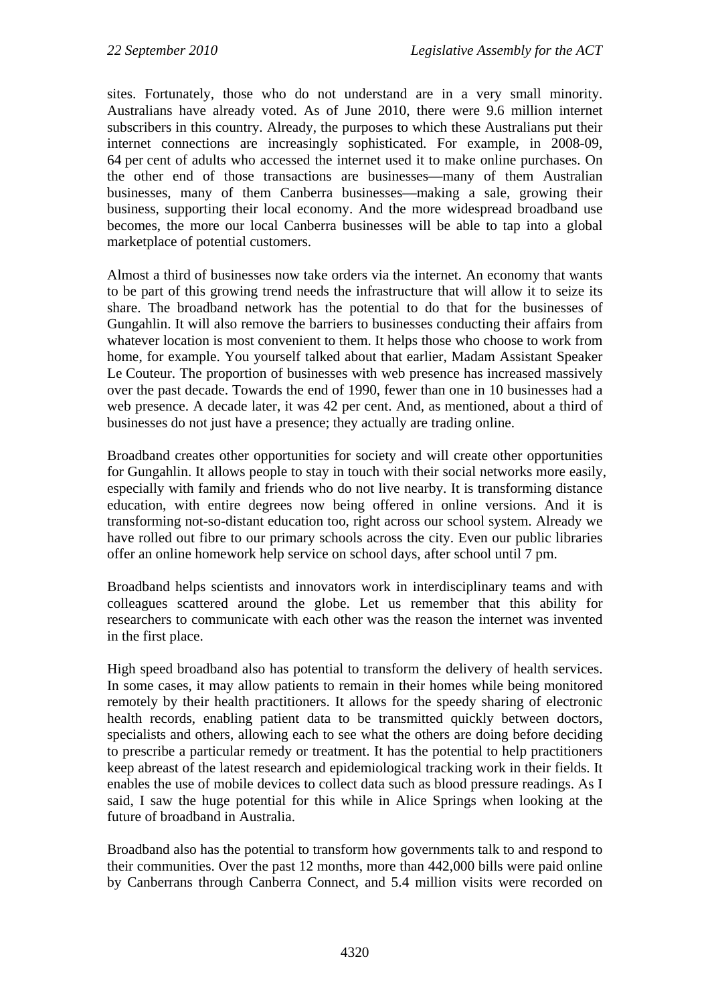sites. Fortunately, those who do not understand are in a very small minority. Australians have already voted. As of June 2010, there were 9.6 million internet subscribers in this country. Already, the purposes to which these Australians put their internet connections are increasingly sophisticated. For example, in 2008-09, 64 per cent of adults who accessed the internet used it to make online purchases. On the other end of those transactions are businesses—many of them Australian businesses, many of them Canberra businesses—making a sale, growing their business, supporting their local economy. And the more widespread broadband use becomes, the more our local Canberra businesses will be able to tap into a global marketplace of potential customers.

Almost a third of businesses now take orders via the internet. An economy that wants to be part of this growing trend needs the infrastructure that will allow it to seize its share. The broadband network has the potential to do that for the businesses of Gungahlin. It will also remove the barriers to businesses conducting their affairs from whatever location is most convenient to them. It helps those who choose to work from home, for example. You yourself talked about that earlier, Madam Assistant Speaker Le Couteur. The proportion of businesses with web presence has increased massively over the past decade. Towards the end of 1990, fewer than one in 10 businesses had a web presence. A decade later, it was 42 per cent. And, as mentioned, about a third of businesses do not just have a presence; they actually are trading online.

Broadband creates other opportunities for society and will create other opportunities for Gungahlin. It allows people to stay in touch with their social networks more easily, especially with family and friends who do not live nearby. It is transforming distance education, with entire degrees now being offered in online versions. And it is transforming not-so-distant education too, right across our school system. Already we have rolled out fibre to our primary schools across the city. Even our public libraries offer an online homework help service on school days, after school until 7 pm.

Broadband helps scientists and innovators work in interdisciplinary teams and with colleagues scattered around the globe. Let us remember that this ability for researchers to communicate with each other was the reason the internet was invented in the first place.

High speed broadband also has potential to transform the delivery of health services. In some cases, it may allow patients to remain in their homes while being monitored remotely by their health practitioners. It allows for the speedy sharing of electronic health records, enabling patient data to be transmitted quickly between doctors, specialists and others, allowing each to see what the others are doing before deciding to prescribe a particular remedy or treatment. It has the potential to help practitioners keep abreast of the latest research and epidemiological tracking work in their fields. It enables the use of mobile devices to collect data such as blood pressure readings. As I said, I saw the huge potential for this while in Alice Springs when looking at the future of broadband in Australia.

Broadband also has the potential to transform how governments talk to and respond to their communities. Over the past 12 months, more than 442,000 bills were paid online by Canberrans through Canberra Connect, and 5.4 million visits were recorded on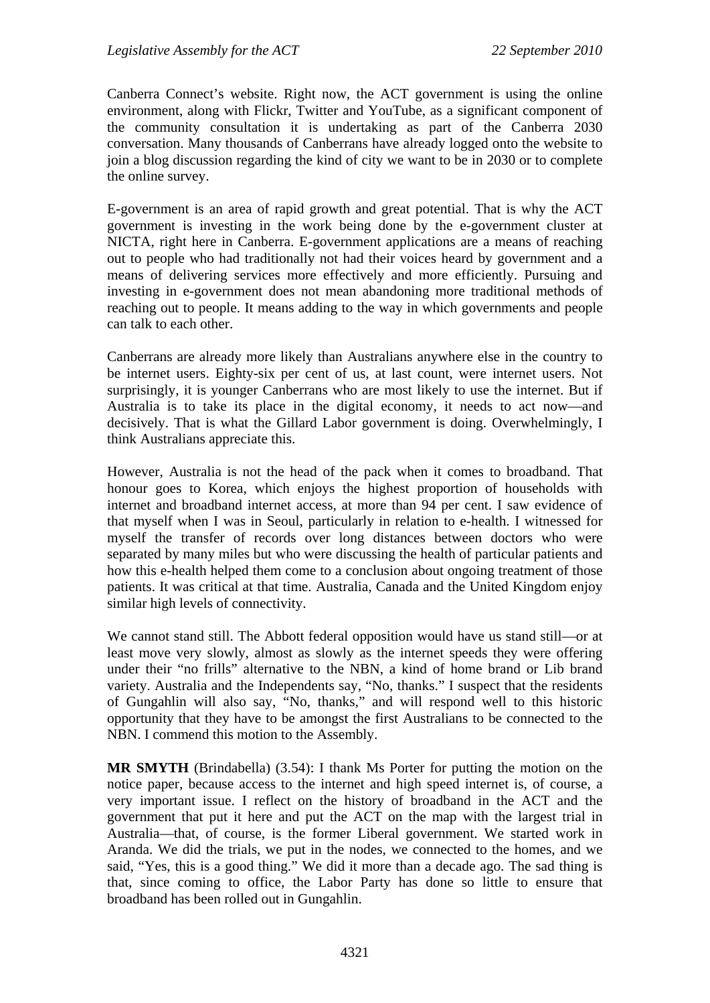Canberra Connect's website. Right now, the ACT government is using the online environment, along with Flickr, Twitter and YouTube, as a significant component of the community consultation it is undertaking as part of the Canberra 2030 conversation. Many thousands of Canberrans have already logged onto the website to join a blog discussion regarding the kind of city we want to be in 2030 or to complete the online survey.

E-government is an area of rapid growth and great potential. That is why the ACT government is investing in the work being done by the e-government cluster at NICTA, right here in Canberra. E-government applications are a means of reaching out to people who had traditionally not had their voices heard by government and a means of delivering services more effectively and more efficiently. Pursuing and investing in e-government does not mean abandoning more traditional methods of reaching out to people. It means adding to the way in which governments and people can talk to each other.

Canberrans are already more likely than Australians anywhere else in the country to be internet users. Eighty-six per cent of us, at last count, were internet users. Not surprisingly, it is younger Canberrans who are most likely to use the internet. But if Australia is to take its place in the digital economy, it needs to act now—and decisively. That is what the Gillard Labor government is doing. Overwhelmingly, I think Australians appreciate this.

However, Australia is not the head of the pack when it comes to broadband. That honour goes to Korea, which enjoys the highest proportion of households with internet and broadband internet access, at more than 94 per cent. I saw evidence of that myself when I was in Seoul, particularly in relation to e-health. I witnessed for myself the transfer of records over long distances between doctors who were separated by many miles but who were discussing the health of particular patients and how this e-health helped them come to a conclusion about ongoing treatment of those patients. It was critical at that time. Australia, Canada and the United Kingdom enjoy similar high levels of connectivity.

We cannot stand still. The Abbott federal opposition would have us stand still—or at least move very slowly, almost as slowly as the internet speeds they were offering under their "no frills" alternative to the NBN, a kind of home brand or Lib brand variety. Australia and the Independents say, "No, thanks." I suspect that the residents of Gungahlin will also say, "No, thanks," and will respond well to this historic opportunity that they have to be amongst the first Australians to be connected to the NBN. I commend this motion to the Assembly.

**MR SMYTH** (Brindabella) (3.54): I thank Ms Porter for putting the motion on the notice paper, because access to the internet and high speed internet is, of course, a very important issue. I reflect on the history of broadband in the ACT and the government that put it here and put the ACT on the map with the largest trial in Australia—that, of course, is the former Liberal government. We started work in Aranda. We did the trials, we put in the nodes, we connected to the homes, and we said, "Yes, this is a good thing." We did it more than a decade ago. The sad thing is that, since coming to office, the Labor Party has done so little to ensure that broadband has been rolled out in Gungahlin.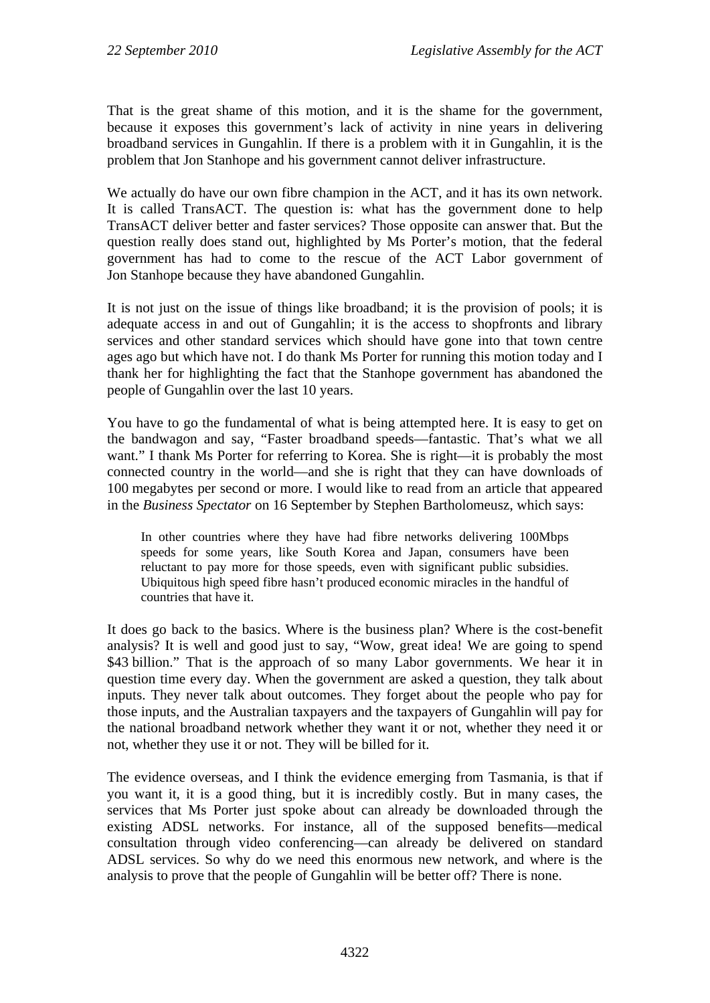That is the great shame of this motion, and it is the shame for the government, because it exposes this government's lack of activity in nine years in delivering broadband services in Gungahlin. If there is a problem with it in Gungahlin, it is the problem that Jon Stanhope and his government cannot deliver infrastructure.

We actually do have our own fibre champion in the ACT, and it has its own network. It is called TransACT. The question is: what has the government done to help TransACT deliver better and faster services? Those opposite can answer that. But the question really does stand out, highlighted by Ms Porter's motion, that the federal government has had to come to the rescue of the ACT Labor government of Jon Stanhope because they have abandoned Gungahlin.

It is not just on the issue of things like broadband; it is the provision of pools; it is adequate access in and out of Gungahlin; it is the access to shopfronts and library services and other standard services which should have gone into that town centre ages ago but which have not. I do thank Ms Porter for running this motion today and I thank her for highlighting the fact that the Stanhope government has abandoned the people of Gungahlin over the last 10 years.

You have to go the fundamental of what is being attempted here. It is easy to get on the bandwagon and say, "Faster broadband speeds—fantastic. That's what we all want." I thank Ms Porter for referring to Korea. She is right—it is probably the most connected country in the world—and she is right that they can have downloads of 100 megabytes per second or more. I would like to read from an article that appeared in the *Business Spectator* on 16 September by Stephen Bartholomeusz, which says:

In other countries where they have had fibre networks delivering 100Mbps speeds for some years, like South Korea and Japan, consumers have been reluctant to pay more for those speeds, even with significant public subsidies. Ubiquitous high speed fibre hasn't produced economic miracles in the handful of countries that have it.

It does go back to the basics. Where is the business plan? Where is the cost-benefit analysis? It is well and good just to say, "Wow, great idea! We are going to spend \$43 billion." That is the approach of so many Labor governments. We hear it in question time every day. When the government are asked a question, they talk about inputs. They never talk about outcomes. They forget about the people who pay for those inputs, and the Australian taxpayers and the taxpayers of Gungahlin will pay for the national broadband network whether they want it or not, whether they need it or not, whether they use it or not. They will be billed for it.

The evidence overseas, and I think the evidence emerging from Tasmania, is that if you want it, it is a good thing, but it is incredibly costly. But in many cases, the services that Ms Porter just spoke about can already be downloaded through the existing ADSL networks. For instance, all of the supposed benefits—medical consultation through video conferencing—can already be delivered on standard ADSL services. So why do we need this enormous new network, and where is the analysis to prove that the people of Gungahlin will be better off? There is none.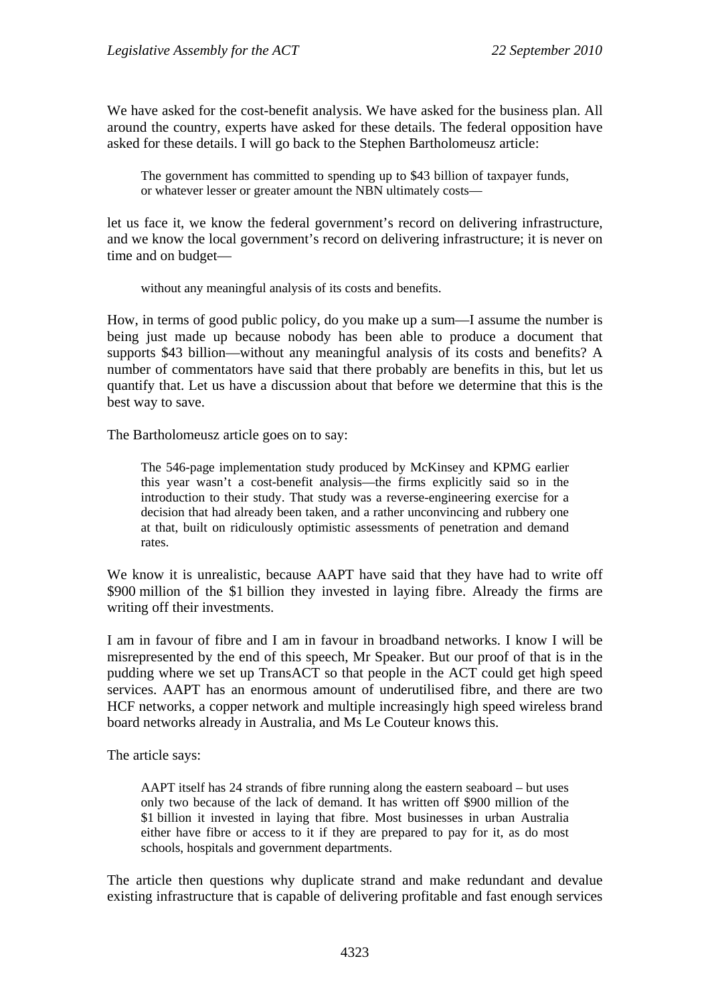We have asked for the cost-benefit analysis. We have asked for the business plan. All around the country, experts have asked for these details. The federal opposition have asked for these details. I will go back to the Stephen Bartholomeusz article:

The government has committed to spending up to \$43 billion of taxpayer funds, or whatever lesser or greater amount the NBN ultimately costs—

let us face it, we know the federal government's record on delivering infrastructure, and we know the local government's record on delivering infrastructure; it is never on time and on budget—

without any meaningful analysis of its costs and benefits.

How, in terms of good public policy, do you make up a sum—I assume the number is being just made up because nobody has been able to produce a document that supports \$43 billion—without any meaningful analysis of its costs and benefits? A number of commentators have said that there probably are benefits in this, but let us quantify that. Let us have a discussion about that before we determine that this is the best way to save.

The Bartholomeusz article goes on to say:

The 546-page implementation study produced by McKinsey and KPMG earlier this year wasn't a cost-benefit analysis—the firms explicitly said so in the introduction to their study. That study was a reverse-engineering exercise for a decision that had already been taken, and a rather unconvincing and rubbery one at that, built on ridiculously optimistic assessments of penetration and demand rates.

We know it is unrealistic, because AAPT have said that they have had to write off \$900 million of the \$1 billion they invested in laying fibre. Already the firms are writing off their investments.

I am in favour of fibre and I am in favour in broadband networks. I know I will be misrepresented by the end of this speech, Mr Speaker. But our proof of that is in the pudding where we set up TransACT so that people in the ACT could get high speed services. AAPT has an enormous amount of underutilised fibre, and there are two HCF networks, a copper network and multiple increasingly high speed wireless brand board networks already in Australia, and Ms Le Couteur knows this.

The article says:

AAPT itself has 24 strands of fibre running along the eastern seaboard – but uses only two because of the lack of demand. It has written off \$900 million of the \$1 billion it invested in laying that fibre. Most businesses in urban Australia either have fibre or access to it if they are prepared to pay for it, as do most schools, hospitals and government departments.

The article then questions why duplicate strand and make redundant and devalue existing infrastructure that is capable of delivering profitable and fast enough services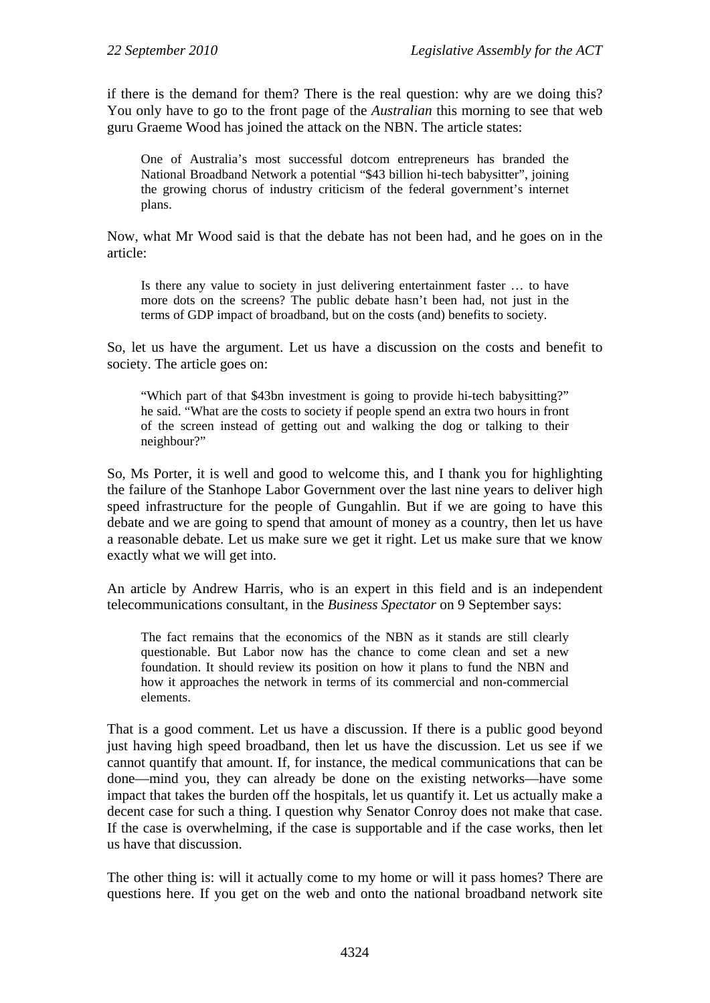if there is the demand for them? There is the real question: why are we doing this? You only have to go to the front page of the *Australian* this morning to see that web guru Graeme Wood has joined the attack on the NBN. The article states:

One of Australia's most successful dotcom entrepreneurs has branded the National Broadband Network a potential "\$43 billion hi-tech babysitter", joining the growing chorus of industry criticism of the federal government's internet plans.

Now, what Mr Wood said is that the debate has not been had, and he goes on in the article:

Is there any value to society in just delivering entertainment faster … to have more dots on the screens? The public debate hasn't been had, not just in the terms of GDP impact of broadband, but on the costs (and) benefits to society.

So, let us have the argument. Let us have a discussion on the costs and benefit to society. The article goes on:

"Which part of that \$43bn investment is going to provide hi-tech babysitting?" he said. "What are the costs to society if people spend an extra two hours in front of the screen instead of getting out and walking the dog or talking to their neighbour?"

So, Ms Porter, it is well and good to welcome this, and I thank you for highlighting the failure of the Stanhope Labor Government over the last nine years to deliver high speed infrastructure for the people of Gungahlin. But if we are going to have this debate and we are going to spend that amount of money as a country, then let us have a reasonable debate. Let us make sure we get it right. Let us make sure that we know exactly what we will get into.

An article by Andrew Harris, who is an expert in this field and is an independent telecommunications consultant, in the *Business Spectator* on 9 September says:

The fact remains that the economics of the NBN as it stands are still clearly questionable. But Labor now has the chance to come clean and set a new foundation. It should review its position on how it plans to fund the NBN and how it approaches the network in terms of its commercial and non-commercial elements.

That is a good comment. Let us have a discussion. If there is a public good beyond just having high speed broadband, then let us have the discussion. Let us see if we cannot quantify that amount. If, for instance, the medical communications that can be done—mind you, they can already be done on the existing networks—have some impact that takes the burden off the hospitals, let us quantify it. Let us actually make a decent case for such a thing. I question why Senator Conroy does not make that case. If the case is overwhelming, if the case is supportable and if the case works, then let us have that discussion.

The other thing is: will it actually come to my home or will it pass homes? There are questions here. If you get on the web and onto the national broadband network site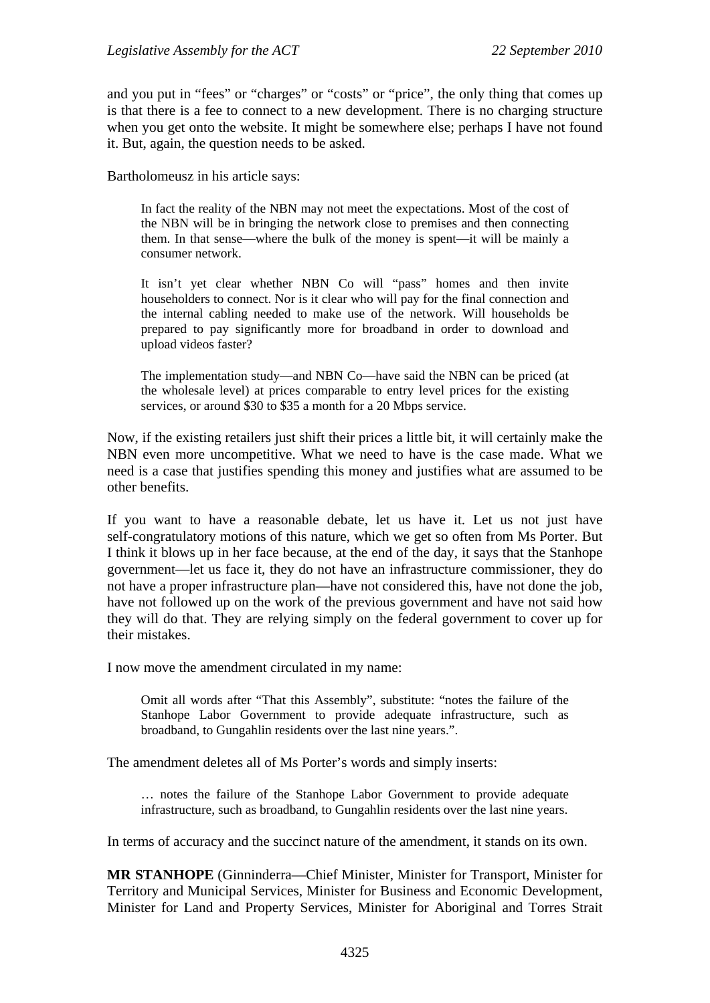and you put in "fees" or "charges" or "costs" or "price", the only thing that comes up is that there is a fee to connect to a new development. There is no charging structure when you get onto the website. It might be somewhere else; perhaps I have not found it. But, again, the question needs to be asked.

Bartholomeusz in his article says:

In fact the reality of the NBN may not meet the expectations. Most of the cost of the NBN will be in bringing the network close to premises and then connecting them. In that sense—where the bulk of the money is spent—it will be mainly a consumer network.

It isn't yet clear whether NBN Co will "pass" homes and then invite householders to connect. Nor is it clear who will pay for the final connection and the internal cabling needed to make use of the network. Will households be prepared to pay significantly more for broadband in order to download and upload videos faster?

The implementation study—and NBN Co—have said the NBN can be priced (at the wholesale level) at prices comparable to entry level prices for the existing services, or around \$30 to \$35 a month for a 20 Mbps service.

Now, if the existing retailers just shift their prices a little bit, it will certainly make the NBN even more uncompetitive. What we need to have is the case made. What we need is a case that justifies spending this money and justifies what are assumed to be other benefits.

If you want to have a reasonable debate, let us have it. Let us not just have self-congratulatory motions of this nature, which we get so often from Ms Porter. But I think it blows up in her face because, at the end of the day, it says that the Stanhope government—let us face it, they do not have an infrastructure commissioner, they do not have a proper infrastructure plan—have not considered this, have not done the job, have not followed up on the work of the previous government and have not said how they will do that. They are relying simply on the federal government to cover up for their mistakes.

I now move the amendment circulated in my name:

Omit all words after "That this Assembly", substitute: "notes the failure of the Stanhope Labor Government to provide adequate infrastructure, such as broadband, to Gungahlin residents over the last nine years.".

The amendment deletes all of Ms Porter's words and simply inserts:

… notes the failure of the Stanhope Labor Government to provide adequate infrastructure, such as broadband, to Gungahlin residents over the last nine years.

In terms of accuracy and the succinct nature of the amendment, it stands on its own.

**MR STANHOPE** (Ginninderra—Chief Minister, Minister for Transport, Minister for Territory and Municipal Services, Minister for Business and Economic Development, Minister for Land and Property Services, Minister for Aboriginal and Torres Strait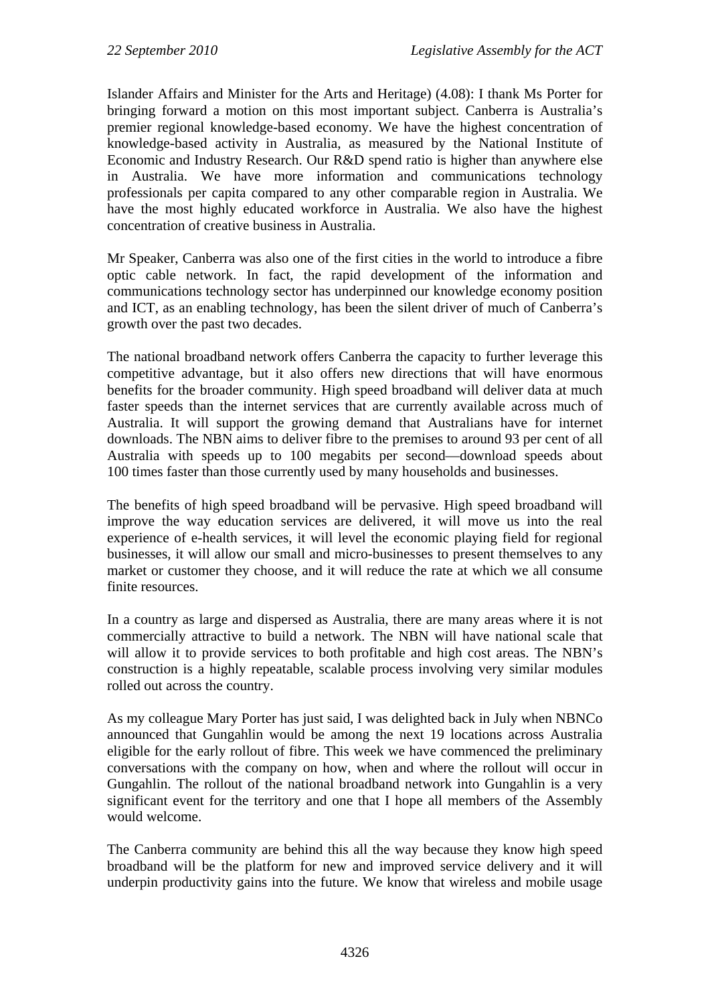Islander Affairs and Minister for the Arts and Heritage) (4.08): I thank Ms Porter for bringing forward a motion on this most important subject. Canberra is Australia's premier regional knowledge-based economy. We have the highest concentration of knowledge-based activity in Australia, as measured by the National Institute of Economic and Industry Research. Our R&D spend ratio is higher than anywhere else in Australia. We have more information and communications technology professionals per capita compared to any other comparable region in Australia. We have the most highly educated workforce in Australia. We also have the highest concentration of creative business in Australia.

Mr Speaker, Canberra was also one of the first cities in the world to introduce a fibre optic cable network. In fact, the rapid development of the information and communications technology sector has underpinned our knowledge economy position and ICT, as an enabling technology, has been the silent driver of much of Canberra's growth over the past two decades.

The national broadband network offers Canberra the capacity to further leverage this competitive advantage, but it also offers new directions that will have enormous benefits for the broader community. High speed broadband will deliver data at much faster speeds than the internet services that are currently available across much of Australia. It will support the growing demand that Australians have for internet downloads. The NBN aims to deliver fibre to the premises to around 93 per cent of all Australia with speeds up to 100 megabits per second—download speeds about 100 times faster than those currently used by many households and businesses.

The benefits of high speed broadband will be pervasive. High speed broadband will improve the way education services are delivered, it will move us into the real experience of e-health services, it will level the economic playing field for regional businesses, it will allow our small and micro-businesses to present themselves to any market or customer they choose, and it will reduce the rate at which we all consume finite resources.

In a country as large and dispersed as Australia, there are many areas where it is not commercially attractive to build a network. The NBN will have national scale that will allow it to provide services to both profitable and high cost areas. The NBN's construction is a highly repeatable, scalable process involving very similar modules rolled out across the country.

As my colleague Mary Porter has just said, I was delighted back in July when NBNCo announced that Gungahlin would be among the next 19 locations across Australia eligible for the early rollout of fibre. This week we have commenced the preliminary conversations with the company on how, when and where the rollout will occur in Gungahlin. The rollout of the national broadband network into Gungahlin is a very significant event for the territory and one that I hope all members of the Assembly would welcome.

The Canberra community are behind this all the way because they know high speed broadband will be the platform for new and improved service delivery and it will underpin productivity gains into the future. We know that wireless and mobile usage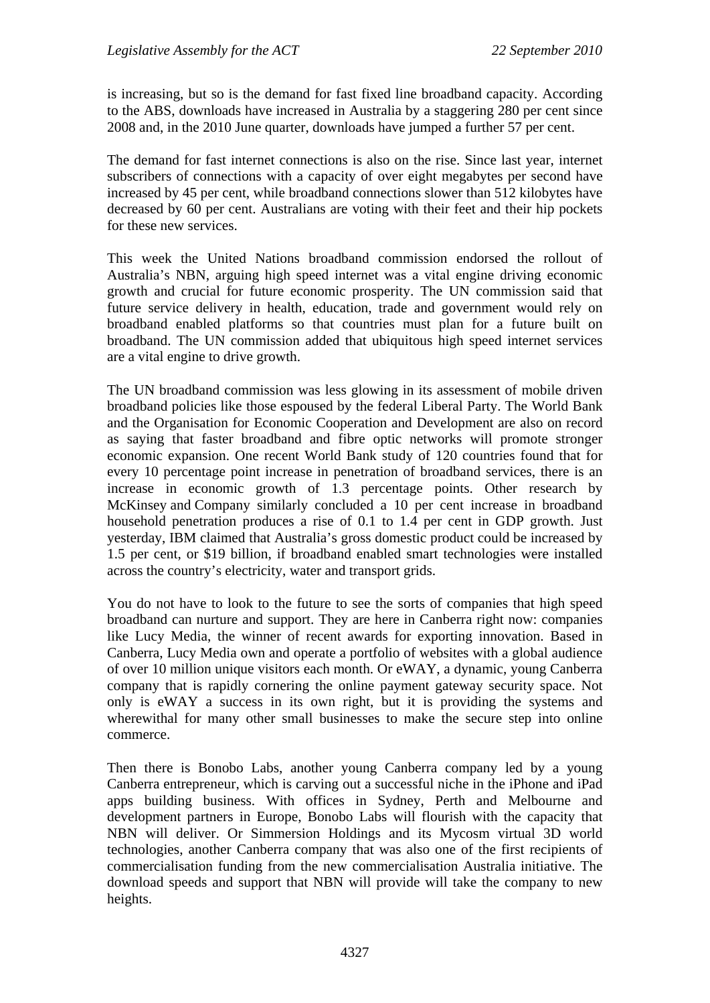is increasing, but so is the demand for fast fixed line broadband capacity. According to the ABS, downloads have increased in Australia by a staggering 280 per cent since 2008 and, in the 2010 June quarter, downloads have jumped a further 57 per cent.

The demand for fast internet connections is also on the rise. Since last year, internet subscribers of connections with a capacity of over eight megabytes per second have increased by 45 per cent, while broadband connections slower than 512 kilobytes have decreased by 60 per cent. Australians are voting with their feet and their hip pockets for these new services.

This week the United Nations broadband commission endorsed the rollout of Australia's NBN, arguing high speed internet was a vital engine driving economic growth and crucial for future economic prosperity. The UN commission said that future service delivery in health, education, trade and government would rely on broadband enabled platforms so that countries must plan for a future built on broadband. The UN commission added that ubiquitous high speed internet services are a vital engine to drive growth.

The UN broadband commission was less glowing in its assessment of mobile driven broadband policies like those espoused by the federal Liberal Party. The World Bank and the Organisation for Economic Cooperation and Development are also on record as saying that faster broadband and fibre optic networks will promote stronger economic expansion. One recent World Bank study of 120 countries found that for every 10 percentage point increase in penetration of broadband services, there is an increase in economic growth of 1.3 percentage points. Other research by McKinsey and Company similarly concluded a 10 per cent increase in broadband household penetration produces a rise of 0.1 to 1.4 per cent in GDP growth. Just yesterday, IBM claimed that Australia's gross domestic product could be increased by 1.5 per cent, or \$19 billion, if broadband enabled smart technologies were installed across the country's electricity, water and transport grids.

You do not have to look to the future to see the sorts of companies that high speed broadband can nurture and support. They are here in Canberra right now: companies like Lucy Media, the winner of recent awards for exporting innovation. Based in Canberra, Lucy Media own and operate a portfolio of websites with a global audience of over 10 million unique visitors each month. Or eWAY, a dynamic, young Canberra company that is rapidly cornering the online payment gateway security space. Not only is eWAY a success in its own right, but it is providing the systems and wherewithal for many other small businesses to make the secure step into online commerce.

Then there is Bonobo Labs, another young Canberra company led by a young Canberra entrepreneur, which is carving out a successful niche in the iPhone and iPad apps building business. With offices in Sydney, Perth and Melbourne and development partners in Europe, Bonobo Labs will flourish with the capacity that NBN will deliver. Or Simmersion Holdings and its Mycosm virtual 3D world technologies, another Canberra company that was also one of the first recipients of commercialisation funding from the new commercialisation Australia initiative. The download speeds and support that NBN will provide will take the company to new heights.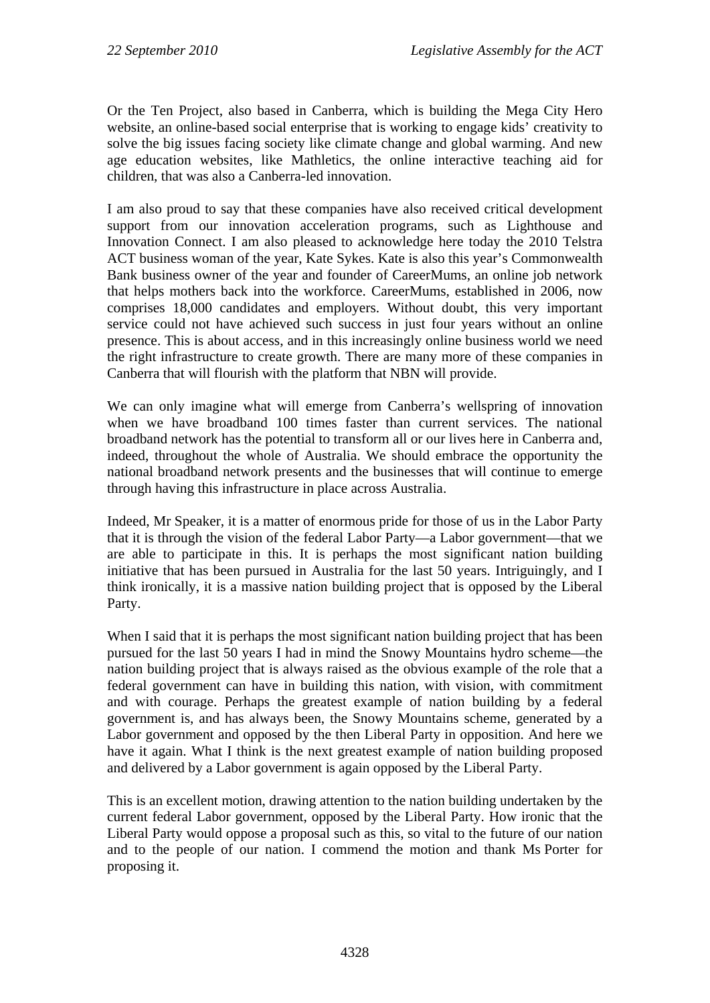Or the Ten Project, also based in Canberra, which is building the Mega City Hero website, an online-based social enterprise that is working to engage kids' creativity to solve the big issues facing society like climate change and global warming. And new age education websites, like Mathletics, the online interactive teaching aid for children, that was also a Canberra-led innovation.

I am also proud to say that these companies have also received critical development support from our innovation acceleration programs, such as Lighthouse and Innovation Connect. I am also pleased to acknowledge here today the 2010 Telstra ACT business woman of the year, Kate Sykes. Kate is also this year's Commonwealth Bank business owner of the year and founder of CareerMums, an online job network that helps mothers back into the workforce. CareerMums, established in 2006, now comprises 18,000 candidates and employers. Without doubt, this very important service could not have achieved such success in just four years without an online presence. This is about access, and in this increasingly online business world we need the right infrastructure to create growth. There are many more of these companies in Canberra that will flourish with the platform that NBN will provide.

We can only imagine what will emerge from Canberra's wellspring of innovation when we have broadband 100 times faster than current services. The national broadband network has the potential to transform all or our lives here in Canberra and, indeed, throughout the whole of Australia. We should embrace the opportunity the national broadband network presents and the businesses that will continue to emerge through having this infrastructure in place across Australia.

Indeed, Mr Speaker, it is a matter of enormous pride for those of us in the Labor Party that it is through the vision of the federal Labor Party—a Labor government—that we are able to participate in this. It is perhaps the most significant nation building initiative that has been pursued in Australia for the last 50 years. Intriguingly, and I think ironically, it is a massive nation building project that is opposed by the Liberal Party.

When I said that it is perhaps the most significant nation building project that has been pursued for the last 50 years I had in mind the Snowy Mountains hydro scheme—the nation building project that is always raised as the obvious example of the role that a federal government can have in building this nation, with vision, with commitment and with courage. Perhaps the greatest example of nation building by a federal government is, and has always been, the Snowy Mountains scheme, generated by a Labor government and opposed by the then Liberal Party in opposition. And here we have it again. What I think is the next greatest example of nation building proposed and delivered by a Labor government is again opposed by the Liberal Party.

This is an excellent motion, drawing attention to the nation building undertaken by the current federal Labor government, opposed by the Liberal Party. How ironic that the Liberal Party would oppose a proposal such as this, so vital to the future of our nation and to the people of our nation. I commend the motion and thank Ms Porter for proposing it.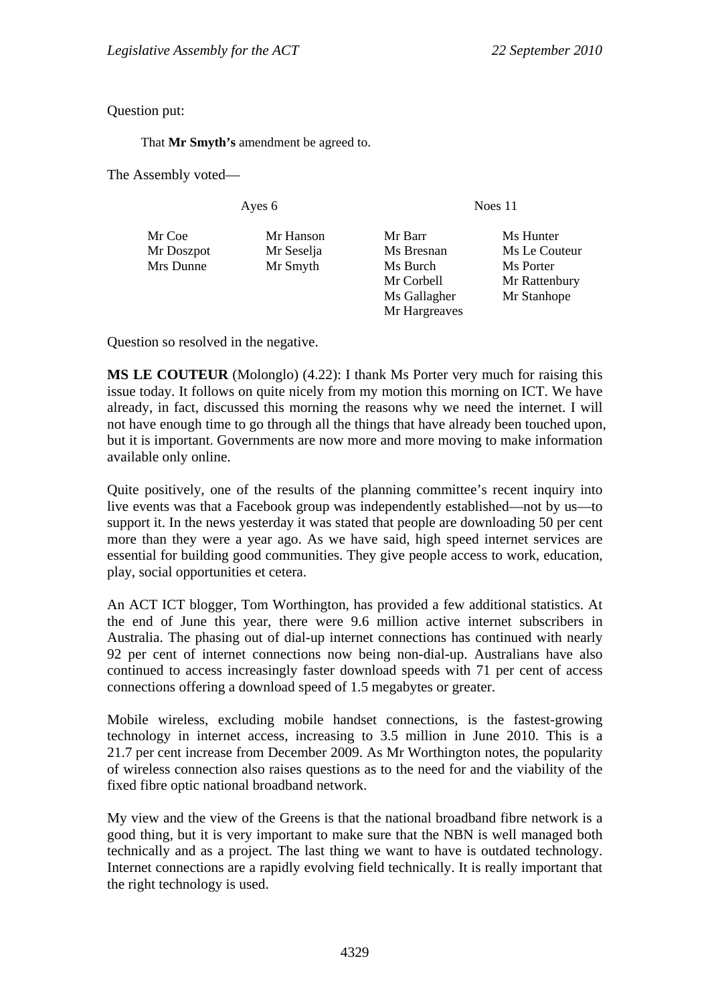Question put:

That **Mr Smyth's** amendment be agreed to.

The Assembly voted—

Ayes 6 Noes 11

Mr Coe Mr Hanson Mr Barr Ms Hunter Mr Doszpot Mr Seselja Ms Bresnan Ms Le Couteur Mrs Dunne Mr Smyth Ms Burch Ms Porter Mr Corbell Mr Rattenbury Ms Gallagher Mr Stanhope Mr Hargreaves

Question so resolved in the negative.

**MS LE COUTEUR** (Molonglo) (4.22): I thank Ms Porter very much for raising this issue today. It follows on quite nicely from my motion this morning on ICT. We have already, in fact, discussed this morning the reasons why we need the internet. I will not have enough time to go through all the things that have already been touched upon, but it is important. Governments are now more and more moving to make information available only online.

Quite positively, one of the results of the planning committee's recent inquiry into live events was that a Facebook group was independently established—not by us—to support it. In the news yesterday it was stated that people are downloading 50 per cent more than they were a year ago. As we have said, high speed internet services are essential for building good communities. They give people access to work, education, play, social opportunities et cetera.

An ACT ICT blogger, Tom Worthington, has provided a few additional statistics. At the end of June this year, there were 9.6 million active internet subscribers in Australia. The phasing out of dial-up internet connections has continued with nearly 92 per cent of internet connections now being non-dial-up. Australians have also continued to access increasingly faster download speeds with 71 per cent of access connections offering a download speed of 1.5 megabytes or greater.

Mobile wireless, excluding mobile handset connections, is the fastest-growing technology in internet access, increasing to 3.5 million in June 2010. This is a 21.7 per cent increase from December 2009. As Mr Worthington notes, the popularity of wireless connection also raises questions as to the need for and the viability of the fixed fibre optic national broadband network.

My view and the view of the Greens is that the national broadband fibre network is a good thing, but it is very important to make sure that the NBN is well managed both technically and as a project. The last thing we want to have is outdated technology. Internet connections are a rapidly evolving field technically. It is really important that the right technology is used.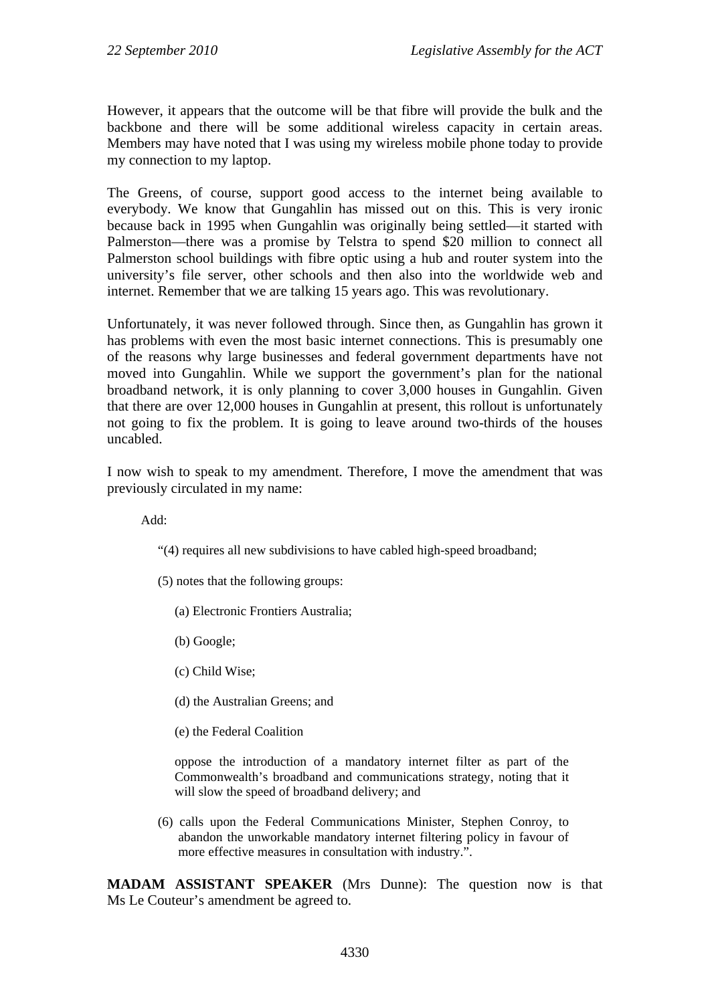However, it appears that the outcome will be that fibre will provide the bulk and the backbone and there will be some additional wireless capacity in certain areas. Members may have noted that I was using my wireless mobile phone today to provide my connection to my laptop.

The Greens, of course, support good access to the internet being available to everybody. We know that Gungahlin has missed out on this. This is very ironic because back in 1995 when Gungahlin was originally being settled—it started with Palmerston—there was a promise by Telstra to spend \$20 million to connect all Palmerston school buildings with fibre optic using a hub and router system into the university's file server, other schools and then also into the worldwide web and internet. Remember that we are talking 15 years ago. This was revolutionary.

Unfortunately, it was never followed through. Since then, as Gungahlin has grown it has problems with even the most basic internet connections. This is presumably one of the reasons why large businesses and federal government departments have not moved into Gungahlin. While we support the government's plan for the national broadband network, it is only planning to cover 3,000 houses in Gungahlin. Given that there are over 12,000 houses in Gungahlin at present, this rollout is unfortunately not going to fix the problem. It is going to leave around two-thirds of the houses uncabled.

I now wish to speak to my amendment. Therefore, I move the amendment that was previously circulated in my name:

Add:

- "(4) requires all new subdivisions to have cabled high-speed broadband;
- (5) notes that the following groups:
	- (a) Electronic Frontiers Australia;
	- (b) Google;
	- (c) Child Wise;
	- (d) the Australian Greens; and
	- (e) the Federal Coalition

oppose the introduction of a mandatory internet filter as part of the Commonwealth's broadband and communications strategy, noting that it will slow the speed of broadband delivery; and

(6) calls upon the Federal Communications Minister, Stephen Conroy, to abandon the unworkable mandatory internet filtering policy in favour of more effective measures in consultation with industry.".

**MADAM ASSISTANT SPEAKER** (Mrs Dunne): The question now is that Ms Le Couteur's amendment be agreed to.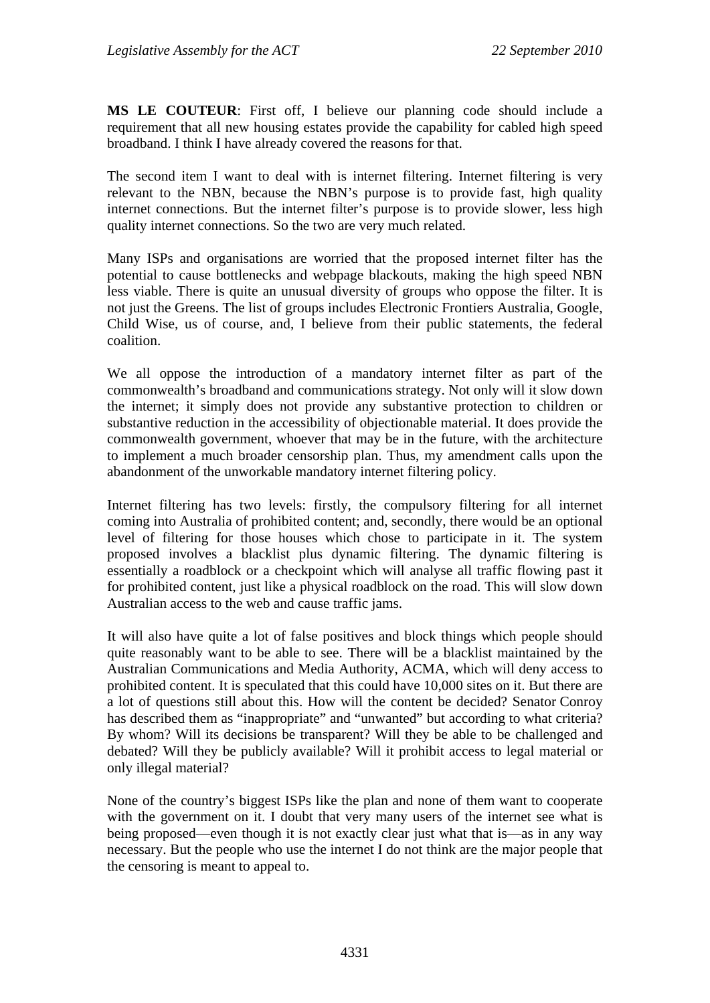**MS LE COUTEUR**: First off, I believe our planning code should include a requirement that all new housing estates provide the capability for cabled high speed broadband. I think I have already covered the reasons for that.

The second item I want to deal with is internet filtering. Internet filtering is very relevant to the NBN, because the NBN's purpose is to provide fast, high quality internet connections. But the internet filter's purpose is to provide slower, less high quality internet connections. So the two are very much related.

Many ISPs and organisations are worried that the proposed internet filter has the potential to cause bottlenecks and webpage blackouts, making the high speed NBN less viable. There is quite an unusual diversity of groups who oppose the filter. It is not just the Greens. The list of groups includes Electronic Frontiers Australia, Google, Child Wise, us of course, and, I believe from their public statements, the federal coalition.

We all oppose the introduction of a mandatory internet filter as part of the commonwealth's broadband and communications strategy. Not only will it slow down the internet; it simply does not provide any substantive protection to children or substantive reduction in the accessibility of objectionable material. It does provide the commonwealth government, whoever that may be in the future, with the architecture to implement a much broader censorship plan. Thus, my amendment calls upon the abandonment of the unworkable mandatory internet filtering policy.

Internet filtering has two levels: firstly, the compulsory filtering for all internet coming into Australia of prohibited content; and, secondly, there would be an optional level of filtering for those houses which chose to participate in it. The system proposed involves a blacklist plus dynamic filtering. The dynamic filtering is essentially a roadblock or a checkpoint which will analyse all traffic flowing past it for prohibited content, just like a physical roadblock on the road. This will slow down Australian access to the web and cause traffic jams.

It will also have quite a lot of false positives and block things which people should quite reasonably want to be able to see. There will be a blacklist maintained by the Australian Communications and Media Authority, ACMA, which will deny access to prohibited content. It is speculated that this could have 10,000 sites on it. But there are a lot of questions still about this. How will the content be decided? Senator Conroy has described them as "inappropriate" and "unwanted" but according to what criteria? By whom? Will its decisions be transparent? Will they be able to be challenged and debated? Will they be publicly available? Will it prohibit access to legal material or only illegal material?

None of the country's biggest ISPs like the plan and none of them want to cooperate with the government on it. I doubt that very many users of the internet see what is being proposed—even though it is not exactly clear just what that is—as in any way necessary. But the people who use the internet I do not think are the major people that the censoring is meant to appeal to.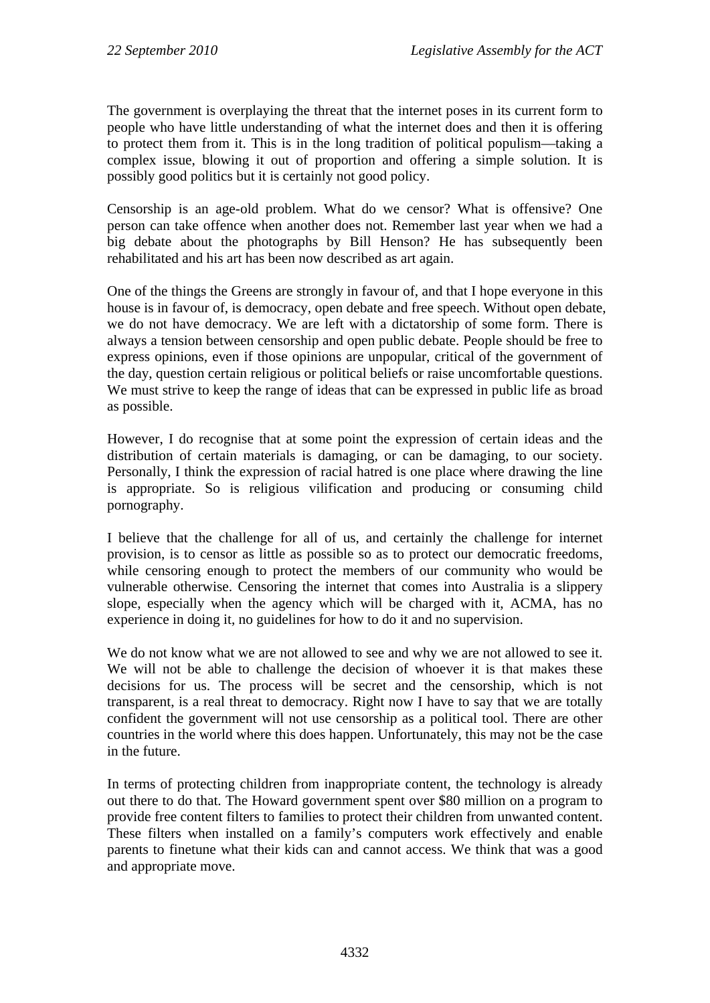The government is overplaying the threat that the internet poses in its current form to people who have little understanding of what the internet does and then it is offering to protect them from it. This is in the long tradition of political populism—taking a complex issue, blowing it out of proportion and offering a simple solution. It is possibly good politics but it is certainly not good policy.

Censorship is an age-old problem. What do we censor? What is offensive? One person can take offence when another does not. Remember last year when we had a big debate about the photographs by Bill Henson? He has subsequently been rehabilitated and his art has been now described as art again.

One of the things the Greens are strongly in favour of, and that I hope everyone in this house is in favour of, is democracy, open debate and free speech. Without open debate, we do not have democracy. We are left with a dictatorship of some form. There is always a tension between censorship and open public debate. People should be free to express opinions, even if those opinions are unpopular, critical of the government of the day, question certain religious or political beliefs or raise uncomfortable questions. We must strive to keep the range of ideas that can be expressed in public life as broad as possible.

However, I do recognise that at some point the expression of certain ideas and the distribution of certain materials is damaging, or can be damaging, to our society. Personally, I think the expression of racial hatred is one place where drawing the line is appropriate. So is religious vilification and producing or consuming child pornography.

I believe that the challenge for all of us, and certainly the challenge for internet provision, is to censor as little as possible so as to protect our democratic freedoms, while censoring enough to protect the members of our community who would be vulnerable otherwise. Censoring the internet that comes into Australia is a slippery slope, especially when the agency which will be charged with it, ACMA, has no experience in doing it, no guidelines for how to do it and no supervision.

We do not know what we are not allowed to see and why we are not allowed to see it. We will not be able to challenge the decision of whoever it is that makes these decisions for us. The process will be secret and the censorship, which is not transparent, is a real threat to democracy. Right now I have to say that we are totally confident the government will not use censorship as a political tool. There are other countries in the world where this does happen. Unfortunately, this may not be the case in the future.

In terms of protecting children from inappropriate content, the technology is already out there to do that. The Howard government spent over \$80 million on a program to provide free content filters to families to protect their children from unwanted content. These filters when installed on a family's computers work effectively and enable parents to finetune what their kids can and cannot access. We think that was a good and appropriate move.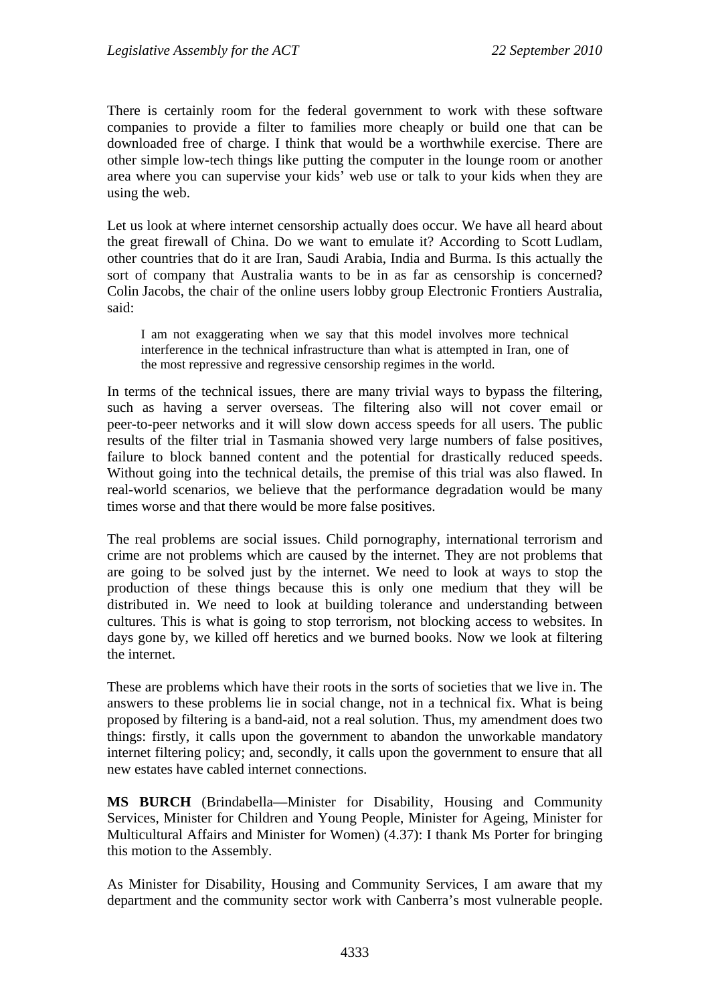There is certainly room for the federal government to work with these software companies to provide a filter to families more cheaply or build one that can be downloaded free of charge. I think that would be a worthwhile exercise. There are other simple low-tech things like putting the computer in the lounge room or another area where you can supervise your kids' web use or talk to your kids when they are using the web.

Let us look at where internet censorship actually does occur. We have all heard about the great firewall of China. Do we want to emulate it? According to Scott Ludlam, other countries that do it are Iran, Saudi Arabia, India and Burma. Is this actually the sort of company that Australia wants to be in as far as censorship is concerned? Colin Jacobs, the chair of the online users lobby group Electronic Frontiers Australia, said:

I am not exaggerating when we say that this model involves more technical interference in the technical infrastructure than what is attempted in Iran, one of the most repressive and regressive censorship regimes in the world.

In terms of the technical issues, there are many trivial ways to bypass the filtering, such as having a server overseas. The filtering also will not cover email or peer-to-peer networks and it will slow down access speeds for all users. The public results of the filter trial in Tasmania showed very large numbers of false positives, failure to block banned content and the potential for drastically reduced speeds. Without going into the technical details, the premise of this trial was also flawed. In real-world scenarios, we believe that the performance degradation would be many times worse and that there would be more false positives.

The real problems are social issues. Child pornography, international terrorism and crime are not problems which are caused by the internet. They are not problems that are going to be solved just by the internet. We need to look at ways to stop the production of these things because this is only one medium that they will be distributed in. We need to look at building tolerance and understanding between cultures. This is what is going to stop terrorism, not blocking access to websites. In days gone by, we killed off heretics and we burned books. Now we look at filtering the internet.

These are problems which have their roots in the sorts of societies that we live in. The answers to these problems lie in social change, not in a technical fix. What is being proposed by filtering is a band-aid, not a real solution. Thus, my amendment does two things: firstly, it calls upon the government to abandon the unworkable mandatory internet filtering policy; and, secondly, it calls upon the government to ensure that all new estates have cabled internet connections.

**MS BURCH** (Brindabella—Minister for Disability, Housing and Community Services, Minister for Children and Young People, Minister for Ageing, Minister for Multicultural Affairs and Minister for Women) (4.37): I thank Ms Porter for bringing this motion to the Assembly.

As Minister for Disability, Housing and Community Services, I am aware that my department and the community sector work with Canberra's most vulnerable people.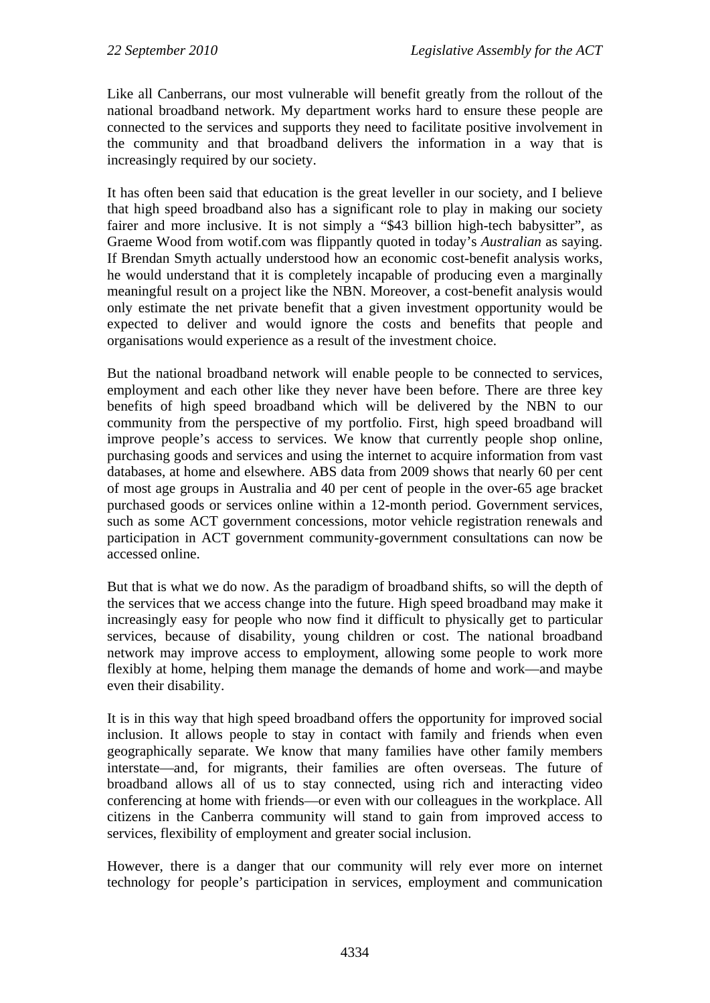Like all Canberrans, our most vulnerable will benefit greatly from the rollout of the national broadband network. My department works hard to ensure these people are connected to the services and supports they need to facilitate positive involvement in the community and that broadband delivers the information in a way that is increasingly required by our society.

It has often been said that education is the great leveller in our society, and I believe that high speed broadband also has a significant role to play in making our society fairer and more inclusive. It is not simply a "\$43 billion high-tech babysitter", as Graeme Wood from wotif.com was flippantly quoted in today's *Australian* as saying. If Brendan Smyth actually understood how an economic cost-benefit analysis works, he would understand that it is completely incapable of producing even a marginally meaningful result on a project like the NBN. Moreover, a cost-benefit analysis would only estimate the net private benefit that a given investment opportunity would be expected to deliver and would ignore the costs and benefits that people and organisations would experience as a result of the investment choice.

But the national broadband network will enable people to be connected to services, employment and each other like they never have been before. There are three key benefits of high speed broadband which will be delivered by the NBN to our community from the perspective of my portfolio. First, high speed broadband will improve people's access to services. We know that currently people shop online, purchasing goods and services and using the internet to acquire information from vast databases, at home and elsewhere. ABS data from 2009 shows that nearly 60 per cent of most age groups in Australia and 40 per cent of people in the over-65 age bracket purchased goods or services online within a 12-month period. Government services, such as some ACT government concessions, motor vehicle registration renewals and participation in ACT government community-government consultations can now be accessed online.

But that is what we do now. As the paradigm of broadband shifts, so will the depth of the services that we access change into the future. High speed broadband may make it increasingly easy for people who now find it difficult to physically get to particular services, because of disability, young children or cost. The national broadband network may improve access to employment, allowing some people to work more flexibly at home, helping them manage the demands of home and work—and maybe even their disability.

It is in this way that high speed broadband offers the opportunity for improved social inclusion. It allows people to stay in contact with family and friends when even geographically separate. We know that many families have other family members interstate—and, for migrants, their families are often overseas. The future of broadband allows all of us to stay connected, using rich and interacting video conferencing at home with friends—or even with our colleagues in the workplace. All citizens in the Canberra community will stand to gain from improved access to services, flexibility of employment and greater social inclusion.

However, there is a danger that our community will rely ever more on internet technology for people's participation in services, employment and communication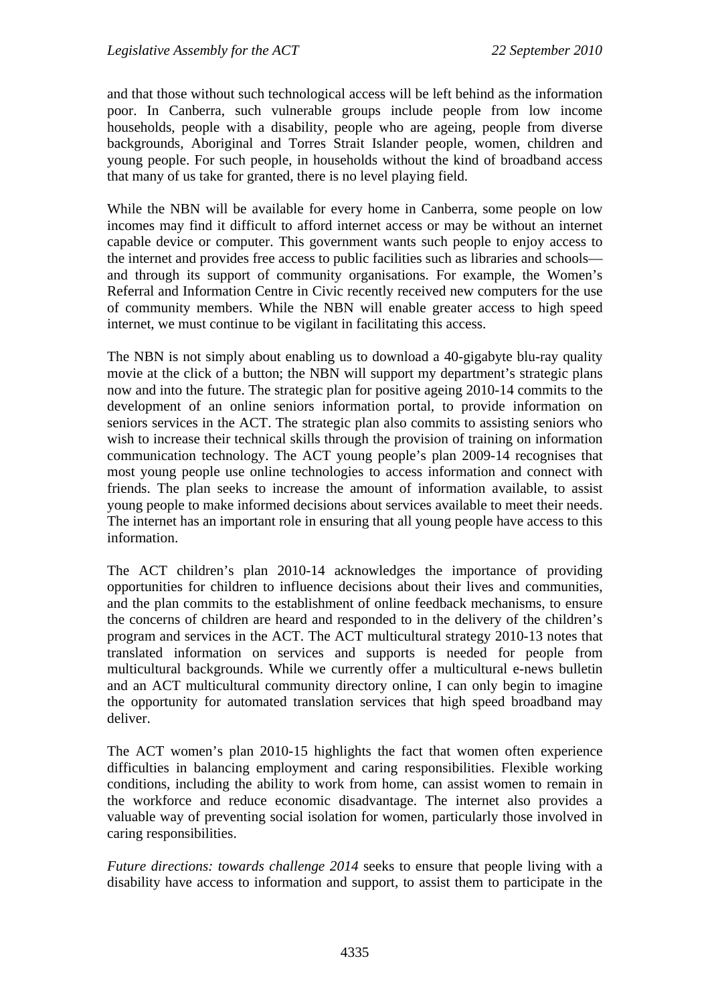and that those without such technological access will be left behind as the information poor. In Canberra, such vulnerable groups include people from low income households, people with a disability, people who are ageing, people from diverse backgrounds, Aboriginal and Torres Strait Islander people, women, children and young people. For such people, in households without the kind of broadband access that many of us take for granted, there is no level playing field.

While the NBN will be available for every home in Canberra, some people on low incomes may find it difficult to afford internet access or may be without an internet capable device or computer. This government wants such people to enjoy access to the internet and provides free access to public facilities such as libraries and schools and through its support of community organisations. For example, the Women's Referral and Information Centre in Civic recently received new computers for the use of community members. While the NBN will enable greater access to high speed internet, we must continue to be vigilant in facilitating this access.

The NBN is not simply about enabling us to download a 40-gigabyte blu-ray quality movie at the click of a button; the NBN will support my department's strategic plans now and into the future. The strategic plan for positive ageing 2010-14 commits to the development of an online seniors information portal, to provide information on seniors services in the ACT. The strategic plan also commits to assisting seniors who wish to increase their technical skills through the provision of training on information communication technology. The ACT young people's plan 2009-14 recognises that most young people use online technologies to access information and connect with friends. The plan seeks to increase the amount of information available, to assist young people to make informed decisions about services available to meet their needs. The internet has an important role in ensuring that all young people have access to this information.

The ACT children's plan 2010-14 acknowledges the importance of providing opportunities for children to influence decisions about their lives and communities, and the plan commits to the establishment of online feedback mechanisms, to ensure the concerns of children are heard and responded to in the delivery of the children's program and services in the ACT. The ACT multicultural strategy 2010-13 notes that translated information on services and supports is needed for people from multicultural backgrounds. While we currently offer a multicultural e-news bulletin and an ACT multicultural community directory online, I can only begin to imagine the opportunity for automated translation services that high speed broadband may deliver.

The ACT women's plan 2010-15 highlights the fact that women often experience difficulties in balancing employment and caring responsibilities. Flexible working conditions, including the ability to work from home, can assist women to remain in the workforce and reduce economic disadvantage. The internet also provides a valuable way of preventing social isolation for women, particularly those involved in caring responsibilities.

*Future directions: towards challenge 2014* seeks to ensure that people living with a disability have access to information and support, to assist them to participate in the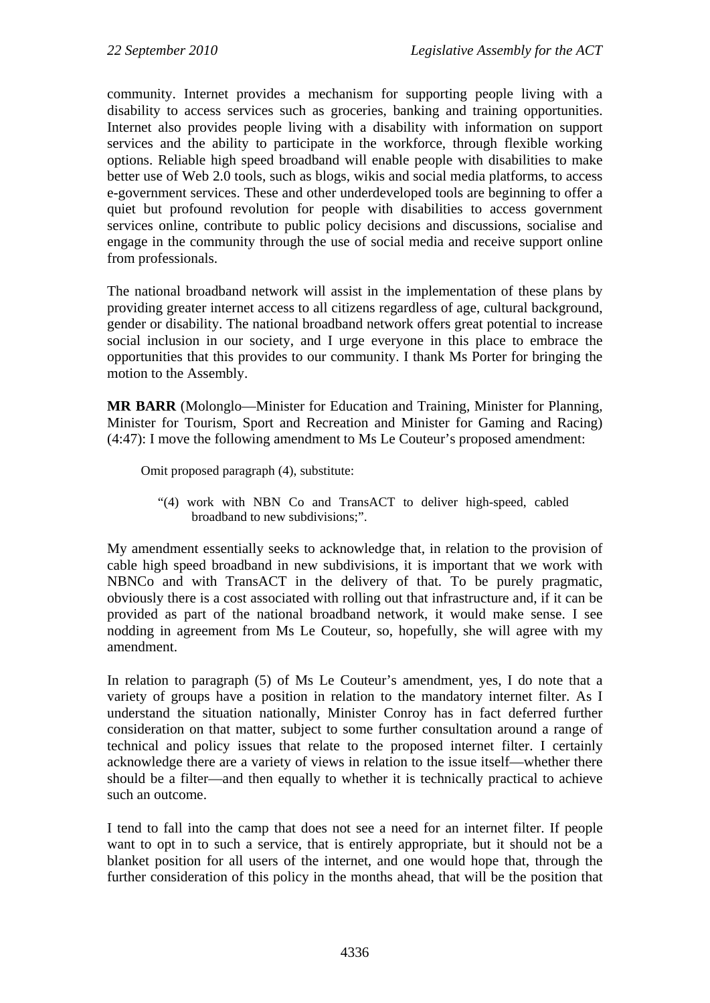community. Internet provides a mechanism for supporting people living with a disability to access services such as groceries, banking and training opportunities. Internet also provides people living with a disability with information on support services and the ability to participate in the workforce, through flexible working options. Reliable high speed broadband will enable people with disabilities to make better use of Web 2.0 tools, such as blogs, wikis and social media platforms, to access e-government services. These and other underdeveloped tools are beginning to offer a quiet but profound revolution for people with disabilities to access government services online, contribute to public policy decisions and discussions, socialise and engage in the community through the use of social media and receive support online from professionals.

The national broadband network will assist in the implementation of these plans by providing greater internet access to all citizens regardless of age, cultural background, gender or disability. The national broadband network offers great potential to increase social inclusion in our society, and I urge everyone in this place to embrace the opportunities that this provides to our community. I thank Ms Porter for bringing the motion to the Assembly.

**MR BARR** (Molonglo—Minister for Education and Training, Minister for Planning, Minister for Tourism, Sport and Recreation and Minister for Gaming and Racing) (4:47): I move the following amendment to Ms Le Couteur's proposed amendment:

Omit proposed paragraph (4), substitute:

"(4) work with NBN Co and TransACT to deliver high-speed, cabled broadband to new subdivisions;".

My amendment essentially seeks to acknowledge that, in relation to the provision of cable high speed broadband in new subdivisions, it is important that we work with NBNCo and with TransACT in the delivery of that. To be purely pragmatic, obviously there is a cost associated with rolling out that infrastructure and, if it can be provided as part of the national broadband network, it would make sense. I see nodding in agreement from Ms Le Couteur, so, hopefully, she will agree with my amendment.

In relation to paragraph (5) of Ms Le Couteur's amendment, yes, I do note that a variety of groups have a position in relation to the mandatory internet filter. As I understand the situation nationally, Minister Conroy has in fact deferred further consideration on that matter, subject to some further consultation around a range of technical and policy issues that relate to the proposed internet filter. I certainly acknowledge there are a variety of views in relation to the issue itself—whether there should be a filter—and then equally to whether it is technically practical to achieve such an outcome.

I tend to fall into the camp that does not see a need for an internet filter. If people want to opt in to such a service, that is entirely appropriate, but it should not be a blanket position for all users of the internet, and one would hope that, through the further consideration of this policy in the months ahead, that will be the position that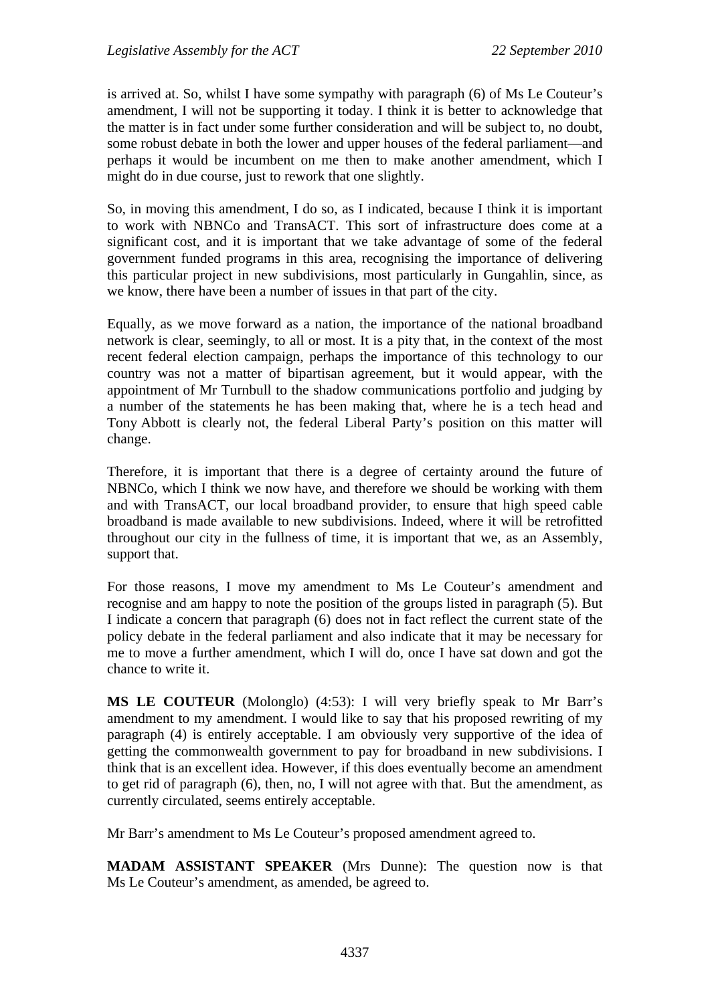is arrived at. So, whilst I have some sympathy with paragraph (6) of Ms Le Couteur's amendment, I will not be supporting it today. I think it is better to acknowledge that the matter is in fact under some further consideration and will be subject to, no doubt, some robust debate in both the lower and upper houses of the federal parliament—and perhaps it would be incumbent on me then to make another amendment, which I might do in due course, just to rework that one slightly.

So, in moving this amendment, I do so, as I indicated, because I think it is important to work with NBNCo and TransACT. This sort of infrastructure does come at a significant cost, and it is important that we take advantage of some of the federal government funded programs in this area, recognising the importance of delivering this particular project in new subdivisions, most particularly in Gungahlin, since, as we know, there have been a number of issues in that part of the city.

Equally, as we move forward as a nation, the importance of the national broadband network is clear, seemingly, to all or most. It is a pity that, in the context of the most recent federal election campaign, perhaps the importance of this technology to our country was not a matter of bipartisan agreement, but it would appear, with the appointment of Mr Turnbull to the shadow communications portfolio and judging by a number of the statements he has been making that, where he is a tech head and Tony Abbott is clearly not, the federal Liberal Party's position on this matter will change.

Therefore, it is important that there is a degree of certainty around the future of NBNCo, which I think we now have, and therefore we should be working with them and with TransACT, our local broadband provider, to ensure that high speed cable broadband is made available to new subdivisions. Indeed, where it will be retrofitted throughout our city in the fullness of time, it is important that we, as an Assembly, support that.

For those reasons, I move my amendment to Ms Le Couteur's amendment and recognise and am happy to note the position of the groups listed in paragraph (5). But I indicate a concern that paragraph (6) does not in fact reflect the current state of the policy debate in the federal parliament and also indicate that it may be necessary for me to move a further amendment, which I will do, once I have sat down and got the chance to write it.

**MS LE COUTEUR** (Molonglo) (4:53): I will very briefly speak to Mr Barr's amendment to my amendment. I would like to say that his proposed rewriting of my paragraph (4) is entirely acceptable. I am obviously very supportive of the idea of getting the commonwealth government to pay for broadband in new subdivisions. I think that is an excellent idea. However, if this does eventually become an amendment to get rid of paragraph (6), then, no, I will not agree with that. But the amendment, as currently circulated, seems entirely acceptable.

Mr Barr's amendment to Ms Le Couteur's proposed amendment agreed to.

**MADAM ASSISTANT SPEAKER** (Mrs Dunne): The question now is that Ms Le Couteur's amendment, as amended, be agreed to.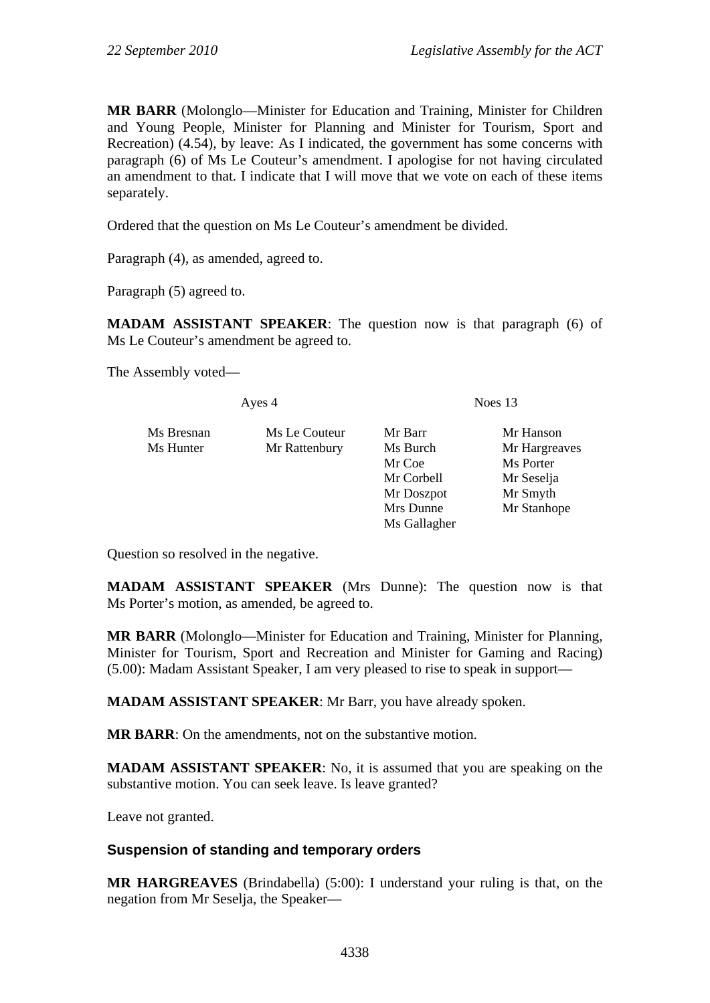**MR BARR** (Molonglo—Minister for Education and Training, Minister for Children and Young People, Minister for Planning and Minister for Tourism, Sport and Recreation) (4.54), by leave: As I indicated, the government has some concerns with paragraph (6) of Ms Le Couteur's amendment. I apologise for not having circulated an amendment to that. I indicate that I will move that we vote on each of these items separately.

Ordered that the question on Ms Le Couteur's amendment be divided.

Paragraph (4), as amended, agreed to.

Paragraph (5) agreed to.

**MADAM ASSISTANT SPEAKER**: The question now is that paragraph (6) of Ms Le Couteur's amendment be agreed to.

The Assembly voted—

| Ayes 4     |               | Noes $13$            |               |
|------------|---------------|----------------------|---------------|
| Ms Bresnan | Ms Le Couteur | Mr Barr              | Mr Hanson     |
| Ms Hunter  | Mr Rattenbury | Ms Burch             | Mr Hargreaves |
|            |               | Mr Coe<br>Mr Corbell | Ms Porter     |
|            |               |                      | Mr Seselja    |
|            |               | Mr Doszpot           | Mr Smyth      |
|            |               | Mrs Dunne            | Mr Stanhope   |
|            |               | Ms Gallagher         |               |

Question so resolved in the negative.

**MADAM ASSISTANT SPEAKER** (Mrs Dunne): The question now is that Ms Porter's motion, as amended, be agreed to.

**MR BARR** (Molonglo—Minister for Education and Training, Minister for Planning, Minister for Tourism, Sport and Recreation and Minister for Gaming and Racing) (5.00): Madam Assistant Speaker, I am very pleased to rise to speak in support—

**MADAM ASSISTANT SPEAKER**: Mr Barr, you have already spoken.

**MR BARR**: On the amendments, not on the substantive motion.

**MADAM ASSISTANT SPEAKER**: No, it is assumed that you are speaking on the substantive motion. You can seek leave. Is leave granted?

Leave not granted.

### **Suspension of standing and temporary orders**

**MR HARGREAVES** (Brindabella) (5:00): I understand your ruling is that, on the negation from Mr Seselja, the Speaker—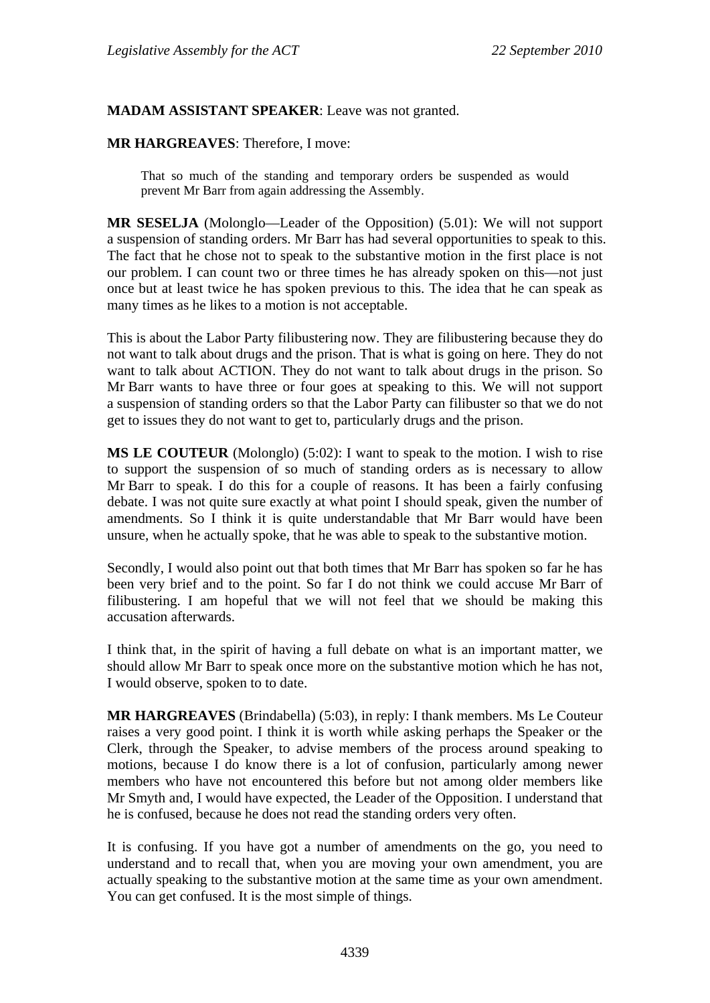#### **MADAM ASSISTANT SPEAKER**: Leave was not granted.

#### **MR HARGREAVES**: Therefore, I move:

That so much of the standing and temporary orders be suspended as would prevent Mr Barr from again addressing the Assembly.

**MR SESELJA** (Molonglo—Leader of the Opposition) (5.01): We will not support a suspension of standing orders. Mr Barr has had several opportunities to speak to this. The fact that he chose not to speak to the substantive motion in the first place is not our problem. I can count two or three times he has already spoken on this—not just once but at least twice he has spoken previous to this. The idea that he can speak as many times as he likes to a motion is not acceptable.

This is about the Labor Party filibustering now. They are filibustering because they do not want to talk about drugs and the prison. That is what is going on here. They do not want to talk about ACTION. They do not want to talk about drugs in the prison. So Mr Barr wants to have three or four goes at speaking to this. We will not support a suspension of standing orders so that the Labor Party can filibuster so that we do not get to issues they do not want to get to, particularly drugs and the prison.

**MS LE COUTEUR** (Molonglo) (5:02): I want to speak to the motion. I wish to rise to support the suspension of so much of standing orders as is necessary to allow Mr Barr to speak. I do this for a couple of reasons. It has been a fairly confusing debate. I was not quite sure exactly at what point I should speak, given the number of amendments. So I think it is quite understandable that Mr Barr would have been unsure, when he actually spoke, that he was able to speak to the substantive motion.

Secondly, I would also point out that both times that Mr Barr has spoken so far he has been very brief and to the point. So far I do not think we could accuse Mr Barr of filibustering. I am hopeful that we will not feel that we should be making this accusation afterwards.

I think that, in the spirit of having a full debate on what is an important matter, we should allow Mr Barr to speak once more on the substantive motion which he has not, I would observe, spoken to to date.

**MR HARGREAVES** (Brindabella) (5:03), in reply: I thank members. Ms Le Couteur raises a very good point. I think it is worth while asking perhaps the Speaker or the Clerk, through the Speaker, to advise members of the process around speaking to motions, because I do know there is a lot of confusion, particularly among newer members who have not encountered this before but not among older members like Mr Smyth and, I would have expected, the Leader of the Opposition. I understand that he is confused, because he does not read the standing orders very often.

It is confusing. If you have got a number of amendments on the go, you need to understand and to recall that, when you are moving your own amendment, you are actually speaking to the substantive motion at the same time as your own amendment. You can get confused. It is the most simple of things.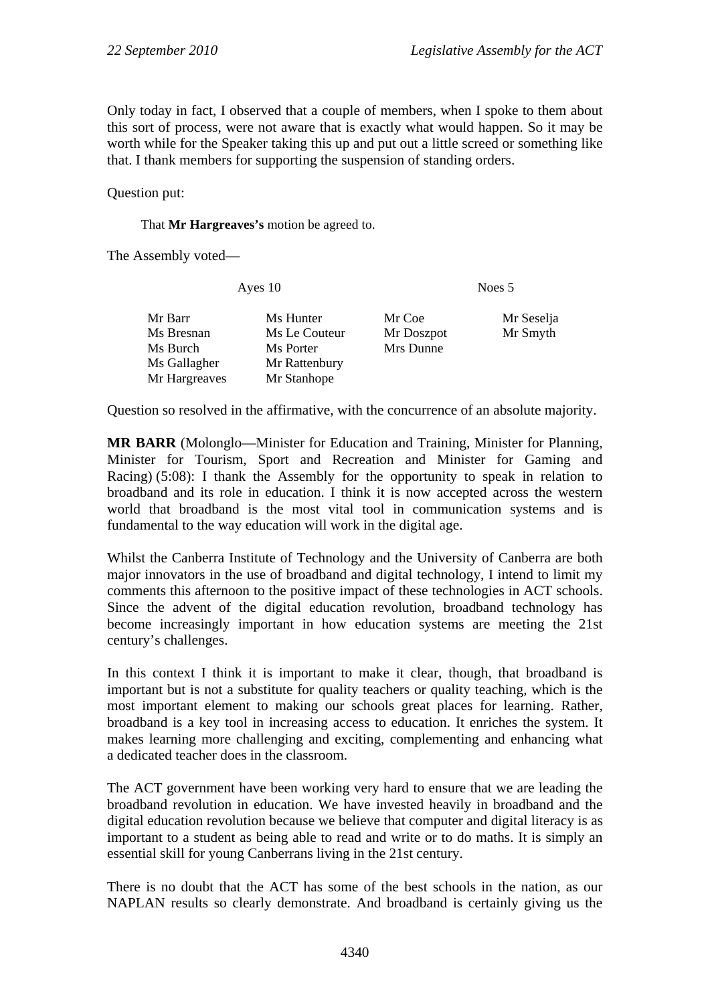Only today in fact, I observed that a couple of members, when I spoke to them about this sort of process, were not aware that is exactly what would happen. So it may be worth while for the Speaker taking this up and put out a little screed or something like that. I thank members for supporting the suspension of standing orders.

Question put:

That **Mr Hargreaves's** motion be agreed to.

The Assembly voted—

| Ayes 10                                           |                                                          | Noes 5                            |                        |
|---------------------------------------------------|----------------------------------------------------------|-----------------------------------|------------------------|
| Mr Barr<br>Ms Bresnan<br>Ms Burch<br>Ms Gallagher | Ms Hunter<br>Ms Le Couteur<br>Ms Porter<br>Mr Rattenbury | Mr Coe<br>Mr Doszpot<br>Mrs Dunne | Mr Seselja<br>Mr Smyth |
| Mr Hargreaves                                     | Mr Stanhope                                              |                                   |                        |

Question so resolved in the affirmative, with the concurrence of an absolute majority.

**MR BARR** (Molonglo—Minister for Education and Training, Minister for Planning, Minister for Tourism, Sport and Recreation and Minister for Gaming and Racing) (5:08): I thank the Assembly for the opportunity to speak in relation to broadband and its role in education. I think it is now accepted across the western world that broadband is the most vital tool in communication systems and is fundamental to the way education will work in the digital age.

Whilst the Canberra Institute of Technology and the University of Canberra are both major innovators in the use of broadband and digital technology, I intend to limit my comments this afternoon to the positive impact of these technologies in ACT schools. Since the advent of the digital education revolution, broadband technology has become increasingly important in how education systems are meeting the 21st century's challenges.

In this context I think it is important to make it clear, though, that broadband is important but is not a substitute for quality teachers or quality teaching, which is the most important element to making our schools great places for learning. Rather, broadband is a key tool in increasing access to education. It enriches the system. It makes learning more challenging and exciting, complementing and enhancing what a dedicated teacher does in the classroom.

The ACT government have been working very hard to ensure that we are leading the broadband revolution in education. We have invested heavily in broadband and the digital education revolution because we believe that computer and digital literacy is as important to a student as being able to read and write or to do maths. It is simply an essential skill for young Canberrans living in the 21st century.

There is no doubt that the ACT has some of the best schools in the nation, as our NAPLAN results so clearly demonstrate. And broadband is certainly giving us the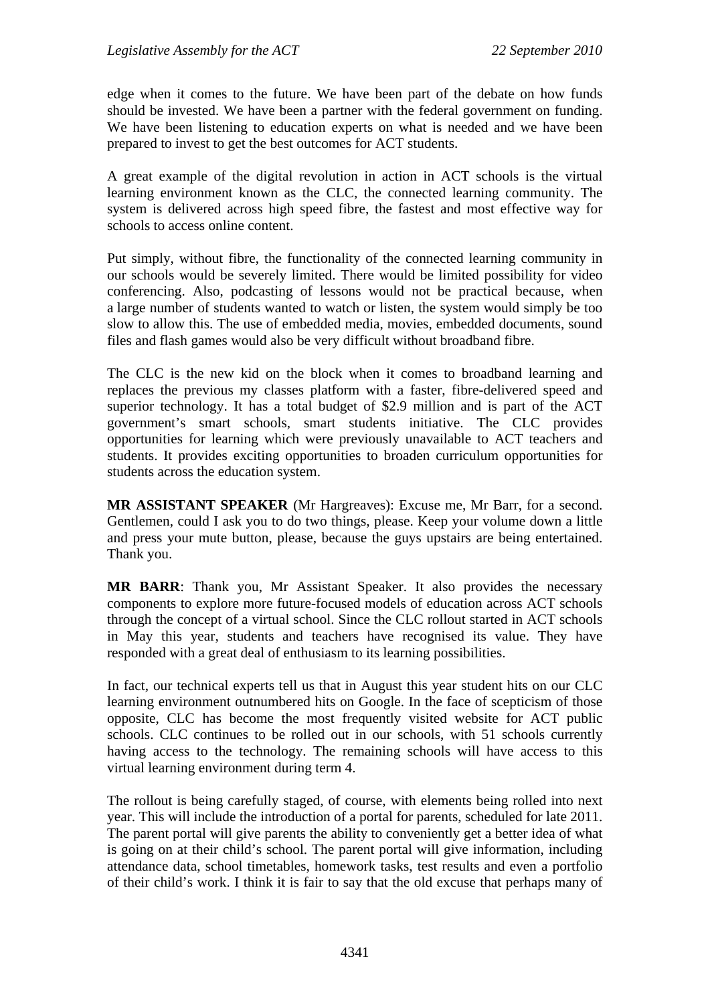edge when it comes to the future. We have been part of the debate on how funds should be invested. We have been a partner with the federal government on funding. We have been listening to education experts on what is needed and we have been prepared to invest to get the best outcomes for ACT students.

A great example of the digital revolution in action in ACT schools is the virtual learning environment known as the CLC, the connected learning community. The system is delivered across high speed fibre, the fastest and most effective way for schools to access online content.

Put simply, without fibre, the functionality of the connected learning community in our schools would be severely limited. There would be limited possibility for video conferencing. Also, podcasting of lessons would not be practical because, when a large number of students wanted to watch or listen, the system would simply be too slow to allow this. The use of embedded media, movies, embedded documents, sound files and flash games would also be very difficult without broadband fibre.

The CLC is the new kid on the block when it comes to broadband learning and replaces the previous my classes platform with a faster, fibre-delivered speed and superior technology. It has a total budget of \$2.9 million and is part of the ACT government's smart schools, smart students initiative. The CLC provides opportunities for learning which were previously unavailable to ACT teachers and students. It provides exciting opportunities to broaden curriculum opportunities for students across the education system.

**MR ASSISTANT SPEAKER** (Mr Hargreaves): Excuse me, Mr Barr, for a second. Gentlemen, could I ask you to do two things, please. Keep your volume down a little and press your mute button, please, because the guys upstairs are being entertained. Thank you.

**MR BARR**: Thank you, Mr Assistant Speaker. It also provides the necessary components to explore more future-focused models of education across ACT schools through the concept of a virtual school. Since the CLC rollout started in ACT schools in May this year, students and teachers have recognised its value. They have responded with a great deal of enthusiasm to its learning possibilities.

In fact, our technical experts tell us that in August this year student hits on our CLC learning environment outnumbered hits on Google. In the face of scepticism of those opposite, CLC has become the most frequently visited website for ACT public schools. CLC continues to be rolled out in our schools, with 51 schools currently having access to the technology. The remaining schools will have access to this virtual learning environment during term 4.

The rollout is being carefully staged, of course, with elements being rolled into next year. This will include the introduction of a portal for parents, scheduled for late 2011. The parent portal will give parents the ability to conveniently get a better idea of what is going on at their child's school. The parent portal will give information, including attendance data, school timetables, homework tasks, test results and even a portfolio of their child's work. I think it is fair to say that the old excuse that perhaps many of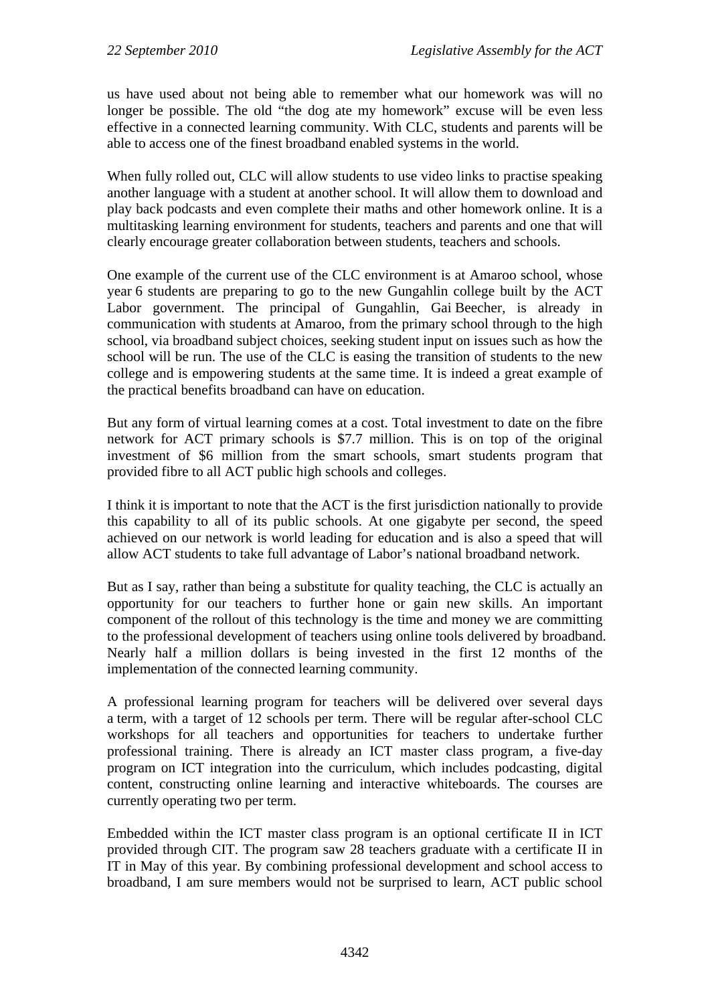us have used about not being able to remember what our homework was will no longer be possible. The old "the dog ate my homework" excuse will be even less effective in a connected learning community. With CLC, students and parents will be able to access one of the finest broadband enabled systems in the world.

When fully rolled out, CLC will allow students to use video links to practise speaking another language with a student at another school. It will allow them to download and play back podcasts and even complete their maths and other homework online. It is a multitasking learning environment for students, teachers and parents and one that will clearly encourage greater collaboration between students, teachers and schools.

One example of the current use of the CLC environment is at Amaroo school, whose year 6 students are preparing to go to the new Gungahlin college built by the ACT Labor government. The principal of Gungahlin, Gai Beecher, is already in communication with students at Amaroo, from the primary school through to the high school, via broadband subject choices, seeking student input on issues such as how the school will be run. The use of the CLC is easing the transition of students to the new college and is empowering students at the same time. It is indeed a great example of the practical benefits broadband can have on education.

But any form of virtual learning comes at a cost. Total investment to date on the fibre network for ACT primary schools is \$7.7 million. This is on top of the original investment of \$6 million from the smart schools, smart students program that provided fibre to all ACT public high schools and colleges.

I think it is important to note that the ACT is the first jurisdiction nationally to provide this capability to all of its public schools. At one gigabyte per second, the speed achieved on our network is world leading for education and is also a speed that will allow ACT students to take full advantage of Labor's national broadband network.

But as I say, rather than being a substitute for quality teaching, the CLC is actually an opportunity for our teachers to further hone or gain new skills. An important component of the rollout of this technology is the time and money we are committing to the professional development of teachers using online tools delivered by broadband. Nearly half a million dollars is being invested in the first 12 months of the implementation of the connected learning community.

A professional learning program for teachers will be delivered over several days a term, with a target of 12 schools per term. There will be regular after-school CLC workshops for all teachers and opportunities for teachers to undertake further professional training. There is already an ICT master class program, a five-day program on ICT integration into the curriculum, which includes podcasting, digital content, constructing online learning and interactive whiteboards. The courses are currently operating two per term.

Embedded within the ICT master class program is an optional certificate II in ICT provided through CIT. The program saw 28 teachers graduate with a certificate II in IT in May of this year. By combining professional development and school access to broadband, I am sure members would not be surprised to learn, ACT public school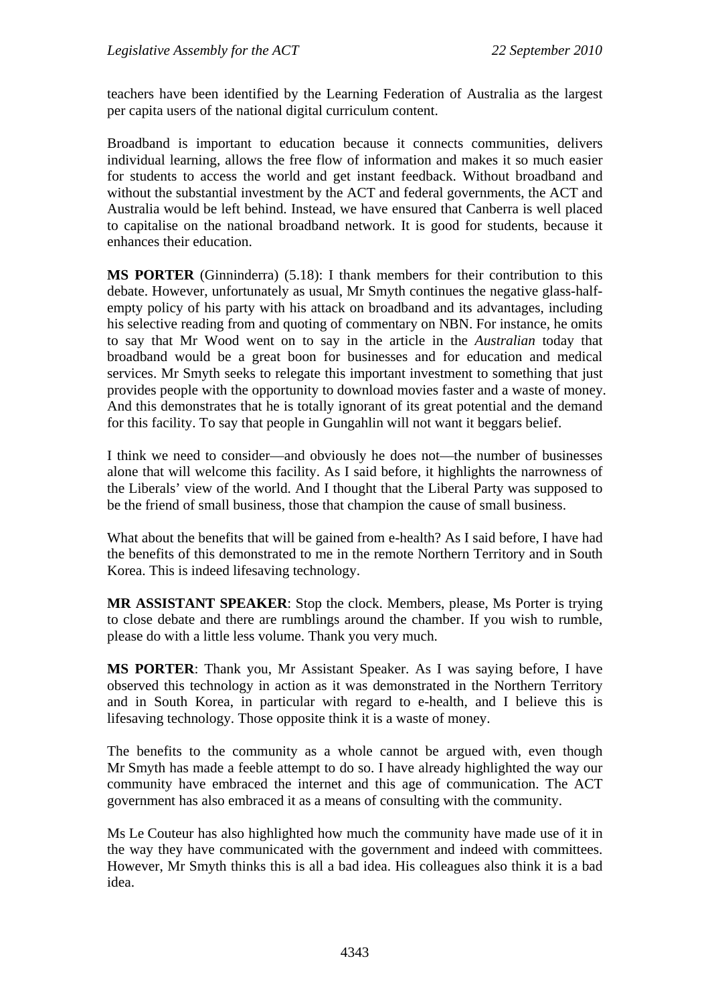teachers have been identified by the Learning Federation of Australia as the largest per capita users of the national digital curriculum content.

Broadband is important to education because it connects communities, delivers individual learning, allows the free flow of information and makes it so much easier for students to access the world and get instant feedback. Without broadband and without the substantial investment by the ACT and federal governments, the ACT and Australia would be left behind. Instead, we have ensured that Canberra is well placed to capitalise on the national broadband network. It is good for students, because it enhances their education.

**MS PORTER** (Ginninderra) (5.18): I thank members for their contribution to this debate. However, unfortunately as usual, Mr Smyth continues the negative glass-halfempty policy of his party with his attack on broadband and its advantages, including his selective reading from and quoting of commentary on NBN. For instance, he omits to say that Mr Wood went on to say in the article in the *Australian* today that broadband would be a great boon for businesses and for education and medical services. Mr Smyth seeks to relegate this important investment to something that just provides people with the opportunity to download movies faster and a waste of money. And this demonstrates that he is totally ignorant of its great potential and the demand for this facility. To say that people in Gungahlin will not want it beggars belief.

I think we need to consider—and obviously he does not—the number of businesses alone that will welcome this facility. As I said before, it highlights the narrowness of the Liberals' view of the world. And I thought that the Liberal Party was supposed to be the friend of small business, those that champion the cause of small business.

What about the benefits that will be gained from e-health? As I said before, I have had the benefits of this demonstrated to me in the remote Northern Territory and in South Korea. This is indeed lifesaving technology.

**MR ASSISTANT SPEAKER**: Stop the clock. Members, please, Ms Porter is trying to close debate and there are rumblings around the chamber. If you wish to rumble, please do with a little less volume. Thank you very much.

**MS PORTER**: Thank you, Mr Assistant Speaker. As I was saying before, I have observed this technology in action as it was demonstrated in the Northern Territory and in South Korea, in particular with regard to e-health, and I believe this is lifesaving technology. Those opposite think it is a waste of money.

The benefits to the community as a whole cannot be argued with, even though Mr Smyth has made a feeble attempt to do so. I have already highlighted the way our community have embraced the internet and this age of communication. The ACT government has also embraced it as a means of consulting with the community.

Ms Le Couteur has also highlighted how much the community have made use of it in the way they have communicated with the government and indeed with committees. However, Mr Smyth thinks this is all a bad idea. His colleagues also think it is a bad idea.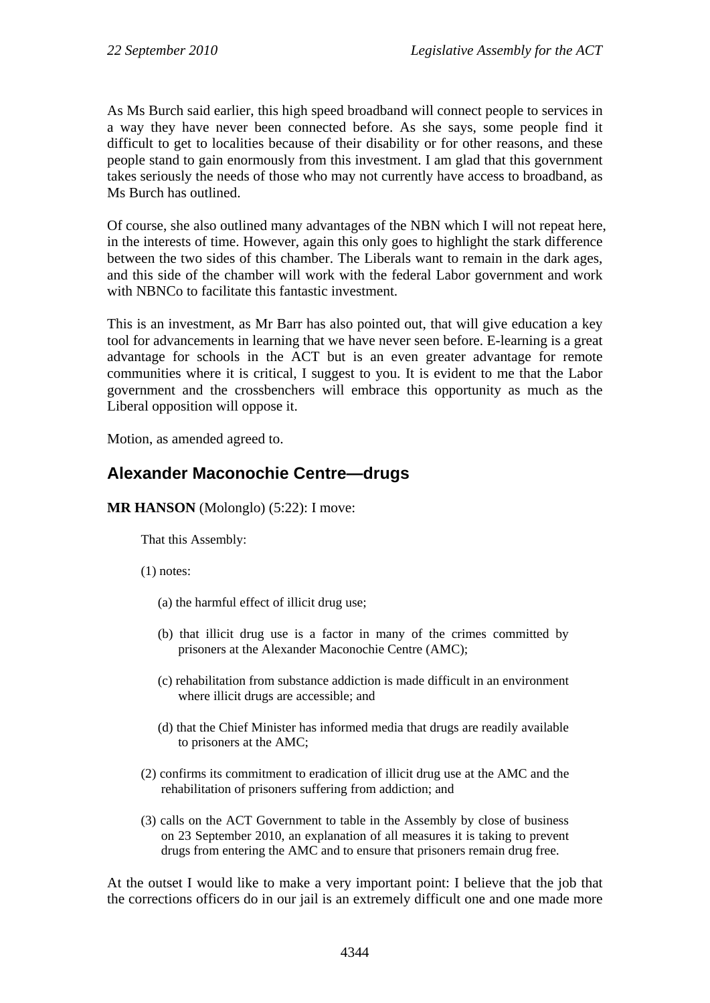As Ms Burch said earlier, this high speed broadband will connect people to services in a way they have never been connected before. As she says, some people find it difficult to get to localities because of their disability or for other reasons, and these people stand to gain enormously from this investment. I am glad that this government takes seriously the needs of those who may not currently have access to broadband, as Ms Burch has outlined.

Of course, she also outlined many advantages of the NBN which I will not repeat here, in the interests of time. However, again this only goes to highlight the stark difference between the two sides of this chamber. The Liberals want to remain in the dark ages, and this side of the chamber will work with the federal Labor government and work with NBNCo to facilitate this fantastic investment.

This is an investment, as Mr Barr has also pointed out, that will give education a key tool for advancements in learning that we have never seen before. E-learning is a great advantage for schools in the ACT but is an even greater advantage for remote communities where it is critical, I suggest to you. It is evident to me that the Labor government and the crossbenchers will embrace this opportunity as much as the Liberal opposition will oppose it.

Motion, as amended agreed to.

# **Alexander Maconochie Centre—drugs**

**MR HANSON** (Molonglo) (5:22): I move:

That this Assembly:

(1) notes:

- (a) the harmful effect of illicit drug use;
- (b) that illicit drug use is a factor in many of the crimes committed by prisoners at the Alexander Maconochie Centre (AMC);
- (c) rehabilitation from substance addiction is made difficult in an environment where illicit drugs are accessible; and
- (d) that the Chief Minister has informed media that drugs are readily available to prisoners at the AMC;
- (2) confirms its commitment to eradication of illicit drug use at the AMC and the rehabilitation of prisoners suffering from addiction; and
- (3) calls on the ACT Government to table in the Assembly by close of business on 23 September 2010, an explanation of all measures it is taking to prevent drugs from entering the AMC and to ensure that prisoners remain drug free.

At the outset I would like to make a very important point: I believe that the job that the corrections officers do in our jail is an extremely difficult one and one made more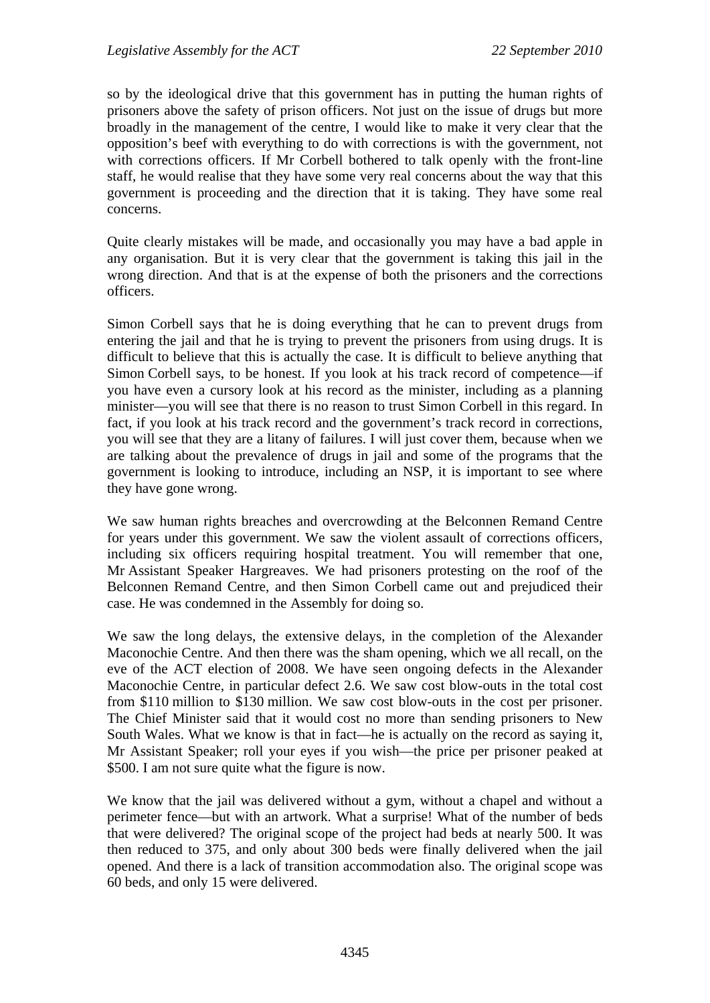so by the ideological drive that this government has in putting the human rights of prisoners above the safety of prison officers. Not just on the issue of drugs but more broadly in the management of the centre, I would like to make it very clear that the opposition's beef with everything to do with corrections is with the government, not with corrections officers. If Mr Corbell bothered to talk openly with the front-line staff, he would realise that they have some very real concerns about the way that this government is proceeding and the direction that it is taking. They have some real concerns.

Quite clearly mistakes will be made, and occasionally you may have a bad apple in any organisation. But it is very clear that the government is taking this jail in the wrong direction. And that is at the expense of both the prisoners and the corrections officers.

Simon Corbell says that he is doing everything that he can to prevent drugs from entering the jail and that he is trying to prevent the prisoners from using drugs. It is difficult to believe that this is actually the case. It is difficult to believe anything that Simon Corbell says, to be honest. If you look at his track record of competence—if you have even a cursory look at his record as the minister, including as a planning minister—you will see that there is no reason to trust Simon Corbell in this regard. In fact, if you look at his track record and the government's track record in corrections, you will see that they are a litany of failures. I will just cover them, because when we are talking about the prevalence of drugs in jail and some of the programs that the government is looking to introduce, including an NSP, it is important to see where they have gone wrong.

We saw human rights breaches and overcrowding at the Belconnen Remand Centre for years under this government. We saw the violent assault of corrections officers, including six officers requiring hospital treatment. You will remember that one, Mr Assistant Speaker Hargreaves. We had prisoners protesting on the roof of the Belconnen Remand Centre, and then Simon Corbell came out and prejudiced their case. He was condemned in the Assembly for doing so.

We saw the long delays, the extensive delays, in the completion of the Alexander Maconochie Centre. And then there was the sham opening, which we all recall, on the eve of the ACT election of 2008. We have seen ongoing defects in the Alexander Maconochie Centre, in particular defect 2.6. We saw cost blow-outs in the total cost from \$110 million to \$130 million. We saw cost blow-outs in the cost per prisoner. The Chief Minister said that it would cost no more than sending prisoners to New South Wales. What we know is that in fact—he is actually on the record as saying it, Mr Assistant Speaker; roll your eyes if you wish—the price per prisoner peaked at \$500. I am not sure quite what the figure is now.

We know that the jail was delivered without a gym, without a chapel and without a perimeter fence—but with an artwork. What a surprise! What of the number of beds that were delivered? The original scope of the project had beds at nearly 500. It was then reduced to 375, and only about 300 beds were finally delivered when the jail opened. And there is a lack of transition accommodation also. The original scope was 60 beds, and only 15 were delivered.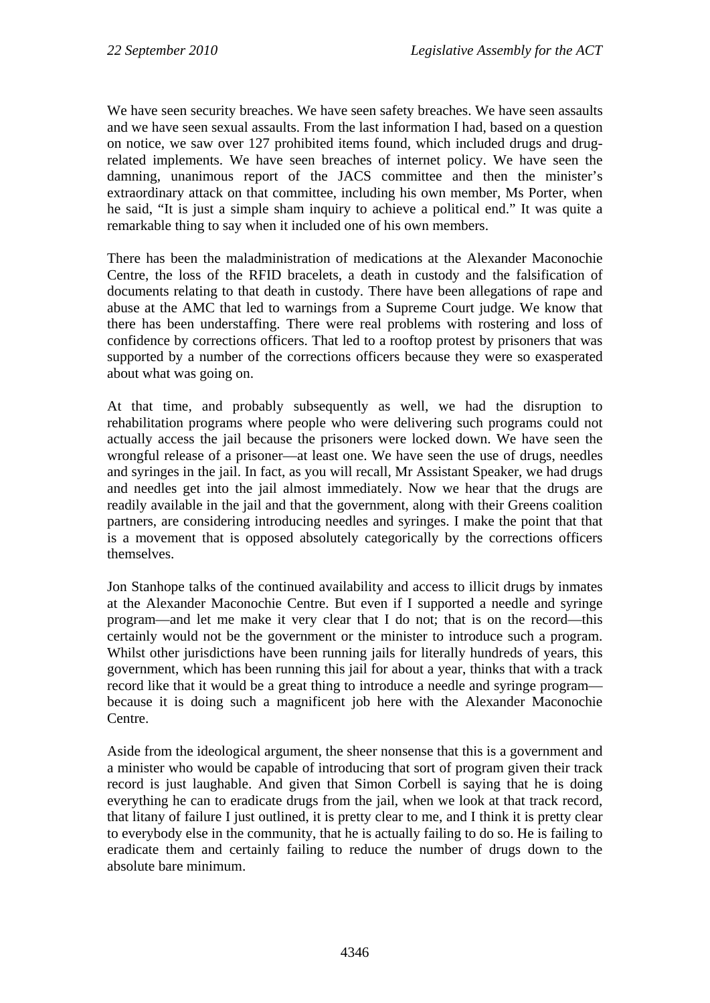We have seen security breaches. We have seen safety breaches. We have seen assaults and we have seen sexual assaults. From the last information I had, based on a question on notice, we saw over 127 prohibited items found, which included drugs and drugrelated implements. We have seen breaches of internet policy. We have seen the damning, unanimous report of the JACS committee and then the minister's extraordinary attack on that committee, including his own member, Ms Porter, when he said, "It is just a simple sham inquiry to achieve a political end." It was quite a remarkable thing to say when it included one of his own members.

There has been the maladministration of medications at the Alexander Maconochie Centre, the loss of the RFID bracelets, a death in custody and the falsification of documents relating to that death in custody. There have been allegations of rape and abuse at the AMC that led to warnings from a Supreme Court judge. We know that there has been understaffing. There were real problems with rostering and loss of confidence by corrections officers. That led to a rooftop protest by prisoners that was supported by a number of the corrections officers because they were so exasperated about what was going on.

At that time, and probably subsequently as well, we had the disruption to rehabilitation programs where people who were delivering such programs could not actually access the jail because the prisoners were locked down. We have seen the wrongful release of a prisoner—at least one. We have seen the use of drugs, needles and syringes in the jail. In fact, as you will recall, Mr Assistant Speaker, we had drugs and needles get into the jail almost immediately. Now we hear that the drugs are readily available in the jail and that the government, along with their Greens coalition partners, are considering introducing needles and syringes. I make the point that that is a movement that is opposed absolutely categorically by the corrections officers themselves.

Jon Stanhope talks of the continued availability and access to illicit drugs by inmates at the Alexander Maconochie Centre. But even if I supported a needle and syringe program—and let me make it very clear that I do not; that is on the record—this certainly would not be the government or the minister to introduce such a program. Whilst other jurisdictions have been running jails for literally hundreds of years, this government, which has been running this jail for about a year, thinks that with a track record like that it would be a great thing to introduce a needle and syringe program because it is doing such a magnificent job here with the Alexander Maconochie Centre.

Aside from the ideological argument, the sheer nonsense that this is a government and a minister who would be capable of introducing that sort of program given their track record is just laughable. And given that Simon Corbell is saying that he is doing everything he can to eradicate drugs from the jail, when we look at that track record, that litany of failure I just outlined, it is pretty clear to me, and I think it is pretty clear to everybody else in the community, that he is actually failing to do so. He is failing to eradicate them and certainly failing to reduce the number of drugs down to the absolute bare minimum.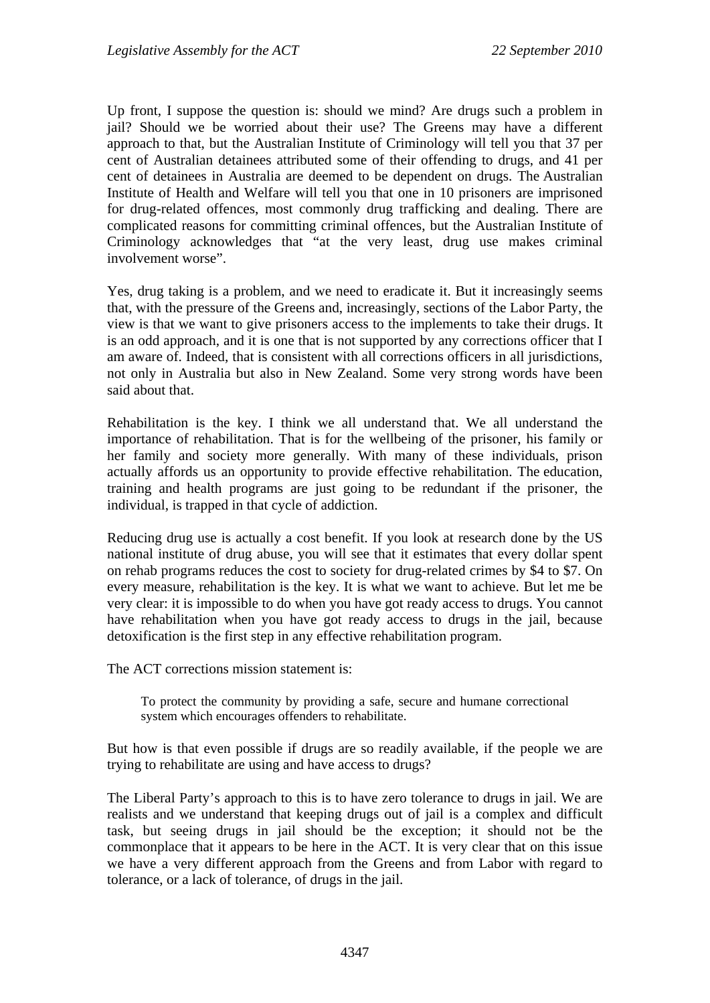Up front, I suppose the question is: should we mind? Are drugs such a problem in jail? Should we be worried about their use? The Greens may have a different approach to that, but the Australian Institute of Criminology will tell you that 37 per cent of Australian detainees attributed some of their offending to drugs, and 41 per cent of detainees in Australia are deemed to be dependent on drugs. The Australian Institute of Health and Welfare will tell you that one in 10 prisoners are imprisoned for drug-related offences, most commonly drug trafficking and dealing. There are complicated reasons for committing criminal offences, but the Australian Institute of Criminology acknowledges that "at the very least, drug use makes criminal involvement worse".

Yes, drug taking is a problem, and we need to eradicate it. But it increasingly seems that, with the pressure of the Greens and, increasingly, sections of the Labor Party, the view is that we want to give prisoners access to the implements to take their drugs. It is an odd approach, and it is one that is not supported by any corrections officer that I am aware of. Indeed, that is consistent with all corrections officers in all jurisdictions, not only in Australia but also in New Zealand. Some very strong words have been said about that.

Rehabilitation is the key. I think we all understand that. We all understand the importance of rehabilitation. That is for the wellbeing of the prisoner, his family or her family and society more generally. With many of these individuals, prison actually affords us an opportunity to provide effective rehabilitation. The education, training and health programs are just going to be redundant if the prisoner, the individual, is trapped in that cycle of addiction.

Reducing drug use is actually a cost benefit. If you look at research done by the US national institute of drug abuse, you will see that it estimates that every dollar spent on rehab programs reduces the cost to society for drug-related crimes by \$4 to \$7. On every measure, rehabilitation is the key. It is what we want to achieve. But let me be very clear: it is impossible to do when you have got ready access to drugs. You cannot have rehabilitation when you have got ready access to drugs in the jail, because detoxification is the first step in any effective rehabilitation program.

The ACT corrections mission statement is:

To protect the community by providing a safe, secure and humane correctional system which encourages offenders to rehabilitate.

But how is that even possible if drugs are so readily available, if the people we are trying to rehabilitate are using and have access to drugs?

The Liberal Party's approach to this is to have zero tolerance to drugs in jail. We are realists and we understand that keeping drugs out of jail is a complex and difficult task, but seeing drugs in jail should be the exception; it should not be the commonplace that it appears to be here in the ACT. It is very clear that on this issue we have a very different approach from the Greens and from Labor with regard to tolerance, or a lack of tolerance, of drugs in the jail.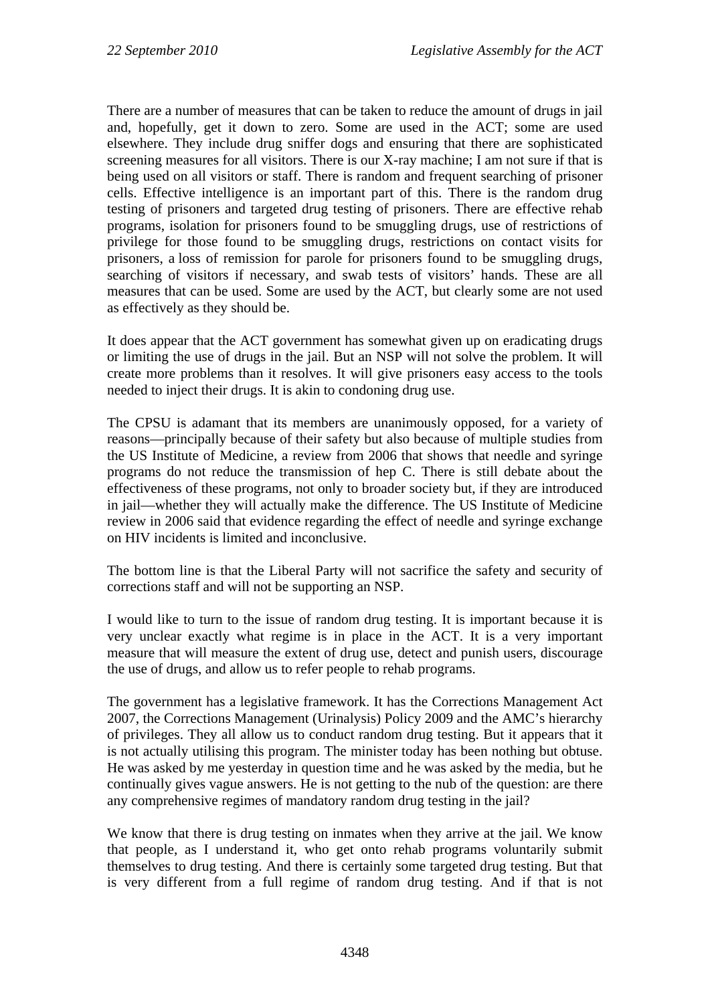There are a number of measures that can be taken to reduce the amount of drugs in jail and, hopefully, get it down to zero. Some are used in the ACT; some are used elsewhere. They include drug sniffer dogs and ensuring that there are sophisticated screening measures for all visitors. There is our X-ray machine; I am not sure if that is being used on all visitors or staff. There is random and frequent searching of prisoner cells. Effective intelligence is an important part of this. There is the random drug testing of prisoners and targeted drug testing of prisoners. There are effective rehab programs, isolation for prisoners found to be smuggling drugs, use of restrictions of privilege for those found to be smuggling drugs, restrictions on contact visits for prisoners, a loss of remission for parole for prisoners found to be smuggling drugs, searching of visitors if necessary, and swab tests of visitors' hands. These are all measures that can be used. Some are used by the ACT, but clearly some are not used as effectively as they should be.

It does appear that the ACT government has somewhat given up on eradicating drugs or limiting the use of drugs in the jail. But an NSP will not solve the problem. It will create more problems than it resolves. It will give prisoners easy access to the tools needed to inject their drugs. It is akin to condoning drug use.

The CPSU is adamant that its members are unanimously opposed, for a variety of reasons—principally because of their safety but also because of multiple studies from the US Institute of Medicine, a review from 2006 that shows that needle and syringe programs do not reduce the transmission of hep C. There is still debate about the effectiveness of these programs, not only to broader society but, if they are introduced in jail—whether they will actually make the difference. The US Institute of Medicine review in 2006 said that evidence regarding the effect of needle and syringe exchange on HIV incidents is limited and inconclusive.

The bottom line is that the Liberal Party will not sacrifice the safety and security of corrections staff and will not be supporting an NSP.

I would like to turn to the issue of random drug testing. It is important because it is very unclear exactly what regime is in place in the ACT. It is a very important measure that will measure the extent of drug use, detect and punish users, discourage the use of drugs, and allow us to refer people to rehab programs.

The government has a legislative framework. It has the Corrections Management Act 2007, the Corrections Management (Urinalysis) Policy 2009 and the AMC's hierarchy of privileges. They all allow us to conduct random drug testing. But it appears that it is not actually utilising this program. The minister today has been nothing but obtuse. He was asked by me yesterday in question time and he was asked by the media, but he continually gives vague answers. He is not getting to the nub of the question: are there any comprehensive regimes of mandatory random drug testing in the jail?

We know that there is drug testing on inmates when they arrive at the jail. We know that people, as I understand it, who get onto rehab programs voluntarily submit themselves to drug testing. And there is certainly some targeted drug testing. But that is very different from a full regime of random drug testing. And if that is not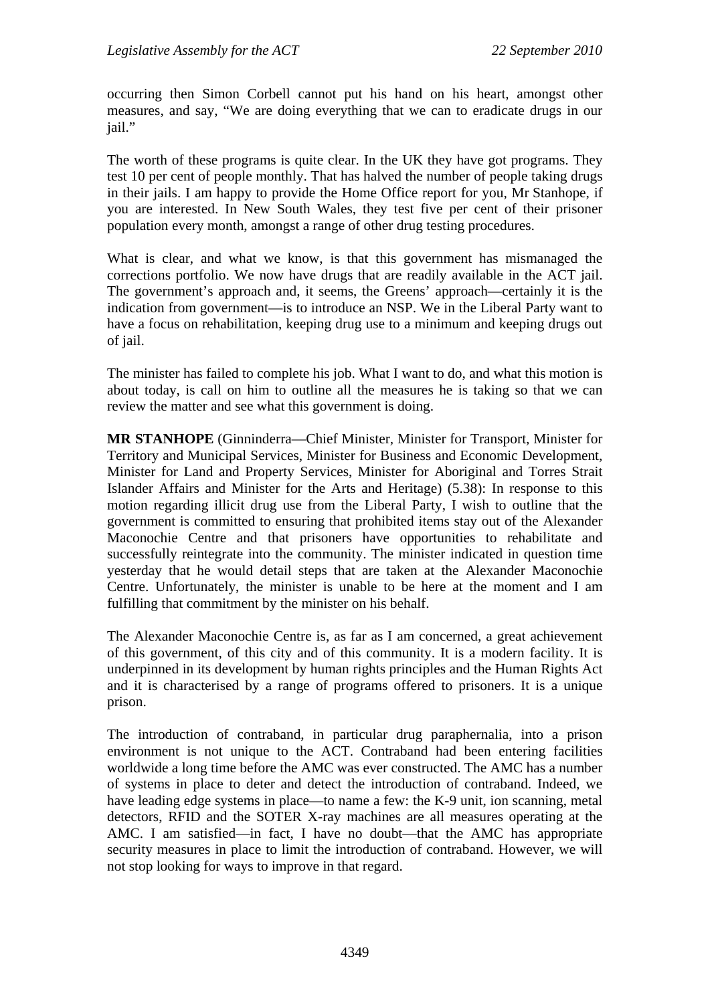occurring then Simon Corbell cannot put his hand on his heart, amongst other measures, and say, "We are doing everything that we can to eradicate drugs in our jail."

The worth of these programs is quite clear. In the UK they have got programs. They test 10 per cent of people monthly. That has halved the number of people taking drugs in their jails. I am happy to provide the Home Office report for you, Mr Stanhope, if you are interested. In New South Wales, they test five per cent of their prisoner population every month, amongst a range of other drug testing procedures.

What is clear, and what we know, is that this government has mismanaged the corrections portfolio. We now have drugs that are readily available in the ACT jail. The government's approach and, it seems, the Greens' approach—certainly it is the indication from government—is to introduce an NSP. We in the Liberal Party want to have a focus on rehabilitation, keeping drug use to a minimum and keeping drugs out of jail.

The minister has failed to complete his job. What I want to do, and what this motion is about today, is call on him to outline all the measures he is taking so that we can review the matter and see what this government is doing.

**MR STANHOPE** (Ginninderra—Chief Minister, Minister for Transport, Minister for Territory and Municipal Services, Minister for Business and Economic Development, Minister for Land and Property Services, Minister for Aboriginal and Torres Strait Islander Affairs and Minister for the Arts and Heritage) (5.38): In response to this motion regarding illicit drug use from the Liberal Party, I wish to outline that the government is committed to ensuring that prohibited items stay out of the Alexander Maconochie Centre and that prisoners have opportunities to rehabilitate and successfully reintegrate into the community. The minister indicated in question time yesterday that he would detail steps that are taken at the Alexander Maconochie Centre. Unfortunately, the minister is unable to be here at the moment and I am fulfilling that commitment by the minister on his behalf.

The Alexander Maconochie Centre is, as far as I am concerned, a great achievement of this government, of this city and of this community. It is a modern facility. It is underpinned in its development by human rights principles and the Human Rights Act and it is characterised by a range of programs offered to prisoners. It is a unique prison.

The introduction of contraband, in particular drug paraphernalia, into a prison environment is not unique to the ACT. Contraband had been entering facilities worldwide a long time before the AMC was ever constructed. The AMC has a number of systems in place to deter and detect the introduction of contraband. Indeed, we have leading edge systems in place—to name a few: the K-9 unit, ion scanning, metal detectors, RFID and the SOTER X-ray machines are all measures operating at the AMC. I am satisfied—in fact, I have no doubt—that the AMC has appropriate security measures in place to limit the introduction of contraband. However, we will not stop looking for ways to improve in that regard.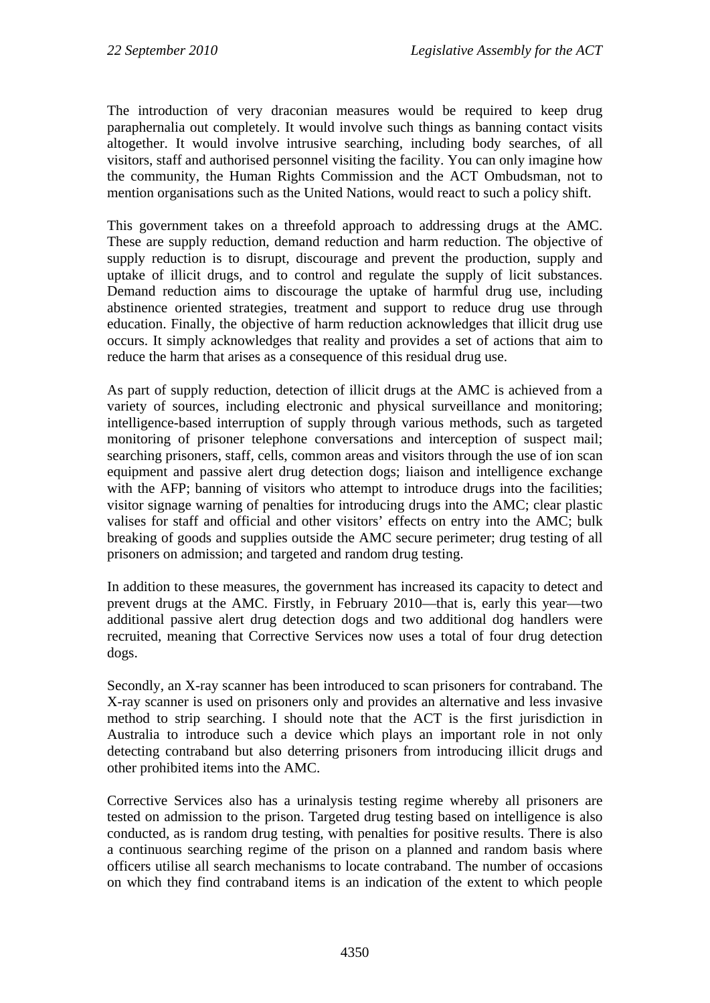The introduction of very draconian measures would be required to keep drug paraphernalia out completely. It would involve such things as banning contact visits altogether. It would involve intrusive searching, including body searches, of all visitors, staff and authorised personnel visiting the facility. You can only imagine how the community, the Human Rights Commission and the ACT Ombudsman, not to mention organisations such as the United Nations, would react to such a policy shift.

This government takes on a threefold approach to addressing drugs at the AMC. These are supply reduction, demand reduction and harm reduction. The objective of supply reduction is to disrupt, discourage and prevent the production, supply and uptake of illicit drugs, and to control and regulate the supply of licit substances. Demand reduction aims to discourage the uptake of harmful drug use, including abstinence oriented strategies, treatment and support to reduce drug use through education. Finally, the objective of harm reduction acknowledges that illicit drug use occurs. It simply acknowledges that reality and provides a set of actions that aim to reduce the harm that arises as a consequence of this residual drug use.

As part of supply reduction, detection of illicit drugs at the AMC is achieved from a variety of sources, including electronic and physical surveillance and monitoring; intelligence-based interruption of supply through various methods, such as targeted monitoring of prisoner telephone conversations and interception of suspect mail; searching prisoners, staff, cells, common areas and visitors through the use of ion scan equipment and passive alert drug detection dogs; liaison and intelligence exchange with the AFP; banning of visitors who attempt to introduce drugs into the facilities; visitor signage warning of penalties for introducing drugs into the AMC; clear plastic valises for staff and official and other visitors' effects on entry into the AMC; bulk breaking of goods and supplies outside the AMC secure perimeter; drug testing of all prisoners on admission; and targeted and random drug testing.

In addition to these measures, the government has increased its capacity to detect and prevent drugs at the AMC. Firstly, in February 2010—that is, early this year—two additional passive alert drug detection dogs and two additional dog handlers were recruited, meaning that Corrective Services now uses a total of four drug detection dogs.

Secondly, an X-ray scanner has been introduced to scan prisoners for contraband. The X-ray scanner is used on prisoners only and provides an alternative and less invasive method to strip searching. I should note that the ACT is the first jurisdiction in Australia to introduce such a device which plays an important role in not only detecting contraband but also deterring prisoners from introducing illicit drugs and other prohibited items into the AMC.

Corrective Services also has a urinalysis testing regime whereby all prisoners are tested on admission to the prison. Targeted drug testing based on intelligence is also conducted, as is random drug testing, with penalties for positive results. There is also a continuous searching regime of the prison on a planned and random basis where officers utilise all search mechanisms to locate contraband. The number of occasions on which they find contraband items is an indication of the extent to which people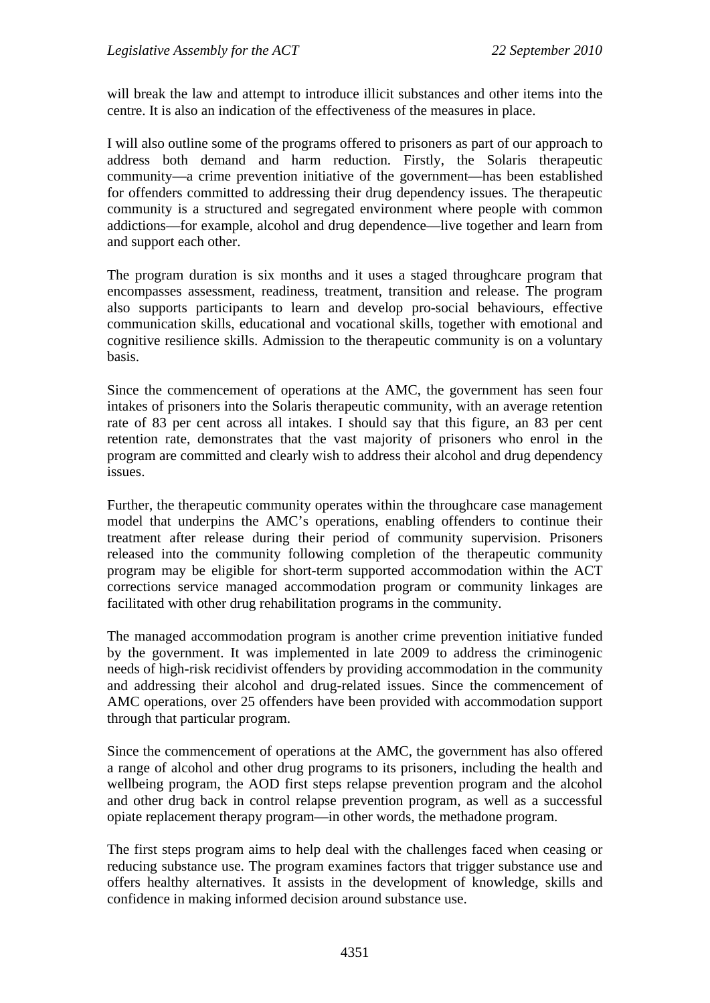will break the law and attempt to introduce illicit substances and other items into the centre. It is also an indication of the effectiveness of the measures in place.

I will also outline some of the programs offered to prisoners as part of our approach to address both demand and harm reduction. Firstly, the Solaris therapeutic community—a crime prevention initiative of the government—has been established for offenders committed to addressing their drug dependency issues. The therapeutic community is a structured and segregated environment where people with common addictions—for example, alcohol and drug dependence—live together and learn from and support each other.

The program duration is six months and it uses a staged throughcare program that encompasses assessment, readiness, treatment, transition and release. The program also supports participants to learn and develop pro-social behaviours, effective communication skills, educational and vocational skills, together with emotional and cognitive resilience skills. Admission to the therapeutic community is on a voluntary basis.

Since the commencement of operations at the AMC, the government has seen four intakes of prisoners into the Solaris therapeutic community, with an average retention rate of 83 per cent across all intakes. I should say that this figure, an 83 per cent retention rate, demonstrates that the vast majority of prisoners who enrol in the program are committed and clearly wish to address their alcohol and drug dependency issues.

Further, the therapeutic community operates within the throughcare case management model that underpins the AMC's operations, enabling offenders to continue their treatment after release during their period of community supervision. Prisoners released into the community following completion of the therapeutic community program may be eligible for short-term supported accommodation within the ACT corrections service managed accommodation program or community linkages are facilitated with other drug rehabilitation programs in the community.

The managed accommodation program is another crime prevention initiative funded by the government. It was implemented in late 2009 to address the criminogenic needs of high-risk recidivist offenders by providing accommodation in the community and addressing their alcohol and drug-related issues. Since the commencement of AMC operations, over 25 offenders have been provided with accommodation support through that particular program.

Since the commencement of operations at the AMC, the government has also offered a range of alcohol and other drug programs to its prisoners, including the health and wellbeing program, the AOD first steps relapse prevention program and the alcohol and other drug back in control relapse prevention program, as well as a successful opiate replacement therapy program—in other words, the methadone program.

The first steps program aims to help deal with the challenges faced when ceasing or reducing substance use. The program examines factors that trigger substance use and offers healthy alternatives. It assists in the development of knowledge, skills and confidence in making informed decision around substance use.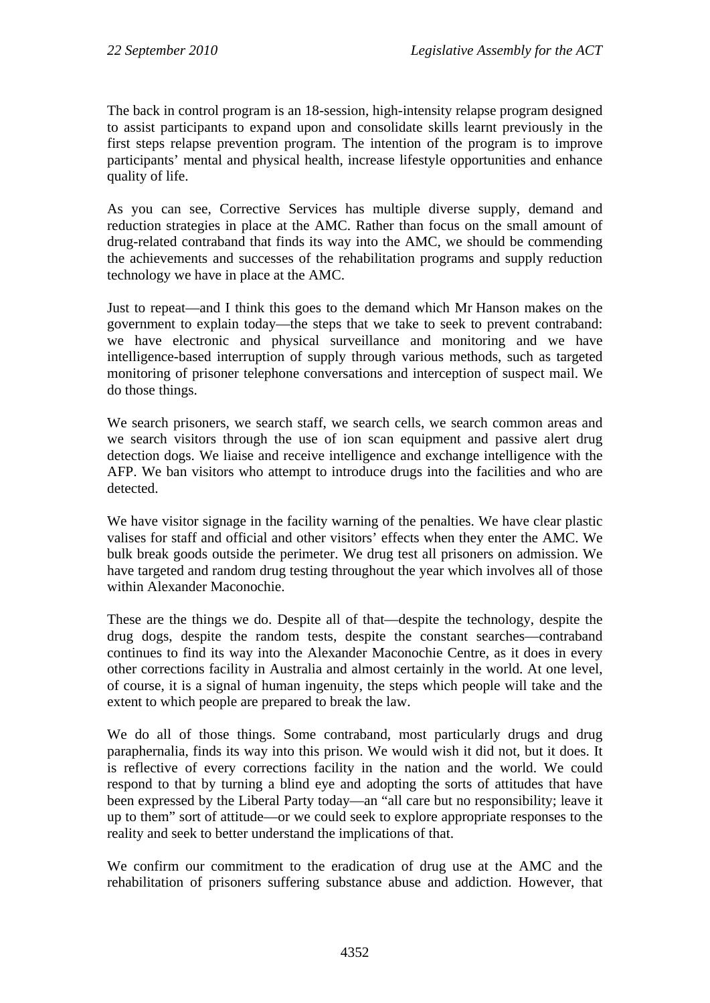The back in control program is an 18-session, high-intensity relapse program designed to assist participants to expand upon and consolidate skills learnt previously in the first steps relapse prevention program. The intention of the program is to improve participants' mental and physical health, increase lifestyle opportunities and enhance quality of life.

As you can see, Corrective Services has multiple diverse supply, demand and reduction strategies in place at the AMC. Rather than focus on the small amount of drug-related contraband that finds its way into the AMC, we should be commending the achievements and successes of the rehabilitation programs and supply reduction technology we have in place at the AMC.

Just to repeat—and I think this goes to the demand which Mr Hanson makes on the government to explain today—the steps that we take to seek to prevent contraband: we have electronic and physical surveillance and monitoring and we have intelligence-based interruption of supply through various methods, such as targeted monitoring of prisoner telephone conversations and interception of suspect mail. We do those things.

We search prisoners, we search staff, we search cells, we search common areas and we search visitors through the use of ion scan equipment and passive alert drug detection dogs. We liaise and receive intelligence and exchange intelligence with the AFP. We ban visitors who attempt to introduce drugs into the facilities and who are detected.

We have visitor signage in the facility warning of the penalties. We have clear plastic valises for staff and official and other visitors' effects when they enter the AMC. We bulk break goods outside the perimeter. We drug test all prisoners on admission. We have targeted and random drug testing throughout the year which involves all of those within Alexander Maconochie.

These are the things we do. Despite all of that—despite the technology, despite the drug dogs, despite the random tests, despite the constant searches—contraband continues to find its way into the Alexander Maconochie Centre, as it does in every other corrections facility in Australia and almost certainly in the world. At one level, of course, it is a signal of human ingenuity, the steps which people will take and the extent to which people are prepared to break the law.

We do all of those things. Some contraband, most particularly drugs and drug paraphernalia, finds its way into this prison. We would wish it did not, but it does. It is reflective of every corrections facility in the nation and the world. We could respond to that by turning a blind eye and adopting the sorts of attitudes that have been expressed by the Liberal Party today—an "all care but no responsibility; leave it up to them" sort of attitude—or we could seek to explore appropriate responses to the reality and seek to better understand the implications of that.

We confirm our commitment to the eradication of drug use at the AMC and the rehabilitation of prisoners suffering substance abuse and addiction. However, that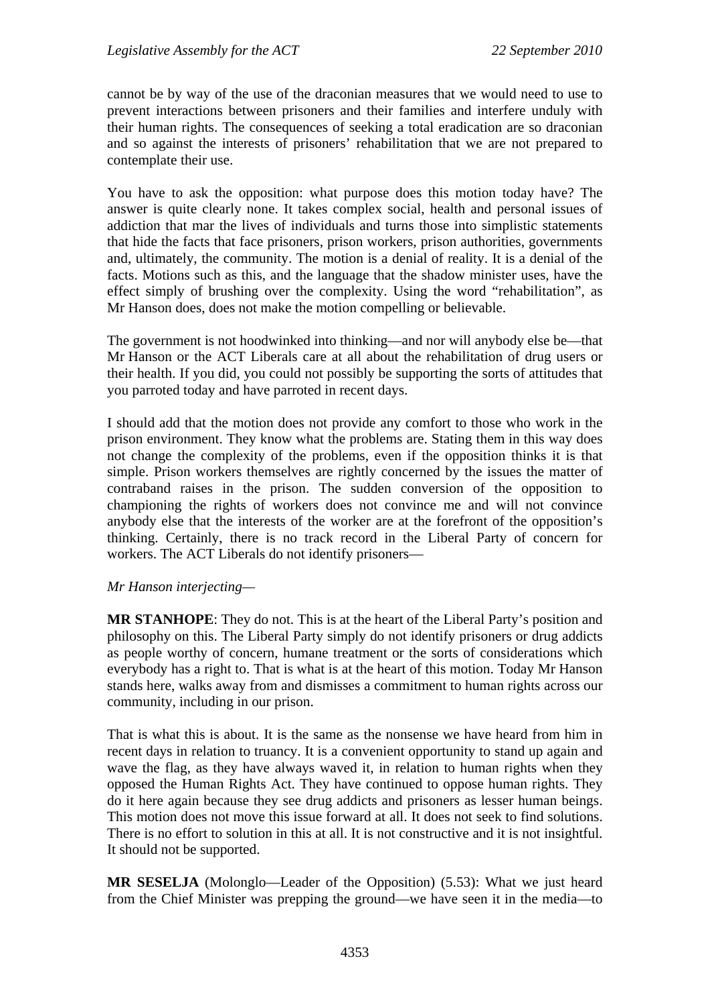cannot be by way of the use of the draconian measures that we would need to use to prevent interactions between prisoners and their families and interfere unduly with their human rights. The consequences of seeking a total eradication are so draconian and so against the interests of prisoners' rehabilitation that we are not prepared to contemplate their use.

You have to ask the opposition: what purpose does this motion today have? The answer is quite clearly none. It takes complex social, health and personal issues of addiction that mar the lives of individuals and turns those into simplistic statements that hide the facts that face prisoners, prison workers, prison authorities, governments and, ultimately, the community. The motion is a denial of reality. It is a denial of the facts. Motions such as this, and the language that the shadow minister uses, have the effect simply of brushing over the complexity. Using the word "rehabilitation", as Mr Hanson does, does not make the motion compelling or believable.

The government is not hoodwinked into thinking—and nor will anybody else be—that Mr Hanson or the ACT Liberals care at all about the rehabilitation of drug users or their health. If you did, you could not possibly be supporting the sorts of attitudes that you parroted today and have parroted in recent days.

I should add that the motion does not provide any comfort to those who work in the prison environment. They know what the problems are. Stating them in this way does not change the complexity of the problems, even if the opposition thinks it is that simple. Prison workers themselves are rightly concerned by the issues the matter of contraband raises in the prison. The sudden conversion of the opposition to championing the rights of workers does not convince me and will not convince anybody else that the interests of the worker are at the forefront of the opposition's thinking. Certainly, there is no track record in the Liberal Party of concern for workers. The ACT Liberals do not identify prisoners—

## *Mr Hanson interjecting—*

**MR STANHOPE**: They do not. This is at the heart of the Liberal Party's position and philosophy on this. The Liberal Party simply do not identify prisoners or drug addicts as people worthy of concern, humane treatment or the sorts of considerations which everybody has a right to. That is what is at the heart of this motion. Today Mr Hanson stands here, walks away from and dismisses a commitment to human rights across our community, including in our prison.

That is what this is about. It is the same as the nonsense we have heard from him in recent days in relation to truancy. It is a convenient opportunity to stand up again and wave the flag, as they have always waved it, in relation to human rights when they opposed the Human Rights Act. They have continued to oppose human rights. They do it here again because they see drug addicts and prisoners as lesser human beings. This motion does not move this issue forward at all. It does not seek to find solutions. There is no effort to solution in this at all. It is not constructive and it is not insightful. It should not be supported.

**MR SESELJA** (Molonglo—Leader of the Opposition) (5.53): What we just heard from the Chief Minister was prepping the ground—we have seen it in the media—to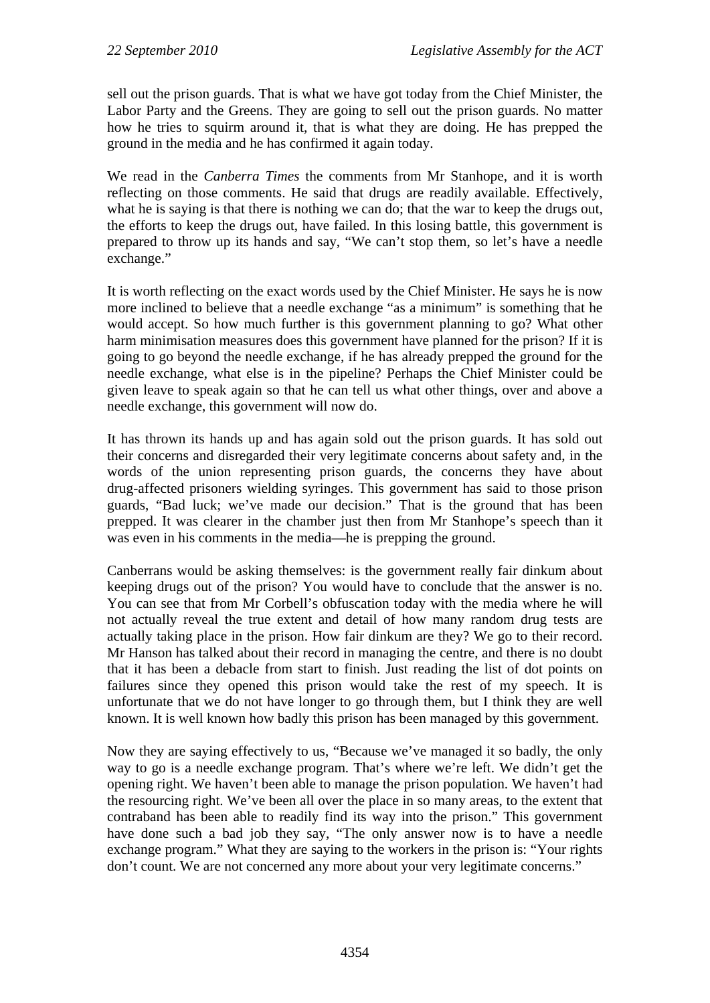sell out the prison guards. That is what we have got today from the Chief Minister, the Labor Party and the Greens. They are going to sell out the prison guards. No matter how he tries to squirm around it, that is what they are doing. He has prepped the ground in the media and he has confirmed it again today.

We read in the *Canberra Times* the comments from Mr Stanhope, and it is worth reflecting on those comments. He said that drugs are readily available. Effectively, what he is saying is that there is nothing we can do; that the war to keep the drugs out, the efforts to keep the drugs out, have failed. In this losing battle, this government is prepared to throw up its hands and say, "We can't stop them, so let's have a needle exchange."

It is worth reflecting on the exact words used by the Chief Minister. He says he is now more inclined to believe that a needle exchange "as a minimum" is something that he would accept. So how much further is this government planning to go? What other harm minimisation measures does this government have planned for the prison? If it is going to go beyond the needle exchange, if he has already prepped the ground for the needle exchange, what else is in the pipeline? Perhaps the Chief Minister could be given leave to speak again so that he can tell us what other things, over and above a needle exchange, this government will now do.

It has thrown its hands up and has again sold out the prison guards. It has sold out their concerns and disregarded their very legitimate concerns about safety and, in the words of the union representing prison guards, the concerns they have about drug-affected prisoners wielding syringes. This government has said to those prison guards, "Bad luck; we've made our decision." That is the ground that has been prepped. It was clearer in the chamber just then from Mr Stanhope's speech than it was even in his comments in the media—he is prepping the ground.

Canberrans would be asking themselves: is the government really fair dinkum about keeping drugs out of the prison? You would have to conclude that the answer is no. You can see that from Mr Corbell's obfuscation today with the media where he will not actually reveal the true extent and detail of how many random drug tests are actually taking place in the prison. How fair dinkum are they? We go to their record. Mr Hanson has talked about their record in managing the centre, and there is no doubt that it has been a debacle from start to finish. Just reading the list of dot points on failures since they opened this prison would take the rest of my speech. It is unfortunate that we do not have longer to go through them, but I think they are well known. It is well known how badly this prison has been managed by this government.

Now they are saying effectively to us, "Because we've managed it so badly, the only way to go is a needle exchange program. That's where we're left. We didn't get the opening right. We haven't been able to manage the prison population. We haven't had the resourcing right. We've been all over the place in so many areas, to the extent that contraband has been able to readily find its way into the prison." This government have done such a bad job they say, "The only answer now is to have a needle exchange program." What they are saying to the workers in the prison is: "Your rights don't count. We are not concerned any more about your very legitimate concerns."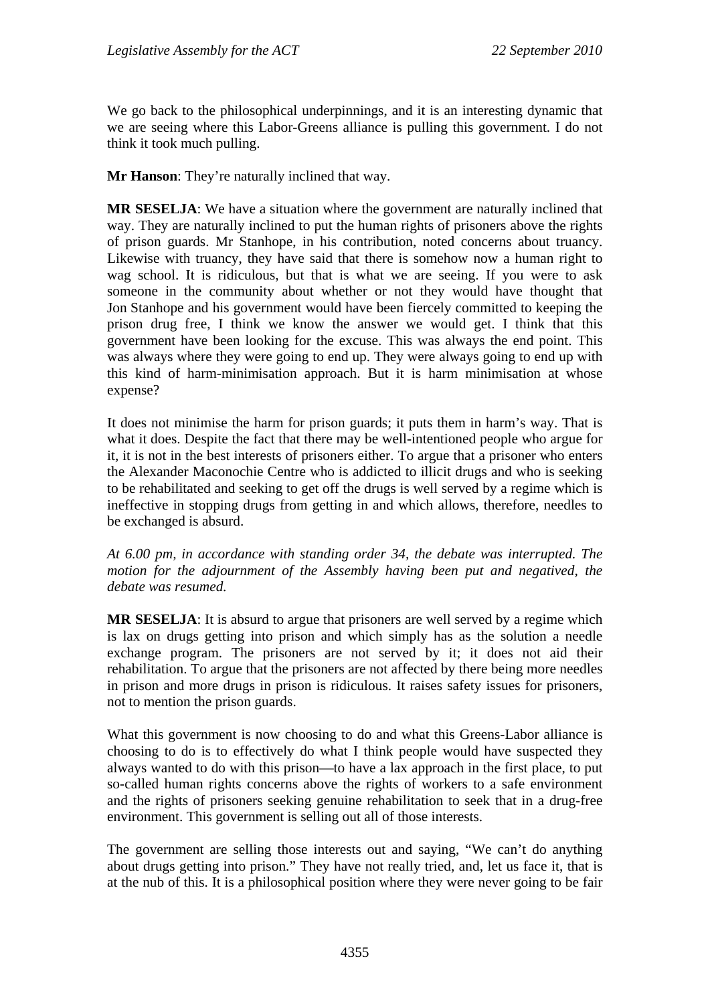We go back to the philosophical underpinnings, and it is an interesting dynamic that we are seeing where this Labor-Greens alliance is pulling this government. I do not think it took much pulling.

**Mr Hanson**: They're naturally inclined that way.

**MR SESELJA**: We have a situation where the government are naturally inclined that way. They are naturally inclined to put the human rights of prisoners above the rights of prison guards. Mr Stanhope, in his contribution, noted concerns about truancy. Likewise with truancy, they have said that there is somehow now a human right to wag school. It is ridiculous, but that is what we are seeing. If you were to ask someone in the community about whether or not they would have thought that Jon Stanhope and his government would have been fiercely committed to keeping the prison drug free, I think we know the answer we would get. I think that this government have been looking for the excuse. This was always the end point. This was always where they were going to end up. They were always going to end up with this kind of harm-minimisation approach. But it is harm minimisation at whose expense?

It does not minimise the harm for prison guards; it puts them in harm's way. That is what it does. Despite the fact that there may be well-intentioned people who argue for it, it is not in the best interests of prisoners either. To argue that a prisoner who enters the Alexander Maconochie Centre who is addicted to illicit drugs and who is seeking to be rehabilitated and seeking to get off the drugs is well served by a regime which is ineffective in stopping drugs from getting in and which allows, therefore, needles to be exchanged is absurd.

*At 6.00 pm, in accordance with standing order 34, the debate was interrupted. The motion for the adjournment of the Assembly having been put and negatived, the debate was resumed.* 

**MR SESELJA**: It is absurd to argue that prisoners are well served by a regime which is lax on drugs getting into prison and which simply has as the solution a needle exchange program. The prisoners are not served by it; it does not aid their rehabilitation. To argue that the prisoners are not affected by there being more needles in prison and more drugs in prison is ridiculous. It raises safety issues for prisoners, not to mention the prison guards.

What this government is now choosing to do and what this Greens-Labor alliance is choosing to do is to effectively do what I think people would have suspected they always wanted to do with this prison—to have a lax approach in the first place, to put so-called human rights concerns above the rights of workers to a safe environment and the rights of prisoners seeking genuine rehabilitation to seek that in a drug-free environment. This government is selling out all of those interests.

The government are selling those interests out and saying, "We can't do anything about drugs getting into prison." They have not really tried, and, let us face it, that is at the nub of this. It is a philosophical position where they were never going to be fair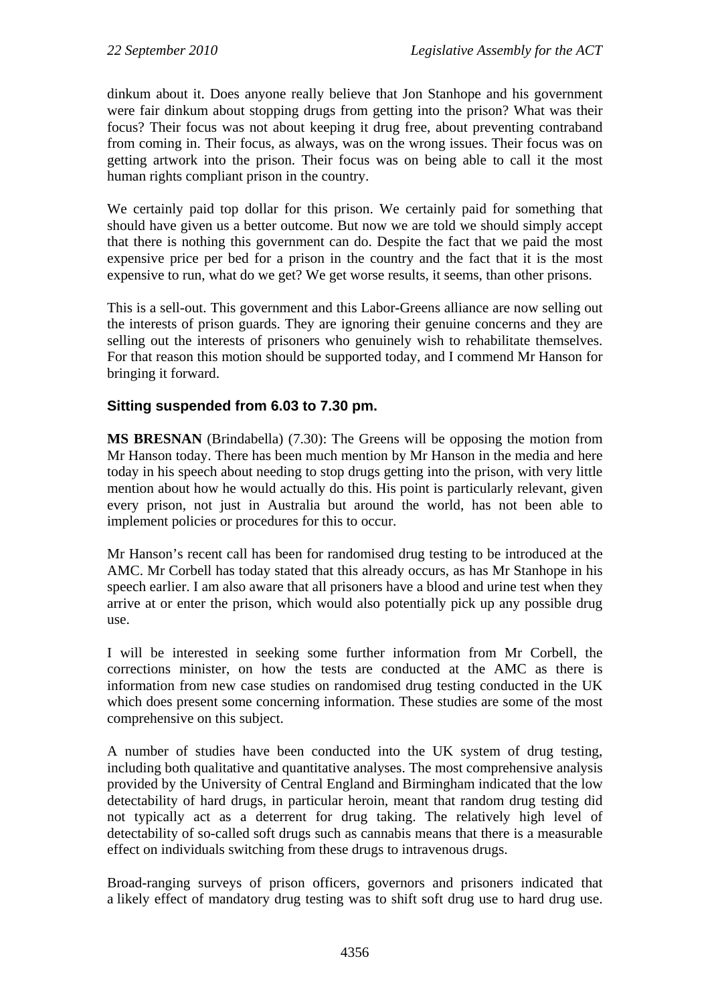dinkum about it. Does anyone really believe that Jon Stanhope and his government were fair dinkum about stopping drugs from getting into the prison? What was their focus? Their focus was not about keeping it drug free, about preventing contraband from coming in. Their focus, as always, was on the wrong issues. Their focus was on getting artwork into the prison. Their focus was on being able to call it the most human rights compliant prison in the country.

We certainly paid top dollar for this prison. We certainly paid for something that should have given us a better outcome. But now we are told we should simply accept that there is nothing this government can do. Despite the fact that we paid the most expensive price per bed for a prison in the country and the fact that it is the most expensive to run, what do we get? We get worse results, it seems, than other prisons.

This is a sell-out. This government and this Labor-Greens alliance are now selling out the interests of prison guards. They are ignoring their genuine concerns and they are selling out the interests of prisoners who genuinely wish to rehabilitate themselves. For that reason this motion should be supported today, and I commend Mr Hanson for bringing it forward.

## **Sitting suspended from 6.03 to 7.30 pm.**

**MS BRESNAN** (Brindabella) (7.30): The Greens will be opposing the motion from Mr Hanson today. There has been much mention by Mr Hanson in the media and here today in his speech about needing to stop drugs getting into the prison, with very little mention about how he would actually do this. His point is particularly relevant, given every prison, not just in Australia but around the world, has not been able to implement policies or procedures for this to occur.

Mr Hanson's recent call has been for randomised drug testing to be introduced at the AMC. Mr Corbell has today stated that this already occurs, as has Mr Stanhope in his speech earlier. I am also aware that all prisoners have a blood and urine test when they arrive at or enter the prison, which would also potentially pick up any possible drug use.

I will be interested in seeking some further information from Mr Corbell, the corrections minister, on how the tests are conducted at the AMC as there is information from new case studies on randomised drug testing conducted in the UK which does present some concerning information. These studies are some of the most comprehensive on this subject.

A number of studies have been conducted into the UK system of drug testing, including both qualitative and quantitative analyses. The most comprehensive analysis provided by the University of Central England and Birmingham indicated that the low detectability of hard drugs, in particular heroin, meant that random drug testing did not typically act as a deterrent for drug taking. The relatively high level of detectability of so-called soft drugs such as cannabis means that there is a measurable effect on individuals switching from these drugs to intravenous drugs.

Broad-ranging surveys of prison officers, governors and prisoners indicated that a likely effect of mandatory drug testing was to shift soft drug use to hard drug use.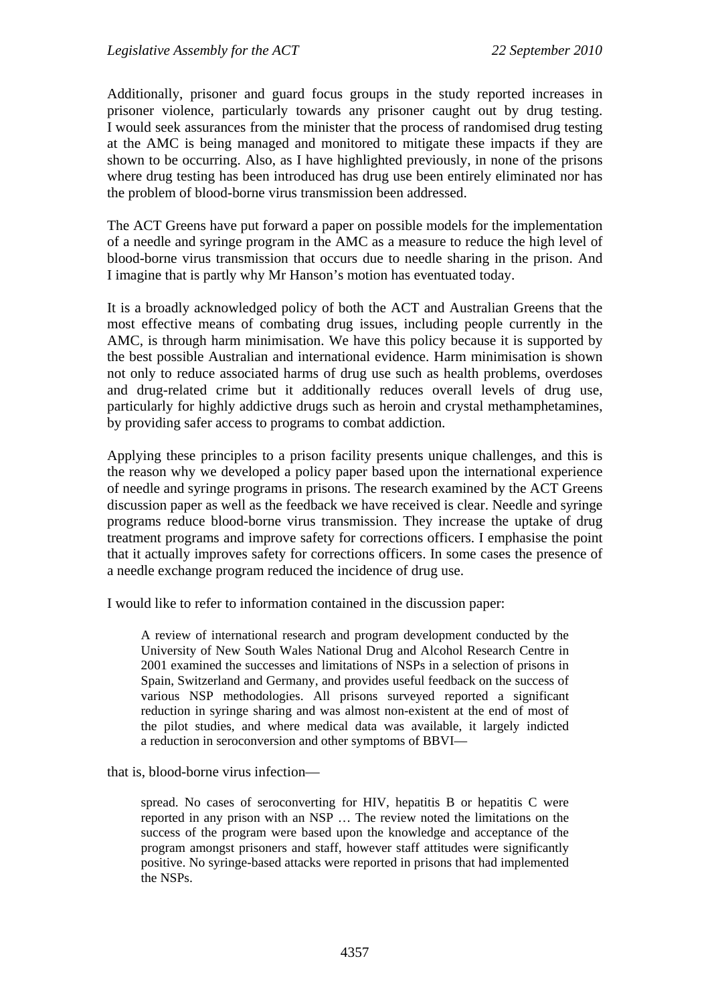Additionally, prisoner and guard focus groups in the study reported increases in prisoner violence, particularly towards any prisoner caught out by drug testing. I would seek assurances from the minister that the process of randomised drug testing at the AMC is being managed and monitored to mitigate these impacts if they are shown to be occurring. Also, as I have highlighted previously, in none of the prisons where drug testing has been introduced has drug use been entirely eliminated nor has the problem of blood-borne virus transmission been addressed.

The ACT Greens have put forward a paper on possible models for the implementation of a needle and syringe program in the AMC as a measure to reduce the high level of blood-borne virus transmission that occurs due to needle sharing in the prison. And I imagine that is partly why Mr Hanson's motion has eventuated today.

It is a broadly acknowledged policy of both the ACT and Australian Greens that the most effective means of combating drug issues, including people currently in the AMC, is through harm minimisation. We have this policy because it is supported by the best possible Australian and international evidence. Harm minimisation is shown not only to reduce associated harms of drug use such as health problems, overdoses and drug-related crime but it additionally reduces overall levels of drug use, particularly for highly addictive drugs such as heroin and crystal methamphetamines, by providing safer access to programs to combat addiction.

Applying these principles to a prison facility presents unique challenges, and this is the reason why we developed a policy paper based upon the international experience of needle and syringe programs in prisons. The research examined by the ACT Greens discussion paper as well as the feedback we have received is clear. Needle and syringe programs reduce blood-borne virus transmission. They increase the uptake of drug treatment programs and improve safety for corrections officers. I emphasise the point that it actually improves safety for corrections officers. In some cases the presence of a needle exchange program reduced the incidence of drug use.

I would like to refer to information contained in the discussion paper:

A review of international research and program development conducted by the University of New South Wales National Drug and Alcohol Research Centre in 2001 examined the successes and limitations of NSPs in a selection of prisons in Spain, Switzerland and Germany, and provides useful feedback on the success of various NSP methodologies. All prisons surveyed reported a significant reduction in syringe sharing and was almost non-existent at the end of most of the pilot studies, and where medical data was available, it largely indicted a reduction in seroconversion and other symptoms of BBVI—

that is, blood-borne virus infection—

spread. No cases of seroconverting for HIV, hepatitis B or hepatitis C were reported in any prison with an NSP … The review noted the limitations on the success of the program were based upon the knowledge and acceptance of the program amongst prisoners and staff, however staff attitudes were significantly positive. No syringe-based attacks were reported in prisons that had implemented the NSPs.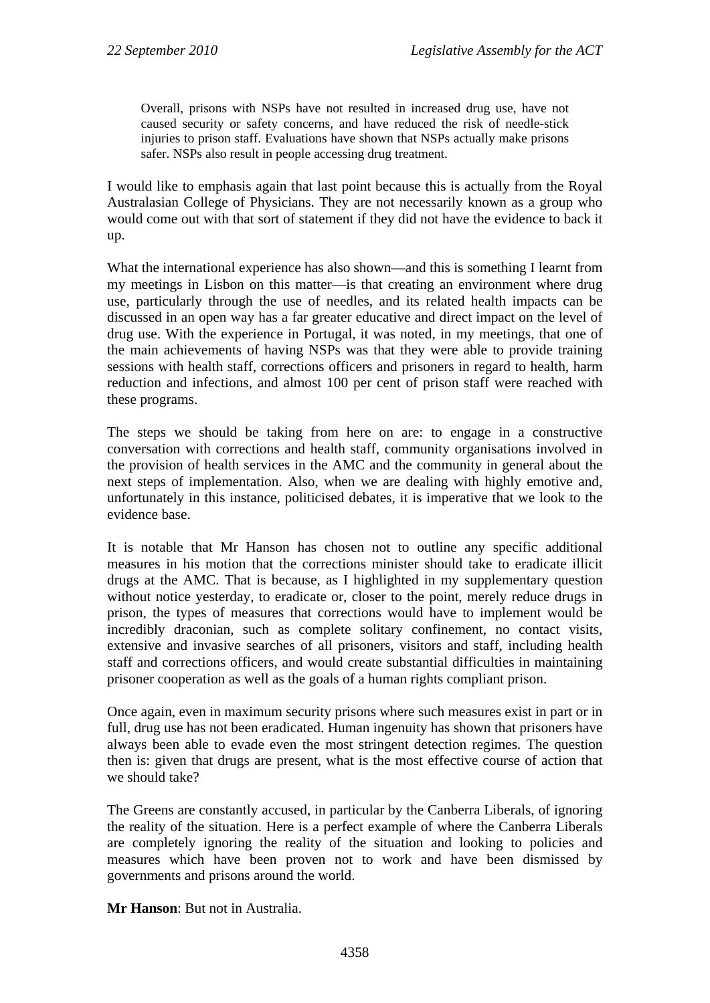Overall, prisons with NSPs have not resulted in increased drug use, have not caused security or safety concerns, and have reduced the risk of needle-stick injuries to prison staff. Evaluations have shown that NSPs actually make prisons safer. NSPs also result in people accessing drug treatment.

I would like to emphasis again that last point because this is actually from the Royal Australasian College of Physicians. They are not necessarily known as a group who would come out with that sort of statement if they did not have the evidence to back it up.

What the international experience has also shown—and this is something I learnt from my meetings in Lisbon on this matter—is that creating an environment where drug use, particularly through the use of needles, and its related health impacts can be discussed in an open way has a far greater educative and direct impact on the level of drug use. With the experience in Portugal, it was noted, in my meetings, that one of the main achievements of having NSPs was that they were able to provide training sessions with health staff, corrections officers and prisoners in regard to health, harm reduction and infections, and almost 100 per cent of prison staff were reached with these programs.

The steps we should be taking from here on are: to engage in a constructive conversation with corrections and health staff, community organisations involved in the provision of health services in the AMC and the community in general about the next steps of implementation. Also, when we are dealing with highly emotive and, unfortunately in this instance, politicised debates, it is imperative that we look to the evidence base.

It is notable that Mr Hanson has chosen not to outline any specific additional measures in his motion that the corrections minister should take to eradicate illicit drugs at the AMC. That is because, as I highlighted in my supplementary question without notice yesterday, to eradicate or, closer to the point, merely reduce drugs in prison, the types of measures that corrections would have to implement would be incredibly draconian, such as complete solitary confinement, no contact visits, extensive and invasive searches of all prisoners, visitors and staff, including health staff and corrections officers, and would create substantial difficulties in maintaining prisoner cooperation as well as the goals of a human rights compliant prison.

Once again, even in maximum security prisons where such measures exist in part or in full, drug use has not been eradicated. Human ingenuity has shown that prisoners have always been able to evade even the most stringent detection regimes. The question then is: given that drugs are present, what is the most effective course of action that we should take?

The Greens are constantly accused, in particular by the Canberra Liberals, of ignoring the reality of the situation. Here is a perfect example of where the Canberra Liberals are completely ignoring the reality of the situation and looking to policies and measures which have been proven not to work and have been dismissed by governments and prisons around the world.

**Mr Hanson**: But not in Australia.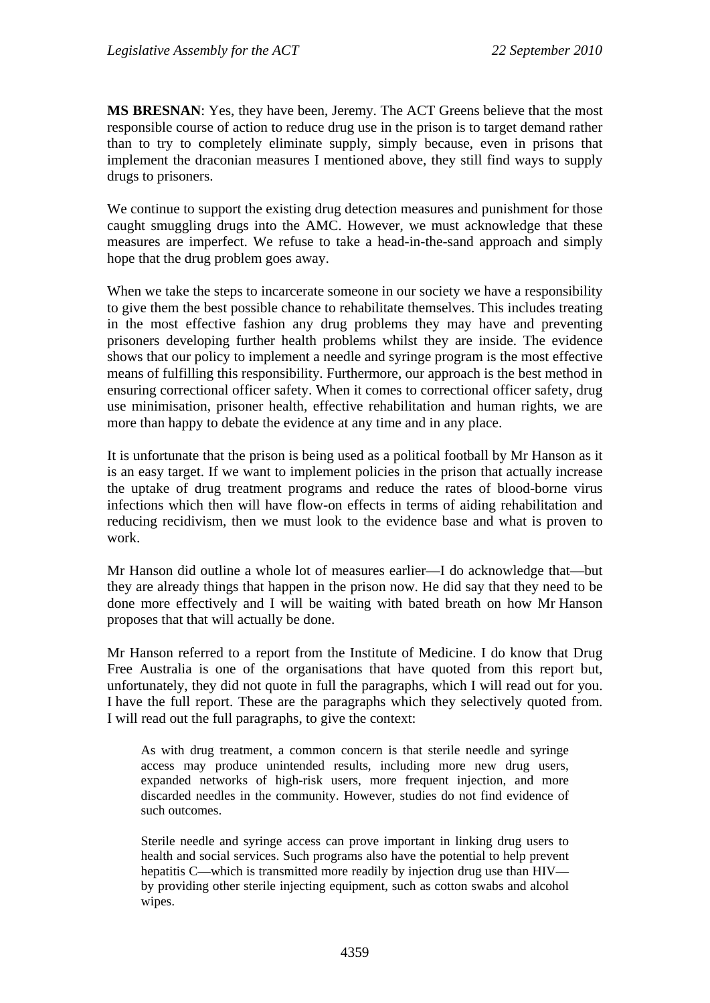**MS BRESNAN**: Yes, they have been, Jeremy. The ACT Greens believe that the most responsible course of action to reduce drug use in the prison is to target demand rather than to try to completely eliminate supply, simply because, even in prisons that implement the draconian measures I mentioned above, they still find ways to supply drugs to prisoners.

We continue to support the existing drug detection measures and punishment for those caught smuggling drugs into the AMC. However, we must acknowledge that these measures are imperfect. We refuse to take a head-in-the-sand approach and simply hope that the drug problem goes away.

When we take the steps to incarcerate someone in our society we have a responsibility to give them the best possible chance to rehabilitate themselves. This includes treating in the most effective fashion any drug problems they may have and preventing prisoners developing further health problems whilst they are inside. The evidence shows that our policy to implement a needle and syringe program is the most effective means of fulfilling this responsibility. Furthermore, our approach is the best method in ensuring correctional officer safety. When it comes to correctional officer safety, drug use minimisation, prisoner health, effective rehabilitation and human rights, we are more than happy to debate the evidence at any time and in any place.

It is unfortunate that the prison is being used as a political football by Mr Hanson as it is an easy target. If we want to implement policies in the prison that actually increase the uptake of drug treatment programs and reduce the rates of blood-borne virus infections which then will have flow-on effects in terms of aiding rehabilitation and reducing recidivism, then we must look to the evidence base and what is proven to work.

Mr Hanson did outline a whole lot of measures earlier—I do acknowledge that—but they are already things that happen in the prison now. He did say that they need to be done more effectively and I will be waiting with bated breath on how Mr Hanson proposes that that will actually be done.

Mr Hanson referred to a report from the Institute of Medicine. I do know that Drug Free Australia is one of the organisations that have quoted from this report but, unfortunately, they did not quote in full the paragraphs, which I will read out for you. I have the full report. These are the paragraphs which they selectively quoted from. I will read out the full paragraphs, to give the context:

As with drug treatment, a common concern is that sterile needle and syringe access may produce unintended results, including more new drug users, expanded networks of high-risk users, more frequent injection, and more discarded needles in the community. However, studies do not find evidence of such outcomes.

Sterile needle and syringe access can prove important in linking drug users to health and social services. Such programs also have the potential to help prevent hepatitis C—which is transmitted more readily by injection drug use than HIV by providing other sterile injecting equipment, such as cotton swabs and alcohol wipes.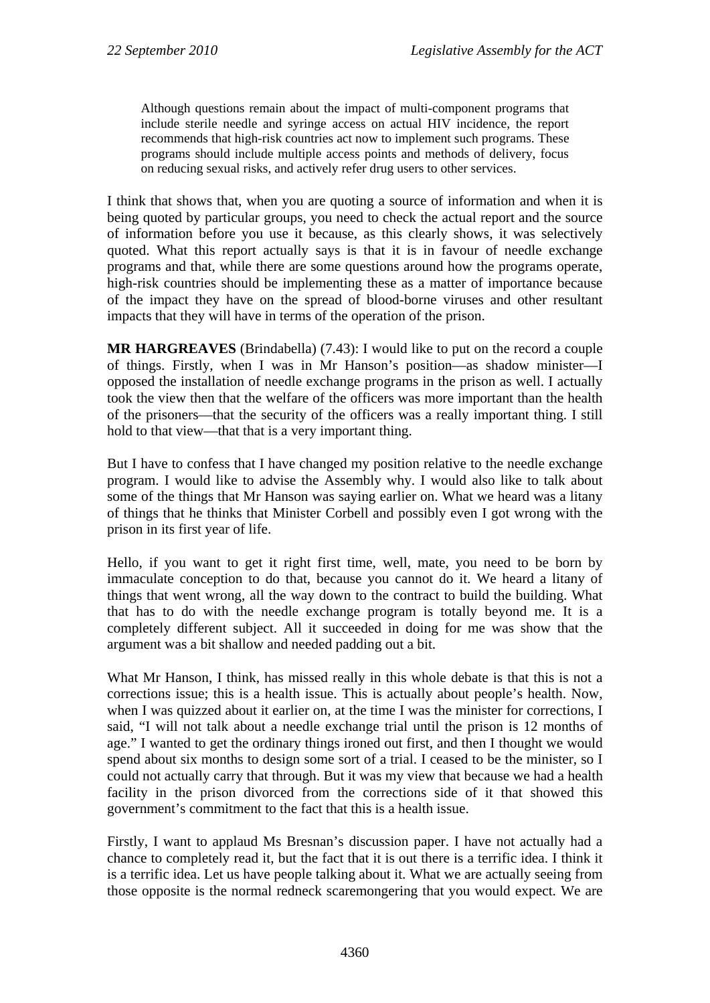Although questions remain about the impact of multi-component programs that include sterile needle and syringe access on actual HIV incidence, the report recommends that high-risk countries act now to implement such programs. These programs should include multiple access points and methods of delivery, focus on reducing sexual risks, and actively refer drug users to other services.

I think that shows that, when you are quoting a source of information and when it is being quoted by particular groups, you need to check the actual report and the source of information before you use it because, as this clearly shows, it was selectively quoted. What this report actually says is that it is in favour of needle exchange programs and that, while there are some questions around how the programs operate, high-risk countries should be implementing these as a matter of importance because of the impact they have on the spread of blood-borne viruses and other resultant impacts that they will have in terms of the operation of the prison.

**MR HARGREAVES** (Brindabella) (7.43): I would like to put on the record a couple of things. Firstly, when I was in Mr Hanson's position—as shadow minister—I opposed the installation of needle exchange programs in the prison as well. I actually took the view then that the welfare of the officers was more important than the health of the prisoners—that the security of the officers was a really important thing. I still hold to that view—that that is a very important thing.

But I have to confess that I have changed my position relative to the needle exchange program. I would like to advise the Assembly why. I would also like to talk about some of the things that Mr Hanson was saying earlier on. What we heard was a litany of things that he thinks that Minister Corbell and possibly even I got wrong with the prison in its first year of life.

Hello, if you want to get it right first time, well, mate, you need to be born by immaculate conception to do that, because you cannot do it. We heard a litany of things that went wrong, all the way down to the contract to build the building. What that has to do with the needle exchange program is totally beyond me. It is a completely different subject. All it succeeded in doing for me was show that the argument was a bit shallow and needed padding out a bit.

What Mr Hanson, I think, has missed really in this whole debate is that this is not a corrections issue; this is a health issue. This is actually about people's health. Now, when I was quizzed about it earlier on, at the time I was the minister for corrections, I said, "I will not talk about a needle exchange trial until the prison is 12 months of age." I wanted to get the ordinary things ironed out first, and then I thought we would spend about six months to design some sort of a trial. I ceased to be the minister, so I could not actually carry that through. But it was my view that because we had a health facility in the prison divorced from the corrections side of it that showed this government's commitment to the fact that this is a health issue.

Firstly, I want to applaud Ms Bresnan's discussion paper. I have not actually had a chance to completely read it, but the fact that it is out there is a terrific idea. I think it is a terrific idea. Let us have people talking about it. What we are actually seeing from those opposite is the normal redneck scaremongering that you would expect. We are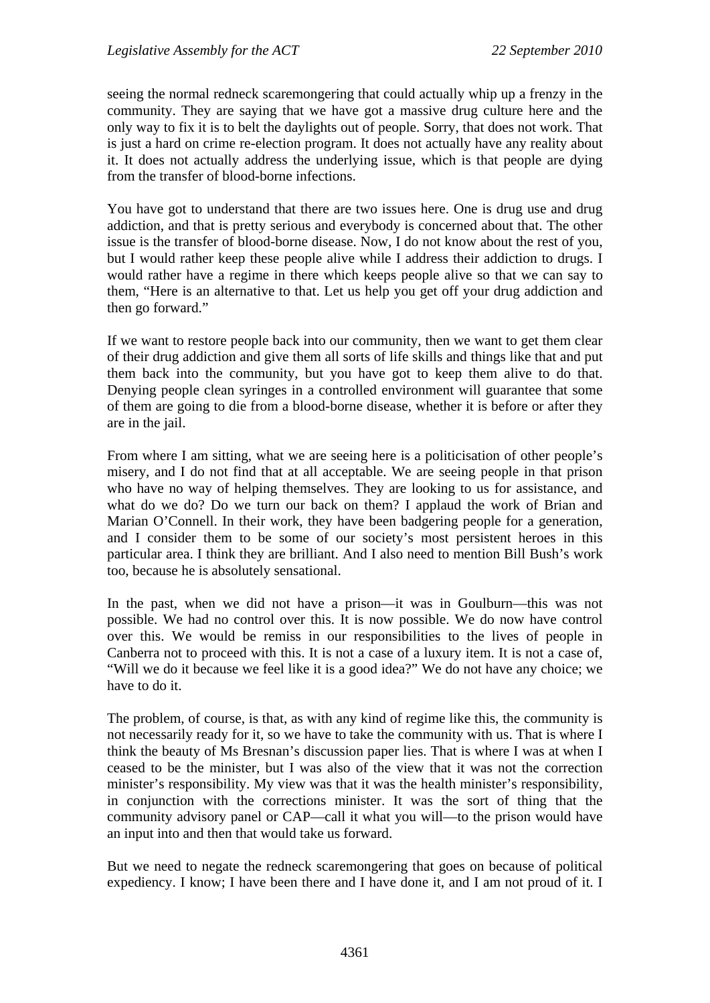seeing the normal redneck scaremongering that could actually whip up a frenzy in the community. They are saying that we have got a massive drug culture here and the only way to fix it is to belt the daylights out of people. Sorry, that does not work. That is just a hard on crime re-election program. It does not actually have any reality about it. It does not actually address the underlying issue, which is that people are dying from the transfer of blood-borne infections.

You have got to understand that there are two issues here. One is drug use and drug addiction, and that is pretty serious and everybody is concerned about that. The other issue is the transfer of blood-borne disease. Now, I do not know about the rest of you, but I would rather keep these people alive while I address their addiction to drugs. I would rather have a regime in there which keeps people alive so that we can say to them, "Here is an alternative to that. Let us help you get off your drug addiction and then go forward."

If we want to restore people back into our community, then we want to get them clear of their drug addiction and give them all sorts of life skills and things like that and put them back into the community, but you have got to keep them alive to do that. Denying people clean syringes in a controlled environment will guarantee that some of them are going to die from a blood-borne disease, whether it is before or after they are in the jail.

From where I am sitting, what we are seeing here is a politicisation of other people's misery, and I do not find that at all acceptable. We are seeing people in that prison who have no way of helping themselves. They are looking to us for assistance, and what do we do? Do we turn our back on them? I applaud the work of Brian and Marian O'Connell. In their work, they have been badgering people for a generation, and I consider them to be some of our society's most persistent heroes in this particular area. I think they are brilliant. And I also need to mention Bill Bush's work too, because he is absolutely sensational.

In the past, when we did not have a prison—it was in Goulburn—this was not possible. We had no control over this. It is now possible. We do now have control over this. We would be remiss in our responsibilities to the lives of people in Canberra not to proceed with this. It is not a case of a luxury item. It is not a case of, "Will we do it because we feel like it is a good idea?" We do not have any choice; we have to do it.

The problem, of course, is that, as with any kind of regime like this, the community is not necessarily ready for it, so we have to take the community with us. That is where I think the beauty of Ms Bresnan's discussion paper lies. That is where I was at when I ceased to be the minister, but I was also of the view that it was not the correction minister's responsibility. My view was that it was the health minister's responsibility, in conjunction with the corrections minister. It was the sort of thing that the community advisory panel or CAP—call it what you will—to the prison would have an input into and then that would take us forward.

But we need to negate the redneck scaremongering that goes on because of political expediency. I know; I have been there and I have done it, and I am not proud of it. I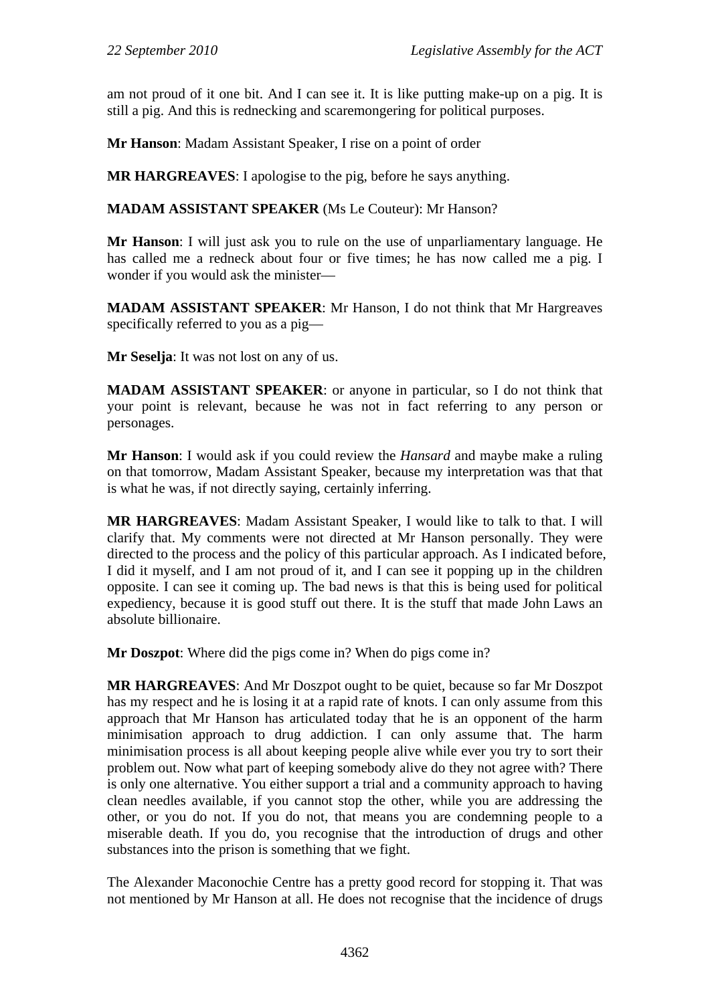am not proud of it one bit. And I can see it. It is like putting make-up on a pig. It is still a pig. And this is rednecking and scaremongering for political purposes.

**Mr Hanson**: Madam Assistant Speaker, I rise on a point of order

**MR HARGREAVES**: I apologise to the pig, before he says anything.

**MADAM ASSISTANT SPEAKER** (Ms Le Couteur): Mr Hanson?

**Mr Hanson**: I will just ask you to rule on the use of unparliamentary language. He has called me a redneck about four or five times; he has now called me a pig. I wonder if you would ask the minister—

**MADAM ASSISTANT SPEAKER**: Mr Hanson, I do not think that Mr Hargreaves specifically referred to you as a pig—

**Mr Seselja**: It was not lost on any of us.

**MADAM ASSISTANT SPEAKER**: or anyone in particular, so I do not think that your point is relevant, because he was not in fact referring to any person or personages.

**Mr Hanson**: I would ask if you could review the *Hansard* and maybe make a ruling on that tomorrow, Madam Assistant Speaker, because my interpretation was that that is what he was, if not directly saying, certainly inferring.

**MR HARGREAVES**: Madam Assistant Speaker, I would like to talk to that. I will clarify that. My comments were not directed at Mr Hanson personally. They were directed to the process and the policy of this particular approach. As I indicated before, I did it myself, and I am not proud of it, and I can see it popping up in the children opposite. I can see it coming up. The bad news is that this is being used for political expediency, because it is good stuff out there. It is the stuff that made John Laws an absolute billionaire.

**Mr Doszpot**: Where did the pigs come in? When do pigs come in?

**MR HARGREAVES**: And Mr Doszpot ought to be quiet, because so far Mr Doszpot has my respect and he is losing it at a rapid rate of knots. I can only assume from this approach that Mr Hanson has articulated today that he is an opponent of the harm minimisation approach to drug addiction. I can only assume that. The harm minimisation process is all about keeping people alive while ever you try to sort their problem out. Now what part of keeping somebody alive do they not agree with? There is only one alternative. You either support a trial and a community approach to having clean needles available, if you cannot stop the other, while you are addressing the other, or you do not. If you do not, that means you are condemning people to a miserable death. If you do, you recognise that the introduction of drugs and other substances into the prison is something that we fight.

The Alexander Maconochie Centre has a pretty good record for stopping it. That was not mentioned by Mr Hanson at all. He does not recognise that the incidence of drugs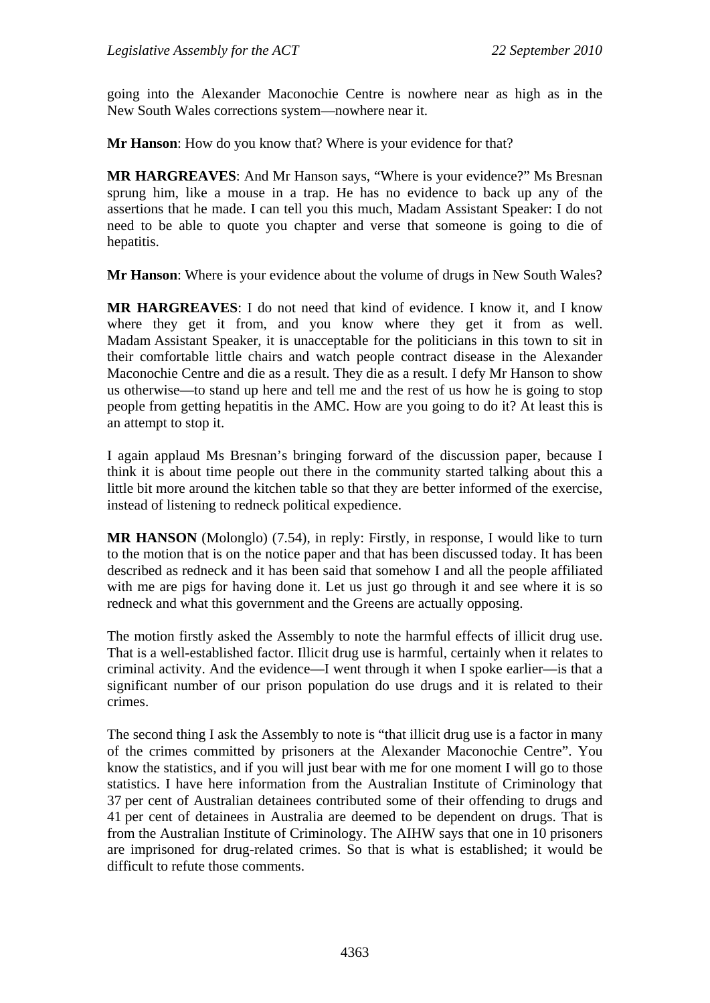going into the Alexander Maconochie Centre is nowhere near as high as in the New South Wales corrections system—nowhere near it.

**Mr Hanson**: How do you know that? Where is your evidence for that?

**MR HARGREAVES**: And Mr Hanson says, "Where is your evidence?" Ms Bresnan sprung him, like a mouse in a trap. He has no evidence to back up any of the assertions that he made. I can tell you this much, Madam Assistant Speaker: I do not need to be able to quote you chapter and verse that someone is going to die of hepatitis.

**Mr Hanson**: Where is your evidence about the volume of drugs in New South Wales?

**MR HARGREAVES**: I do not need that kind of evidence. I know it, and I know where they get it from, and you know where they get it from as well. Madam Assistant Speaker, it is unacceptable for the politicians in this town to sit in their comfortable little chairs and watch people contract disease in the Alexander Maconochie Centre and die as a result. They die as a result. I defy Mr Hanson to show us otherwise—to stand up here and tell me and the rest of us how he is going to stop people from getting hepatitis in the AMC. How are you going to do it? At least this is an attempt to stop it.

I again applaud Ms Bresnan's bringing forward of the discussion paper, because I think it is about time people out there in the community started talking about this a little bit more around the kitchen table so that they are better informed of the exercise, instead of listening to redneck political expedience.

**MR HANSON** (Molonglo) (7.54), in reply: Firstly, in response, I would like to turn to the motion that is on the notice paper and that has been discussed today. It has been described as redneck and it has been said that somehow I and all the people affiliated with me are pigs for having done it. Let us just go through it and see where it is so redneck and what this government and the Greens are actually opposing.

The motion firstly asked the Assembly to note the harmful effects of illicit drug use. That is a well-established factor. Illicit drug use is harmful, certainly when it relates to criminal activity. And the evidence—I went through it when I spoke earlier—is that a significant number of our prison population do use drugs and it is related to their crimes.

The second thing I ask the Assembly to note is "that illicit drug use is a factor in many of the crimes committed by prisoners at the Alexander Maconochie Centre". You know the statistics, and if you will just bear with me for one moment I will go to those statistics. I have here information from the Australian Institute of Criminology that 37 per cent of Australian detainees contributed some of their offending to drugs and 41 per cent of detainees in Australia are deemed to be dependent on drugs. That is from the Australian Institute of Criminology. The AIHW says that one in 10 prisoners are imprisoned for drug-related crimes. So that is what is established; it would be difficult to refute those comments.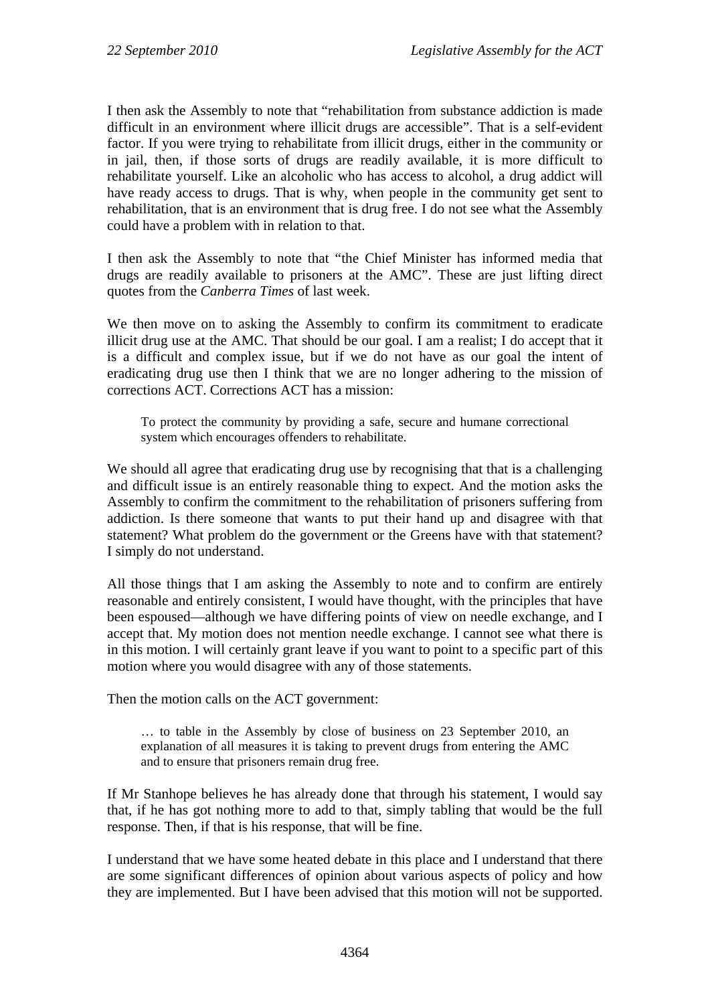I then ask the Assembly to note that "rehabilitation from substance addiction is made difficult in an environment where illicit drugs are accessible". That is a self-evident factor. If you were trying to rehabilitate from illicit drugs, either in the community or in jail, then, if those sorts of drugs are readily available, it is more difficult to rehabilitate yourself. Like an alcoholic who has access to alcohol, a drug addict will have ready access to drugs. That is why, when people in the community get sent to rehabilitation, that is an environment that is drug free. I do not see what the Assembly could have a problem with in relation to that.

I then ask the Assembly to note that "the Chief Minister has informed media that drugs are readily available to prisoners at the AMC". These are just lifting direct quotes from the *Canberra Times* of last week.

We then move on to asking the Assembly to confirm its commitment to eradicate illicit drug use at the AMC. That should be our goal. I am a realist; I do accept that it is a difficult and complex issue, but if we do not have as our goal the intent of eradicating drug use then I think that we are no longer adhering to the mission of corrections ACT. Corrections ACT has a mission:

To protect the community by providing a safe, secure and humane correctional system which encourages offenders to rehabilitate.

We should all agree that eradicating drug use by recognising that that is a challenging and difficult issue is an entirely reasonable thing to expect. And the motion asks the Assembly to confirm the commitment to the rehabilitation of prisoners suffering from addiction. Is there someone that wants to put their hand up and disagree with that statement? What problem do the government or the Greens have with that statement? I simply do not understand.

All those things that I am asking the Assembly to note and to confirm are entirely reasonable and entirely consistent, I would have thought, with the principles that have been espoused—although we have differing points of view on needle exchange, and I accept that. My motion does not mention needle exchange. I cannot see what there is in this motion. I will certainly grant leave if you want to point to a specific part of this motion where you would disagree with any of those statements.

Then the motion calls on the ACT government:

… to table in the Assembly by close of business on 23 September 2010, an explanation of all measures it is taking to prevent drugs from entering the AMC and to ensure that prisoners remain drug free.

If Mr Stanhope believes he has already done that through his statement, I would say that, if he has got nothing more to add to that, simply tabling that would be the full response. Then, if that is his response, that will be fine.

I understand that we have some heated debate in this place and I understand that there are some significant differences of opinion about various aspects of policy and how they are implemented. But I have been advised that this motion will not be supported.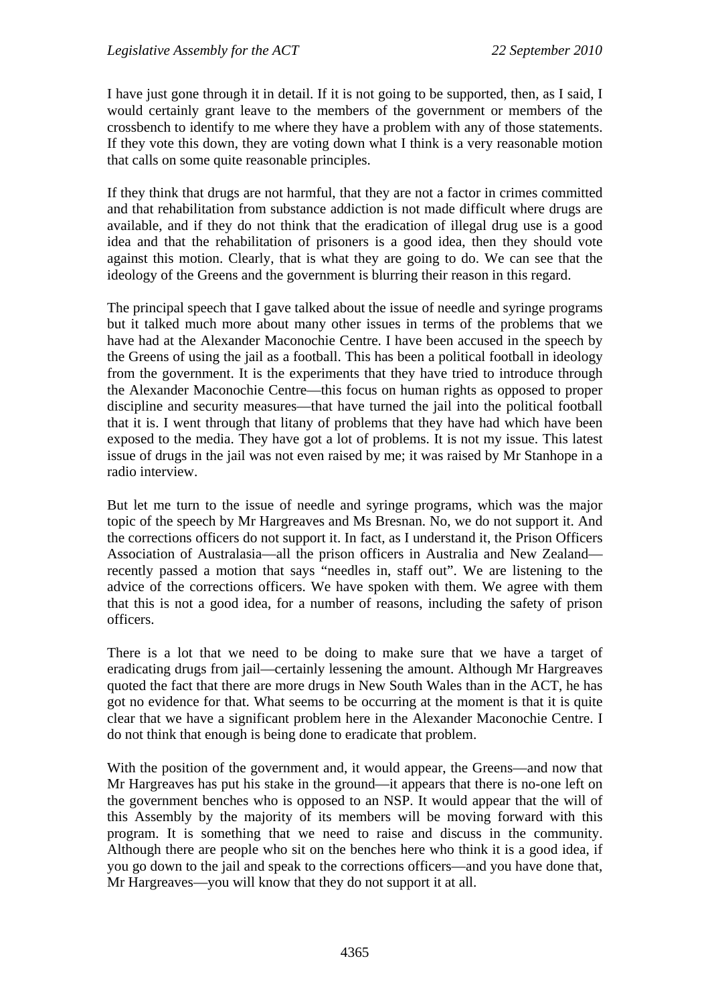I have just gone through it in detail. If it is not going to be supported, then, as I said, I would certainly grant leave to the members of the government or members of the crossbench to identify to me where they have a problem with any of those statements. If they vote this down, they are voting down what I think is a very reasonable motion that calls on some quite reasonable principles.

If they think that drugs are not harmful, that they are not a factor in crimes committed and that rehabilitation from substance addiction is not made difficult where drugs are available, and if they do not think that the eradication of illegal drug use is a good idea and that the rehabilitation of prisoners is a good idea, then they should vote against this motion. Clearly, that is what they are going to do. We can see that the ideology of the Greens and the government is blurring their reason in this regard.

The principal speech that I gave talked about the issue of needle and syringe programs but it talked much more about many other issues in terms of the problems that we have had at the Alexander Maconochie Centre. I have been accused in the speech by the Greens of using the jail as a football. This has been a political football in ideology from the government. It is the experiments that they have tried to introduce through the Alexander Maconochie Centre—this focus on human rights as opposed to proper discipline and security measures—that have turned the jail into the political football that it is. I went through that litany of problems that they have had which have been exposed to the media. They have got a lot of problems. It is not my issue. This latest issue of drugs in the jail was not even raised by me; it was raised by Mr Stanhope in a radio interview.

But let me turn to the issue of needle and syringe programs, which was the major topic of the speech by Mr Hargreaves and Ms Bresnan. No, we do not support it. And the corrections officers do not support it. In fact, as I understand it, the Prison Officers Association of Australasia—all the prison officers in Australia and New Zealand recently passed a motion that says "needles in, staff out". We are listening to the advice of the corrections officers. We have spoken with them. We agree with them that this is not a good idea, for a number of reasons, including the safety of prison officers.

There is a lot that we need to be doing to make sure that we have a target of eradicating drugs from jail—certainly lessening the amount. Although Mr Hargreaves quoted the fact that there are more drugs in New South Wales than in the ACT, he has got no evidence for that. What seems to be occurring at the moment is that it is quite clear that we have a significant problem here in the Alexander Maconochie Centre. I do not think that enough is being done to eradicate that problem.

With the position of the government and, it would appear, the Greens—and now that Mr Hargreaves has put his stake in the ground—it appears that there is no-one left on the government benches who is opposed to an NSP. It would appear that the will of this Assembly by the majority of its members will be moving forward with this program. It is something that we need to raise and discuss in the community. Although there are people who sit on the benches here who think it is a good idea, if you go down to the jail and speak to the corrections officers—and you have done that, Mr Hargreaves—you will know that they do not support it at all.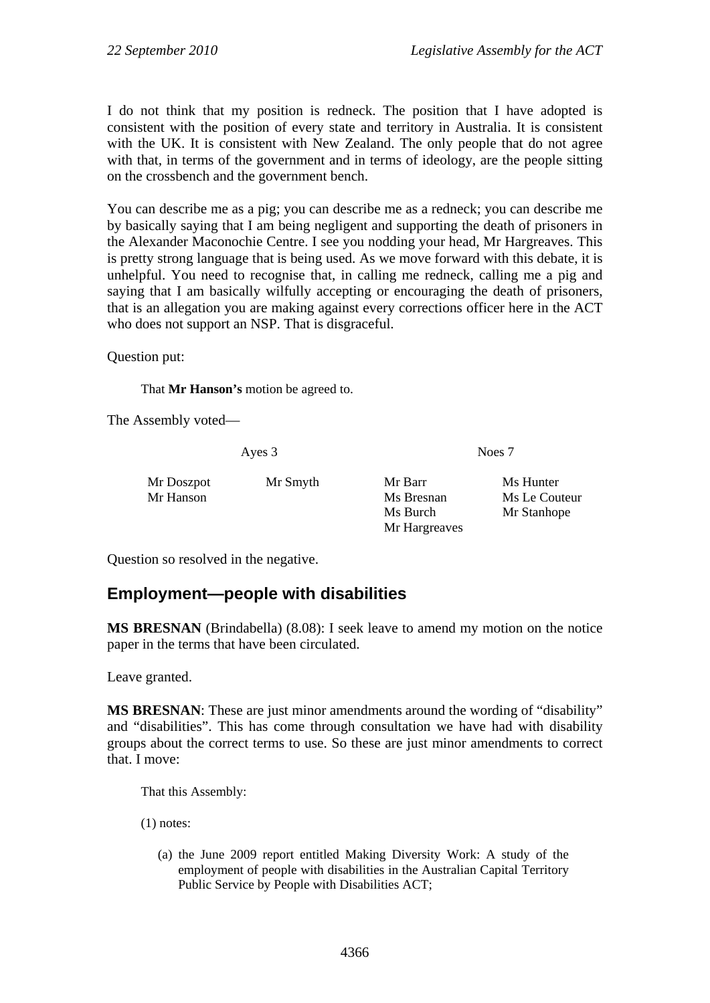I do not think that my position is redneck. The position that I have adopted is consistent with the position of every state and territory in Australia. It is consistent with the UK. It is consistent with New Zealand. The only people that do not agree with that, in terms of the government and in terms of ideology, are the people sitting on the crossbench and the government bench.

You can describe me as a pig; you can describe me as a redneck; you can describe me by basically saying that I am being negligent and supporting the death of prisoners in the Alexander Maconochie Centre. I see you nodding your head, Mr Hargreaves. This is pretty strong language that is being used. As we move forward with this debate, it is unhelpful. You need to recognise that, in calling me redneck, calling me a pig and saying that I am basically wilfully accepting or encouraging the death of prisoners, that is an allegation you are making against every corrections officer here in the ACT who does not support an NSP. That is disgraceful.

Question put:

That **Mr Hanson's** motion be agreed to.

The Assembly voted—

Ayes 3 Noes 7

| Mr Doszpot | Mr Smyth | Mr Barr       | Ms Hunter     |
|------------|----------|---------------|---------------|
| Mr Hanson  |          | Ms Bresnan    | Ms Le Couteur |
|            |          | Ms Burch      | Mr Stanhope   |
|            |          | Mr Hargreaves |               |

Question so resolved in the negative.

# **Employment—people with disabilities**

**MS BRESNAN** (Brindabella) (8.08): I seek leave to amend my motion on the notice paper in the terms that have been circulated.

Leave granted.

**MS BRESNAN**: These are just minor amendments around the wording of "disability" and "disabilities". This has come through consultation we have had with disability groups about the correct terms to use. So these are just minor amendments to correct that. I move:

That this Assembly:

(1) notes:

(a) the June 2009 report entitled Making Diversity Work: A study of the employment of people with disabilities in the Australian Capital Territory Public Service by People with Disabilities ACT;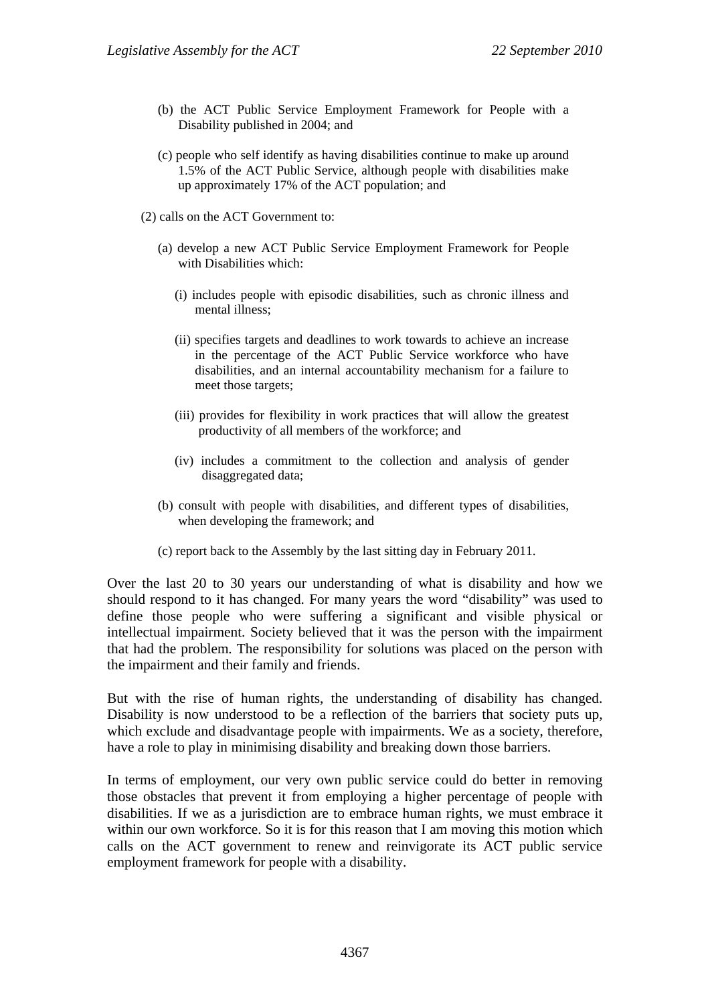- (b) the ACT Public Service Employment Framework for People with a Disability published in 2004; and
- (c) people who self identify as having disabilities continue to make up around 1.5% of the ACT Public Service, although people with disabilities make up approximately 17% of the ACT population; and
- (2) calls on the ACT Government to:
	- (a) develop a new ACT Public Service Employment Framework for People with Disabilities which:
		- (i) includes people with episodic disabilities, such as chronic illness and mental illness;
		- (ii) specifies targets and deadlines to work towards to achieve an increase in the percentage of the ACT Public Service workforce who have disabilities, and an internal accountability mechanism for a failure to meet those targets;
		- (iii) provides for flexibility in work practices that will allow the greatest productivity of all members of the workforce; and
		- (iv) includes a commitment to the collection and analysis of gender disaggregated data;
	- (b) consult with people with disabilities, and different types of disabilities, when developing the framework; and
	- (c) report back to the Assembly by the last sitting day in February 2011.

Over the last 20 to 30 years our understanding of what is disability and how we should respond to it has changed. For many years the word "disability" was used to define those people who were suffering a significant and visible physical or intellectual impairment. Society believed that it was the person with the impairment that had the problem. The responsibility for solutions was placed on the person with the impairment and their family and friends.

But with the rise of human rights, the understanding of disability has changed. Disability is now understood to be a reflection of the barriers that society puts up, which exclude and disadvantage people with impairments. We as a society, therefore, have a role to play in minimising disability and breaking down those barriers.

In terms of employment, our very own public service could do better in removing those obstacles that prevent it from employing a higher percentage of people with disabilities. If we as a jurisdiction are to embrace human rights, we must embrace it within our own workforce. So it is for this reason that I am moving this motion which calls on the ACT government to renew and reinvigorate its ACT public service employment framework for people with a disability.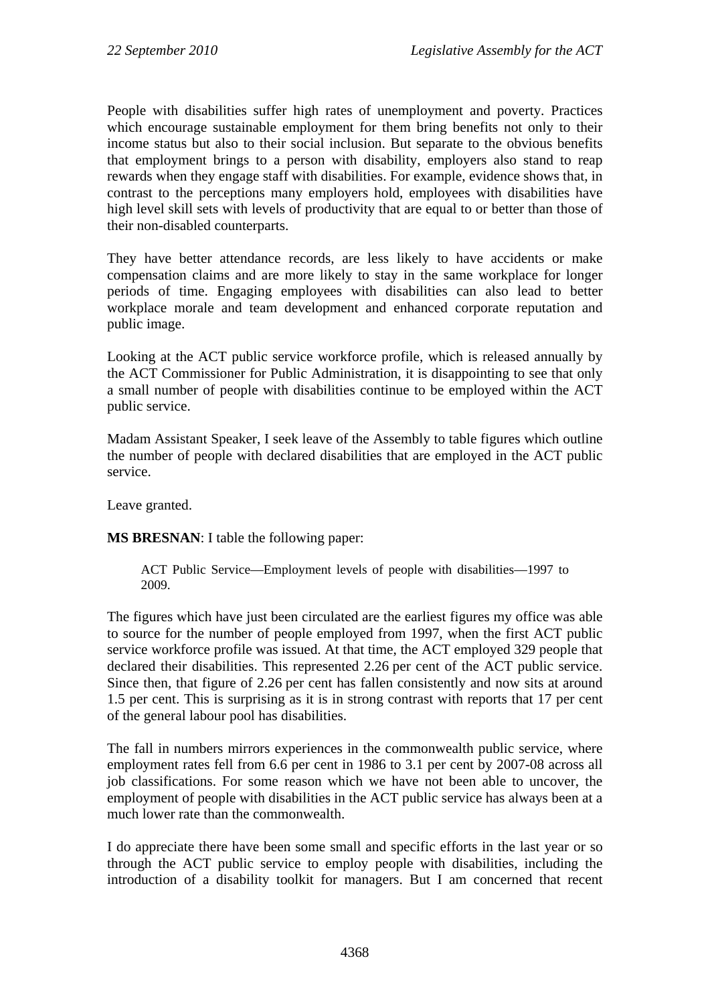People with disabilities suffer high rates of unemployment and poverty. Practices which encourage sustainable employment for them bring benefits not only to their income status but also to their social inclusion. But separate to the obvious benefits that employment brings to a person with disability, employers also stand to reap rewards when they engage staff with disabilities. For example, evidence shows that, in contrast to the perceptions many employers hold, employees with disabilities have high level skill sets with levels of productivity that are equal to or better than those of their non-disabled counterparts.

They have better attendance records, are less likely to have accidents or make compensation claims and are more likely to stay in the same workplace for longer periods of time. Engaging employees with disabilities can also lead to better workplace morale and team development and enhanced corporate reputation and public image.

Looking at the ACT public service workforce profile, which is released annually by the ACT Commissioner for Public Administration, it is disappointing to see that only a small number of people with disabilities continue to be employed within the ACT public service.

Madam Assistant Speaker, I seek leave of the Assembly to table figures which outline the number of people with declared disabilities that are employed in the ACT public service.

Leave granted.

**MS BRESNAN**: I table the following paper:

ACT Public Service—Employment levels of people with disabilities—1997 to 2009.

The figures which have just been circulated are the earliest figures my office was able to source for the number of people employed from 1997, when the first ACT public service workforce profile was issued. At that time, the ACT employed 329 people that declared their disabilities. This represented 2.26 per cent of the ACT public service. Since then, that figure of 2.26 per cent has fallen consistently and now sits at around 1.5 per cent. This is surprising as it is in strong contrast with reports that 17 per cent of the general labour pool has disabilities.

The fall in numbers mirrors experiences in the commonwealth public service, where employment rates fell from 6.6 per cent in 1986 to 3.1 per cent by 2007-08 across all job classifications. For some reason which we have not been able to uncover, the employment of people with disabilities in the ACT public service has always been at a much lower rate than the commonwealth.

I do appreciate there have been some small and specific efforts in the last year or so through the ACT public service to employ people with disabilities, including the introduction of a disability toolkit for managers. But I am concerned that recent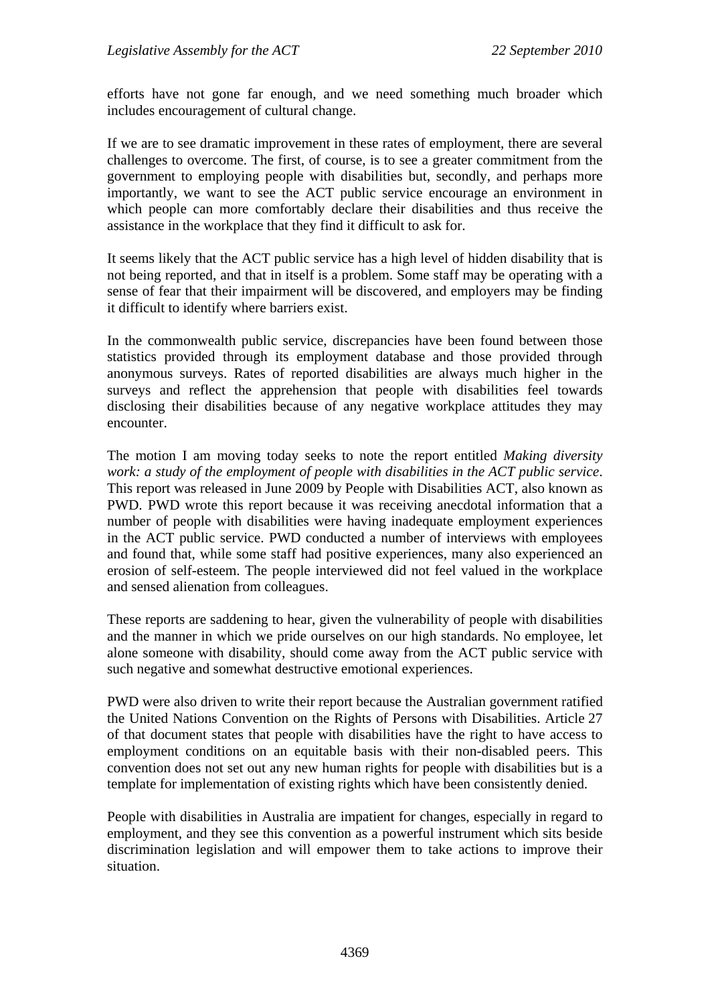efforts have not gone far enough, and we need something much broader which includes encouragement of cultural change.

If we are to see dramatic improvement in these rates of employment, there are several challenges to overcome. The first, of course, is to see a greater commitment from the government to employing people with disabilities but, secondly, and perhaps more importantly, we want to see the ACT public service encourage an environment in which people can more comfortably declare their disabilities and thus receive the assistance in the workplace that they find it difficult to ask for.

It seems likely that the ACT public service has a high level of hidden disability that is not being reported, and that in itself is a problem. Some staff may be operating with a sense of fear that their impairment will be discovered, and employers may be finding it difficult to identify where barriers exist.

In the commonwealth public service, discrepancies have been found between those statistics provided through its employment database and those provided through anonymous surveys. Rates of reported disabilities are always much higher in the surveys and reflect the apprehension that people with disabilities feel towards disclosing their disabilities because of any negative workplace attitudes they may encounter.

The motion I am moving today seeks to note the report entitled *Making diversity work: a study of the employment of people with disabilities in the ACT public service*. This report was released in June 2009 by People with Disabilities ACT, also known as PWD. PWD wrote this report because it was receiving anecdotal information that a number of people with disabilities were having inadequate employment experiences in the ACT public service. PWD conducted a number of interviews with employees and found that, while some staff had positive experiences, many also experienced an erosion of self-esteem. The people interviewed did not feel valued in the workplace and sensed alienation from colleagues.

These reports are saddening to hear, given the vulnerability of people with disabilities and the manner in which we pride ourselves on our high standards. No employee, let alone someone with disability, should come away from the ACT public service with such negative and somewhat destructive emotional experiences.

PWD were also driven to write their report because the Australian government ratified the United Nations Convention on the Rights of Persons with Disabilities. Article 27 of that document states that people with disabilities have the right to have access to employment conditions on an equitable basis with their non-disabled peers. This convention does not set out any new human rights for people with disabilities but is a template for implementation of existing rights which have been consistently denied.

People with disabilities in Australia are impatient for changes, especially in regard to employment, and they see this convention as a powerful instrument which sits beside discrimination legislation and will empower them to take actions to improve their situation.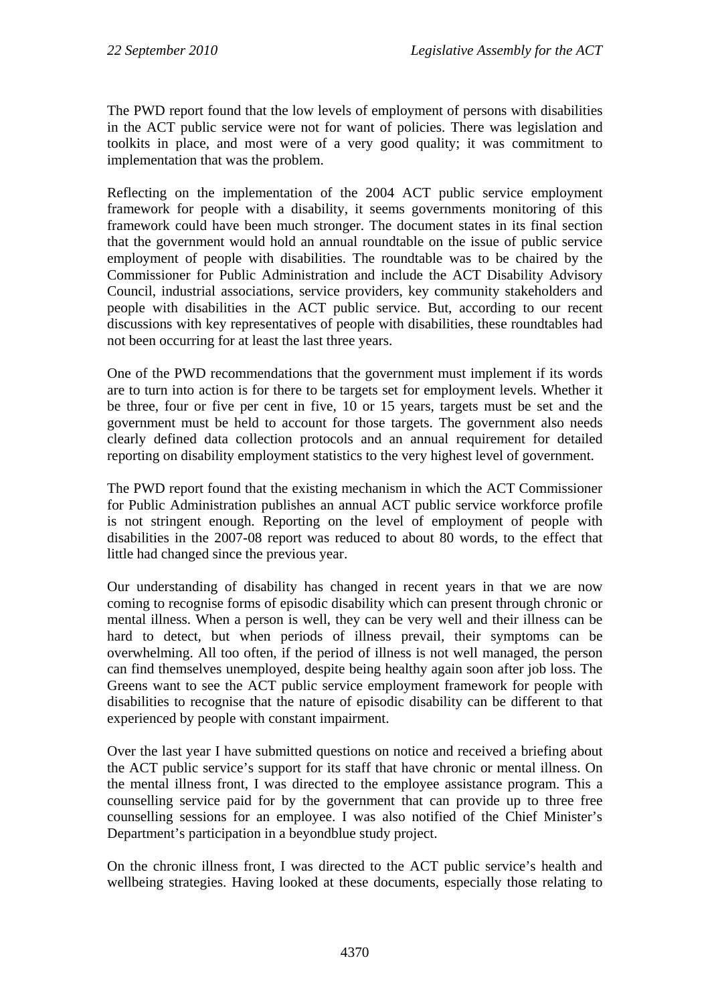The PWD report found that the low levels of employment of persons with disabilities in the ACT public service were not for want of policies. There was legislation and toolkits in place, and most were of a very good quality; it was commitment to implementation that was the problem.

Reflecting on the implementation of the 2004 ACT public service employment framework for people with a disability, it seems governments monitoring of this framework could have been much stronger. The document states in its final section that the government would hold an annual roundtable on the issue of public service employment of people with disabilities. The roundtable was to be chaired by the Commissioner for Public Administration and include the ACT Disability Advisory Council, industrial associations, service providers, key community stakeholders and people with disabilities in the ACT public service. But, according to our recent discussions with key representatives of people with disabilities, these roundtables had not been occurring for at least the last three years.

One of the PWD recommendations that the government must implement if its words are to turn into action is for there to be targets set for employment levels. Whether it be three, four or five per cent in five, 10 or 15 years, targets must be set and the government must be held to account for those targets. The government also needs clearly defined data collection protocols and an annual requirement for detailed reporting on disability employment statistics to the very highest level of government.

The PWD report found that the existing mechanism in which the ACT Commissioner for Public Administration publishes an annual ACT public service workforce profile is not stringent enough. Reporting on the level of employment of people with disabilities in the 2007-08 report was reduced to about 80 words, to the effect that little had changed since the previous year.

Our understanding of disability has changed in recent years in that we are now coming to recognise forms of episodic disability which can present through chronic or mental illness. When a person is well, they can be very well and their illness can be hard to detect, but when periods of illness prevail, their symptoms can be overwhelming. All too often, if the period of illness is not well managed, the person can find themselves unemployed, despite being healthy again soon after job loss. The Greens want to see the ACT public service employment framework for people with disabilities to recognise that the nature of episodic disability can be different to that experienced by people with constant impairment.

Over the last year I have submitted questions on notice and received a briefing about the ACT public service's support for its staff that have chronic or mental illness. On the mental illness front, I was directed to the employee assistance program. This a counselling service paid for by the government that can provide up to three free counselling sessions for an employee. I was also notified of the Chief Minister's Department's participation in a beyondblue study project.

On the chronic illness front, I was directed to the ACT public service's health and wellbeing strategies. Having looked at these documents, especially those relating to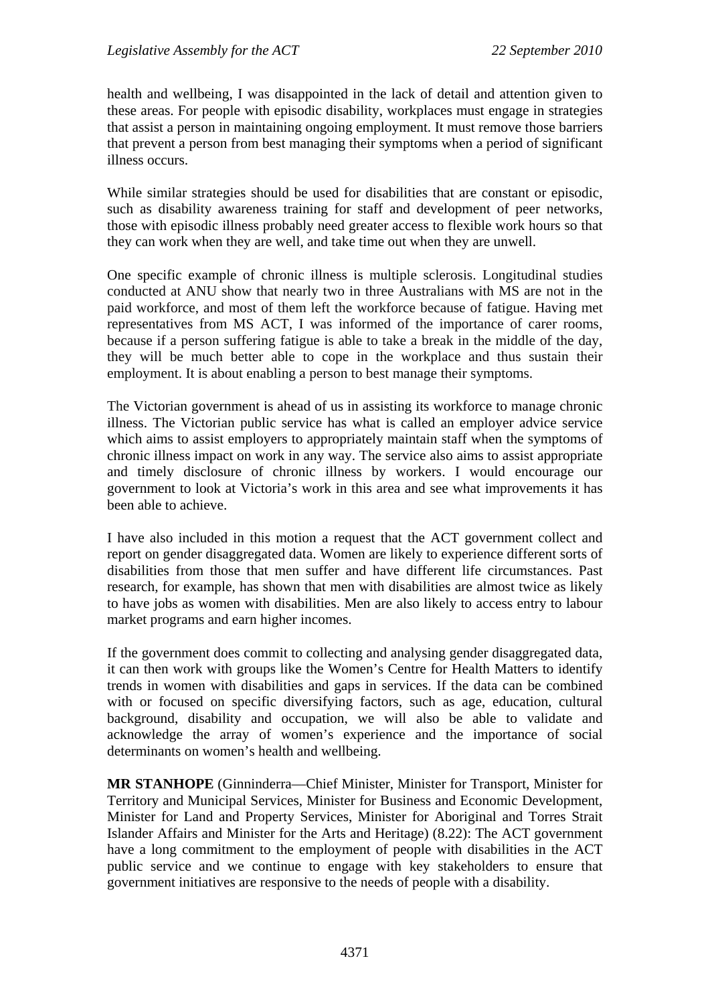health and wellbeing, I was disappointed in the lack of detail and attention given to these areas. For people with episodic disability, workplaces must engage in strategies that assist a person in maintaining ongoing employment. It must remove those barriers that prevent a person from best managing their symptoms when a period of significant illness occurs.

While similar strategies should be used for disabilities that are constant or episodic, such as disability awareness training for staff and development of peer networks, those with episodic illness probably need greater access to flexible work hours so that they can work when they are well, and take time out when they are unwell.

One specific example of chronic illness is multiple sclerosis. Longitudinal studies conducted at ANU show that nearly two in three Australians with MS are not in the paid workforce, and most of them left the workforce because of fatigue. Having met representatives from MS ACT, I was informed of the importance of carer rooms, because if a person suffering fatigue is able to take a break in the middle of the day, they will be much better able to cope in the workplace and thus sustain their employment. It is about enabling a person to best manage their symptoms.

The Victorian government is ahead of us in assisting its workforce to manage chronic illness. The Victorian public service has what is called an employer advice service which aims to assist employers to appropriately maintain staff when the symptoms of chronic illness impact on work in any way. The service also aims to assist appropriate and timely disclosure of chronic illness by workers. I would encourage our government to look at Victoria's work in this area and see what improvements it has been able to achieve.

I have also included in this motion a request that the ACT government collect and report on gender disaggregated data. Women are likely to experience different sorts of disabilities from those that men suffer and have different life circumstances. Past research, for example, has shown that men with disabilities are almost twice as likely to have jobs as women with disabilities. Men are also likely to access entry to labour market programs and earn higher incomes.

If the government does commit to collecting and analysing gender disaggregated data, it can then work with groups like the Women's Centre for Health Matters to identify trends in women with disabilities and gaps in services. If the data can be combined with or focused on specific diversifying factors, such as age, education, cultural background, disability and occupation, we will also be able to validate and acknowledge the array of women's experience and the importance of social determinants on women's health and wellbeing.

**MR STANHOPE** (Ginninderra—Chief Minister, Minister for Transport, Minister for Territory and Municipal Services, Minister for Business and Economic Development, Minister for Land and Property Services, Minister for Aboriginal and Torres Strait Islander Affairs and Minister for the Arts and Heritage) (8.22): The ACT government have a long commitment to the employment of people with disabilities in the ACT public service and we continue to engage with key stakeholders to ensure that government initiatives are responsive to the needs of people with a disability.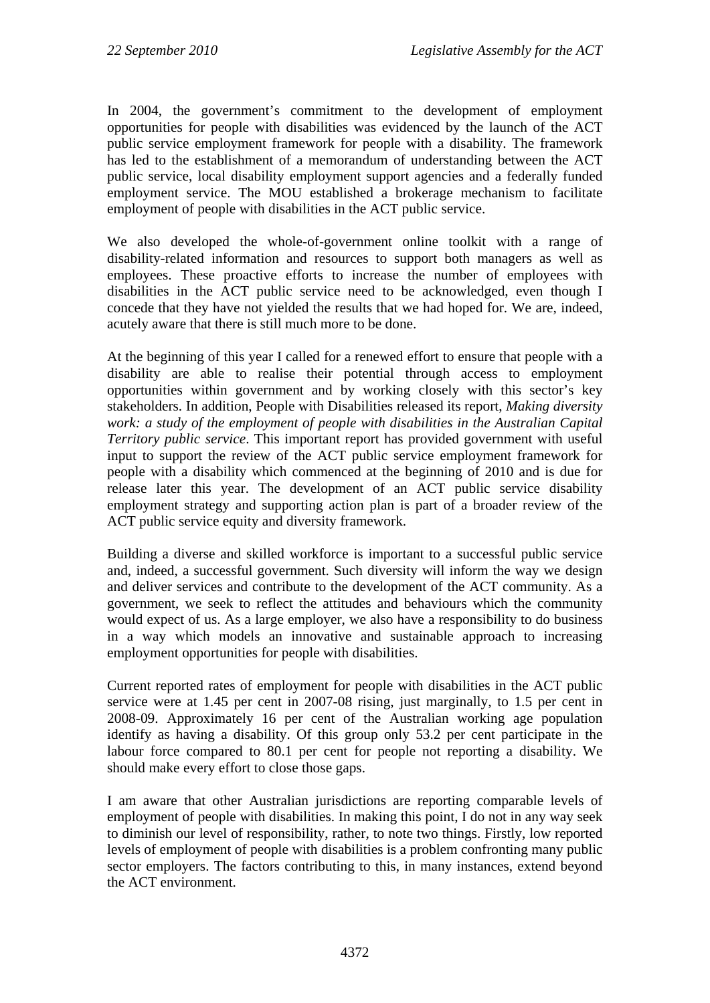In 2004, the government's commitment to the development of employment opportunities for people with disabilities was evidenced by the launch of the ACT public service employment framework for people with a disability. The framework has led to the establishment of a memorandum of understanding between the ACT public service, local disability employment support agencies and a federally funded employment service. The MOU established a brokerage mechanism to facilitate employment of people with disabilities in the ACT public service.

We also developed the whole-of-government online toolkit with a range of disability-related information and resources to support both managers as well as employees. These proactive efforts to increase the number of employees with disabilities in the ACT public service need to be acknowledged, even though I concede that they have not yielded the results that we had hoped for. We are, indeed, acutely aware that there is still much more to be done.

At the beginning of this year I called for a renewed effort to ensure that people with a disability are able to realise their potential through access to employment opportunities within government and by working closely with this sector's key stakeholders. In addition, People with Disabilities released its report, *Making diversity work: a study of the employment of people with disabilities in the Australian Capital Territory public service*. This important report has provided government with useful input to support the review of the ACT public service employment framework for people with a disability which commenced at the beginning of 2010 and is due for release later this year. The development of an ACT public service disability employment strategy and supporting action plan is part of a broader review of the ACT public service equity and diversity framework.

Building a diverse and skilled workforce is important to a successful public service and, indeed, a successful government. Such diversity will inform the way we design and deliver services and contribute to the development of the ACT community. As a government, we seek to reflect the attitudes and behaviours which the community would expect of us. As a large employer, we also have a responsibility to do business in a way which models an innovative and sustainable approach to increasing employment opportunities for people with disabilities.

Current reported rates of employment for people with disabilities in the ACT public service were at 1.45 per cent in 2007-08 rising, just marginally, to 1.5 per cent in 2008-09. Approximately 16 per cent of the Australian working age population identify as having a disability. Of this group only 53.2 per cent participate in the labour force compared to 80.1 per cent for people not reporting a disability. We should make every effort to close those gaps.

I am aware that other Australian jurisdictions are reporting comparable levels of employment of people with disabilities. In making this point, I do not in any way seek to diminish our level of responsibility, rather, to note two things. Firstly, low reported levels of employment of people with disabilities is a problem confronting many public sector employers. The factors contributing to this, in many instances, extend beyond the ACT environment.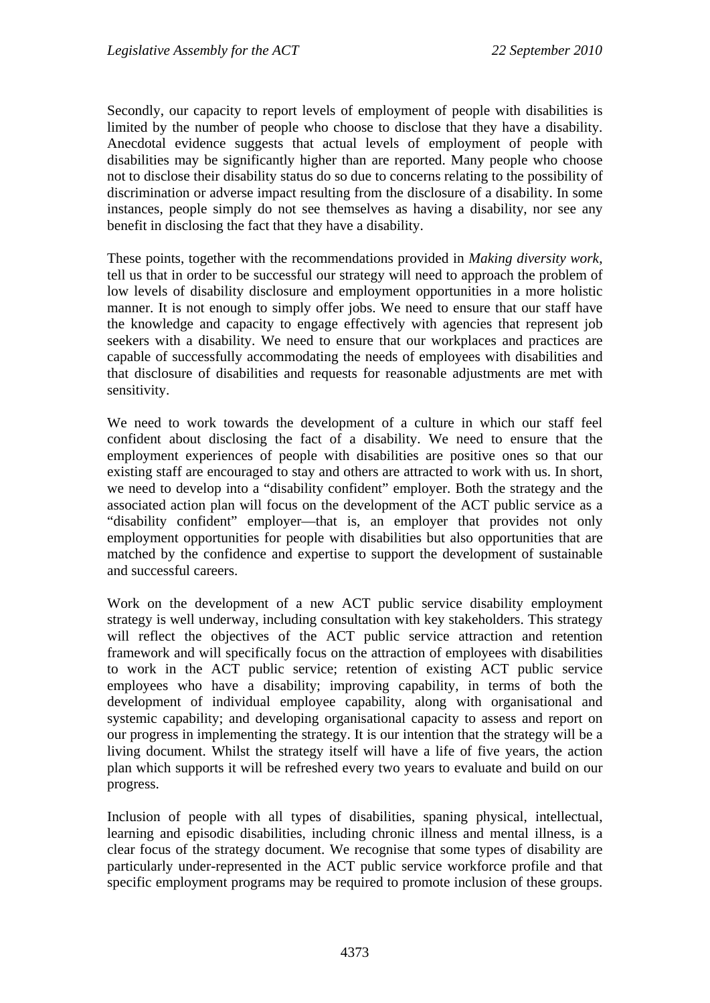Secondly, our capacity to report levels of employment of people with disabilities is limited by the number of people who choose to disclose that they have a disability. Anecdotal evidence suggests that actual levels of employment of people with disabilities may be significantly higher than are reported. Many people who choose not to disclose their disability status do so due to concerns relating to the possibility of discrimination or adverse impact resulting from the disclosure of a disability. In some instances, people simply do not see themselves as having a disability, nor see any benefit in disclosing the fact that they have a disability.

These points, together with the recommendations provided in *Making diversity work*, tell us that in order to be successful our strategy will need to approach the problem of low levels of disability disclosure and employment opportunities in a more holistic manner. It is not enough to simply offer jobs. We need to ensure that our staff have the knowledge and capacity to engage effectively with agencies that represent job seekers with a disability. We need to ensure that our workplaces and practices are capable of successfully accommodating the needs of employees with disabilities and that disclosure of disabilities and requests for reasonable adjustments are met with sensitivity.

We need to work towards the development of a culture in which our staff feel confident about disclosing the fact of a disability. We need to ensure that the employment experiences of people with disabilities are positive ones so that our existing staff are encouraged to stay and others are attracted to work with us. In short, we need to develop into a "disability confident" employer. Both the strategy and the associated action plan will focus on the development of the ACT public service as a "disability confident" employer—that is, an employer that provides not only employment opportunities for people with disabilities but also opportunities that are matched by the confidence and expertise to support the development of sustainable and successful careers.

Work on the development of a new ACT public service disability employment strategy is well underway, including consultation with key stakeholders. This strategy will reflect the objectives of the ACT public service attraction and retention framework and will specifically focus on the attraction of employees with disabilities to work in the ACT public service; retention of existing ACT public service employees who have a disability; improving capability, in terms of both the development of individual employee capability, along with organisational and systemic capability; and developing organisational capacity to assess and report on our progress in implementing the strategy. It is our intention that the strategy will be a living document. Whilst the strategy itself will have a life of five years, the action plan which supports it will be refreshed every two years to evaluate and build on our progress.

Inclusion of people with all types of disabilities, spaning physical, intellectual, learning and episodic disabilities, including chronic illness and mental illness, is a clear focus of the strategy document. We recognise that some types of disability are particularly under-represented in the ACT public service workforce profile and that specific employment programs may be required to promote inclusion of these groups.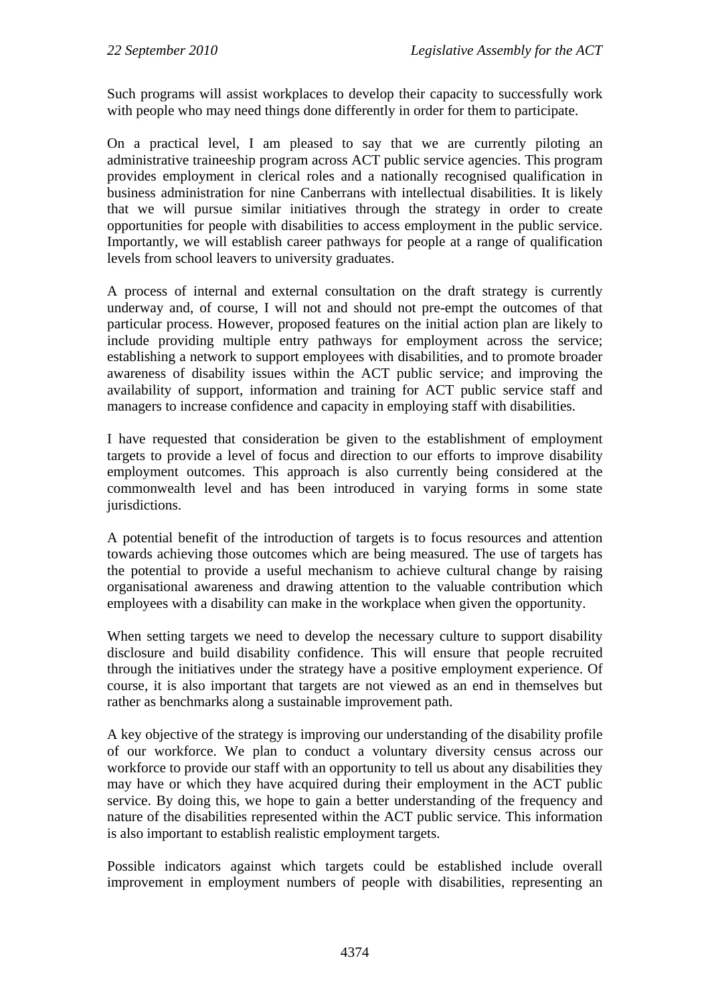Such programs will assist workplaces to develop their capacity to successfully work with people who may need things done differently in order for them to participate.

On a practical level, I am pleased to say that we are currently piloting an administrative traineeship program across ACT public service agencies. This program provides employment in clerical roles and a nationally recognised qualification in business administration for nine Canberrans with intellectual disabilities. It is likely that we will pursue similar initiatives through the strategy in order to create opportunities for people with disabilities to access employment in the public service. Importantly, we will establish career pathways for people at a range of qualification levels from school leavers to university graduates.

A process of internal and external consultation on the draft strategy is currently underway and, of course, I will not and should not pre-empt the outcomes of that particular process. However, proposed features on the initial action plan are likely to include providing multiple entry pathways for employment across the service; establishing a network to support employees with disabilities, and to promote broader awareness of disability issues within the ACT public service; and improving the availability of support, information and training for ACT public service staff and managers to increase confidence and capacity in employing staff with disabilities.

I have requested that consideration be given to the establishment of employment targets to provide a level of focus and direction to our efforts to improve disability employment outcomes. This approach is also currently being considered at the commonwealth level and has been introduced in varying forms in some state jurisdictions.

A potential benefit of the introduction of targets is to focus resources and attention towards achieving those outcomes which are being measured. The use of targets has the potential to provide a useful mechanism to achieve cultural change by raising organisational awareness and drawing attention to the valuable contribution which employees with a disability can make in the workplace when given the opportunity.

When setting targets we need to develop the necessary culture to support disability disclosure and build disability confidence. This will ensure that people recruited through the initiatives under the strategy have a positive employment experience. Of course, it is also important that targets are not viewed as an end in themselves but rather as benchmarks along a sustainable improvement path.

A key objective of the strategy is improving our understanding of the disability profile of our workforce. We plan to conduct a voluntary diversity census across our workforce to provide our staff with an opportunity to tell us about any disabilities they may have or which they have acquired during their employment in the ACT public service. By doing this, we hope to gain a better understanding of the frequency and nature of the disabilities represented within the ACT public service. This information is also important to establish realistic employment targets.

Possible indicators against which targets could be established include overall improvement in employment numbers of people with disabilities, representing an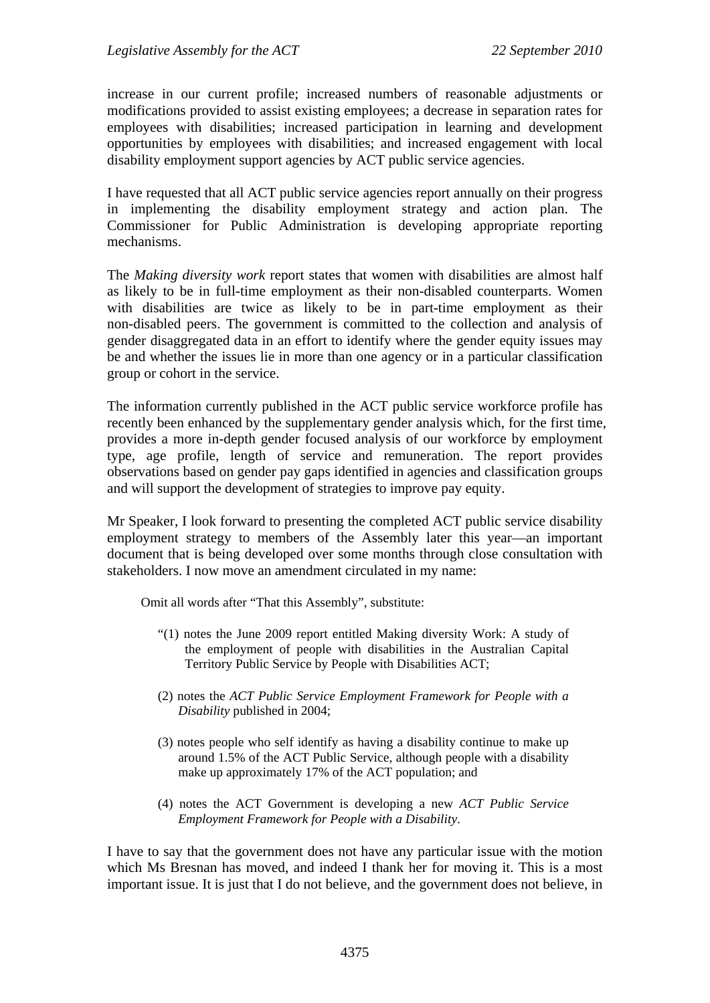increase in our current profile; increased numbers of reasonable adjustments or modifications provided to assist existing employees; a decrease in separation rates for employees with disabilities; increased participation in learning and development opportunities by employees with disabilities; and increased engagement with local disability employment support agencies by ACT public service agencies.

I have requested that all ACT public service agencies report annually on their progress in implementing the disability employment strategy and action plan. The Commissioner for Public Administration is developing appropriate reporting mechanisms.

The *Making diversity work* report states that women with disabilities are almost half as likely to be in full-time employment as their non-disabled counterparts. Women with disabilities are twice as likely to be in part-time employment as their non-disabled peers. The government is committed to the collection and analysis of gender disaggregated data in an effort to identify where the gender equity issues may be and whether the issues lie in more than one agency or in a particular classification group or cohort in the service.

The information currently published in the ACT public service workforce profile has recently been enhanced by the supplementary gender analysis which, for the first time, provides a more in-depth gender focused analysis of our workforce by employment type, age profile, length of service and remuneration. The report provides observations based on gender pay gaps identified in agencies and classification groups and will support the development of strategies to improve pay equity.

Mr Speaker, I look forward to presenting the completed ACT public service disability employment strategy to members of the Assembly later this year—an important document that is being developed over some months through close consultation with stakeholders. I now move an amendment circulated in my name:

Omit all words after "That this Assembly", substitute:

- "(1) notes the June 2009 report entitled Making diversity Work: A study of the employment of people with disabilities in the Australian Capital Territory Public Service by People with Disabilities ACT;
- (2) notes the *ACT Public Service Employment Framework for People with a Disability* published in 2004;
- (3) notes people who self identify as having a disability continue to make up around 1.5% of the ACT Public Service, although people with a disability make up approximately 17% of the ACT population; and
- (4) notes the ACT Government is developing a new *ACT Public Service Employment Framework for People with a Disability*.

I have to say that the government does not have any particular issue with the motion which Ms Bresnan has moved, and indeed I thank her for moving it. This is a most important issue. It is just that I do not believe, and the government does not believe, in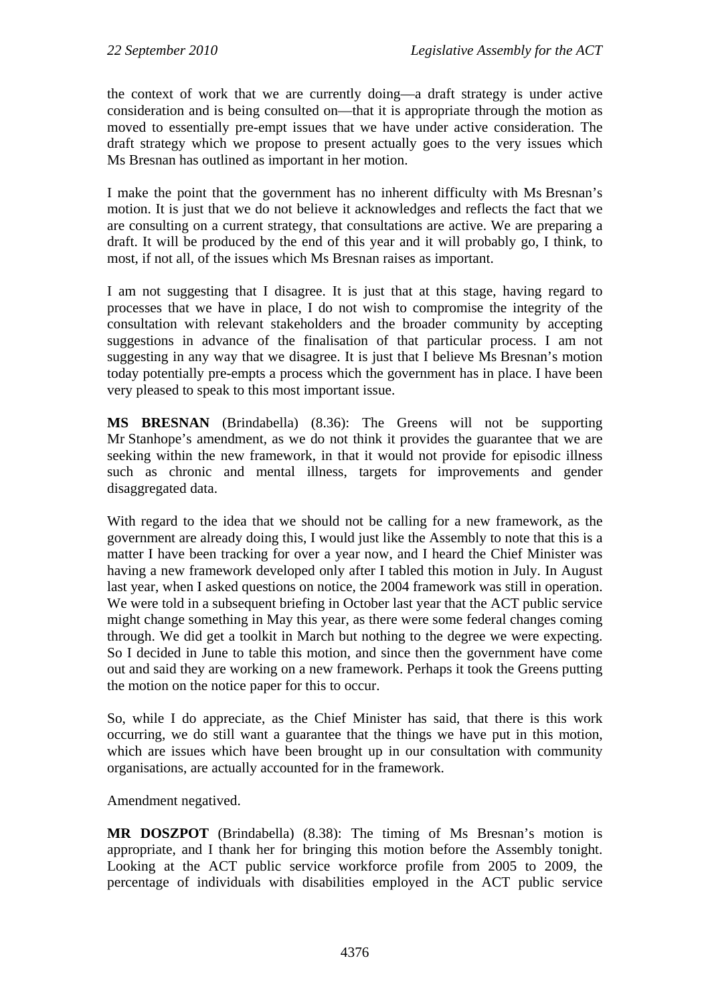the context of work that we are currently doing—a draft strategy is under active consideration and is being consulted on—that it is appropriate through the motion as moved to essentially pre-empt issues that we have under active consideration. The draft strategy which we propose to present actually goes to the very issues which Ms Bresnan has outlined as important in her motion.

I make the point that the government has no inherent difficulty with Ms Bresnan's motion. It is just that we do not believe it acknowledges and reflects the fact that we are consulting on a current strategy, that consultations are active. We are preparing a draft. It will be produced by the end of this year and it will probably go, I think, to most, if not all, of the issues which Ms Bresnan raises as important.

I am not suggesting that I disagree. It is just that at this stage, having regard to processes that we have in place, I do not wish to compromise the integrity of the consultation with relevant stakeholders and the broader community by accepting suggestions in advance of the finalisation of that particular process. I am not suggesting in any way that we disagree. It is just that I believe Ms Bresnan's motion today potentially pre-empts a process which the government has in place. I have been very pleased to speak to this most important issue.

**MS BRESNAN** (Brindabella) (8.36): The Greens will not be supporting Mr Stanhope's amendment, as we do not think it provides the guarantee that we are seeking within the new framework, in that it would not provide for episodic illness such as chronic and mental illness, targets for improvements and gender disaggregated data.

With regard to the idea that we should not be calling for a new framework, as the government are already doing this, I would just like the Assembly to note that this is a matter I have been tracking for over a year now, and I heard the Chief Minister was having a new framework developed only after I tabled this motion in July. In August last year, when I asked questions on notice, the 2004 framework was still in operation. We were told in a subsequent briefing in October last year that the ACT public service might change something in May this year, as there were some federal changes coming through. We did get a toolkit in March but nothing to the degree we were expecting. So I decided in June to table this motion, and since then the government have come out and said they are working on a new framework. Perhaps it took the Greens putting the motion on the notice paper for this to occur.

So, while I do appreciate, as the Chief Minister has said, that there is this work occurring, we do still want a guarantee that the things we have put in this motion, which are issues which have been brought up in our consultation with community organisations, are actually accounted for in the framework.

Amendment negatived.

**MR DOSZPOT** (Brindabella) (8.38): The timing of Ms Bresnan's motion is appropriate, and I thank her for bringing this motion before the Assembly tonight. Looking at the ACT public service workforce profile from 2005 to 2009, the percentage of individuals with disabilities employed in the ACT public service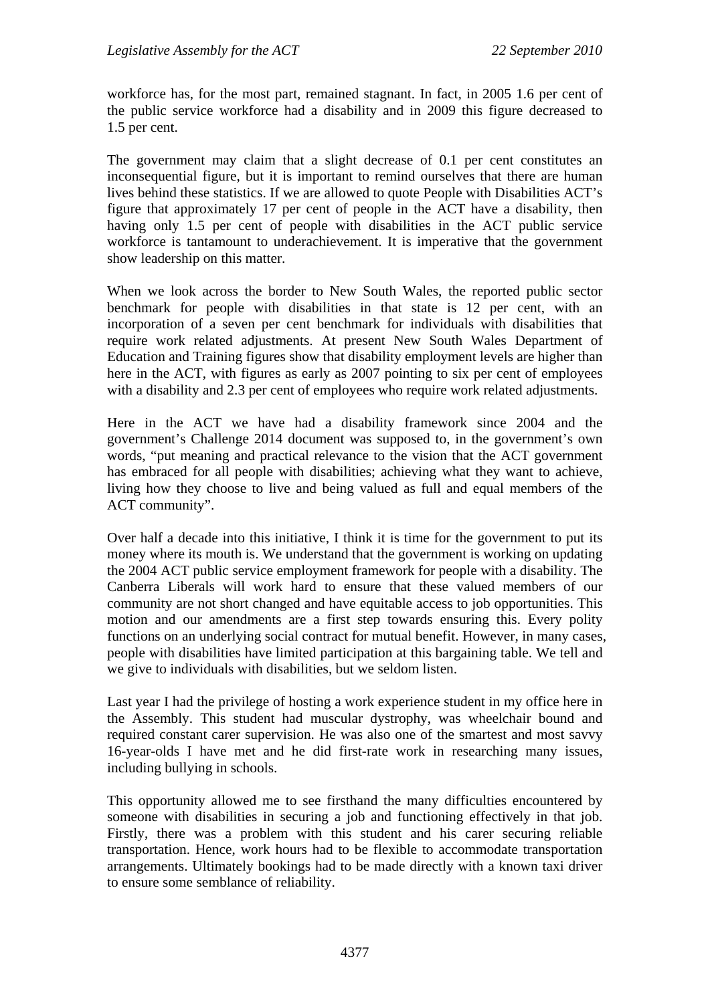workforce has, for the most part, remained stagnant. In fact, in 2005 1.6 per cent of the public service workforce had a disability and in 2009 this figure decreased to 1.5 per cent.

The government may claim that a slight decrease of 0.1 per cent constitutes an inconsequential figure, but it is important to remind ourselves that there are human lives behind these statistics. If we are allowed to quote People with Disabilities ACT's figure that approximately 17 per cent of people in the ACT have a disability, then having only 1.5 per cent of people with disabilities in the ACT public service workforce is tantamount to underachievement. It is imperative that the government show leadership on this matter.

When we look across the border to New South Wales, the reported public sector benchmark for people with disabilities in that state is 12 per cent, with an incorporation of a seven per cent benchmark for individuals with disabilities that require work related adjustments. At present New South Wales Department of Education and Training figures show that disability employment levels are higher than here in the ACT, with figures as early as 2007 pointing to six per cent of employees with a disability and 2.3 per cent of employees who require work related adjustments.

Here in the ACT we have had a disability framework since 2004 and the government's Challenge 2014 document was supposed to, in the government's own words, "put meaning and practical relevance to the vision that the ACT government has embraced for all people with disabilities; achieving what they want to achieve, living how they choose to live and being valued as full and equal members of the ACT community".

Over half a decade into this initiative, I think it is time for the government to put its money where its mouth is. We understand that the government is working on updating the 2004 ACT public service employment framework for people with a disability. The Canberra Liberals will work hard to ensure that these valued members of our community are not short changed and have equitable access to job opportunities. This motion and our amendments are a first step towards ensuring this. Every polity functions on an underlying social contract for mutual benefit. However, in many cases, people with disabilities have limited participation at this bargaining table. We tell and we give to individuals with disabilities, but we seldom listen.

Last year I had the privilege of hosting a work experience student in my office here in the Assembly. This student had muscular dystrophy, was wheelchair bound and required constant carer supervision. He was also one of the smartest and most savvy 16-year-olds I have met and he did first-rate work in researching many issues, including bullying in schools.

This opportunity allowed me to see firsthand the many difficulties encountered by someone with disabilities in securing a job and functioning effectively in that job. Firstly, there was a problem with this student and his carer securing reliable transportation. Hence, work hours had to be flexible to accommodate transportation arrangements. Ultimately bookings had to be made directly with a known taxi driver to ensure some semblance of reliability.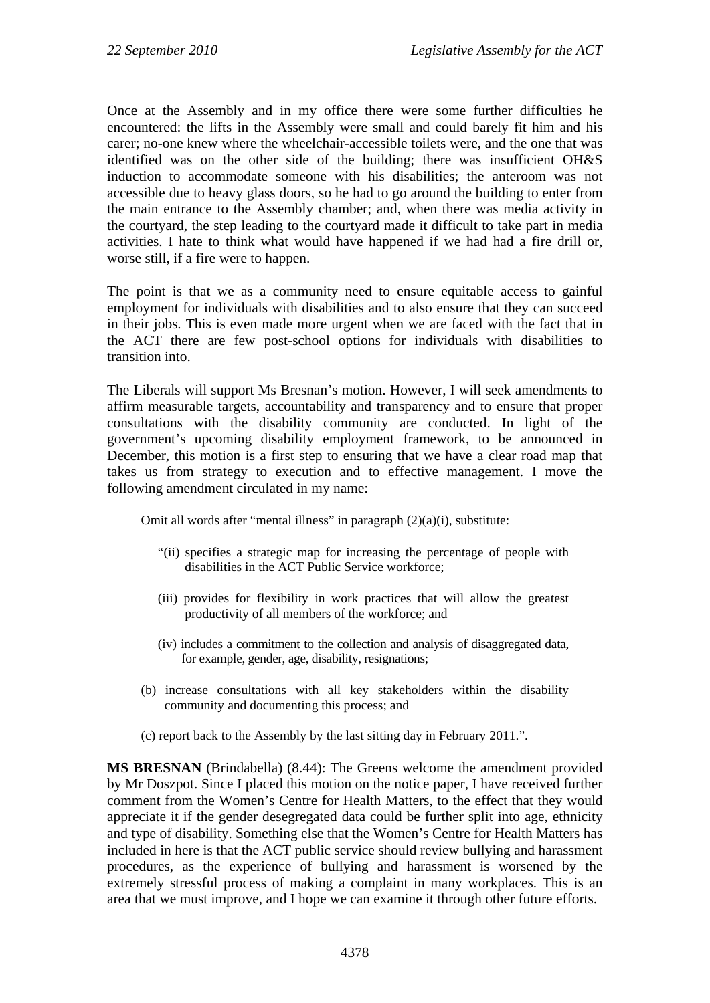Once at the Assembly and in my office there were some further difficulties he encountered: the lifts in the Assembly were small and could barely fit him and his carer; no-one knew where the wheelchair-accessible toilets were, and the one that was identified was on the other side of the building; there was insufficient OH&S induction to accommodate someone with his disabilities; the anteroom was not accessible due to heavy glass doors, so he had to go around the building to enter from the main entrance to the Assembly chamber; and, when there was media activity in the courtyard, the step leading to the courtyard made it difficult to take part in media activities. I hate to think what would have happened if we had had a fire drill or, worse still, if a fire were to happen.

The point is that we as a community need to ensure equitable access to gainful employment for individuals with disabilities and to also ensure that they can succeed in their jobs. This is even made more urgent when we are faced with the fact that in the ACT there are few post-school options for individuals with disabilities to transition into.

The Liberals will support Ms Bresnan's motion. However, I will seek amendments to affirm measurable targets, accountability and transparency and to ensure that proper consultations with the disability community are conducted. In light of the government's upcoming disability employment framework, to be announced in December, this motion is a first step to ensuring that we have a clear road map that takes us from strategy to execution and to effective management. I move the following amendment circulated in my name:

Omit all words after "mental illness" in paragraph (2)(a)(i), substitute:

- "(ii) specifies a strategic map for increasing the percentage of people with disabilities in the ACT Public Service workforce;
- (iii) provides for flexibility in work practices that will allow the greatest productivity of all members of the workforce; and
- (iv) includes a commitment to the collection and analysis of disaggregated data, for example, gender, age, disability, resignations;
- (b) increase consultations with all key stakeholders within the disability community and documenting this process; and
- (c) report back to the Assembly by the last sitting day in February 2011.".

**MS BRESNAN** (Brindabella) (8.44): The Greens welcome the amendment provided by Mr Doszpot. Since I placed this motion on the notice paper, I have received further comment from the Women's Centre for Health Matters, to the effect that they would appreciate it if the gender desegregated data could be further split into age, ethnicity and type of disability. Something else that the Women's Centre for Health Matters has included in here is that the ACT public service should review bullying and harassment procedures, as the experience of bullying and harassment is worsened by the extremely stressful process of making a complaint in many workplaces. This is an area that we must improve, and I hope we can examine it through other future efforts.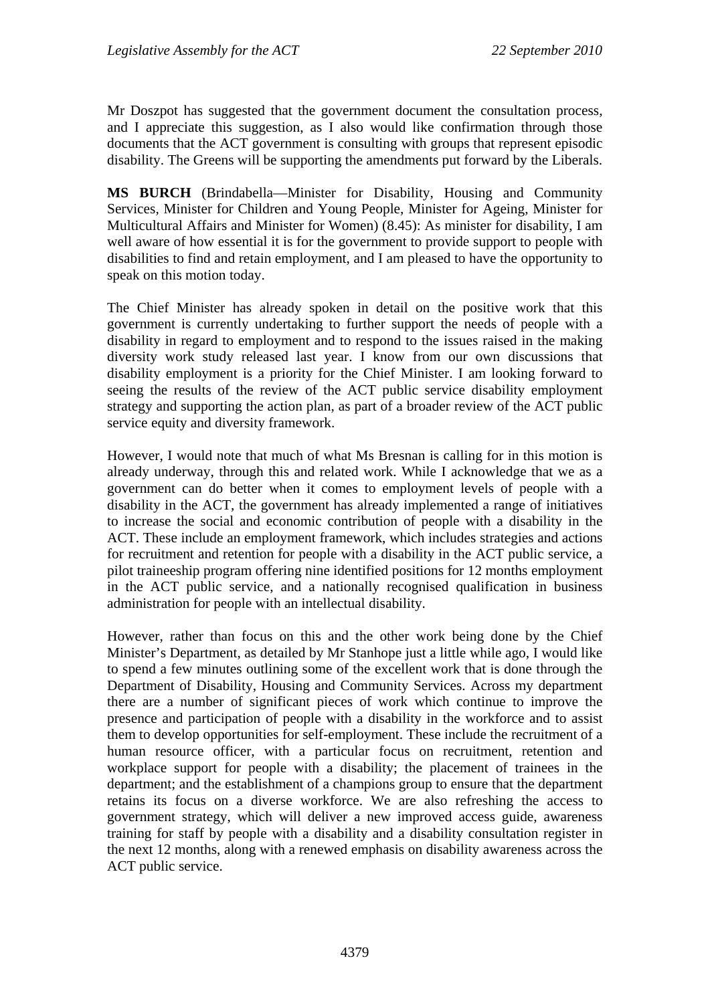Mr Doszpot has suggested that the government document the consultation process, and I appreciate this suggestion, as I also would like confirmation through those documents that the ACT government is consulting with groups that represent episodic disability. The Greens will be supporting the amendments put forward by the Liberals.

**MS BURCH** (Brindabella—Minister for Disability, Housing and Community Services, Minister for Children and Young People, Minister for Ageing, Minister for Multicultural Affairs and Minister for Women) (8.45): As minister for disability, I am well aware of how essential it is for the government to provide support to people with disabilities to find and retain employment, and I am pleased to have the opportunity to speak on this motion today.

The Chief Minister has already spoken in detail on the positive work that this government is currently undertaking to further support the needs of people with a disability in regard to employment and to respond to the issues raised in the making diversity work study released last year. I know from our own discussions that disability employment is a priority for the Chief Minister. I am looking forward to seeing the results of the review of the ACT public service disability employment strategy and supporting the action plan, as part of a broader review of the ACT public service equity and diversity framework.

However, I would note that much of what Ms Bresnan is calling for in this motion is already underway, through this and related work. While I acknowledge that we as a government can do better when it comes to employment levels of people with a disability in the ACT, the government has already implemented a range of initiatives to increase the social and economic contribution of people with a disability in the ACT. These include an employment framework, which includes strategies and actions for recruitment and retention for people with a disability in the ACT public service, a pilot traineeship program offering nine identified positions for 12 months employment in the ACT public service, and a nationally recognised qualification in business administration for people with an intellectual disability.

However, rather than focus on this and the other work being done by the Chief Minister's Department, as detailed by Mr Stanhope just a little while ago, I would like to spend a few minutes outlining some of the excellent work that is done through the Department of Disability, Housing and Community Services. Across my department there are a number of significant pieces of work which continue to improve the presence and participation of people with a disability in the workforce and to assist them to develop opportunities for self-employment. These include the recruitment of a human resource officer, with a particular focus on recruitment, retention and workplace support for people with a disability; the placement of trainees in the department; and the establishment of a champions group to ensure that the department retains its focus on a diverse workforce. We are also refreshing the access to government strategy, which will deliver a new improved access guide, awareness training for staff by people with a disability and a disability consultation register in the next 12 months, along with a renewed emphasis on disability awareness across the ACT public service.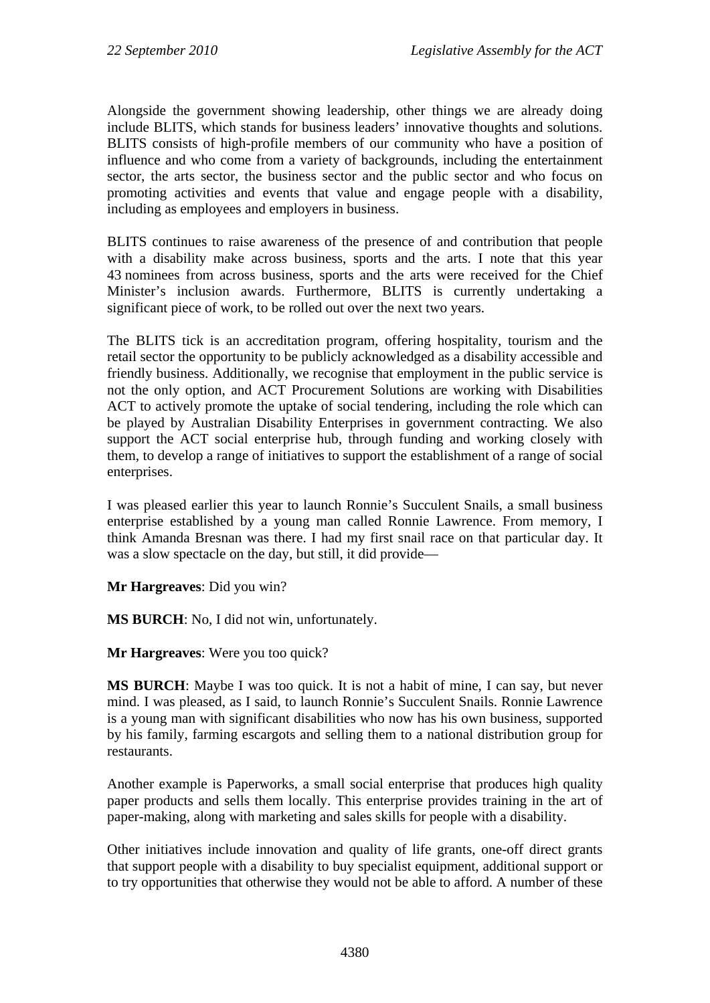Alongside the government showing leadership, other things we are already doing include BLITS, which stands for business leaders' innovative thoughts and solutions. BLITS consists of high-profile members of our community who have a position of influence and who come from a variety of backgrounds, including the entertainment sector, the arts sector, the business sector and the public sector and who focus on promoting activities and events that value and engage people with a disability, including as employees and employers in business.

BLITS continues to raise awareness of the presence of and contribution that people with a disability make across business, sports and the arts. I note that this year 43 nominees from across business, sports and the arts were received for the Chief Minister's inclusion awards. Furthermore, BLITS is currently undertaking a significant piece of work, to be rolled out over the next two years.

The BLITS tick is an accreditation program, offering hospitality, tourism and the retail sector the opportunity to be publicly acknowledged as a disability accessible and friendly business. Additionally, we recognise that employment in the public service is not the only option, and ACT Procurement Solutions are working with Disabilities ACT to actively promote the uptake of social tendering, including the role which can be played by Australian Disability Enterprises in government contracting. We also support the ACT social enterprise hub, through funding and working closely with them, to develop a range of initiatives to support the establishment of a range of social enterprises.

I was pleased earlier this year to launch Ronnie's Succulent Snails, a small business enterprise established by a young man called Ronnie Lawrence. From memory, I think Amanda Bresnan was there. I had my first snail race on that particular day. It was a slow spectacle on the day, but still, it did provide—

**Mr Hargreaves**: Did you win?

**MS BURCH**: No, I did not win, unfortunately.

**Mr Hargreaves**: Were you too quick?

**MS BURCH**: Maybe I was too quick. It is not a habit of mine, I can say, but never mind. I was pleased, as I said, to launch Ronnie's Succulent Snails. Ronnie Lawrence is a young man with significant disabilities who now has his own business, supported by his family, farming escargots and selling them to a national distribution group for restaurants.

Another example is Paperworks, a small social enterprise that produces high quality paper products and sells them locally. This enterprise provides training in the art of paper-making, along with marketing and sales skills for people with a disability.

Other initiatives include innovation and quality of life grants, one-off direct grants that support people with a disability to buy specialist equipment, additional support or to try opportunities that otherwise they would not be able to afford. A number of these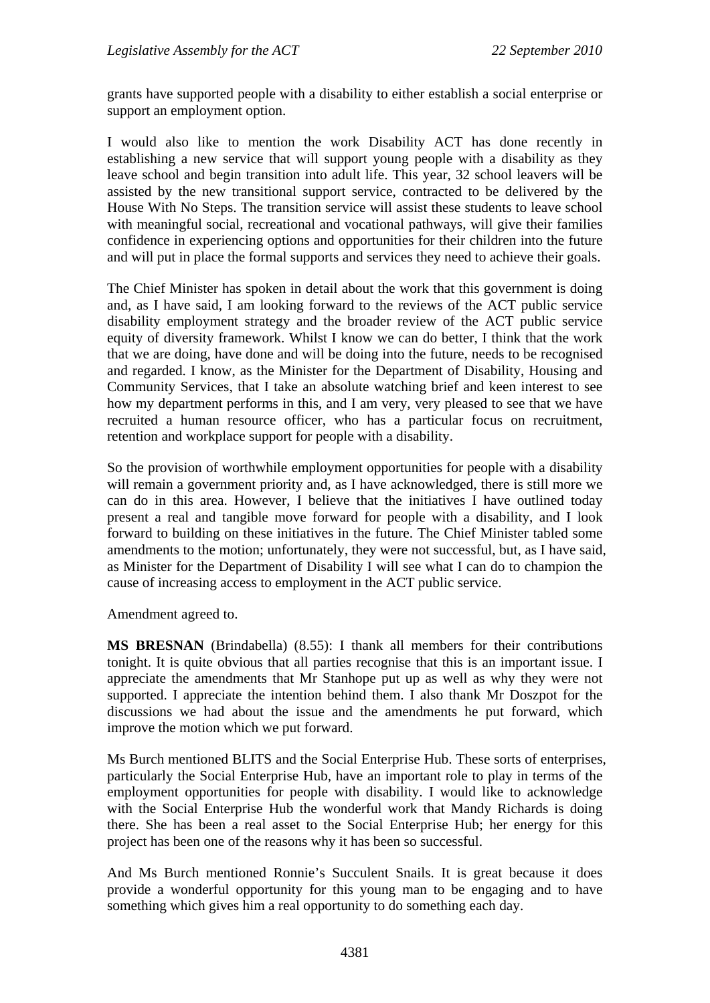grants have supported people with a disability to either establish a social enterprise or support an employment option.

I would also like to mention the work Disability ACT has done recently in establishing a new service that will support young people with a disability as they leave school and begin transition into adult life. This year, 32 school leavers will be assisted by the new transitional support service, contracted to be delivered by the House With No Steps. The transition service will assist these students to leave school with meaningful social, recreational and vocational pathways, will give their families confidence in experiencing options and opportunities for their children into the future and will put in place the formal supports and services they need to achieve their goals.

The Chief Minister has spoken in detail about the work that this government is doing and, as I have said, I am looking forward to the reviews of the ACT public service disability employment strategy and the broader review of the ACT public service equity of diversity framework. Whilst I know we can do better, I think that the work that we are doing, have done and will be doing into the future, needs to be recognised and regarded. I know, as the Minister for the Department of Disability, Housing and Community Services, that I take an absolute watching brief and keen interest to see how my department performs in this, and I am very, very pleased to see that we have recruited a human resource officer, who has a particular focus on recruitment, retention and workplace support for people with a disability.

So the provision of worthwhile employment opportunities for people with a disability will remain a government priority and, as I have acknowledged, there is still more we can do in this area. However, I believe that the initiatives I have outlined today present a real and tangible move forward for people with a disability, and I look forward to building on these initiatives in the future. The Chief Minister tabled some amendments to the motion; unfortunately, they were not successful, but, as I have said, as Minister for the Department of Disability I will see what I can do to champion the cause of increasing access to employment in the ACT public service.

Amendment agreed to.

**MS BRESNAN** (Brindabella) (8.55): I thank all members for their contributions tonight. It is quite obvious that all parties recognise that this is an important issue. I appreciate the amendments that Mr Stanhope put up as well as why they were not supported. I appreciate the intention behind them. I also thank Mr Doszpot for the discussions we had about the issue and the amendments he put forward, which improve the motion which we put forward.

Ms Burch mentioned BLITS and the Social Enterprise Hub. These sorts of enterprises, particularly the Social Enterprise Hub, have an important role to play in terms of the employment opportunities for people with disability. I would like to acknowledge with the Social Enterprise Hub the wonderful work that Mandy Richards is doing there. She has been a real asset to the Social Enterprise Hub; her energy for this project has been one of the reasons why it has been so successful.

And Ms Burch mentioned Ronnie's Succulent Snails. It is great because it does provide a wonderful opportunity for this young man to be engaging and to have something which gives him a real opportunity to do something each day.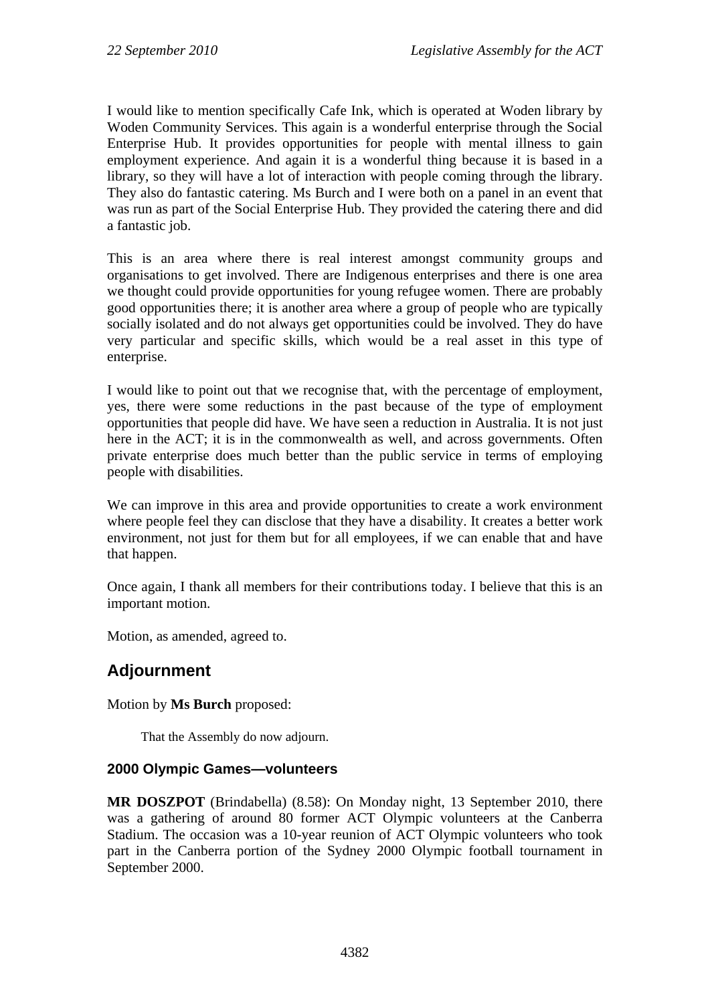I would like to mention specifically Cafe Ink, which is operated at Woden library by Woden Community Services. This again is a wonderful enterprise through the Social Enterprise Hub. It provides opportunities for people with mental illness to gain employment experience. And again it is a wonderful thing because it is based in a library, so they will have a lot of interaction with people coming through the library. They also do fantastic catering. Ms Burch and I were both on a panel in an event that was run as part of the Social Enterprise Hub. They provided the catering there and did a fantastic job.

This is an area where there is real interest amongst community groups and organisations to get involved. There are Indigenous enterprises and there is one area we thought could provide opportunities for young refugee women. There are probably good opportunities there; it is another area where a group of people who are typically socially isolated and do not always get opportunities could be involved. They do have very particular and specific skills, which would be a real asset in this type of enterprise.

I would like to point out that we recognise that, with the percentage of employment, yes, there were some reductions in the past because of the type of employment opportunities that people did have. We have seen a reduction in Australia. It is not just here in the ACT; it is in the commonwealth as well, and across governments. Often private enterprise does much better than the public service in terms of employing people with disabilities.

We can improve in this area and provide opportunities to create a work environment where people feel they can disclose that they have a disability. It creates a better work environment, not just for them but for all employees, if we can enable that and have that happen.

Once again, I thank all members for their contributions today. I believe that this is an important motion.

Motion, as amended, agreed to.

# **Adjournment**

## Motion by **Ms Burch** proposed:

That the Assembly do now adjourn.

## **2000 Olympic Games—volunteers**

**MR DOSZPOT** (Brindabella) (8.58): On Monday night, 13 September 2010, there was a gathering of around 80 former ACT Olympic volunteers at the Canberra Stadium. The occasion was a 10-year reunion of ACT Olympic volunteers who took part in the Canberra portion of the Sydney 2000 Olympic football tournament in September 2000.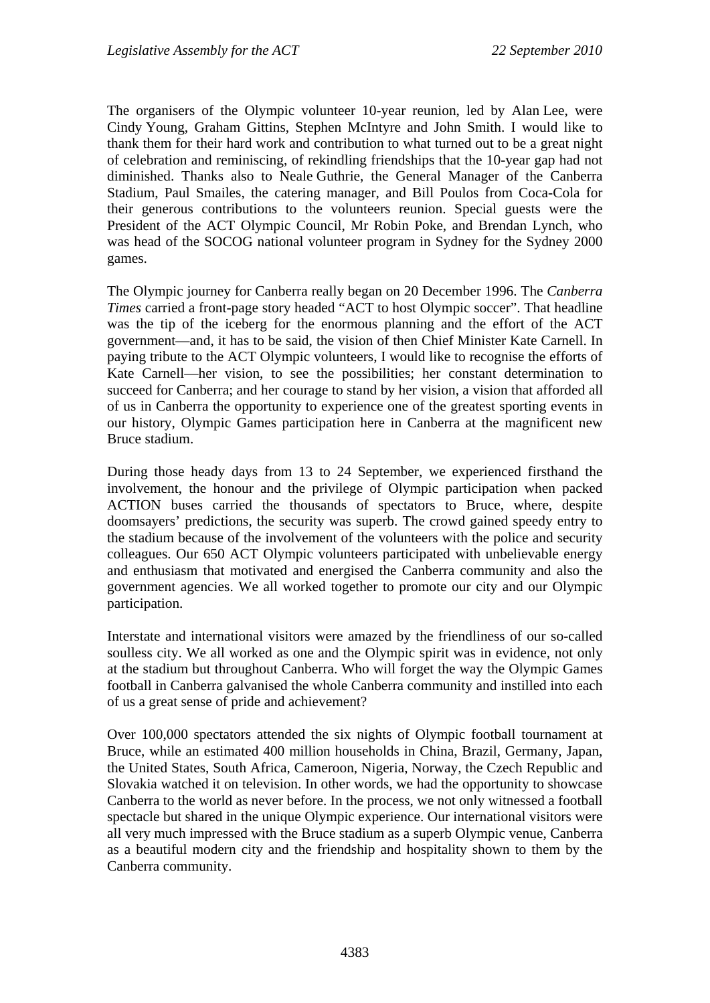The organisers of the Olympic volunteer 10-year reunion, led by Alan Lee, were Cindy Young, Graham Gittins, Stephen McIntyre and John Smith. I would like to thank them for their hard work and contribution to what turned out to be a great night of celebration and reminiscing, of rekindling friendships that the 10-year gap had not diminished. Thanks also to Neale Guthrie, the General Manager of the Canberra Stadium, Paul Smailes, the catering manager, and Bill Poulos from Coca-Cola for their generous contributions to the volunteers reunion. Special guests were the President of the ACT Olympic Council, Mr Robin Poke, and Brendan Lynch, who was head of the SOCOG national volunteer program in Sydney for the Sydney 2000 games.

The Olympic journey for Canberra really began on 20 December 1996. The *Canberra Times* carried a front-page story headed "ACT to host Olympic soccer". That headline was the tip of the iceberg for the enormous planning and the effort of the ACT government—and, it has to be said, the vision of then Chief Minister Kate Carnell. In paying tribute to the ACT Olympic volunteers, I would like to recognise the efforts of Kate Carnell—her vision, to see the possibilities; her constant determination to succeed for Canberra; and her courage to stand by her vision, a vision that afforded all of us in Canberra the opportunity to experience one of the greatest sporting events in our history, Olympic Games participation here in Canberra at the magnificent new Bruce stadium.

During those heady days from 13 to 24 September, we experienced firsthand the involvement, the honour and the privilege of Olympic participation when packed ACTION buses carried the thousands of spectators to Bruce, where, despite doomsayers' predictions, the security was superb. The crowd gained speedy entry to the stadium because of the involvement of the volunteers with the police and security colleagues. Our 650 ACT Olympic volunteers participated with unbelievable energy and enthusiasm that motivated and energised the Canberra community and also the government agencies. We all worked together to promote our city and our Olympic participation.

Interstate and international visitors were amazed by the friendliness of our so-called soulless city. We all worked as one and the Olympic spirit was in evidence, not only at the stadium but throughout Canberra. Who will forget the way the Olympic Games football in Canberra galvanised the whole Canberra community and instilled into each of us a great sense of pride and achievement?

Over 100,000 spectators attended the six nights of Olympic football tournament at Bruce, while an estimated 400 million households in China, Brazil, Germany, Japan, the United States, South Africa, Cameroon, Nigeria, Norway, the Czech Republic and Slovakia watched it on television. In other words, we had the opportunity to showcase Canberra to the world as never before. In the process, we not only witnessed a football spectacle but shared in the unique Olympic experience. Our international visitors were all very much impressed with the Bruce stadium as a superb Olympic venue, Canberra as a beautiful modern city and the friendship and hospitality shown to them by the Canberra community.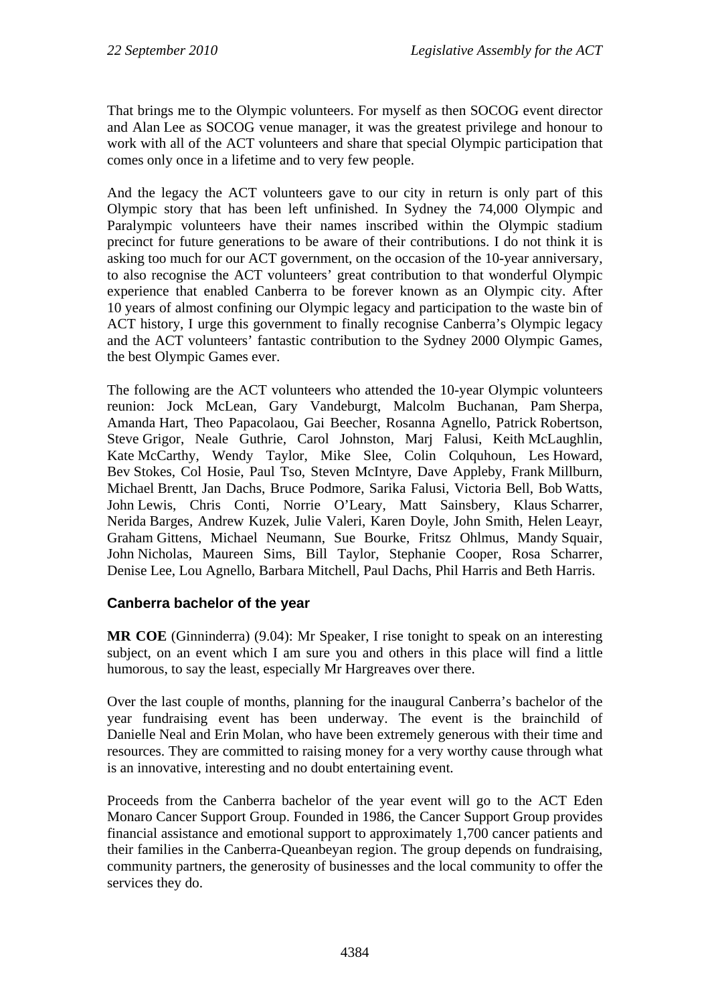That brings me to the Olympic volunteers. For myself as then SOCOG event director and Alan Lee as SOCOG venue manager, it was the greatest privilege and honour to work with all of the ACT volunteers and share that special Olympic participation that comes only once in a lifetime and to very few people.

And the legacy the ACT volunteers gave to our city in return is only part of this Olympic story that has been left unfinished. In Sydney the 74,000 Olympic and Paralympic volunteers have their names inscribed within the Olympic stadium precinct for future generations to be aware of their contributions. I do not think it is asking too much for our ACT government, on the occasion of the 10-year anniversary, to also recognise the ACT volunteers' great contribution to that wonderful Olympic experience that enabled Canberra to be forever known as an Olympic city. After 10 years of almost confining our Olympic legacy and participation to the waste bin of ACT history, I urge this government to finally recognise Canberra's Olympic legacy and the ACT volunteers' fantastic contribution to the Sydney 2000 Olympic Games, the best Olympic Games ever.

The following are the ACT volunteers who attended the 10-year Olympic volunteers reunion: Jock McLean, Gary Vandeburgt, Malcolm Buchanan, Pam Sherpa, Amanda Hart, Theo Papacolaou, Gai Beecher, Rosanna Agnello, Patrick Robertson, Steve Grigor, Neale Guthrie, Carol Johnston, Marj Falusi, Keith McLaughlin, Kate McCarthy, Wendy Taylor, Mike Slee, Colin Colquhoun, Les Howard, Bev Stokes, Col Hosie, Paul Tso, Steven McIntyre, Dave Appleby, Frank Millburn, Michael Brentt, Jan Dachs, Bruce Podmore, Sarika Falusi, Victoria Bell, Bob Watts, John Lewis, Chris Conti, Norrie O'Leary, Matt Sainsbery, Klaus Scharrer, Nerida Barges, Andrew Kuzek, Julie Valeri, Karen Doyle, John Smith, Helen Leayr, Graham Gittens, Michael Neumann, Sue Bourke, Fritsz Ohlmus, Mandy Squair, John Nicholas, Maureen Sims, Bill Taylor, Stephanie Cooper, Rosa Scharrer, Denise Lee, Lou Agnello, Barbara Mitchell, Paul Dachs, Phil Harris and Beth Harris.

## **Canberra bachelor of the year**

**MR COE** (Ginninderra) (9.04): Mr Speaker, I rise tonight to speak on an interesting subject, on an event which I am sure you and others in this place will find a little humorous, to say the least, especially Mr Hargreaves over there.

Over the last couple of months, planning for the inaugural Canberra's bachelor of the year fundraising event has been underway. The event is the brainchild of Danielle Neal and Erin Molan, who have been extremely generous with their time and resources. They are committed to raising money for a very worthy cause through what is an innovative, interesting and no doubt entertaining event.

Proceeds from the Canberra bachelor of the year event will go to the ACT Eden Monaro Cancer Support Group. Founded in 1986, the Cancer Support Group provides financial assistance and emotional support to approximately 1,700 cancer patients and their families in the Canberra-Queanbeyan region. The group depends on fundraising, community partners, the generosity of businesses and the local community to offer the services they do.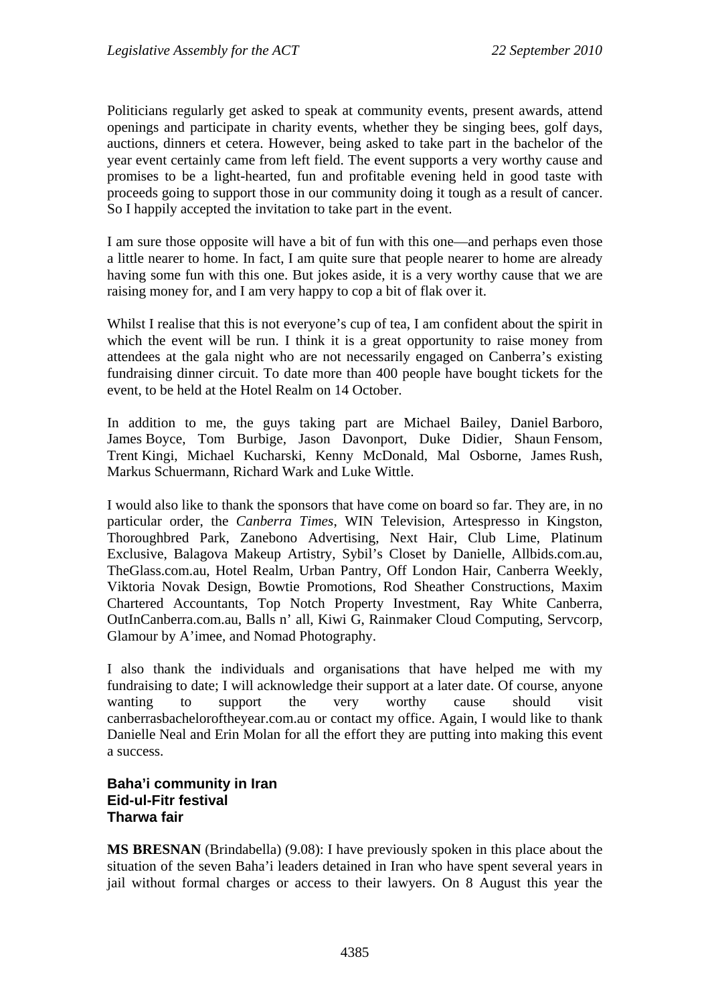Politicians regularly get asked to speak at community events, present awards, attend openings and participate in charity events, whether they be singing bees, golf days, auctions, dinners et cetera. However, being asked to take part in the bachelor of the year event certainly came from left field. The event supports a very worthy cause and promises to be a light-hearted, fun and profitable evening held in good taste with proceeds going to support those in our community doing it tough as a result of cancer. So I happily accepted the invitation to take part in the event.

I am sure those opposite will have a bit of fun with this one—and perhaps even those a little nearer to home. In fact, I am quite sure that people nearer to home are already having some fun with this one. But jokes aside, it is a very worthy cause that we are raising money for, and I am very happy to cop a bit of flak over it.

Whilst I realise that this is not everyone's cup of tea, I am confident about the spirit in which the event will be run. I think it is a great opportunity to raise money from attendees at the gala night who are not necessarily engaged on Canberra's existing fundraising dinner circuit. To date more than 400 people have bought tickets for the event, to be held at the Hotel Realm on 14 October.

In addition to me, the guys taking part are Michael Bailey, Daniel Barboro, James Boyce, Tom Burbige, Jason Davonport, Duke Didier, Shaun Fensom, Trent Kingi, Michael Kucharski, Kenny McDonald, Mal Osborne, James Rush, Markus Schuermann, Richard Wark and Luke Wittle.

I would also like to thank the sponsors that have come on board so far. They are, in no particular order, the *Canberra Times*, WIN Television, Artespresso in Kingston, Thoroughbred Park, Zanebono Advertising, Next Hair, Club Lime, Platinum Exclusive, Balagova Makeup Artistry, Sybil's Closet by Danielle, Allbids.com.au, TheGlass.com.au, Hotel Realm, Urban Pantry, Off London Hair, Canberra Weekly, Viktoria Novak Design, Bowtie Promotions, Rod Sheather Constructions, Maxim Chartered Accountants, Top Notch Property Investment, Ray White Canberra, OutInCanberra.com.au, Balls n' all, Kiwi G, Rainmaker Cloud Computing, Servcorp, Glamour by A'imee, and Nomad Photography.

I also thank the individuals and organisations that have helped me with my fundraising to date; I will acknowledge their support at a later date. Of course, anyone wanting to support the very worthy cause should visit canberrasbacheloroftheyear.com.au or contact my office. Again, I would like to thank Danielle Neal and Erin Molan for all the effort they are putting into making this event a success.

## **Baha'i community in Iran Eid-ul-Fitr festival Tharwa fair**

**MS BRESNAN** (Brindabella) (9.08): I have previously spoken in this place about the situation of the seven Baha'i leaders detained in Iran who have spent several years in jail without formal charges or access to their lawyers. On 8 August this year the